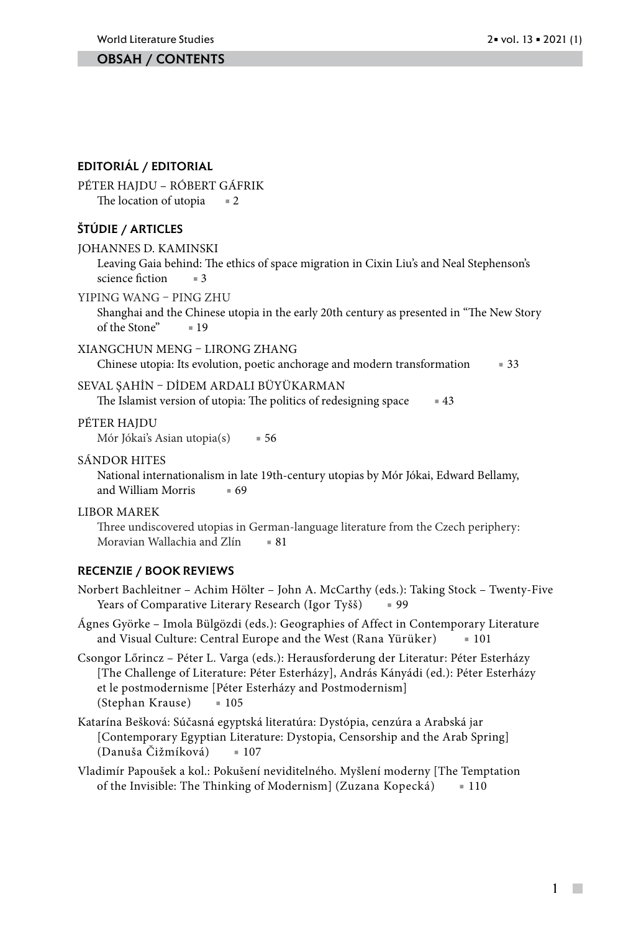#### Obsah / contents

#### Editoriál / editorial

Péter Hajdu – Róbert gáfrik The location of utopia  $= 2$ 

#### Štúdie / articles

JOHANNES D. KAMINSKI

Leaving Gaia behind: The ethics of space migration in Cixin Liu's and Neal Stephenson's science fiction  $=3$ 

YIPING WANG – PING ZHU

Shanghai and the Chinese utopia in the early 20th century as presented in "The New Story of the Stone" ■ 19

#### XIANGCHUN MENG – LIRONG ZHANG

Chinese utopia: Its evolution, poetic anchorage and modern transformation ■ 33

#### SEVAL ŞAHİN – DİDEM ARDALI BÜYÜKARMAN

The Islamist version of utopia: The politics of redesigning space  $\blacksquare$  43

#### PÉTER HAJDU

Mór Jókai's Asian utopia(s) = 56

#### SÁNDOR HITES

National internationalism in late 19th-century utopias by Mór Jókai, Edward Bellamy, and William Morris  $= 69$ 

#### LIBOR MAREK

Three undiscovered utopias in German-language literature from the Czech periphery: Moravian Wallachia and Zlín = 81

#### Recenzie / book reviews

- Norbert Bachleitner Achim Hölter John A. McCarthy (eds.): Taking Stock Twenty-Five Years of Comparative Literary Research (Igor Tyšš) = 99
- Ágnes Györke Imola Bülgözdi (eds.): Geographies of Affect in Contemporary Literature and Visual Culture: Central Europe and the West (Rana Yürüker) ■ 101
- Csongor Lőrincz Péter L. Varga (eds.): Herausforderung der Literatur: Péter Esterházy [The Challenge of Literature: Péter Esterházy], András Kányádi (ed.): Péter Esterházy et le postmodernisme [Péter Esterházy and Postmodernism] (Stephan Krause) ■ 105
- Katarína Bešková: Súčasná egyptská literatúra: Dystópia, cenzúra a Arabská jar [Contemporary Egyptian Literature: Dystopia, Censorship and the Arab Spring] (Danuša Čižmíková) ■ 107
- Vladimír Papoušek a kol.: Pokušení neviditelného. Myšlení moderny [The Temptation of the Invisible: The Thinking of Modernism] (Zuzana Kopecká) ■ 110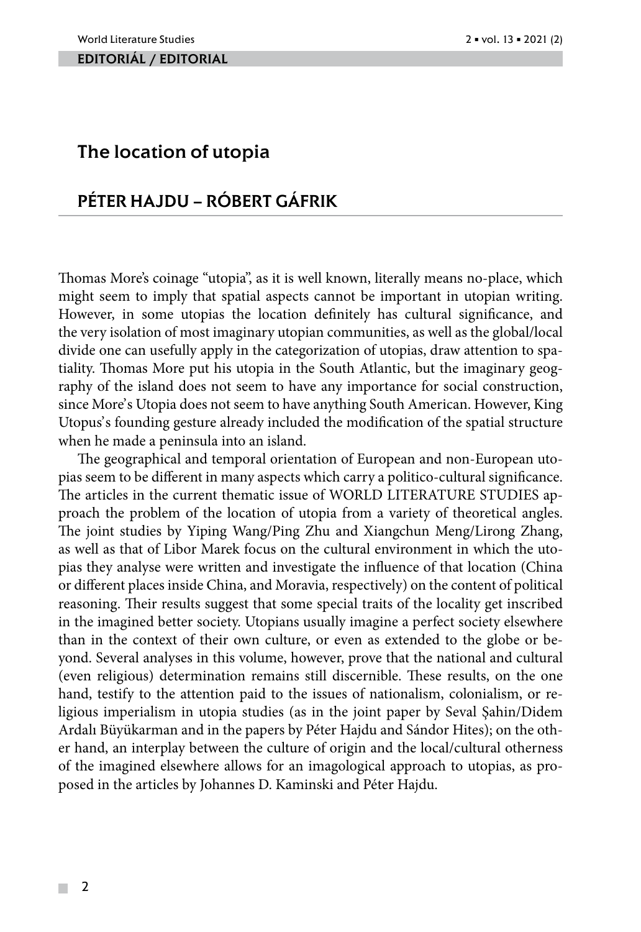#### EDITORIÁL / EDITORIAL

# The location of utopia

# Péter Hajdu – Róbert Gáfrik

Thomas More's coinage "utopia", as it is well known, literally means no-place, which might seem to imply that spatial aspects cannot be important in utopian writing. However, in some utopias the location definitely has cultural significance, and the very isolation of most imaginary utopian communities, as well as the global/local divide one can usefully apply in the categorization of utopias, draw attention to spatiality. Thomas More put his utopia in the South Atlantic, but the imaginary geography of the island does not seem to have any importance for social construction, since More's Utopia does not seem to have anything South American. However, King Utopus's founding gesture already included the modification of the spatial structure when he made a peninsula into an island.

The geographical and temporal orientation of European and non-European utopias seem to be different in many aspects which carry a politico-cultural significance. The articles in the current thematic issue of WORLD LITERATURE STUDIES approach the problem of the location of utopia from a variety of theoretical angles. The joint studies by Yiping Wang/Ping Zhu and Xiangchun Meng/Lirong Zhang, as well as that of Libor Marek focus on the cultural environment in which the utopias they analyse were written and investigate the influence of that location (China or different places inside China, and Moravia, respectively) on the content of political reasoning. Their results suggest that some special traits of the locality get inscribed in the imagined better society. Utopians usually imagine a perfect society elsewhere than in the context of their own culture, or even as extended to the globe or beyond. Several analyses in this volume, however, prove that the national and cultural (even religious) determination remains still discernible. These results, on the one hand, testify to the attention paid to the issues of nationalism, colonialism, or religious imperialism in utopia studies (as in the joint paper by Seval Şahin/Didem Ardalı Büyükarman and in the papers by Péter Hajdu and Sándor Hites); on the other hand, an interplay between the culture of origin and the local/cultural otherness of the imagined elsewhere allows for an imagological approach to utopias, as proposed in the articles by Johannes D. Kaminski and Péter Hajdu.

 $\mathcal{L}_{\mathcal{A}}$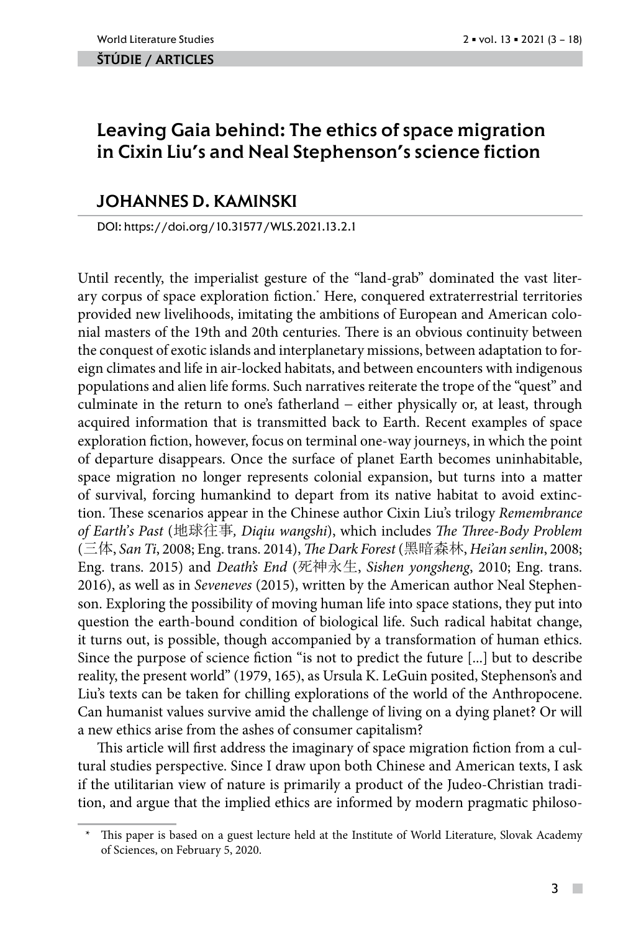#### ŠTÚDIE / ARTicles

# Leaving Gaia behind: The ethics of space migration in Cixin Liu's and Neal Stephenson's science fiction

# JOHANNES D. KAMINSKI

DOI: https://doi.org/10.31577/WLS.2021.13.2.1

Until recently, the imperialist gesture of the "land-grab" dominated the vast literary corpus of space exploration fiction.\* Here, conquered extraterrestrial territories provided new livelihoods, imitating the ambitions of European and American colonial masters of the 19th and 20th centuries. There is an obvious continuity between the conquest of exotic islands and interplanetary missions, between adaptation to foreign climates and life in air-locked habitats, and between encounters with indigenous populations and alien life forms. Such narratives reiterate the trope of the "quest" and culminate in the return to one's fatherland − either physically or, at least, through acquired information that is transmitted back to Earth. Recent examples of space exploration fiction, however, focus on terminal one-way journeys, in which the point of departure disappears. Once the surface of planet Earth becomes uninhabitable, space migration no longer represents colonial expansion, but turns into a matter of survival, forcing humankind to depart from its native habitat to avoid extinction. These scenarios appear in the Chinese author Cixin Liu's trilogy *Remembrance of Earth's Past* (地球往事*, Diqiu wangshi*), which includes *The Three-Body Problem* (三体, *San Ti*, 2008; Eng. trans. 2014), *The Dark Forest* (黑暗森林, *Hei'an senlin*, 2008; Eng. trans. 2015) and *Death's End* (死神永生, *Sishen yongsheng*, 2010; Eng. trans. 2016), as well as in *Seveneves* (2015), written by the American author Neal Stephenson. Exploring the possibility of moving human life into space stations, they put into question the earth-bound condition of biological life. Such radical habitat change, it turns out, is possible, though accompanied by a transformation of human ethics. Since the purpose of science fiction "is not to predict the future [...] but to describe reality, the present world" (1979, 165), as Ursula K. LeGuin posited, Stephenson's and Liu's texts can be taken for chilling explorations of the world of the Anthropocene. Can humanist values survive amid the challenge of living on a dying planet? Or will a new ethics arise from the ashes of consumer capitalism?

This article will first address the imaginary of space migration fiction from a cultural studies perspective. Since I draw upon both Chinese and American texts, I ask if the utilitarian view of nature is primarily a product of the Judeo-Christian tradition, and argue that the implied ethics are informed by modern pragmatic philoso-

 $\overline{\phantom{a}}$ 

This paper is based on a guest lecture held at the Institute of World Literature, Slovak Academy of Sciences, on February 5, 2020.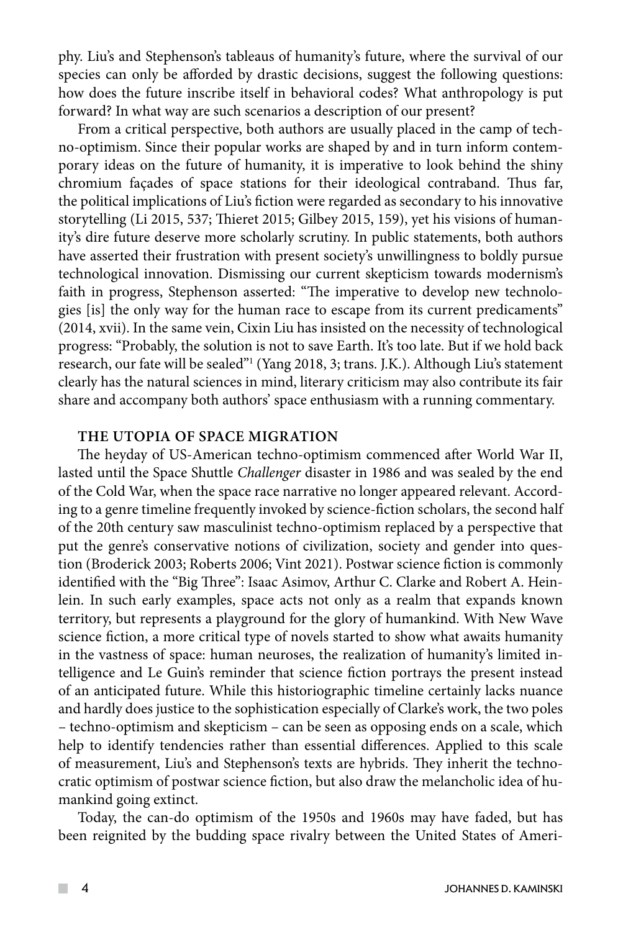phy. Liu's and Stephenson's tableaus of humanity's future, where the survival of our species can only be afforded by drastic decisions, suggest the following questions: how does the future inscribe itself in behavioral codes? What anthropology is put forward? In what way are such scenarios a description of our present?

From a critical perspective, both authors are usually placed in the camp of techno-optimism. Since their popular works are shaped by and in turn inform contemporary ideas on the future of humanity, it is imperative to look behind the shiny chromium façades of space stations for their ideological contraband. Thus far, the political implications of Liu's fiction were regarded as secondary to his innovative storytelling (Li 2015, 537; Thieret 2015; Gilbey 2015, 159), yet his visions of humanity's dire future deserve more scholarly scrutiny. In public statements, both authors have asserted their frustration with present society's unwillingness to boldly pursue technological innovation. Dismissing our current skepticism towards modernism's faith in progress, Stephenson asserted: "The imperative to develop new technologies [is] the only way for the human race to escape from its current predicaments" (2014, xvii). In the same vein, Cixin Liu has insisted on the necessity of technological progress: "Probably, the solution is not to save Earth. It's too late. But if we hold back research, our fate will be sealed"<sup>1</sup> (Yang 2018, 3; trans. J.K.). Although Liu's statement clearly has the natural sciences in mind, literary criticism may also contribute its fair share and accompany both authors' space enthusiasm with a running commentary.

## **THE UTOPIA OF SPACE MIGRATION**

The heyday of US-American techno-optimism commenced after World War II, lasted until the Space Shuttle *Challenger* disaster in 1986 and was sealed by the end of the Cold War, when the space race narrative no longer appeared relevant. According to a genre timeline frequently invoked by science-fiction scholars, the second half of the 20th century saw masculinist techno-optimism replaced by a perspective that put the genre's conservative notions of civilization, society and gender into question (Broderick 2003; Roberts 2006; Vint 2021). Postwar science fiction is commonly identified with the "Big Three": Isaac Asimov, Arthur C. Clarke and Robert A. Heinlein. In such early examples, space acts not only as a realm that expands known territory, but represents a playground for the glory of humankind. With New Wave science fiction, a more critical type of novels started to show what awaits humanity in the vastness of space: human neuroses, the realization of humanity's limited intelligence and Le Guin's reminder that science fiction portrays the present instead of an anticipated future. While this historiographic timeline certainly lacks nuance and hardly does justice to the sophistication especially of Clarke's work, the two poles – techno-optimism and skepticism – can be seen as opposing ends on a scale, which help to identify tendencies rather than essential differences. Applied to this scale of measurement, Liu's and Stephenson's texts are hybrids. They inherit the technocratic optimism of postwar science fiction, but also draw the melancholic idea of humankind going extinct.

Today, the can-do optimism of the 1950s and 1960s may have faded, but has been reignited by the budding space rivalry between the United States of Ameri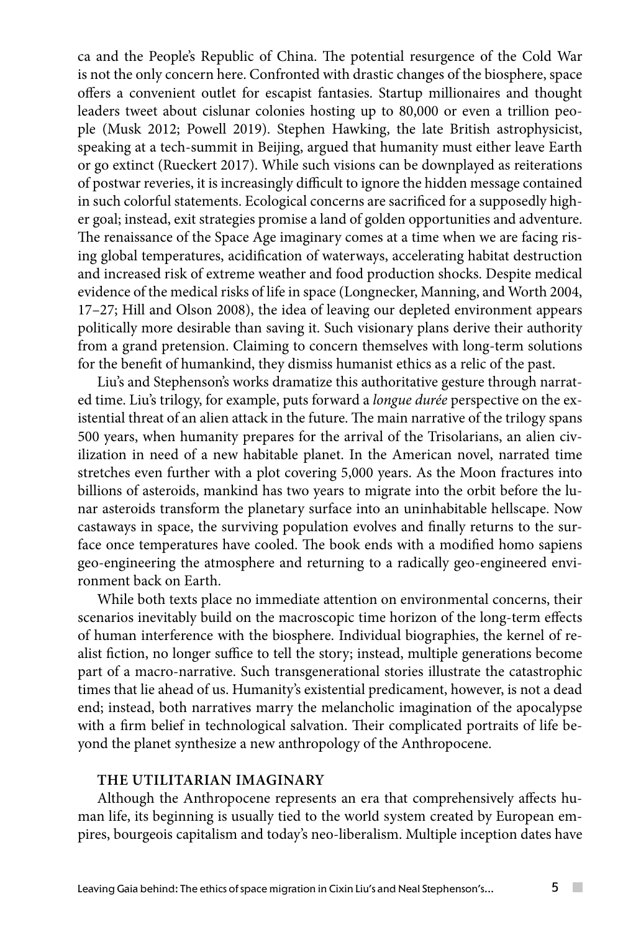ca and the People's Republic of China. The potential resurgence of the Cold War is not the only concern here. Confronted with drastic changes of the biosphere, space offers a convenient outlet for escapist fantasies. Startup millionaires and thought leaders tweet about cislunar colonies hosting up to 80,000 or even a trillion people (Musk 2012; Powell 2019). Stephen Hawking, the late British astrophysicist, speaking at a tech-summit in Beijing, argued that humanity must either leave Earth or go extinct (Rueckert 2017). While such visions can be downplayed as reiterations of postwar reveries, it is increasingly difficult to ignore the hidden message contained in such colorful statements. Ecological concerns are sacrificed for a supposedly higher goal; instead, exit strategies promise a land of golden opportunities and adventure. The renaissance of the Space Age imaginary comes at a time when we are facing rising global temperatures, acidification of waterways, accelerating habitat destruction and increased risk of extreme weather and food production shocks. Despite medical evidence of the medical risks of life in space (Longnecker, Manning, and Worth 2004, 17–27; Hill and Olson 2008), the idea of leaving our depleted environment appears politically more desirable than saving it. Such visionary plans derive their authority from a grand pretension. Claiming to concern themselves with long-term solutions for the benefit of humankind, they dismiss humanist ethics as a relic of the past.

Liu's and Stephenson's works dramatize this authoritative gesture through narrated time. Liu's trilogy, for example, puts forward a *longue durée* perspective on the existential threat of an alien attack in the future. The main narrative of the trilogy spans 500 years, when humanity prepares for the arrival of the Trisolarians, an alien civilization in need of a new habitable planet. In the American novel, narrated time stretches even further with a plot covering 5,000 years. As the Moon fractures into billions of asteroids, mankind has two years to migrate into the orbit before the lunar asteroids transform the planetary surface into an uninhabitable hellscape. Now castaways in space, the surviving population evolves and finally returns to the surface once temperatures have cooled. The book ends with a modified homo sapiens geo-engineering the atmosphere and returning to a radically geo-engineered environment back on Earth.

While both texts place no immediate attention on environmental concerns, their scenarios inevitably build on the macroscopic time horizon of the long-term effects of human interference with the biosphere. Individual biographies, the kernel of realist fiction, no longer suffice to tell the story; instead, multiple generations become part of a macro-narrative. Such transgenerational stories illustrate the catastrophic times that lie ahead of us. Humanity's existential predicament, however, is not a dead end; instead, both narratives marry the melancholic imagination of the apocalypse with a firm belief in technological salvation. Their complicated portraits of life beyond the planet synthesize a new anthropology of the Anthropocene.

## **THE UTILITARIAN IMAGINARY**

Although the Anthropocene represents an era that comprehensively affects human life, its beginning is usually tied to the world system created by European empires, bourgeois capitalism and today's neo-liberalism. Multiple inception dates have

 $\sim$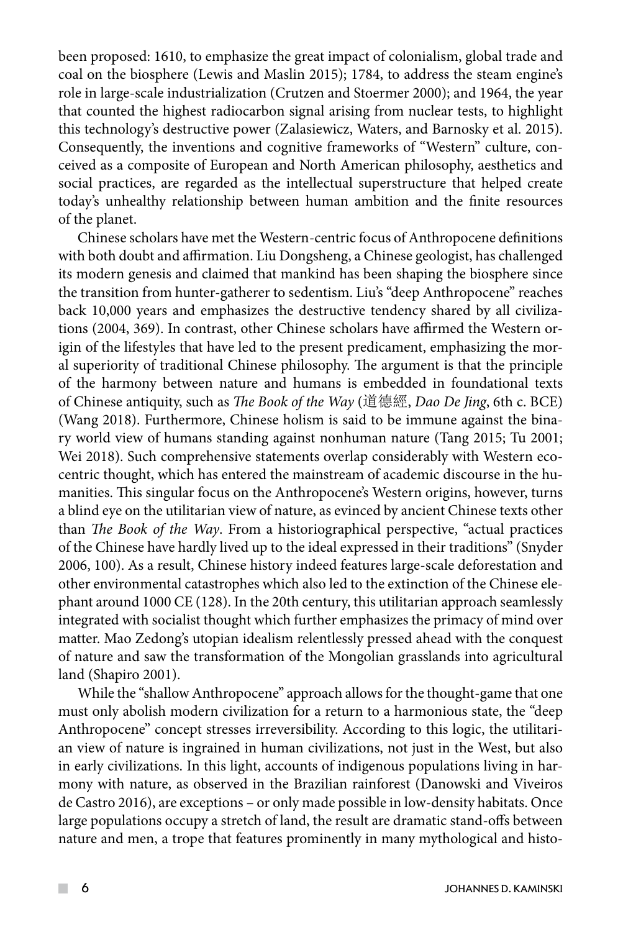been proposed: 1610, to emphasize the great impact of colonialism, global trade and coal on the biosphere (Lewis and Maslin 2015); 1784, to address the steam engine's role in large-scale industrialization (Crutzen and Stoermer 2000); and 1964, the year that counted the highest radiocarbon signal arising from nuclear tests, to highlight this technology's destructive power (Zalasiewicz, Waters, and Barnosky et al. 2015). Consequently, the inventions and cognitive frameworks of "Western" culture, conceived as a composite of European and North American philosophy, aesthetics and social practices, are regarded as the intellectual superstructure that helped create today's unhealthy relationship between human ambition and the finite resources of the planet.

Chinese scholars have met the Western-centric focus of Anthropocene definitions with both doubt and affirmation. Liu Dongsheng, a Chinese geologist, has challenged its modern genesis and claimed that mankind has been shaping the biosphere since the transition from hunter-gatherer to sedentism. Liu's "deep Anthropocene" reaches back 10,000 years and emphasizes the destructive tendency shared by all civilizations (2004, 369). In contrast, other Chinese scholars have affirmed the Western origin of the lifestyles that have led to the present predicament, emphasizing the moral superiority of traditional Chinese philosophy. The argument is that the principle of the harmony between nature and humans is embedded in foundational texts of Chinese antiquity, such as *The Book of the Way* (道德經, *Dao De Jing*, 6th c. BCE) (Wang 2018). Furthermore, Chinese holism is said to be immune against the binary world view of humans standing against nonhuman nature (Tang 2015; Tu 2001; Wei 2018). Such comprehensive statements overlap considerably with Western ecocentric thought, which has entered the mainstream of academic discourse in the humanities. This singular focus on the Anthropocene's Western origins, however, turns a blind eye on the utilitarian view of nature, as evinced by ancient Chinese texts other than *The Book of the Way*. From a historiographical perspective, "actual practices of the Chinese have hardly lived up to the ideal expressed in their traditions" (Snyder 2006, 100). As a result, Chinese history indeed features large-scale deforestation and other environmental catastrophes which also led to the extinction of the Chinese elephant around 1000 CE (128). In the 20th century, this utilitarian approach seamlessly integrated with socialist thought which further emphasizes the primacy of mind over matter. Mao Zedong's utopian idealism relentlessly pressed ahead with the conquest of nature and saw the transformation of the Mongolian grasslands into agricultural land (Shapiro 2001).

While the "shallow Anthropocene" approach allows for the thought-game that one must only abolish modern civilization for a return to a harmonious state, the "deep Anthropocene" concept stresses irreversibility. According to this logic, the utilitarian view of nature is ingrained in human civilizations, not just in the West, but also in early civilizations. In this light, accounts of indigenous populations living in harmony with nature, as observed in the Brazilian rainforest (Danowski and Viveiros de Castro 2016), are exceptions – or only made possible in low-density habitats. Once large populations occupy a stretch of land, the result are dramatic stand-offs between nature and men, a trope that features prominently in many mythological and histo-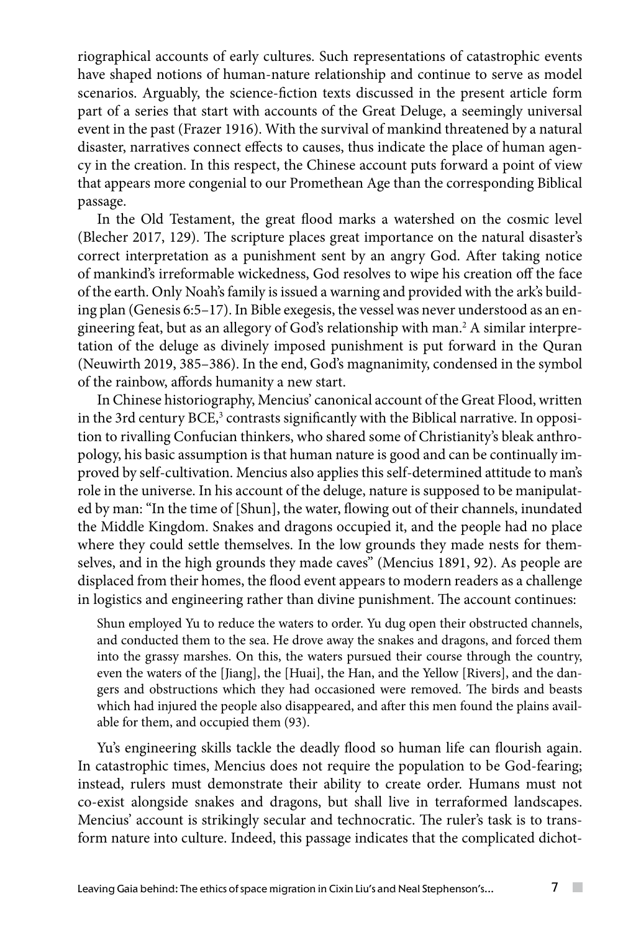riographical accounts of early cultures. Such representations of catastrophic events have shaped notions of human-nature relationship and continue to serve as model scenarios. Arguably, the science-fiction texts discussed in the present article form part of a series that start with accounts of the Great Deluge, a seemingly universal event in the past (Frazer 1916). With the survival of mankind threatened by a natural disaster, narratives connect effects to causes, thus indicate the place of human agency in the creation. In this respect, the Chinese account puts forward a point of view that appears more congenial to our Promethean Age than the corresponding Biblical passage.

In the Old Testament, the great flood marks a watershed on the cosmic level (Blecher 2017, 129). The scripture places great importance on the natural disaster's correct interpretation as a punishment sent by an angry God. After taking notice of mankind's irreformable wickedness, God resolves to wipe his creation off the face of the earth. Only Noah's family is issued a warning and provided with the ark's building plan (Genesis 6:5–17). In Bible exegesis, the vessel was never understood as an engineering feat, but as an allegory of God's relationship with man.2 A similar interpretation of the deluge as divinely imposed punishment is put forward in the Quran (Neuwirth 2019, 385–386). In the end, God's magnanimity, condensed in the symbol of the rainbow, affords humanity a new start.

In Chinese historiography, Mencius' canonical account of the Great Flood, written in the 3rd century BCE, $^3$  contrasts significantly with the Biblical narrative. In opposition to rivalling Confucian thinkers, who shared some of Christianity's bleak anthropology, his basic assumption is that human nature is good and can be continually improved by self-cultivation. Mencius also applies this self-determined attitude to man's role in the universe. In his account of the deluge, nature is supposed to be manipulated by man: "In the time of [Shun], the water, flowing out of their channels, inundated the Middle Kingdom. Snakes and dragons occupied it, and the people had no place where they could settle themselves. In the low grounds they made nests for themselves, and in the high grounds they made caves" (Mencius 1891, 92). As people are displaced from their homes, the flood event appears to modern readers as a challenge in logistics and engineering rather than divine punishment. The account continues:

Shun employed Yu to reduce the waters to order. Yu dug open their obstructed channels, and conducted them to the sea. He drove away the snakes and dragons, and forced them into the grassy marshes. On this, the waters pursued their course through the country, even the waters of the [Jiang], the [Huai], the Han, and the Yellow [Rivers], and the dangers and obstructions which they had occasioned were removed. The birds and beasts which had injured the people also disappeared, and after this men found the plains available for them, and occupied them (93).

Yu's engineering skills tackle the deadly flood so human life can flourish again. In catastrophic times, Mencius does not require the population to be God-fearing; instead, rulers must demonstrate their ability to create order. Humans must not co-exist alongside snakes and dragons, but shall live in terraformed landscapes. Mencius' account is strikingly secular and technocratic. The ruler's task is to transform nature into culture. Indeed, this passage indicates that the complicated dichot-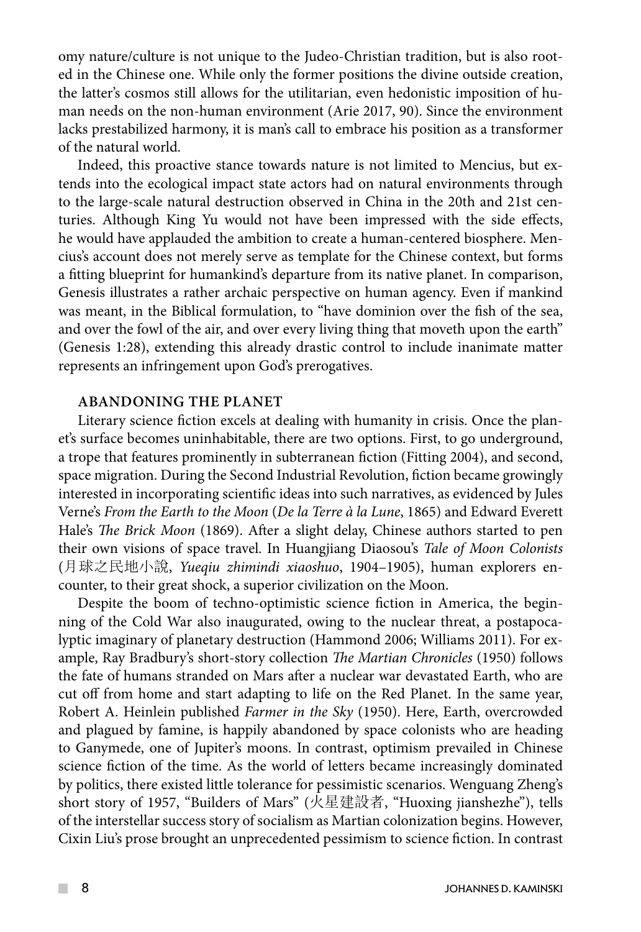omy nature/culture is not unique to the Judeo-Christian tradition, but is also rooted in the Chinese one. While only the former positions the divine outside creation, the latter's cosmos still allows for the utilitarian, even hedonistic imposition of human needs on the non-human environment (Arie 2017, 90). Since the environment lacks prestabilized harmony, it is man's call to embrace his position as a transformer of the natural world.

Indeed, this proactive stance towards nature is not limited to Mencius, but extends into the ecological impact state actors had on natural environments through to the large-scale natural destruction observed in China in the 20th and 21st centuries. Although King Yu would not have been impressed with the side effects, he would have applauded the ambition to create a human-centered biosphere. Mencius's account does not merely serve as template for the Chinese context, but forms a fitting blueprint for humankind's departure from its native planet. In comparison, Genesis illustrates a rather archaic perspective on human agency. Even if mankind was meant, in the Biblical formulation, to "have dominion over the fish of the sea, and over the fowl of the air, and over every living thing that moveth upon the earth" (Genesis 1:28), extending this already drastic control to include inanimate matter represents an infringement upon God's prerogatives.

## **ABANDONING THE PLANET**

Literary science fiction excels at dealing with humanity in crisis. Once the planet's surface becomes uninhabitable, there are two options. First, to go underground, a trope that features prominently in subterranean fiction (Fitting 2004), and second, space migration. During the Second Industrial Revolution, fiction became growingly interested in incorporating scientific ideas into such narratives, as evidenced by Jules Verne's *From the Earth to the Moon* (*De la Terre à la Lune*, 1865) and Edward Everett Hale's *The Brick Moon* (1869). After a slight delay, Chinese authors started to pen their own visions of space travel. In Huangjiang Diaosou's *Tale of Moon Colonists* (月球之民地小說, *Yueqiu zhimindi xiaoshuo*, 1904–1905), human explorers encounter, to their great shock, a superior civilization on the Moon.

Despite the boom of techno-optimistic science fiction in America, the beginning of the Cold War also inaugurated, owing to the nuclear threat, a postapocalyptic imaginary of planetary destruction (Hammond 2006; Williams 2011). For example, Ray Bradbury's short-story collection *The Martian Chronicles* (1950) follows the fate of humans stranded on Mars after a nuclear war devastated Earth, who are cut off from home and start adapting to life on the Red Planet. In the same year, Robert A. Heinlein published *Farmer in the Sky* (1950). Here, Earth, overcrowded and plagued by famine, is happily abandoned by space colonists who are heading to Ganymede, one of Jupiter's moons. In contrast, optimism prevailed in Chinese science fiction of the time. As the world of letters became increasingly dominated by politics, there existed little tolerance for pessimistic scenarios. Wenguang Zheng's short story of 1957, "Builders of Mars" (火星建設者, "Huoxing jianshezhe"), tells of the interstellar success story of socialism as Martian colonization begins. However, Cixin Liu's prose brought an unprecedented pessimism to science fiction. In contrast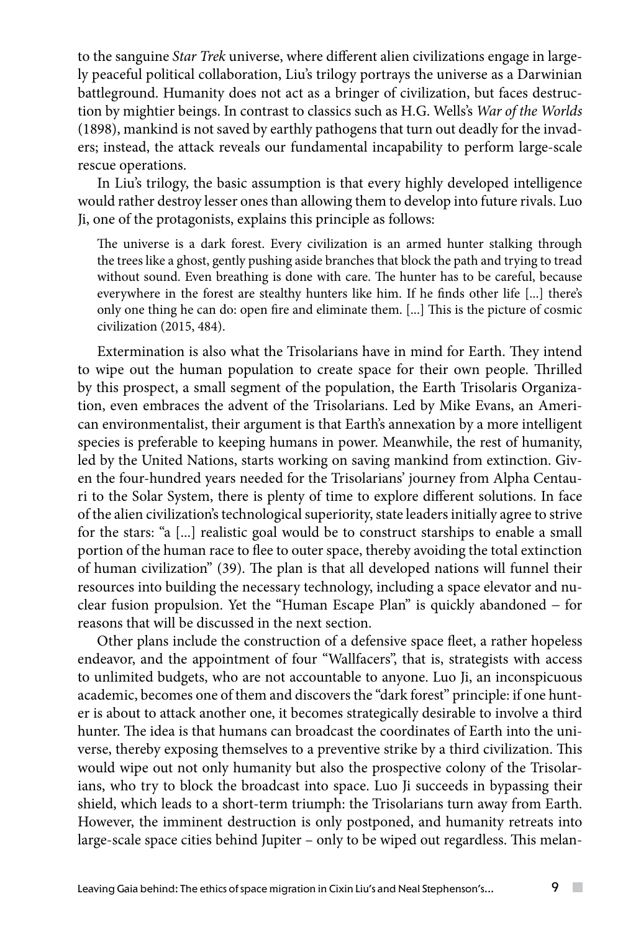to the sanguine *Star Trek* universe, where different alien civilizations engage in largely peaceful political collaboration, Liu's trilogy portrays the universe as a Darwinian battleground. Humanity does not act as a bringer of civilization, but faces destruction by mightier beings. In contrast to classics such as H.G. Wells's *War of the Worlds* (1898), mankind is not saved by earthly pathogens that turn out deadly for the invaders; instead, the attack reveals our fundamental incapability to perform large-scale rescue operations.

In Liu's trilogy, the basic assumption is that every highly developed intelligence would rather destroy lesser ones than allowing them to develop into future rivals. Luo Ji, one of the protagonists, explains this principle as follows:

The universe is a dark forest. Every civilization is an armed hunter stalking through the trees like a ghost, gently pushing aside branches that block the path and trying to tread without sound. Even breathing is done with care. The hunter has to be careful, because everywhere in the forest are stealthy hunters like him. If he finds other life [...] there's only one thing he can do: open fire and eliminate them. [...] This is the picture of cosmic civilization (2015, 484).

Extermination is also what the Trisolarians have in mind for Earth. They intend to wipe out the human population to create space for their own people. Thrilled by this prospect, a small segment of the population, the Earth Trisolaris Organization, even embraces the advent of the Trisolarians. Led by Mike Evans, an American environmentalist, their argument is that Earth's annexation by a more intelligent species is preferable to keeping humans in power. Meanwhile, the rest of humanity, led by the United Nations, starts working on saving mankind from extinction. Given the four-hundred years needed for the Trisolarians' journey from Alpha Centauri to the Solar System, there is plenty of time to explore different solutions. In face of the alien civilization's technological superiority, state leaders initially agree to strive for the stars: "a [...] realistic goal would be to construct starships to enable a small portion of the human race to flee to outer space, thereby avoiding the total extinction of human civilization" (39). The plan is that all developed nations will funnel their resources into building the necessary technology, including a space elevator and nuclear fusion propulsion. Yet the "Human Escape Plan" is quickly abandoned − for reasons that will be discussed in the next section.

Other plans include the construction of a defensive space fleet, a rather hopeless endeavor, and the appointment of four "Wallfacers", that is, strategists with access to unlimited budgets, who are not accountable to anyone. Luo Ji, an inconspicuous academic, becomes one of them and discovers the "dark forest" principle: if one hunter is about to attack another one, it becomes strategically desirable to involve a third hunter. The idea is that humans can broadcast the coordinates of Earth into the universe, thereby exposing themselves to a preventive strike by a third civilization. This would wipe out not only humanity but also the prospective colony of the Trisolarians, who try to block the broadcast into space. Luo Ji succeeds in bypassing their shield, which leads to a short-term triumph: the Trisolarians turn away from Earth. However, the imminent destruction is only postponed, and humanity retreats into large-scale space cities behind Jupiter – only to be wiped out regardless. This melan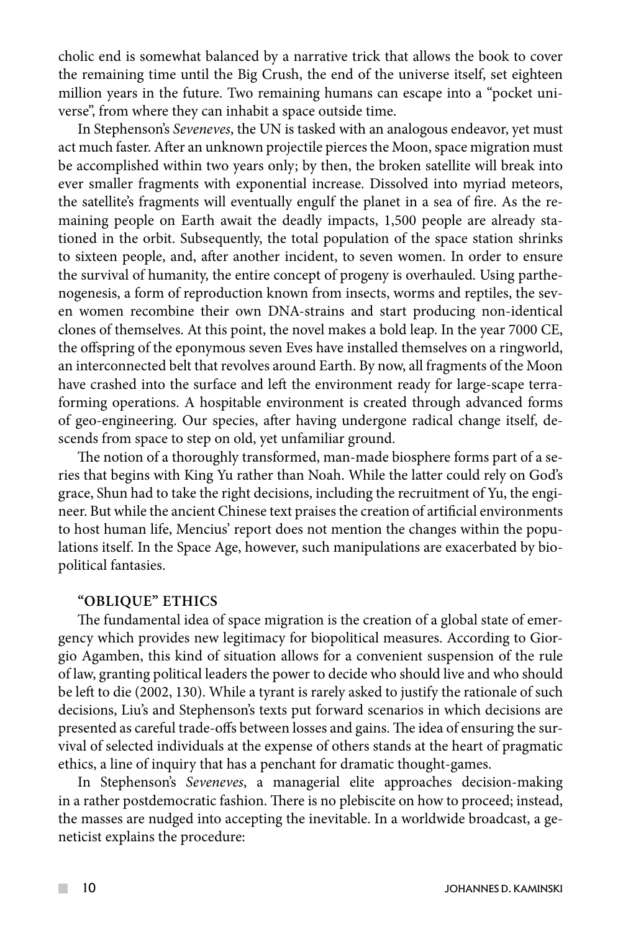cholic end is somewhat balanced by a narrative trick that allows the book to cover the remaining time until the Big Crush, the end of the universe itself, set eighteen million years in the future. Two remaining humans can escape into a "pocket universe", from where they can inhabit a space outside time.

In Stephenson's *Seveneves*, the UN is tasked with an analogous endeavor, yet must act much faster. After an unknown projectile pierces the Moon, space migration must be accomplished within two years only; by then, the broken satellite will break into ever smaller fragments with exponential increase. Dissolved into myriad meteors, the satellite's fragments will eventually engulf the planet in a sea of fire. As the remaining people on Earth await the deadly impacts, 1,500 people are already stationed in the orbit. Subsequently, the total population of the space station shrinks to sixteen people, and, after another incident, to seven women. In order to ensure the survival of humanity, the entire concept of progeny is overhauled. Using parthenogenesis, a form of reproduction known from insects, worms and reptiles, the seven women recombine their own DNA-strains and start producing non-identical clones of themselves. At this point, the novel makes a bold leap. In the year 7000 CE, the offspring of the eponymous seven Eves have installed themselves on a ringworld, an interconnected belt that revolves around Earth. By now, all fragments of the Moon have crashed into the surface and left the environment ready for large-scape terraforming operations. A hospitable environment is created through advanced forms of geo-engineering. Our species, after having undergone radical change itself, descends from space to step on old, yet unfamiliar ground.

The notion of a thoroughly transformed, man-made biosphere forms part of a series that begins with King Yu rather than Noah. While the latter could rely on God's grace, Shun had to take the right decisions, including the recruitment of Yu, the engineer. But while the ancient Chinese text praises the creation of artificial environments to host human life, Mencius' report does not mention the changes within the populations itself. In the Space Age, however, such manipulations are exacerbated by biopolitical fantasies.

## **"OBLIQUE" ETHICS**

The fundamental idea of space migration is the creation of a global state of emergency which provides new legitimacy for biopolitical measures. According to Giorgio Agamben, this kind of situation allows for a convenient suspension of the rule of law, granting political leaders the power to decide who should live and who should be left to die (2002, 130). While a tyrant is rarely asked to justify the rationale of such decisions, Liu's and Stephenson's texts put forward scenarios in which decisions are presented as careful trade-offs between losses and gains. The idea of ensuring the survival of selected individuals at the expense of others stands at the heart of pragmatic ethics, a line of inquiry that has a penchant for dramatic thought-games.

In Stephenson's *Seveneves*, a managerial elite approaches decision-making in a rather postdemocratic fashion. There is no plebiscite on how to proceed; instead, the masses are nudged into accepting the inevitable. In a worldwide broadcast, a geneticist explains the procedure: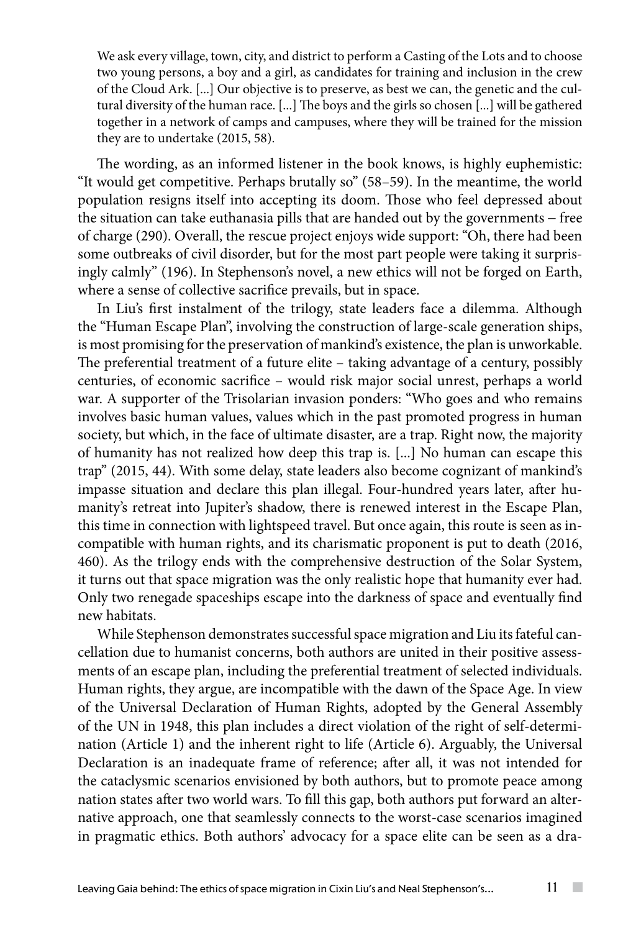We ask every village, town, city, and district to perform a Casting of the Lots and to choose two young persons, a boy and a girl, as candidates for training and inclusion in the crew of the Cloud Ark. [...] Our objective is to preserve, as best we can, the genetic and the cultural diversity of the human race. [...] The boys and the girls so chosen [...] will be gathered together in a network of camps and campuses, where they will be trained for the mission they are to undertake (2015, 58).

The wording, as an informed listener in the book knows, is highly euphemistic: "It would get competitive. Perhaps brutally so" (58–59). In the meantime, the world population resigns itself into accepting its doom. Those who feel depressed about the situation can take euthanasia pills that are handed out by the governments − free of charge (290). Overall, the rescue project enjoys wide support: "Oh, there had been some outbreaks of civil disorder, but for the most part people were taking it surprisingly calmly" (196). In Stephenson's novel, a new ethics will not be forged on Earth, where a sense of collective sacrifice prevails, but in space.

In Liu's first instalment of the trilogy, state leaders face a dilemma. Although the "Human Escape Plan", involving the construction of large-scale generation ships, is most promising for the preservation of mankind's existence, the plan is unworkable. The preferential treatment of a future elite – taking advantage of a century, possibly centuries, of economic sacrifice – would risk major social unrest, perhaps a world war. A supporter of the Trisolarian invasion ponders: "Who goes and who remains involves basic human values, values which in the past promoted progress in human society, but which, in the face of ultimate disaster, are a trap. Right now, the majority of humanity has not realized how deep this trap is. [...] No human can escape this trap" (2015, 44). With some delay, state leaders also become cognizant of mankind's impasse situation and declare this plan illegal. Four-hundred years later, after humanity's retreat into Jupiter's shadow, there is renewed interest in the Escape Plan, this time in connection with lightspeed travel. But once again, this route is seen as incompatible with human rights, and its charismatic proponent is put to death (2016, 460). As the trilogy ends with the comprehensive destruction of the Solar System, it turns out that space migration was the only realistic hope that humanity ever had. Only two renegade spaceships escape into the darkness of space and eventually find new habitats.

While Stephenson demonstrates successful space migration and Liu its fateful cancellation due to humanist concerns, both authors are united in their positive assessments of an escape plan, including the preferential treatment of selected individuals. Human rights, they argue, are incompatible with the dawn of the Space Age. In view of the Universal Declaration of Human Rights, adopted by the General Assembly of the UN in 1948, this plan includes a direct violation of the right of self-determination (Article 1) and the inherent right to life (Article 6). Arguably, the Universal Declaration is an inadequate frame of reference; after all, it was not intended for the cataclysmic scenarios envisioned by both authors, but to promote peace among nation states after two world wars. To fill this gap, both authors put forward an alternative approach, one that seamlessly connects to the worst-case scenarios imagined in pragmatic ethics. Both authors' advocacy for a space elite can be seen as a dra-

 $\sim$  10  $\pm$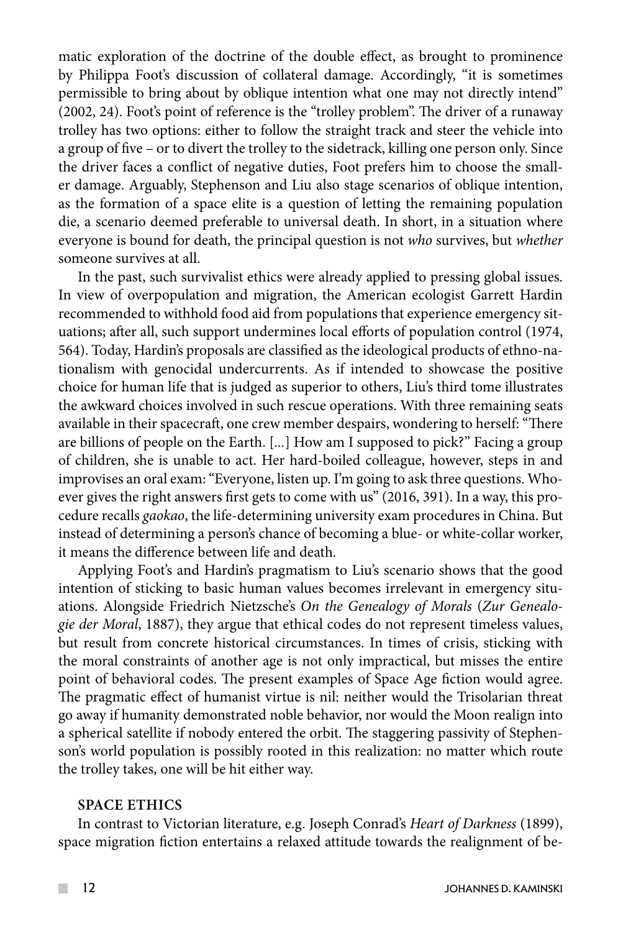matic exploration of the doctrine of the double effect, as brought to prominence by Philippa Foot's discussion of collateral damage. Accordingly, "it is sometimes permissible to bring about by oblique intention what one may not directly intend" (2002, 24). Foot's point of reference is the "trolley problem". The driver of a runaway trolley has two options: either to follow the straight track and steer the vehicle into a group of five – or to divert the trolley to the sidetrack, killing one person only. Since the driver faces a conflict of negative duties, Foot prefers him to choose the smaller damage. Arguably, Stephenson and Liu also stage scenarios of oblique intention, as the formation of a space elite is a question of letting the remaining population die, a scenario deemed preferable to universal death. In short, in a situation where everyone is bound for death, the principal question is not *who* survives, but *whether* someone survives at all.

In the past, such survivalist ethics were already applied to pressing global issues. In view of overpopulation and migration, the American ecologist Garrett Hardin recommended to withhold food aid from populations that experience emergency situations; after all, such support undermines local efforts of population control (1974, 564). Today, Hardin's proposals are classified as the ideological products of ethno-nationalism with genocidal undercurrents. As if intended to showcase the positive choice for human life that is judged as superior to others, Liu's third tome illustrates the awkward choices involved in such rescue operations. With three remaining seats available in their spacecraft, one crew member despairs, wondering to herself: "There are billions of people on the Earth. [*...*] How am I supposed to pick?" Facing a group of children, she is unable to act. Her hard-boiled colleague, however, steps in and improvises an oral exam: "Everyone, listen up. I'm going to ask three questions. Whoever gives the right answers first gets to come with us" (2016, 391). In a way, this procedure recalls *gaokao*, the life-determining university exam procedures in China. But instead of determining a person's chance of becoming a blue- or white-collar worker, it means the difference between life and death.

Applying Foot's and Hardin's pragmatism to Liu's scenario shows that the good intention of sticking to basic human values becomes irrelevant in emergency situations. Alongside Friedrich Nietzsche's *On the Genealogy of Morals* (*Zur Genealogie der Moral*, 1887), they argue that ethical codes do not represent timeless values, but result from concrete historical circumstances. In times of crisis, sticking with the moral constraints of another age is not only impractical, but misses the entire point of behavioral codes. The present examples of Space Age fiction would agree. The pragmatic effect of humanist virtue is nil: neither would the Trisolarian threat go away if humanity demonstrated noble behavior, nor would the Moon realign into a spherical satellite if nobody entered the orbit. The staggering passivity of Stephenson's world population is possibly rooted in this realization: no matter which route the trolley takes, one will be hit either way.

#### **SPACE ETHICS**

In contrast to Victorian literature, e.g. Joseph Conrad's *Heart of Darkness* (1899), space migration fiction entertains a relaxed attitude towards the realignment of be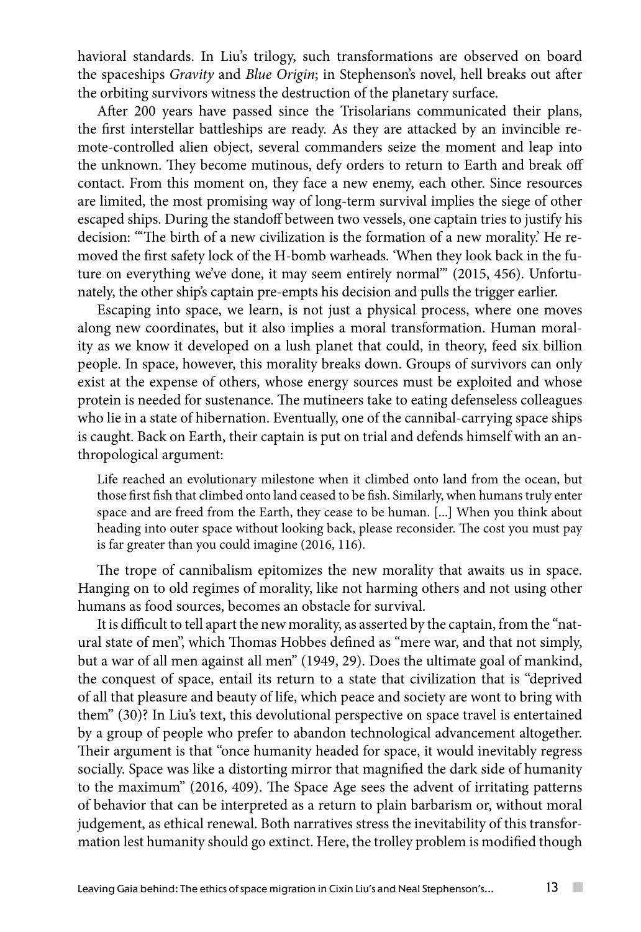havioral standards. In Liu's trilogy, such transformations are observed on board the spaceships *Gravity* and *Blue Origin*; in Stephenson's novel, hell breaks out after the orbiting survivors witness the destruction of the planetary surface.

After 200 years have passed since the Trisolarians communicated their plans, the first interstellar battleships are ready. As they are attacked by an invincible remote-controlled alien object, several commanders seize the moment and leap into the unknown. They become mutinous, defy orders to return to Earth and break off contact. From this moment on, they face a new enemy, each other. Since resources are limited, the most promising way of long-term survival implies the siege of other escaped ships. During the standoff between two vessels, one captain tries to justify his decision: "'The birth of a new civilization is the formation of a new morality.' He removed the first safety lock of the H-bomb warheads. 'When they look back in the future on everything we've done, it may seem entirely normal'" (2015, 456). Unfortunately, the other ship's captain pre-empts his decision and pulls the trigger earlier.

Escaping into space, we learn, is not just a physical process, where one moves along new coordinates, but it also implies a moral transformation. Human morality as we know it developed on a lush planet that could, in theory, feed six billion people. In space, however, this morality breaks down. Groups of survivors can only exist at the expense of others, whose energy sources must be exploited and whose protein is needed for sustenance. The mutineers take to eating defenseless colleagues who lie in a state of hibernation. Eventually, one of the cannibal-carrying space ships is caught. Back on Earth, their captain is put on trial and defends himself with an anthropological argument:

Life reached an evolutionary milestone when it climbed onto land from the ocean, but those first fish that climbed onto land ceased to be fish. Similarly, when humans truly enter space and are freed from the Earth, they cease to be human. [...] When you think about heading into outer space without looking back, please reconsider. The cost you must pay is far greater than you could imagine (2016, 116).

The trope of cannibalism epitomizes the new morality that awaits us in space. Hanging on to old regimes of morality, like not harming others and not using other humans as food sources, becomes an obstacle for survival.

It is difficult to tell apart the new morality, as asserted by the captain, from the "natural state of men", which Thomas Hobbes defined as "mere war, and that not simply, but a war of all men against all men" (1949, 29). Does the ultimate goal of mankind, the conquest of space, entail its return to a state that civilization that is "deprived of all that pleasure and beauty of life, which peace and society are wont to bring with them" (30)? In Liu's text, this devolutional perspective on space travel is entertained by a group of people who prefer to abandon technological advancement altogether. Their argument is that "once humanity headed for space, it would inevitably regress socially. Space was like a distorting mirror that magnified the dark side of humanity to the maximum" (2016, 409). The Space Age sees the advent of irritating patterns of behavior that can be interpreted as a return to plain barbarism or, without moral judgement, as ethical renewal. Both narratives stress the inevitability of this transformation lest humanity should go extinct. Here, the trolley problem is modified though

 $\sim$  10  $\pm$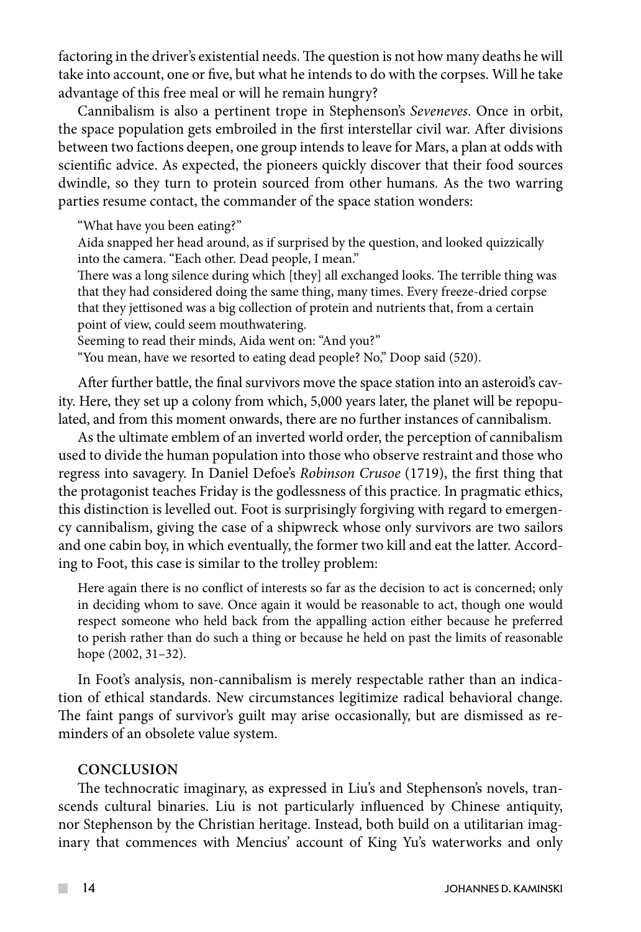factoring in the driver's existential needs. The question is not how many deaths he will take into account, one or five, but what he intends to do with the corpses. Will he take advantage of this free meal or will he remain hungry?

Cannibalism is also a pertinent trope in Stephenson's *Seveneves*. Once in orbit, the space population gets embroiled in the first interstellar civil war. After divisions between two factions deepen, one group intends to leave for Mars, a plan at odds with scientific advice. As expected, the pioneers quickly discover that their food sources dwindle, so they turn to protein sourced from other humans. As the two warring parties resume contact, the commander of the space station wonders:

"What have you been eating?"

Aida snapped her head around, as if surprised by the question, and looked quizzically into the camera. "Each other. Dead people, I mean."

There was a long silence during which [they] all exchanged looks. The terrible thing was that they had considered doing the same thing, many times. Every freeze-dried corpse that they jettisoned was a big collection of protein and nutrients that, from a certain point of view, could seem mouthwatering.

Seeming to read their minds, Aida went on: "And you?"

"You mean, have we resorted to eating dead people? No," Doop said (520).

After further battle, the final survivors move the space station into an asteroid's cavity. Here, they set up a colony from which, 5,000 years later, the planet will be repopulated, and from this moment onwards, there are no further instances of cannibalism.

As the ultimate emblem of an inverted world order, the perception of cannibalism used to divide the human population into those who observe restraint and those who regress into savagery. In Daniel Defoe's *Robinson Crusoe* (1719), the first thing that the protagonist teaches Friday is the godlessness of this practice. In pragmatic ethics, this distinction is levelled out. Foot is surprisingly forgiving with regard to emergency cannibalism, giving the case of a shipwreck whose only survivors are two sailors and one cabin boy, in which eventually, the former two kill and eat the latter. According to Foot, this case is similar to the trolley problem:

Here again there is no conflict of interests so far as the decision to act is concerned; only in deciding whom to save. Once again it would be reasonable to act, though one would respect someone who held back from the appalling action either because he preferred to perish rather than do such a thing or because he held on past the limits of reasonable hope (2002, 31–32).

In Foot's analysis, non-cannibalism is merely respectable rather than an indication of ethical standards. New circumstances legitimize radical behavioral change. The faint pangs of survivor's guilt may arise occasionally, but are dismissed as reminders of an obsolete value system.

## **CONCLUSION**

The technocratic imaginary, as expressed in Liu's and Stephenson's novels, transcends cultural binaries. Liu is not particularly influenced by Chinese antiquity, nor Stephenson by the Christian heritage. Instead, both build on a utilitarian imaginary that commences with Mencius' account of King Yu's waterworks and only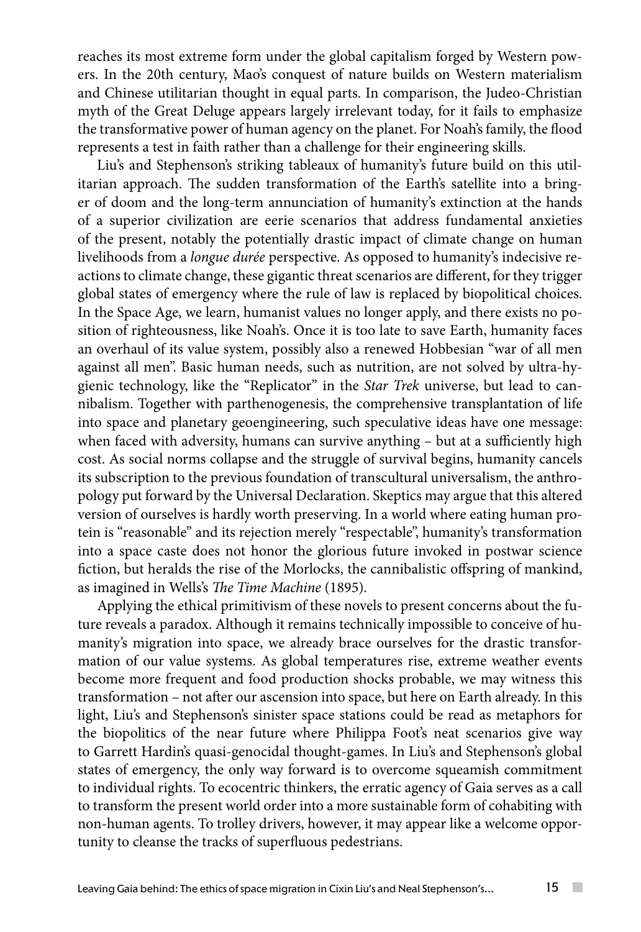reaches its most extreme form under the global capitalism forged by Western powers. In the 20th century, Mao's conquest of nature builds on Western materialism and Chinese utilitarian thought in equal parts. In comparison, the Judeo-Christian myth of the Great Deluge appears largely irrelevant today, for it fails to emphasize the transformative power of human agency on the planet. For Noah's family, the flood represents a test in faith rather than a challenge for their engineering skills.

Liu's and Stephenson's striking tableaux of humanity's future build on this utilitarian approach. The sudden transformation of the Earth's satellite into a bringer of doom and the long-term annunciation of humanity's extinction at the hands of a superior civilization are eerie scenarios that address fundamental anxieties of the present, notably the potentially drastic impact of climate change on human livelihoods from a *longue durée* perspective. As opposed to humanity's indecisive reactions to climate change, these gigantic threat scenarios are different, for they trigger global states of emergency where the rule of law is replaced by biopolitical choices. In the Space Age, we learn, humanist values no longer apply, and there exists no position of righteousness, like Noah's. Once it is too late to save Earth, humanity faces an overhaul of its value system, possibly also a renewed Hobbesian "war of all men against all men". Basic human needs, such as nutrition, are not solved by ultra-hygienic technology, like the "Replicator" in the *Star Trek* universe, but lead to cannibalism. Together with parthenogenesis, the comprehensive transplantation of life into space and planetary geoengineering, such speculative ideas have one message: when faced with adversity, humans can survive anything – but at a sufficiently high cost. As social norms collapse and the struggle of survival begins, humanity cancels its subscription to the previous foundation of transcultural universalism, the anthropology put forward by the Universal Declaration. Skeptics may argue that this altered version of ourselves is hardly worth preserving. In a world where eating human protein is "reasonable" and its rejection merely "respectable", humanity's transformation into a space caste does not honor the glorious future invoked in postwar science fiction, but heralds the rise of the Morlocks, the cannibalistic offspring of mankind, as imagined in Wells's *The Time Machine* (1895)*.*

Applying the ethical primitivism of these novels to present concerns about the future reveals a paradox. Although it remains technically impossible to conceive of humanity's migration into space, we already brace ourselves for the drastic transformation of our value systems. As global temperatures rise, extreme weather events become more frequent and food production shocks probable, we may witness this transformation – not after our ascension into space, but here on Earth already. In this light, Liu's and Stephenson's sinister space stations could be read as metaphors for the biopolitics of the near future where Philippa Foot's neat scenarios give way to Garrett Hardin's quasi-genocidal thought-games. In Liu's and Stephenson's global states of emergency, the only way forward is to overcome squeamish commitment to individual rights. To ecocentric thinkers, the erratic agency of Gaia serves as a call to transform the present world order into a more sustainable form of cohabiting with non-human agents. To trolley drivers, however, it may appear like a welcome opportunity to cleanse the tracks of superfluous pedestrians.

 $\sim$  10  $\pm$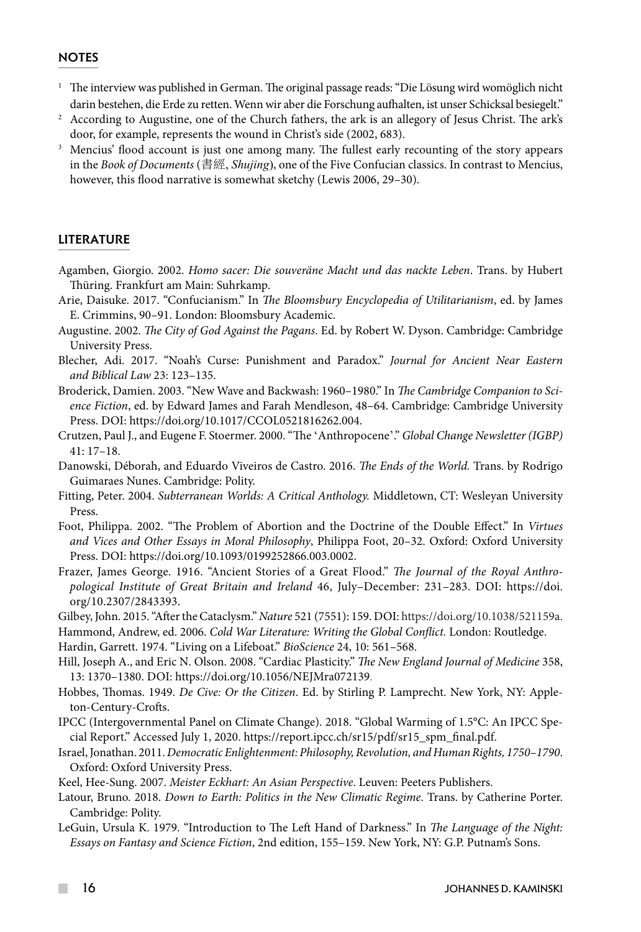#### **NOTES**

- <sup>1</sup> The interview was published in German. The original passage reads: "Die Lösung wird womöglich nicht darin bestehen, die Erde zu retten. Wenn wir aber die Forschung aufhalten, ist unser Schicksal besiegelt."
- <sup>2</sup> According to Augustine, one of the Church fathers, the ark is an allegory of Jesus Christ. The ark's door, for example, represents the wound in Christ's side (2002, 683).
- <sup>3</sup> Mencius' flood account is just one among many. The fullest early recounting of the story appears in the *Book of Documents* (書經, *Shujing*), one of the Five Confucian classics. In contrast to Mencius, however, this flood narrative is somewhat sketchy (Lewis 2006, 29–30).

#### LITERATURE

- Agamben, Giorgio. 2002. *Homo sacer: Die souveräne Macht und das nackte Leben*. Trans. by Hubert Thüring. Frankfurt am Main: Suhrkamp.
- Arie, Daisuke. 2017. "Confucianism." In *The Bloomsbury Encyclopedia of Utilitarianism*, ed. by James E. Crimmins, 90–91. London: Bloomsbury Academic.
- Augustine. 2002. *The City of God Against the Pagans*. Ed. by Robert W. Dyson. Cambridge: Cambridge University Press.
- Blecher, Adi. 2017. "Noah's Curse: Punishment and Paradox." *Journal for Ancient Near Eastern and Biblical Law* 23: 123–135.
- Broderick, Damien. 2003. "New Wave and Backwash: 1960–1980." In *The Cambridge Companion to Science Fiction*, ed. by Edward James and Farah Mendleson, 48–64. Cambridge: Cambridge University Press. DOI: [https://doi.org/10.1017/CCOL0521816262.004.](https://doi.org/10.1017/CCOL0521816262.004)
- Crutzen, Paul J., and Eugene F. Stoermer. 2000. "The ʻAnthropocene'." *Global Change Newsletter (IGBP)* 41: 17–18.
- Danowski, Déborah, and Eduardo Viveiros de Castro. 2016. *The Ends of the World.* Trans. by Rodrigo Guimaraes Nunes. Cambridge: Polity.
- Fitting, Peter. 2004. *Subterranean Worlds: A Critical Anthology.* Middletown, CT: Wesleyan University Press.
- Foot, Philippa. 2002. "The Problem of Abortion and the Doctrine of the Double Effect." In *Virtues and Vices and Other Essays in Moral Philosophy*, Philippa Foot, 20–32. Oxford: Oxford University Press. DOI: https://doi.org/10.1093/0199252866.003.0002.
- Frazer, James George. 1916. "Ancient Stories of a Great Flood." *The Journal of the Royal Anthropological Institute of Great Britain and Ireland* 46, July–December: 231–283. DOI: [https://doi.](https://doi.org/10.2307/2843393) [org/10.2307/2843393.](https://doi.org/10.2307/2843393)
- Gilbey, John. 2015. "After the Cataclysm." *Nature* 521 (7551): 159. DOI: https://doi.org/10.1038/521159a.

Hammond, Andrew, ed. 2006. *Cold War Literature: Writing the Global Conflict.* London: Routledge.

Hardin, Garrett. 1974. "Living on a Lifeboat." *BioScience* 24, 10: 561–568.

- Hill, Joseph A., and Eric N. Olson. 2008. "Cardiac Plasticity." *The New England Journal of Medicine* 358, 13: 1370–1380. DOI: https://doi.org/10.1056/NEJMra072139.
- Hobbes, Thomas. 1949. *De Cive: Or the Citizen*. Ed. by Stirling P. Lamprecht. New York, NY: Appleton-Century-Crofts.
- IPCC (Intergovernmental Panel on Climate Change). 2018. "Global Warming of 1.5°C: An IPCC Special Report." Accessed July 1, 2020. https://report.ipcc.ch/sr15/pdf/sr15\_spm\_final.pdf.
- Israel, Jonathan. 2011. *Democratic Enlightenment: Philosophy, Revolution, and Human Rights, 1750–1790*. Oxford: Oxford University Press.
- Keel, Hee-Sung. 2007. *Meister Eckhart: An Asian Perspective*. Leuven: Peeters Publishers.
- Latour, Bruno. 2018. *Down to Earth: Politics in the New Climatic Regime*. Trans. by Catherine Porter. Cambridge: Polity.
- LeGuin, Ursula K. 1979. "Introduction to The Left Hand of Darkness." In *The Language of the Night: Essays on Fantasy and Science Fiction*, 2nd edition, 155–159. New York, NY: G.P. Putnam's Sons.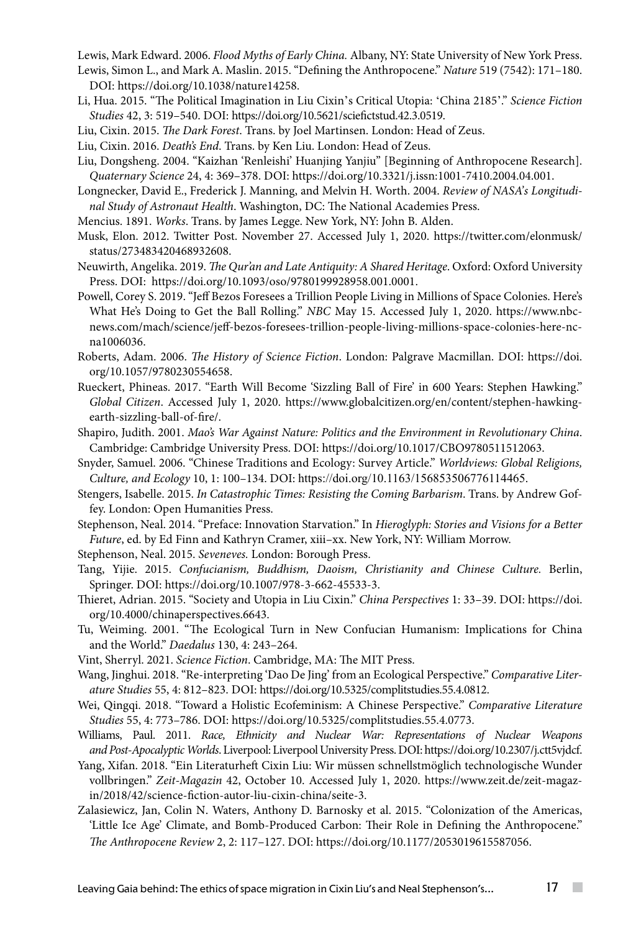Lewis, Mark Edward. 2006. *Flood Myths of Early China.* Albany, NY: State University of New York Press.

- Lewis, Simon L., and Mark A. Maslin. 2015. "Defining the Anthropocene." *Nature* 519 (7542): 171–180. DOI: [https://doi.org/10.1038/nature14258.](https://doi.org/10.1038/nature14258)
- Li, Hua. 2015. "The Political Imagination in Liu Cixin's Critical Utopia: ʻChina 2185'." *Science Fiction Studies* 42, 3: 519–540. DOI: https://doi.org/10.5621/sciefictstud.42.3.0519.
- Liu, Cixin. 2015. *The Dark Forest*. Trans. by Joel Martinsen. London: Head of Zeus.
- Liu, Cixin. 2016. *Death's End*. Trans. by Ken Liu. London: Head of Zeus.
- Liu, Dongsheng. 2004. "Kaizhan 'Renleishi' Huanjing Yanjiu" [Beginning of Anthropocene Research]. *Quaternary Science* 24, 4: 369–378. DOI: https://doi.org/10.3321/j.issn:1001-7410.2004.04.001.
- Longnecker, David E., Frederick J. Manning, and Melvin H. Worth. 2004. *Review of NASA's Longitudinal Study of Astronaut Health*. Washington, DC: The National Academies Press.
- Mencius. 1891. *Works*. Trans. by James Legge. New York, NY: John B. Alden.
- Musk, Elon. 2012. Twitter Post. November 27. Accessed July 1, 2020. https://twitter.com/elonmusk/ status/273483420468932608.

Neuwirth, Angelika. 2019. *The Qur'an and Late Antiquity: A Shared Heritage*. Oxford: Oxford University Press. DOI: https://doi.org/10.1093/oso/9780199928958.001.0001.

- Powell, Corey S. 2019. "Jeff Bezos Foresees a Trillion People Living in Millions of Space Colonies. Here's What He's Doing to Get the Ball Rolling." *NBC* May 15. Accessed July 1, 2020. https://www.nbcnews.com/mach/science/jeff-bezos-foresees-trillion-people-living-millions-space-colonies-here-ncna1006036.
- Roberts, Adam. 2006. *The History of Science Fiction*. London: Palgrave Macmillan. DOI: https://doi. org/10.1057/9780230554658.
- Rueckert, Phineas. 2017. "Earth Will Become 'Sizzling Ball of Fire' in 600 Years: Stephen Hawking." *Global Citizen*. Accessed July 1, 2020. https://www.globalcitizen.org/en/content/stephen-hawkingearth-sizzling-ball-of-fire/.
- Shapiro, Judith. 2001. *Mao's War Against Nature: Politics and the Environment in Revolutionary China*. Cambridge: Cambridge University Press. DOI: https://doi.org/10.1017/CBO9780511512063.
- Snyder, Samuel. 2006. "Chinese Traditions and Ecology: Survey Article." *Worldviews: Global Religions, Culture, and Ecology* 10, 1: 100–134. DOI: <https://doi.org/10.1163/156853506776114465>.
- Stengers, Isabelle. 2015. *In Catastrophic Times: Resisting the Coming Barbarism*. Trans. by Andrew Goffey. London: Open Humanities Press.

Stephenson, Neal. 2014. "Preface: Innovation Starvation." In *Hieroglyph: Stories and Visions for a Better Future*, ed. by Ed Finn and Kathryn Cramer, xiii–xx. New York, NY: William Morrow.

- Stephenson, Neal. 2015. *Seveneves.* London: Borough Press.
- Tang, Yijie. 2015. *Confucianism, Buddhism, Daoism, Christianity and Chinese Culture.* Berlin, Springer. DOI: https://doi.org/10.1007/978-3-662-45533-3.
- Thieret, Adrian. 2015. "Society and Utopia in Liu Cixin." *China Perspectives* 1: 33–39. DOI: [https://doi.](https://doi.org/10.4000/chinaperspectives.6643) [org/10.4000/chinaperspectives.6643.](https://doi.org/10.4000/chinaperspectives.6643)
- Tu, Weiming. 2001. "The Ecological Turn in New Confucian Humanism: Implications for China and the World." *Daedalus* 130, 4: 243–264.
- Vint, Sherryl. 2021. *Science Fiction*. Cambridge, MA: The MIT Press.
- Wang, Jinghui. 2018. "Re-interpreting 'Dao De Jing' from an Ecological Perspective." *Comparative Literature Studies* 55, 4: 812–823. DOI: <https://doi.org/10.5325/complitstudies.55.4.0812>.
- Wei, Qingqi. 2018. "Toward a Holistic Ecofeminism: A Chinese Perspective." *Comparative Literature Studies* 55, 4: 773–786. DOI: https://doi.org/10.5325/complitstudies.55.4.0773.
- Williams, Paul. 2011. *Race, Ethnicity and Nuclear War: Representations of Nuclear Weapons and Post-Apocalyptic Worlds*. Liverpool: Liverpool University Press. DOI:<https://doi.org/10.2307/j.ctt5vjdcf>.
- Yang, Xifan. 2018. "Ein Literaturheft Cixin Liu: Wir müssen schnellstmöglich technologische Wunder vollbringen." *Zeit-Magazin* 42, October 10. Accessed July 1, 2020. https://www.zeit.de/zeit-magazin/2018/42/science-fiction-autor-liu-cixin-china/seite-3.
- Zalasiewicz, Jan, Colin N. Waters, Anthony D. Barnosky et al. 2015. "Colonization of the Americas, 'Little Ice Age' Climate, and Bomb-Produced Carbon: Their Role in Defining the Anthropocene." *The Anthropocene Review* 2, 2: 117–127. DOI: [https://doi.org/10.1177/2053019615587056](https://doi.org/10.1177%2F2053019615587056).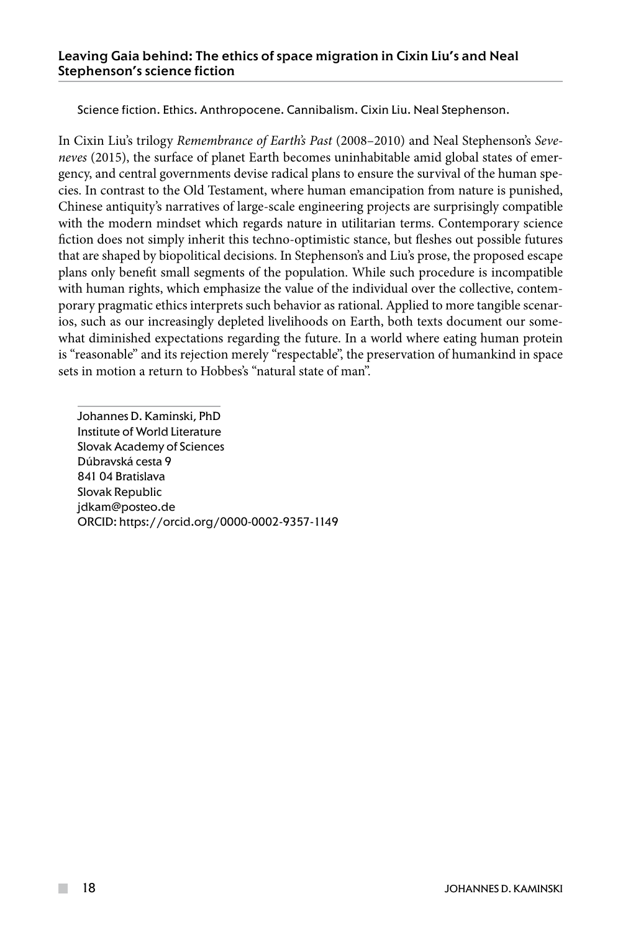Science fiction. Ethics. Anthropocene. Cannibalism. Cixin Liu. Neal Stephenson.

In Cixin Liu's trilogy *Remembrance of Earth's Past* (2008–2010) and Neal Stephenson's *Seveneves* (2015), the surface of planet Earth becomes uninhabitable amid global states of emergency, and central governments devise radical plans to ensure the survival of the human species. In contrast to the Old Testament, where human emancipation from nature is punished, Chinese antiquity's narratives of large-scale engineering projects are surprisingly compatible with the modern mindset which regards nature in utilitarian terms. Contemporary science fiction does not simply inherit this techno-optimistic stance, but fleshes out possible futures that are shaped by biopolitical decisions. In Stephenson's and Liu's prose, the proposed escape plans only benefit small segments of the population. While such procedure is incompatible with human rights, which emphasize the value of the individual over the collective, contemporary pragmatic ethics interprets such behavior as rational. Applied to more tangible scenarios, such as our increasingly depleted livelihoods on Earth, both texts document our somewhat diminished expectations regarding the future. In a world where eating human protein is "reasonable" and its rejection merely "respectable", the preservation of humankind in space sets in motion a return to Hobbes's "natural state of man".

Johannes D. Kaminski, PhD Institute of World Literature Slovak Academy of Sciences Dúbravská cesta 9 841 04 Bratislava Slovak Republic jdkam@posteo.de ORCID: https://orcid.org/0000-0002-9357-1149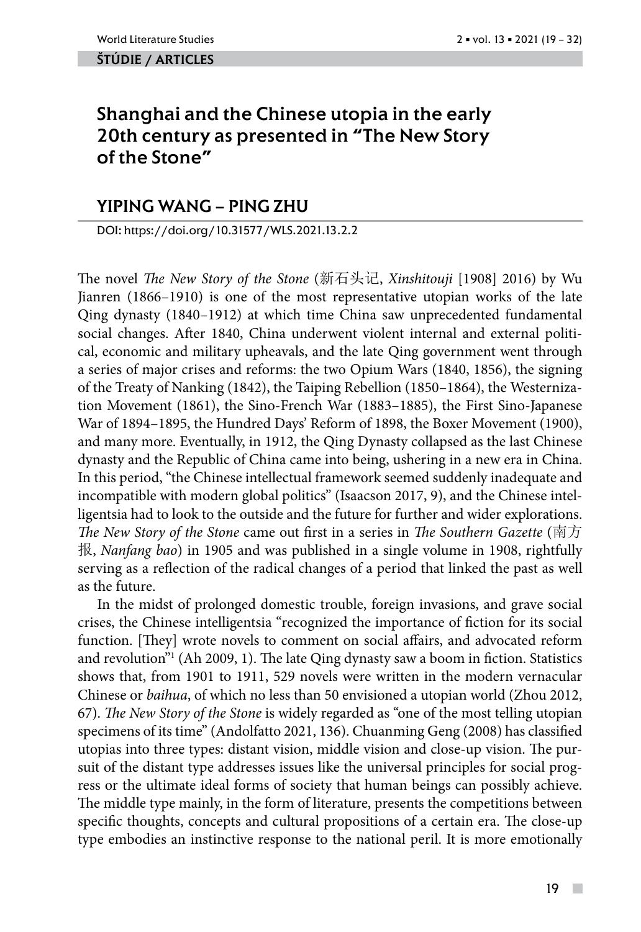#### ŠTÚDIE / ARTicles

# Shanghai and the Chinese utopia in the early 20th century as presented in "The New Story of the Stone"

## YIPING WANG – PING ZHU

DOI: https://doi.org/10.31577/WLS.2021.13.2.2

The novel *The New Story of the Stone* (新石头记, *Xinshitouji* [1908] 2016) by Wu Jianren (1866–1910) is one of the most representative utopian works of the late Qing dynasty (1840–1912) at which time China saw unprecedented fundamental social changes. After 1840, China underwent violent internal and external political, economic and military upheavals, and the late Qing government went through a series of major crises and reforms: the two Opium Wars (1840, 1856), the signing of the Treaty of Nanking (1842), the Taiping Rebellion (1850–1864), the Westernization Movement (1861), the Sino-French War (1883–1885), the First Sino-Japanese War of 1894–1895, the Hundred Days' Reform of 1898, the Boxer Movement (1900), and many more. Eventually, in 1912, the Qing Dynasty collapsed as the last Chinese dynasty and the Republic of China came into being, ushering in a new era in China. In this period, "the Chinese intellectual framework seemed suddenly inadequate and incompatible with modern global politics" (Isaacson 2017, 9), and the Chinese intelligentsia had to look to the outside and the future for further and wider explorations. *The New Story of the Stone* came out first in a series in *The Southern Gazette* (南方 报, *Nanfang bao*) in 1905 and was published in a single volume in 1908, rightfully serving as a reflection of the radical changes of a period that linked the past as well as the future.

In the midst of prolonged domestic trouble, foreign invasions, and grave social crises, the Chinese intelligentsia "recognized the importance of fiction for its social function. [They] wrote novels to comment on social affairs, and advocated reform and revolution"1 (Ah 2009, 1). The late Qing dynasty saw a boom in fiction. Statistics shows that, from 1901 to 1911, 529 novels were written in the modern vernacular Chinese or *baihua*, of which no less than 50 envisioned a utopian world (Zhou 2012, 67). *The New Story of the Stone* is widely regarded as "one of the most telling utopian specimens of its time" (Andolfatto 2021, 136). Chuanming Geng (2008) has classified utopias into three types: distant vision, middle vision and close-up vision. The pursuit of the distant type addresses issues like the universal principles for social progress or the ultimate ideal forms of society that human beings can possibly achieve. The middle type mainly, in the form of literature, presents the competitions between specific thoughts, concepts and cultural propositions of a certain era. The close-up type embodies an instinctive response to the national peril. It is more emotionally

 $\sim$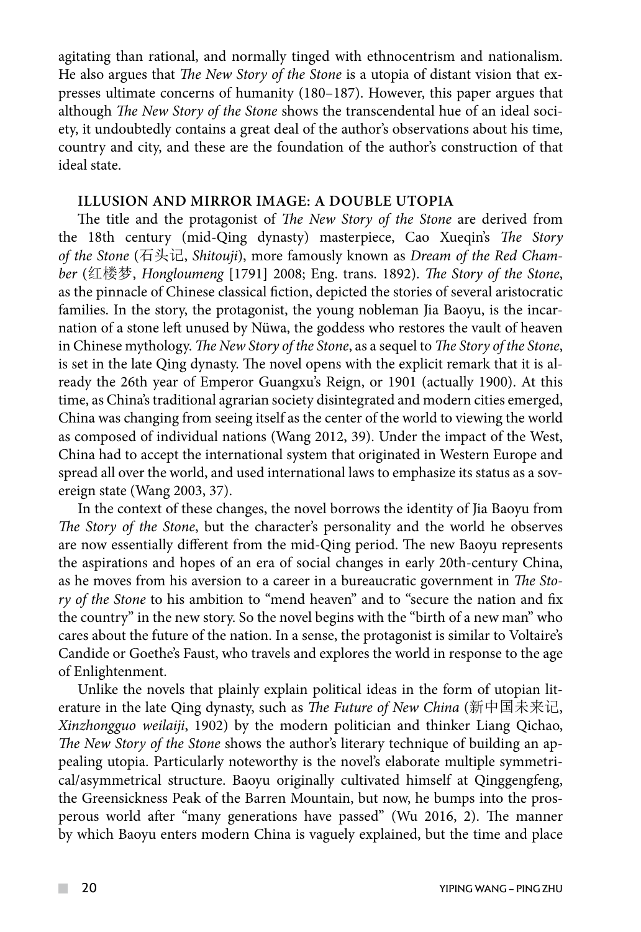agitating than rational, and normally tinged with ethnocentrism and nationalism. He also argues that *The New Story of the Stone* is a utopia of distant vision that expresses ultimate concerns of humanity (180–187). However, this paper argues that although *The New Story of the Stone* shows the transcendental hue of an ideal society, it undoubtedly contains a great deal of the author's observations about his time, country and city, and these are the foundation of the author's construction of that ideal state.

## **Illusion and mirror image: A double utopia**

The title and the protagonist of *The New Story of the Stone* are derived from the 18th century (mid-Qing dynasty) masterpiece, Cao Xueqin's *The Story of the Stone* (石头记, *Shitouji*), more famously known as *Dream of the Red Chamber* (红楼梦, *Hongloumeng* [1791] 2008; Eng. trans. 1892). *The Story of the Stone*, as the pinnacle of Chinese classical fiction, depicted the stories of several aristocratic families. In the story, the protagonist, the young nobleman Jia Baoyu, is the incarnation of a stone left unused by Nüwa, the goddess who restores the vault of heaven in Chinese mythology. *The New Story of the Stone*, as a sequel to *The Story of the Stone*, is set in the late Qing dynasty. The novel opens with the explicit remark that it is already the 26th year of Emperor Guangxu's Reign, or 1901 (actually 1900). At this time, as China's traditional agrarian society disintegrated and modern cities emerged, China was changing from seeing itself as the center of the world to viewing the world as composed of individual nations (Wang 2012, 39). Under the impact of the West, China had to accept the international system that originated in Western Europe and spread all over the world, and used international laws to emphasize its status as a sovereign state (Wang 2003, 37).

In the context of these changes, the novel borrows the identity of Jia Baoyu from *The Story of the Stone*, but the character's personality and the world he observes are now essentially different from the mid-Qing period. The new Baoyu represents the aspirations and hopes of an era of social changes in early 20th-century China, as he moves from his aversion to a career in a bureaucratic government in *The Story of the Stone* to his ambition to "mend heaven" and to "secure the nation and fix the country" in the new story. So the novel begins with the "birth of a new man" who cares about the future of the nation. In a sense, the protagonist is similar to Voltaire's Candide or Goethe's Faust, who travels and explores the world in response to the age of Enlightenment.

Unlike the novels that plainly explain political ideas in the form of utopian literature in the late Qing dynasty, such as *The Future of New China* (新中国未来记, *Xinzhongguo weilaiji*, 1902) by the modern politician and thinker Liang Qichao, *The New Story of the Stone* shows the author's literary technique of building an appealing utopia. Particularly noteworthy is the novel's elaborate multiple symmetrical/asymmetrical structure. Baoyu originally cultivated himself at Qinggengfeng, the Greensickness Peak of the Barren Mountain, but now, he bumps into the prosperous world after "many generations have passed" (Wu 2016, 2). The manner by which Baoyu enters modern China is vaguely explained, but the time and place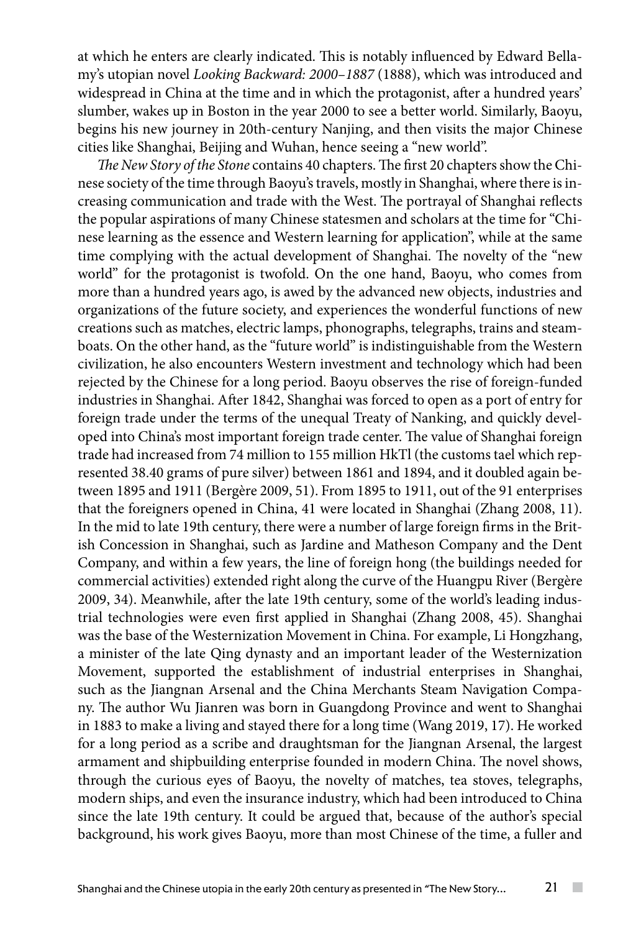at which he enters are clearly indicated. This is notably influenced by Edward Bellamy's utopian novel *Looking Backward: 2000–1887* (1888), which was introduced and widespread in China at the time and in which the protagonist, after a hundred years' slumber, wakes up in Boston in the year 2000 to see a better world. Similarly, Baoyu, begins his new journey in 20th-century Nanjing, and then visits the major Chinese cities like Shanghai, Beijing and Wuhan, hence seeing a "new world".

*The New Story of the Stone* contains 40 chapters. The first 20 chapters show the Chinese society of the time through Baoyu's travels, mostly in Shanghai, where there is increasing communication and trade with the West. The portrayal of Shanghai reflects the popular aspirations of many Chinese statesmen and scholars at the time for "Chinese learning as the essence and Western learning for application", while at the same time complying with the actual development of Shanghai. The novelty of the "new world" for the protagonist is twofold. On the one hand, Baoyu, who comes from more than a hundred years ago, is awed by the advanced new objects, industries and organizations of the future society, and experiences the wonderful functions of new creations such as matches, electric lamps, phonographs, telegraphs, trains and steamboats. On the other hand, as the "future world" is indistinguishable from the Western civilization, he also encounters Western investment and technology which had been rejected by the Chinese for a long period. Baoyu observes the rise of foreign-funded industries in Shanghai. After 1842, Shanghai was forced to open as a port of entry for foreign trade under the terms of the unequal Treaty of Nanking, and quickly developed into China's most important foreign trade center. The value of Shanghai foreign trade had increased from 74 million to 155 million HkTl (the customs tael which represented 38.40 grams of pure silver) between 1861 and 1894, and it doubled again between 1895 and 1911 (Bergère 2009, 51). From 1895 to 1911, out of the 91 enterprises that the foreigners opened in China, 41 were located in Shanghai (Zhang 2008, 11). In the mid to late 19th century, there were a number of large foreign firms in the British Concession in Shanghai, such as Jardine and Matheson Company and the Dent Company, and within a few years, the line of foreign hong (the buildings needed for commercial activities) extended right along the curve of the Huangpu River (Bergère 2009, 34). Meanwhile, after the late 19th century, some of the world's leading industrial technologies were even first applied in Shanghai (Zhang 2008, 45). Shanghai was the base of the Westernization Movement in China. For example, Li Hongzhang, a minister of the late Qing dynasty and an important leader of the Westernization Movement, supported the establishment of industrial enterprises in Shanghai, such as the Jiangnan Arsenal and the China Merchants Steam Navigation Company. The author Wu Jianren was born in Guangdong Province and went to Shanghai in 1883 to make a living and stayed there for a long time (Wang 2019, 17). He worked for a long period as a scribe and draughtsman for the Jiangnan Arsenal, the largest armament and shipbuilding enterprise founded in modern China. The novel shows, through the curious eyes of Baoyu, the novelty of matches, tea stoves, telegraphs, modern ships, and even the insurance industry, which had been introduced to China since the late 19th century. It could be argued that, because of the author's special background, his work gives Baoyu, more than most Chinese of the time, a fuller and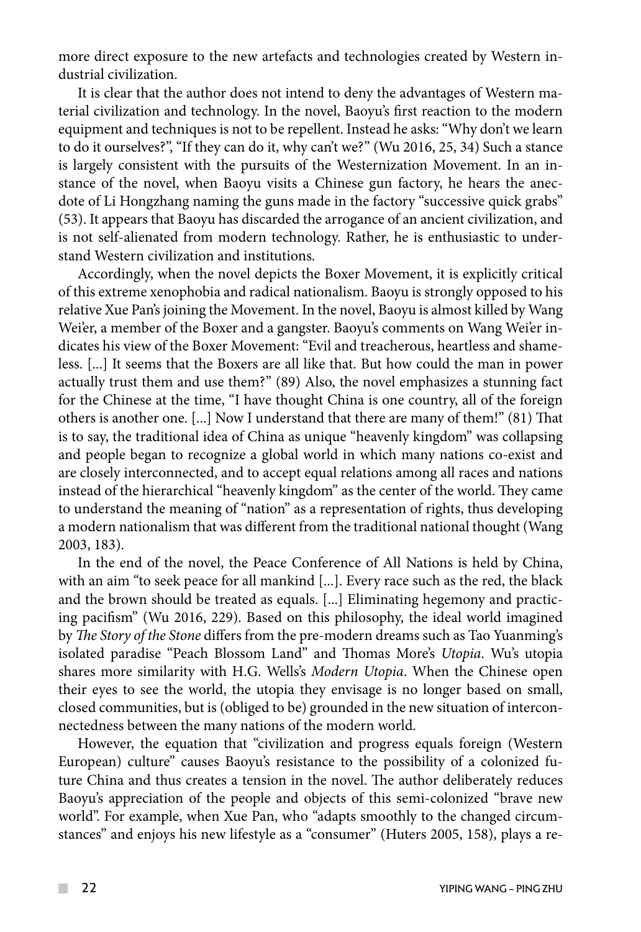more direct exposure to the new artefacts and technologies created by Western industrial civilization.

It is clear that the author does not intend to deny the advantages of Western material civilization and technology. In the novel, Baoyu's first reaction to the modern [equipment](https://dictionary.cambridge.org/dictionary/english/equipment) and techniques is not to be repellent. Instead he asks: "Why don't we learn to do it ourselves?", "If they can do it, why can't we?" (Wu 2016, 25, 34) Such a stance is largely consistent with the pursuits of the Westernization Movement. In an instance of the novel, when Baoyu visits a Chinese gun factory, he hears the anecdote of Li Hongzhang naming the guns made in the factory "successive quick grabs" (53). It appears that Baoyu has discarded the arrogance of an ancient civilization, and is not self-alienated from modern technology. Rather, he is enthusiastic to understand Western civilization and institutions.

Accordingly, when the novel depicts the Boxer Movement, it is explicitly critical of this extreme xenophobia and radical nationalism. Baoyu is strongly opposed to his relative Xue Pan's joining the Movement. In the novel, Baoyu is almost killed by Wang Wei'er, a member of the Boxer and a gangster. Baoyu's comments on Wang Wei'er indicates his view of the Boxer Movement: "Evil and treacherous, heartless and shameless. [...] It seems that the Boxers are all like that. But how could the man in power actually trust them and use them?" (89) Also, the novel emphasizes a stunning fact for the Chinese at the time, "I have thought China is one country, all of the foreign others is another one. [...] Now I understand that there are many of them!" (81) That is to say, the traditional idea of China as unique "heavenly kingdom" was collapsing and people began to recognize a global world in which many nations co-exist and are closely interconnected, and to accept equal relations among all races and nations instead of the hierarchical "heavenly kingdom" as the center of the world. They came to understand the meaning of "nation" as a representation of rights, thus developing a modern nationalism that was different from the traditional national thought (Wang 2003, 183).

In the end of the novel, the Peace Conference of All Nations is held by China, with an aim "to seek peace for all mankind [...]. Every race such as the red, the black and the brown should be treated as equals. [...] Eliminating hegemony and practicing pacifism" (Wu 2016, 229). Based on this philosophy, the ideal world imagined by *The Story of the Stone* differs from the pre-modern dreams such as Tao Yuanming's isolated paradise "Peach Blossom Land" and Thomas More's *Utopia*. Wu's utopia shares more similarity with H.G. Wells's *Modern Utopia*. When the Chinese open their eyes to see the world, the utopia they envisage is no longer based on small, closed communities, but is (obliged to be) grounded in the new situation of interconnectedness between the many nations of the modern world.

However, the equation that "civilization and progress equals foreign (Western European) culture" causes Baoyu's resistance to the possibility of a colonized future China and thus creates a tension in the novel. The author deliberately reduces Baoyu's appreciation of the people and objects of this semi-colonized "brave new world". For example, when Xue Pan, who "adapts smoothly to the changed circumstances" and enjoys his new lifestyle as a "consumer" (Huters 2005, 158), plays a re-

 $\mathcal{L}^{\mathcal{L}}$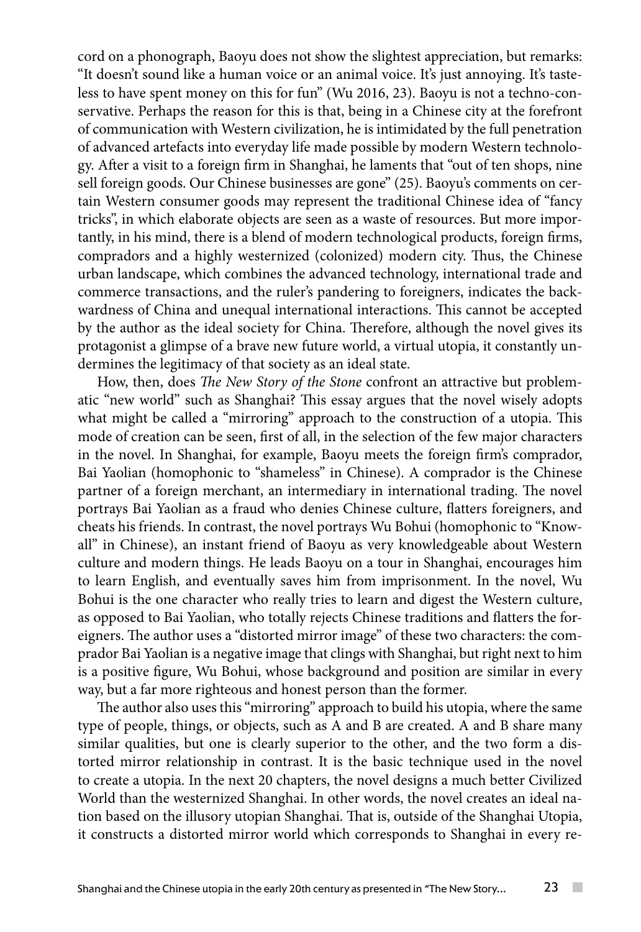cord on a phonograph, Baoyu does not show the slightest appreciation, but remarks: "It doesn't sound like a human voice or an animal voice. It's just annoying. It's tasteless to have spent money on this for fun" (Wu 2016, 23). Baoyu is not a techno-conservative. Perhaps the reason for this is that, being in a Chinese city at the forefront of communication with Western civilization, he is intimidated by the full penetration of advanced artefacts into everyday life made possible by modern Western technology. After a visit to a foreign firm in Shanghai, he laments that "out of ten shops, nine sell foreign goods. Our Chinese businesses are gone" (25). Baoyu's comments on certain Western consumer goods may represent the traditional Chinese idea of "fancy tricks", in which elaborate objects are seen as a waste of resources. But more importantly, in his mind, there is a blend of modern technological products, foreign firms, compradors and a highly westernized (colonized) modern city. Thus, the Chinese urban landscape, which combines the advanced technology, international trade and commerce transactions, and the ruler's pandering to foreigners, indicates the backwardness of China and unequal international interactions. This cannot be accepted by the author as the ideal society for China. Therefore, although the novel gives its protagonist a glimpse of a brave new future world, a virtual utopia, it constantly undermines the legitimacy of that society as an ideal state.

How, then, does *The New Story of the Stone* confront an attractive but problematic "new world" such as Shanghai? This essay argues that the novel wisely adopts what might be called a "mirroring" approach to the construction of a utopia. This mode of creation can be seen, first of all, in the selection of the few major characters in the novel. In Shanghai, for example, Baoyu meets the foreign firm's comprador, Bai Yaolian (homophonic to "shameless" in Chinese). A comprador is the Chinese partner of a foreign merchant, an intermediary in international trading. The novel portrays Bai Yaolian as a fraud who denies Chinese culture, flatters foreigners, and cheats his friends. In contrast, the novel portrays Wu Bohui (homophonic to "Knowall" in Chinese), an instant friend of Baoyu as very knowledgeable about Western culture and modern things. He leads Baoyu on a tour in Shanghai, encourages him to learn English, and eventually saves him from imprisonment. In the novel, Wu Bohui is the one character who really tries to learn and digest the Western culture, as opposed to Bai Yaolian, who totally rejects Chinese traditions and flatters the foreigners. The author uses a "distorted mirror image" of these two characters: the comprador Bai Yaolian is a negative image that clings with Shanghai, but right next to him is a positive figure, Wu Bohui, whose background and position are similar in every way, but a far more righteous and honest person than the former.

The author also uses this "mirroring" approach to build his utopia, where the same type of people, things, or objects, such as A and B are created. A and B share many similar qualities, but one is clearly superior to the other, and the two form a distorted mirror relationship in contrast. It is the basic technique used in the novel to create a utopia. In the next 20 chapters, the novel designs a much better Civilized World than the westernized Shanghai. In other words, the novel creates an ideal nation based on the illusory utopian Shanghai. That is, outside of the Shanghai Utopia, it constructs a distorted mirror world which corresponds to Shanghai in every re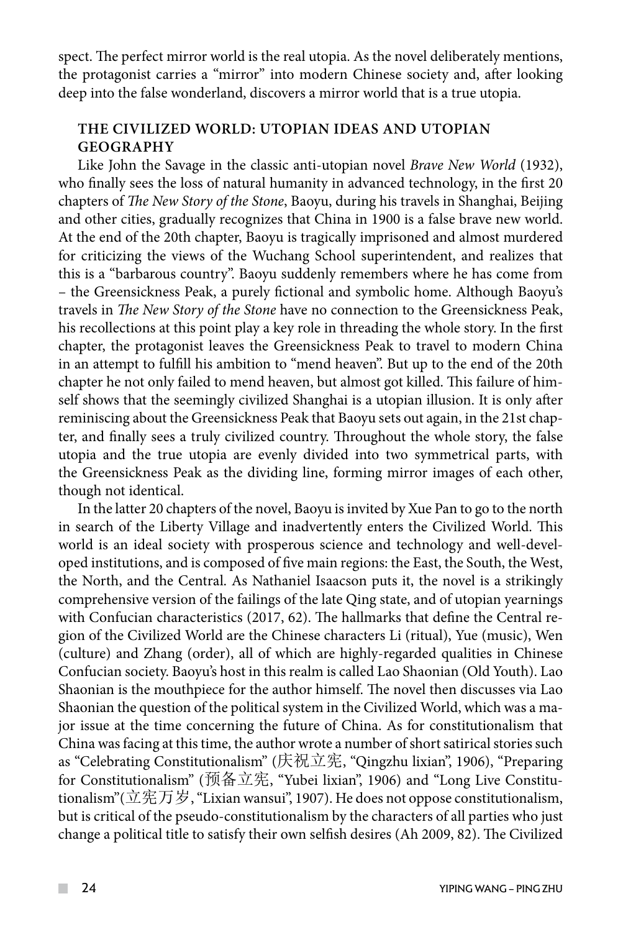spect. The perfect mirror world is the real utopia. As the novel deliberately mentions, the protagonist carries a "mirror" into modern Chinese society and, after looking deep into the false wonderland, discovers a mirror world that is a true utopia.

#### **The Civilized World: Utopian ideas and utopian GEOGRAPHY geography**

Like John the Savage in the classic anti-utopian novel *Brave New World* (1932), who finally sees the loss of natural humanity in advanced technology, in the first 20 chapters of *The New Story of the Stone*, Baoyu, during his travels in Shanghai, Beijing and other cities, gradually recognizes that China in 1900 is a false brave new world. At the end of the 20th chapter, Baoyu is tragically imprisoned and almost murdered for criticizing the views of the Wuchang School superintendent, and realizes that this is a "barbarous country". Baoyu suddenly remembers where he has come from – the Greensickness Peak, a purely fictional and symbolic home. Although Baoyu's travels in *The New Story of the Stone* have no connection to the Greensickness Peak, his recollections at this point play a key role in threading the whole story. In the first chapter, the protagonist leaves the Greensickness Peak to travel to modern China in an attempt to fulfill his ambition to "mend heaven". But up to the end of the 20th chapter he not only failed to mend heaven, but almost got killed. This failure of himself shows that the seemingly civilized Shanghai is a utopian illusion. It is only after reminiscing about the Greensickness Peak that Baoyu sets out again, in the 21st chapter, and finally sees a truly civilized country. Throughout the whole story, the false utopia and the true utopia are evenly divided into two symmetrical parts, with the Greensickness Peak as the dividing line, forming mirror images of each other, though not identical.

In the latter 20 chapters of the novel, Baoyu is invited by Xue Pan to go to the north in search of the Liberty Village and inadvertently enters the Civilized World. This world is an ideal society with prosperous science and technology and well-developed institutions, and is composed of five main regions: the East, the South, the West, the North, and the Central. As Nathaniel Isaacson puts it, the novel is a strikingly comprehensive version of the failings of the late Qing state, and of utopian yearnings with Confucian characteristics (2017, 62). The hallmarks that define the Central region of the Civilized World are the Chinese characters Li (ritual), Yue (music), Wen (culture) and Zhang (order), all of which are highly-regarded qualities in Chinese Confucian society. Baoyu's host in this realm is called Lao Shaonian (Old Youth). Lao Shaonian is the mouthpiece for the author himself. The novel then discusses via Lao Shaonian the question of the political system in the Civilized World, which was a major issue at the time concerning the future of China. As for constitutionalism that China was facing at this time, the author wrote a number of short satirical stories such as "Celebrating Constitutionalism" (庆祝立宪, "Qingzhu lixian", 1906), "Preparing for Constitutionalism" (预备立宪, "Yubei lixian", 1906) and "Long Live Constitutionalism"(立宪万岁, "Lixian wansui", 1907). He does not oppose constitutionalism, but is critical of the pseudo-constitutionalism by the characters of all parties who just change a political title to satisfy their own selfish desires (Ah 2009, 82). The Civilized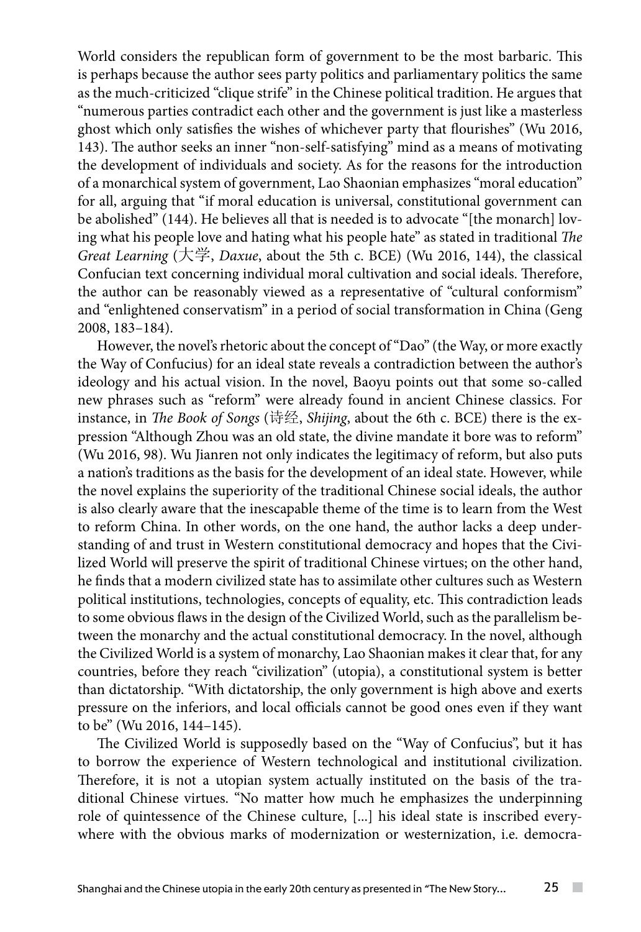World considers the republican form of government to be the most barbaric. This is perhaps because the author sees party politics and parliamentary politics the same as the much-criticized "clique strife" in the Chinese political tradition. He argues that "numerous parties contradict each other and the government is just like a masterless ghost which only satisfies the wishes of whichever party that flourishes" (Wu 2016, 143). The author seeks an inner "non-self-satisfying" mind as a means of motivating the development of individuals and society. As for the reasons for the introduction of a monarchical system of government, Lao Shaonian emphasizes "moral education" for all, arguing that "if moral education is universal, constitutional government can be abolished" (144). He believes all that is needed is to advocate "[the monarch] loving what his people love and hating what his people hate" as stated in traditional *The Great Learning* (大学, *Daxue*, about the 5th c. BCE) (Wu 2016, 144), the classical Confucian text concerning individual moral cultivation and social ideals. Therefore, the author can be reasonably viewed as a representative of "cultural conformism" and "enlightened conservatism" in a period of social transformation in China (Geng 2008, 183–184).

However, the novel's rhetoric about the concept of "Dao" (the Way, or more exactly the Way of Confucius) for an ideal state reveals a contradiction between the author's ideology and his actual vision. In the novel, Baoyu points out that some so-called new phrases such as "reform" were already found in ancient Chinese classics. For instance, in *The Book of Songs* (诗经, *Shijing*, about the 6th c. BCE) there is the expression "Although Zhou was an old state, the divine mandate it bore was to reform" (Wu 2016, 98). Wu Jianren not only indicates the legitimacy of reform, but also puts a nation's traditions as the basis for the development of an ideal state. However, while the novel explains the superiority of the traditional Chinese social ideals, the author is also clearly aware that the inescapable theme of the time is to learn from the West to reform China. In other words, on the one hand, the author lacks a deep understanding of and trust in Western constitutional democracy and hopes that the Civilized World will preserve the spirit of traditional Chinese virtues; on the other hand, he finds that a modern civilized state has to assimilate other cultures such as Western political institutions, technologies, concepts of equality, etc. This contradiction leads to some obvious flaws in the design of the Civilized World, such as the parallelism between the monarchy and the actual constitutional democracy. In the novel, although the Civilized World is a system of monarchy, Lao Shaonian makes it clear that, for any countries, before they reach "civilization" (utopia), a constitutional system is better than dictatorship. "With dictatorship, the only government is high above and exerts pressure on the inferiors, and local officials cannot be good ones even if they want to be" (Wu 2016, 144–145).

The Civilized World is supposedly based on the "Way of Confucius", but it has to borrow the experience of Western technological and institutional civilization. Therefore, it is not a utopian system actually instituted on the basis of the traditional Chinese virtues. "No matter how much he emphasizes the underpinning role of quintessence of the Chinese culture, [...] his ideal state is inscribed everywhere with the obvious marks of modernization or westernization, *i.e.* democra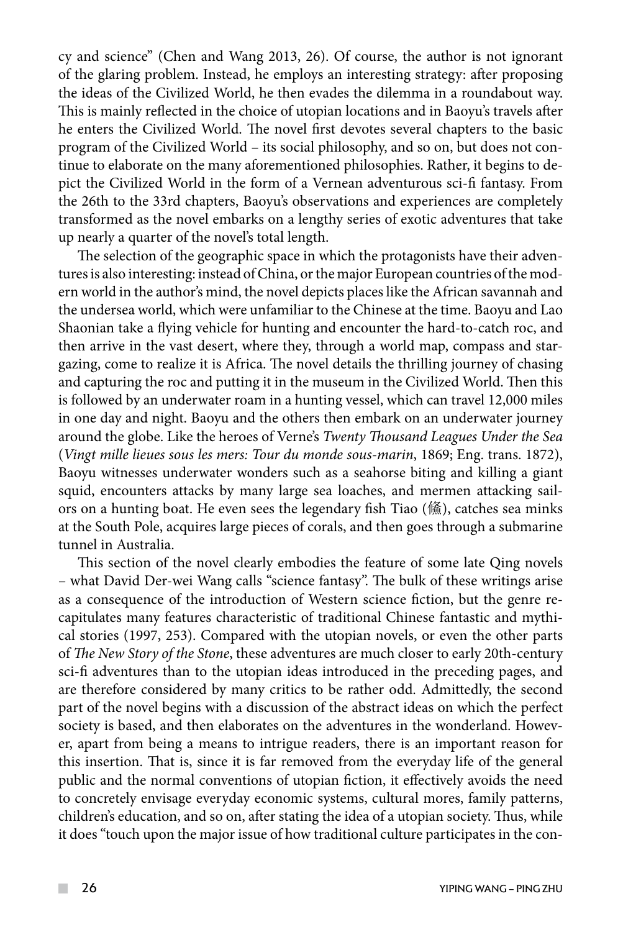cy and science" (Chen and Wang 2013, 26). Of course, the author is not ignorant of the glaring problem. Instead, he employs an interesting strategy: after proposing the ideas of the Civilized World, he then evades the dilemma in a roundabout way. This is mainly reflected in the choice of utopian locations and in Baoyu's travels after he enters the Civilized World. The novel first devotes several chapters to the basic program of the Civilized World – its social philosophy, and so on, but does not continue to elaborate on the many aforementioned philosophies. Rather, it begins to depict the Civilized World in the form of a Vernean adventurous sci-fi fantasy. From the 26th to the 33rd chapters, Baoyu's observations and experiences are completely transformed as the novel embarks on a lengthy series of exotic adventures that take up nearly a quarter of the novel's total length.

The selection of the geographic space in which the protagonists have their adventures is also interesting: instead of China, or the major European countries of the modern world in the author's mind, the novel depicts places like the African savannah and the undersea world, which were unfamiliar to the Chinese at the time. Baoyu and Lao Shaonian take a flying vehicle for hunting and encounter the hard-to-catch roc, and then arrive in the vast desert, where they, through a world map, compass and stargazing, come to realize it is Africa. The novel details the thrilling journey of chasing and capturing the roc and putting it in the museum in the Civilized World. Then this is followed by an underwater roam in a hunting vessel, which can travel 12,000 miles in one day and night. Baoyu and the others then embark on an underwater journey around the globe. Like the heroes of Verne's *Twenty Thousand Leagues Under the Sea* (*Vingt mille lieues sous les mers: Tour du monde sous-marin*, 1869; Eng. trans. 1872), Baoyu witnesses underwater wonders such as a seahorse biting and killing a giant squid, encounters attacks by many large sea loaches, and mermen attacking sailors on a hunting boat. He even sees the legendary fish Tiao (鯈), catches sea minks at the South Pole, acquires large pieces of corals, and then goes through a submarine tunnel in Australia.

This section of the novel clearly embodies the feature of some late Qing novels – what David Der-wei Wang calls "science fantasy". The bulk of these writings arise as a consequence of the introduction of Western science fiction, but the genre recapitulates many features characteristic of traditional Chinese fantastic and mythical stories (1997, 253). Compared with the utopian novels, or even the other parts of *The New Story of the Stone*, these adventures are much closer to early 20th-century sci-fi adventures than to the utopian ideas introduced in the preceding pages, and are therefore considered by many critics to be rather odd. Admittedly, the second part of the novel begins with a discussion of the abstract ideas on which the perfect society is based, and then elaborates on the adventures in the wonderland. However, apart from being a means to intrigue readers, there is an important reason for this insertion. That is, since it is far removed from the everyday life of the general public and the normal conventions of utopian fiction, it effectively avoids the need to concretely envisage everyday economic systems, cultural mores, family patterns, children's education, and so on, after stating the idea of a utopian society. Thus, while it does "touch upon the major issue of how traditional culture participates in the con-

 $\mathcal{L}^{\mathcal{L}}$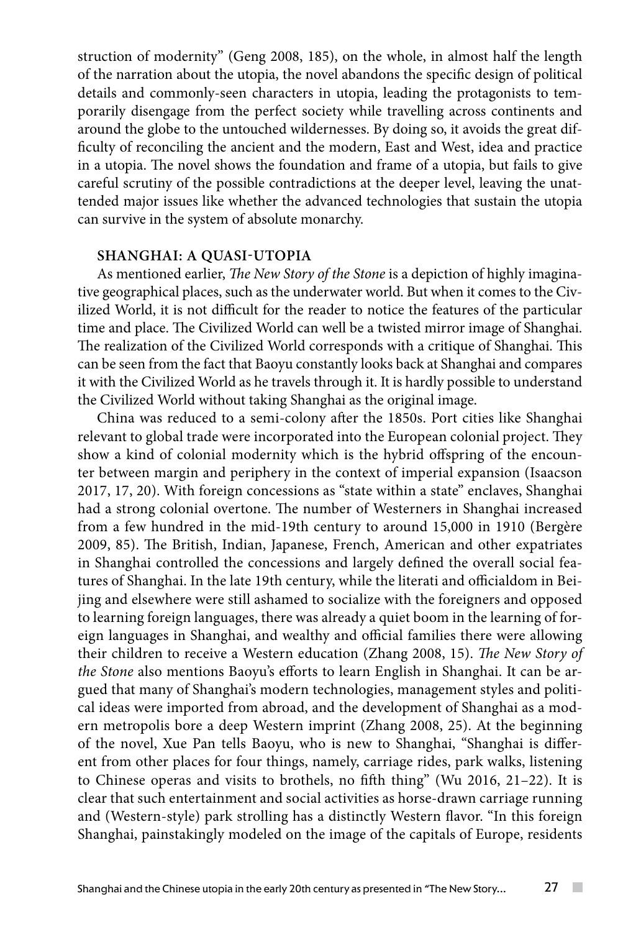struction of modernity" (Geng 2008, 185), on the whole, in almost half the length of the narration about the utopia, the novel abandons the specific design of political details and commonly-seen characters in utopia, leading the protagonists to temporarily disengage from the perfect society while travelling across continents and around the globe to the untouched wildernesses. By doing so, it avoids the great difficulty of reconciling the ancient and the modern, East and West, idea and practice in a utopia. The novel shows the foundation and frame of a utopia, but fails to give careful scrutiny of the possible contradictions at the deeper level, leaving the unattended major issues like whether the advanced technologies that sustain the utopia can survive in the system of absolute monarchy.

### **Shanghai: A quasi-utopia**

As mentioned earlier, *The New Story of the Stone* is a depiction of highly imaginative geographical places, such as the underwater world. But when it comes to the Civilized World, it is not difficult for the reader to notice the features of the particular time and place. The Civilized World can well be a twisted mirror image of Shanghai. The realization of the Civilized World corresponds with a critique of Shanghai. This can be seen from the fact that Baoyu constantly looks back at Shanghai and compares it with the Civilized World as he travels through it. It is hardly possible to understand the Civilized World without taking Shanghai as the original image.

China was reduced to a semi-colony after the 1850s. Port cities like Shanghai relevant to global trade were incorporated into the European colonial project. They show a kind of colonial modernity which is the hybrid offspring of the encounter between margin and periphery in the context of imperial expansion (Isaacson 2017, 17, 20). With foreign concessions as "state within a state" enclaves, Shanghai had a strong colonial overtone. The number of Westerners in Shanghai increased from a few hundred in the mid-19th century to around 15,000 in 1910 (Bergère 2009, 85). The British, Indian, Japanese, French, American and other expatriates in Shanghai controlled the concessions and largely defined the overall social features of Shanghai. In the late 19th century, while the literati and officialdom in Beijing and elsewhere were still ashamed to socialize with the foreigners and opposed to learning foreign languages, there was already a quiet boom in the learning of foreign languages in Shanghai, and wealthy and official families there were allowing their children to receive a Western education (Zhang 2008, 15). *The New Story of the Stone* also mentions Baoyu's efforts to learn English in Shanghai. It can be argued that many of Shanghai's modern technologies, management styles and political ideas were imported from abroad, and the development of Shanghai as a modern metropolis bore a deep Western imprint (Zhang 2008, 25). At the beginning of the novel, Xue Pan tells Baoyu, who is new to Shanghai, "Shanghai is different from other places for four things, namely, carriage rides, park walks, listening to Chinese operas and visits to brothels, no fifth thing" (Wu 2016, 21–22). It is clear that such entertainment and social activities as horse-drawn carriage running and (Western-style) park strolling has a distinctly Western flavor. "In this foreign Shanghai, painstakingly modeled on the image of the capitals of Europe, residents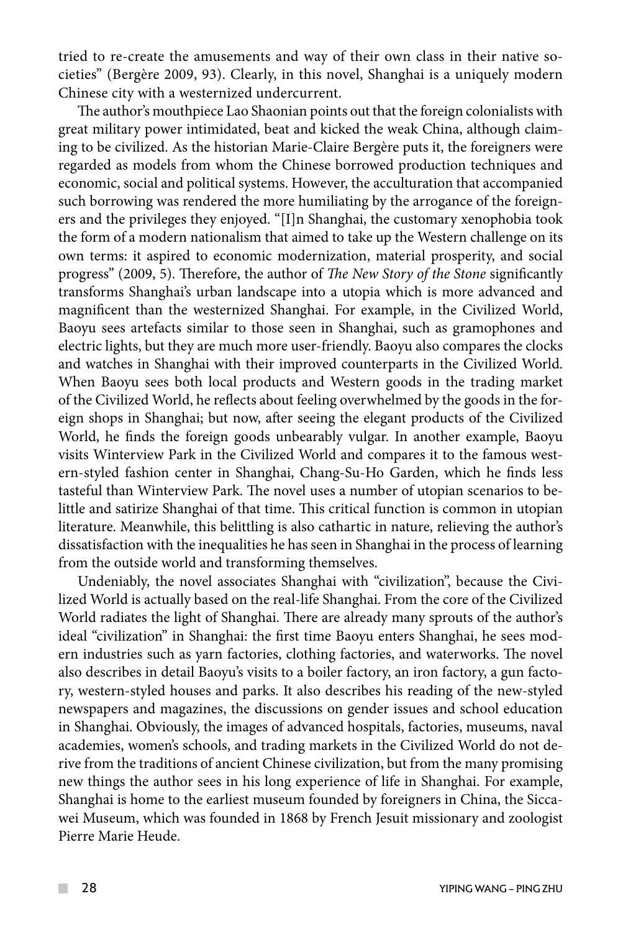tried to re-create the amusements and way of their own class in their native societies" (Bergère 2009, 93). Clearly, in this novel, Shanghai is a uniquely modern Chinese city with a westernized undercurrent.

The author's mouthpiece Lao Shaonian points out that the foreign colonialists with great military power intimidated, beat and kicked the weak China, although claiming to be civilized. As the historian Marie-Claire Bergère puts it, the foreigners were regarded as models from whom the Chinese borrowed production techniques and economic, social and political systems. However, the acculturation that accompanied such borrowing was rendered the more humiliating by the arrogance of the foreigners and the privileges they enjoyed. "[I]n Shanghai, the customary xenophobia took the form of a modern nationalism that aimed to take up the Western challenge on its own terms: it aspired to economic modernization, material prosperity, and social progress" (2009, 5). Therefore, the author of *The New Story of the Stone* significantly transforms Shanghai's urban landscape into a utopia which is more advanced and magnificent than the westernized Shanghai. For example, in the Civilized World, Baoyu sees artefacts similar to those seen in Shanghai, such as gramophones and electric lights, but they are much more user-friendly. Baoyu also compares the clocks and watches in Shanghai with their improved counterparts in the Civilized World. When Baoyu sees both local products and Western goods in the trading market of the Civilized World, he reflects about feeling overwhelmed by the goods in the foreign shops in Shanghai; but now, after seeing the elegant products of the Civilized World, he finds the foreign goods unbearably vulgar. In another example, Baoyu visits Winterview Park in the Civilized World and compares it to the famous western-styled fashion center in Shanghai, Chang-Su-Ho Garden, which he finds less tasteful than Winterview Park. The novel uses a number of utopian scenarios to belittle and satirize Shanghai of that time. This critical function is common in utopian literature. Meanwhile, this belittling is also cathartic in nature, relieving the author's dissatisfaction with the inequalities he has seen in Shanghai in the process of learning from the outside world and transforming themselves.

Undeniably, the novel associates Shanghai with "civilization", because the Civilized World is actually based on the real-life Shanghai. From the core of the Civilized World radiates the light of Shanghai. There are already many sprouts of the author's ideal "civilization" in Shanghai: the first time Baoyu enters Shanghai, he sees modern industries such as yarn factories, clothing factories, and waterworks. The novel also describes in detail Baoyu's visits to a boiler factory, an iron factory, a gun factory, western-styled houses and parks. It also describes his reading of the new-styled newspapers and magazines, the discussions on gender issues and school education in Shanghai. Obviously, the images of advanced hospitals, factories, museums, naval academies, women's schools, and trading markets in the Civilized World do not derive from the traditions of ancient Chinese civilization, but from the many promising new things the author sees in his long experience of life in Shanghai. For example, Shanghai is home to the earliest museum founded by foreigners in China, the Siccawei Museum, which was founded in 1868 by French Jesuit missionary and zoologist Pierre Marie Heude.

 $\mathcal{L}^{\mathcal{L}}$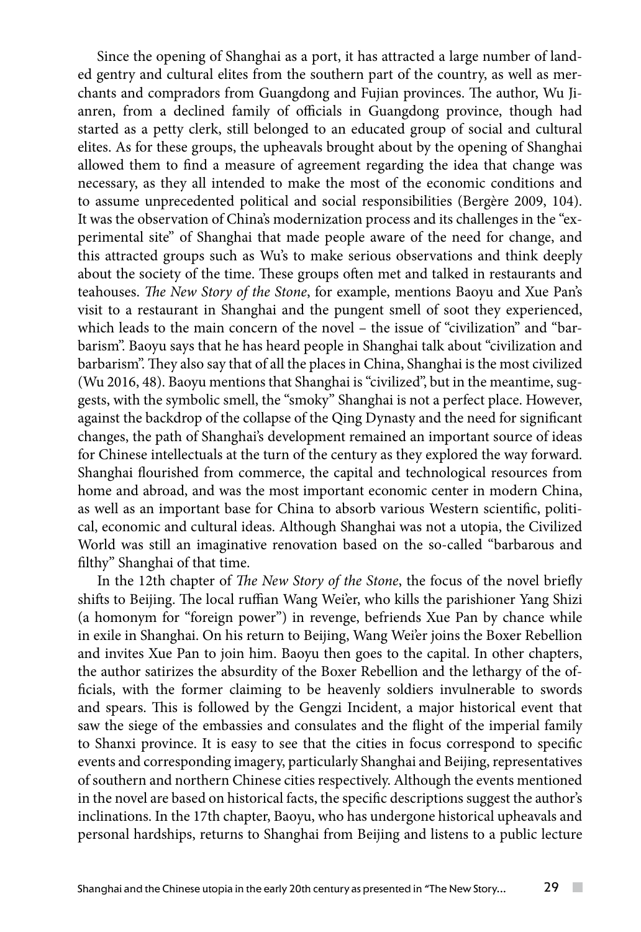Since the opening of Shanghai as a port, it has attracted a large number of landed gentry and cultural elites from the southern part of the country, as well as merchants and compradors from Guangdong and Fujian provinces. The author, Wu Jianren, from a declined family of officials in Guangdong province, though had started as a petty clerk, still belonged to an educated group of social and cultural elites. As for these groups, the upheavals brought about by the opening of Shanghai allowed them to find a measure of agreement regarding the idea that change was necessary, as they all intended to make the most of the economic conditions and to assume unprecedented political and social responsibilities (Bergère 2009, 104). It was the observation of China's modernization process and its challenges in the "experimental site" of Shanghai that made people aware of the need for change, and this attracted groups such as Wu's to make serious observations and think deeply about the society of the time. These groups often met and talked in restaurants and teahouses. *The New Story of the Stone*, for example, mentions Baoyu and Xue Pan's visit to a restaurant in Shanghai and the pungent smell of soot they experienced, which leads to the main concern of the novel – the issue of "civilization" and "barbarism". Baoyu says that he has heard people in Shanghai talk about "civilization and barbarism". They also say that of all the places in China, Shanghai is the most civilized (Wu 2016, 48). Baoyu mentions that Shanghai is "civilized", but in the meantime, suggests, with the symbolic smell, the "smoky" Shanghai is not a perfect place. However, against the backdrop of the collapse of the Qing Dynasty and the need for significant changes, the path of Shanghai's development remained an important source of ideas for Chinese intellectuals at the turn of the century as they explored the way forward. Shanghai flourished from commerce, the capital and technological resources from home and abroad, and was the most important economic center in modern China, as well as an important base for China to absorb various Western scientific, political, economic and cultural ideas. Although Shanghai was not a utopia, the Civilized World was still an imaginative renovation based on the so-called "barbarous and filthy" Shanghai of that time.

In the 12th chapter of *The New Story of the Stone*, the focus of the novel briefly shifts to Beijing. The local ruffian Wang Wei'er, who kills the parishioner Yang Shizi (a homonym for "foreign power") in revenge, befriends Xue Pan by chance while in exile in Shanghai. On his return to Beijing, Wang Wei'er joins the Boxer Rebellion and invites Xue Pan to join him. Baoyu then goes to the capital. In other chapters, the author satirizes the absurdity of the Boxer Rebellion and the lethargy of the officials, with the former claiming to be heavenly soldiers invulnerable to swords and spears. This is followed by the Gengzi Incident, a major historical event that saw the siege of the embassies and consulates and the flight of the imperial family to Shanxi province. It is easy to see that the cities in focus correspond to specific events and corresponding imagery, particularly Shanghai and Beijing, representatives of southern and northern Chinese cities respectively. Although the events mentioned in the novel are based on historical facts, the specific descriptions suggest the author's inclinations. In the 17th chapter, Baoyu, who has undergone historical upheavals and personal hardships, returns to Shanghai from Beijing and listens to a public lecture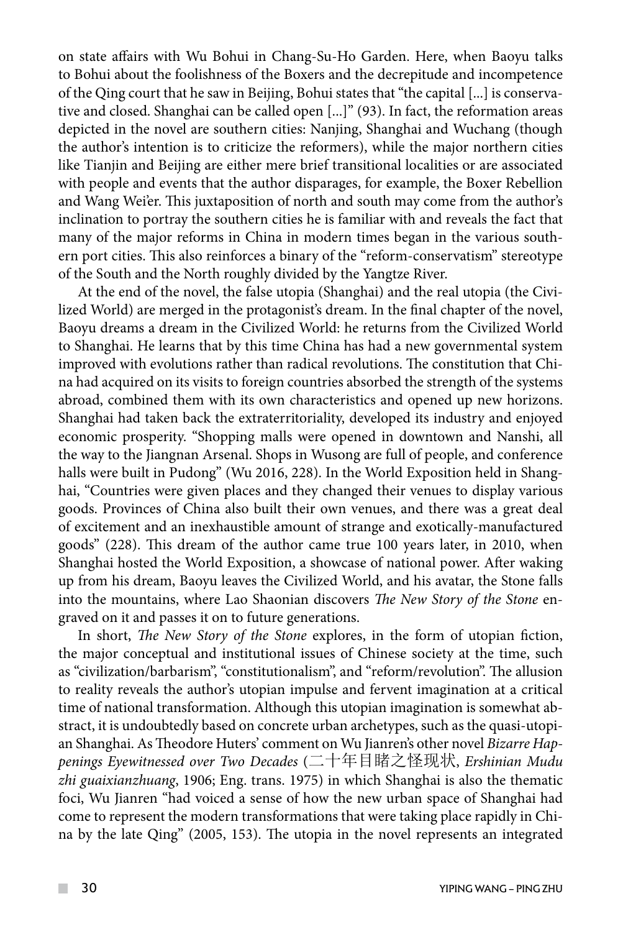on state affairs with Wu Bohui in Chang-Su-Ho Garden. Here, when Baoyu talks to Bohui about the foolishness of the Boxers and the decrepitude and incompetence of the Qing court that he saw in Beijing, Bohui states that "the capital [...] is conservative and closed. Shanghai can be called open [...]" (93). In fact, the reformation areas depicted in the novel are southern cities: Nanjing, Shanghai and Wuchang (though the author's intention is to criticize the reformers), while the major northern cities like Tianjin and Beijing are either mere brief transitional localities or are associated with people and events that the author disparages, for example, the Boxer Rebellion and Wang Wei'er. This juxtaposition of north and south may come from the author's inclination to portray the southern cities he is familiar with and reveals the fact that many of the major reforms in China in modern times began in the various southern port cities. This also reinforces a binary of the "reform-conservatism" stereotype of the South and the North roughly divided by the Yangtze River.

At the end of the novel, the false utopia (Shanghai) and the real utopia (the Civilized World) are merged in the protagonist's dream. In the final chapter of the novel, Baoyu dreams a dream in the Civilized World: he returns from the Civilized World to Shanghai. He learns that by this time China has had a new governmental system improved with evolutions rather than radical revolutions. The constitution that China had acquired on its visits to foreign countries absorbed the strength of the systems abroad, combined them with its own characteristics and opened up new horizons. Shanghai had taken back the extraterritoriality, developed its industry and enjoyed economic prosperity. "Shopping malls were opened in downtown and Nanshi, all the way to the Jiangnan Arsenal. Shops in Wusong are full of people, and conference halls were built in Pudong" (Wu 2016, 228). In the World Exposition held in Shanghai, "Countries were given places and they changed their venues to display various goods. Provinces of China also built their own venues, and there was a great deal of excitement and an inexhaustible amount of strange and exotically-manufactured goods" (228). This dream of the author came true 100 years later, in 2010, when Shanghai hosted the World Exposition, a showcase of national power. After waking up from his dream, Baoyu leaves the Civilized World, and his avatar, the Stone falls into the mountains, where Lao Shaonian discovers *The New Story of the Stone* engraved on it and passes it on to future generations.

In short, *The New Story of the Stone* explores, in the form of utopian fiction, the major conceptual and institutional issues of Chinese society at the time, such as "civilization/barbarism", "constitutionalism", and "reform/revolution". The allusion to reality reveals the author's utopian impulse and fervent imagination at a critical time of national transformation. Although this utopian imagination is somewhat abstract, it is undoubtedly based on concrete urban archetypes, such as the quasi-utopian Shanghai. As Theodore Huters' comment on Wu Jianren's other novel *Bizarre Happenings Eyewitnessed over Two Decades* (二十年目睹之怪现状, *Ershinian Mudu zhi guaixianzhuang*, 1906; Eng. trans. 1975) in which Shanghai is also the thematic foci, Wu Jianren "had voiced a sense of how the new urban space of Shanghai had come to represent the modern transformations that were taking place rapidly in China by the late Qing" (2005, 153). The utopia in the novel represents an integrated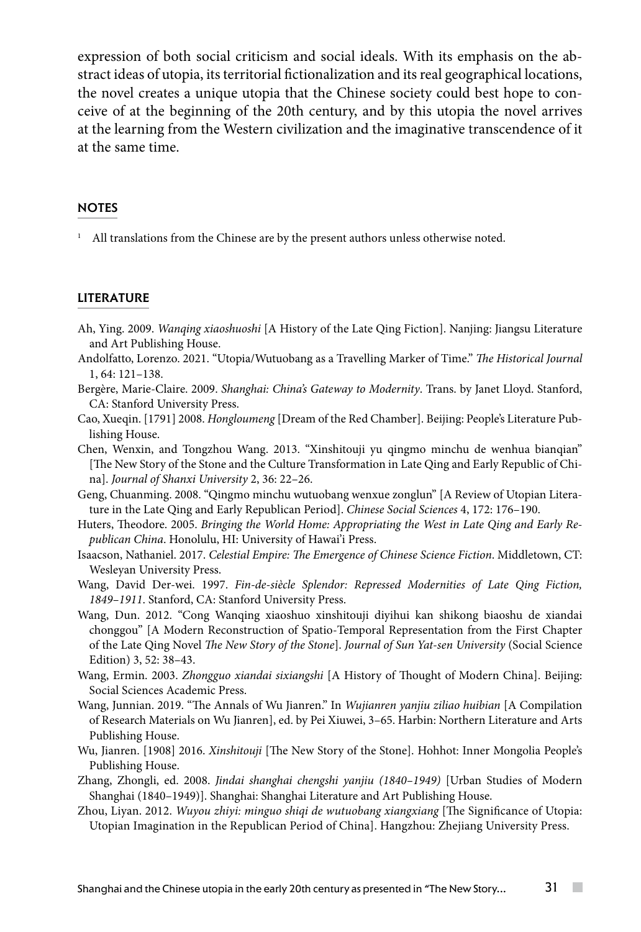expression of both social criticism and social ideals. With its emphasis on the abstract ideas of utopia, its territorial fictionalization and its real geographical locations, the novel creates a unique utopia that the Chinese society could best hope to conceive of at the beginning of the 20th century, and by this utopia the novel arrives at the learning from the Western civilization and the imaginative transcendence of it at the same time.

#### **NOTES**

All translations from the Chinese are by the present authors unless otherwise noted.

#### **LITERATURE**

- Ah, Ying. 2009. *Wanqing xiaoshuoshi* [A History of the Late Qing Fiction]. Nanjing: Jiangsu Literature and Art Publishing House.
- Andolfatto, Lorenzo. 2021. "Utopia/Wutuobang as a Travelling Marker of Time." *The Historical Journal* 1, 64: 121–138.
- Bergère, Marie-Claire. 2009. *Shanghai: China's Gateway to Modernity*. Trans. by Janet Lloyd. Stanford, CA: Stanford University Press.
- Cao, Xueqin. [1791] 2008. *Hongloumeng* [Dream of the Red Chamber]. Beijing: People's Literature Publishing House.
- Chen, Wenxin, and Tongzhou Wang. 2013. "Xinshitouji yu qingmo minchu de wenhua bianqian" [The New Story of the Stone and the Culture Transformation in Late Qing and Early Republic of China]. *Journal of Shanxi University* 2, 36: 22–26.
- Geng, Chuanming. 2008. "Qingmo minchu wutuobang wenxue zonglun" [A Review of Utopian Literature in the Late Qing and Early Republican Period]. *Chinese Social Sciences* 4, 172: 176–190.
- Huters, Theodore. 2005. *Bringing the World Home: Appropriating the West in Late Qing and Early Republican China*. Honolulu, HI: University of Hawai'i Press.
- Isaacson, Nathaniel. 2017. *Celestial Empire: The Emergence of Chinese Science Fiction*. Middletown, CT: Wesleyan University Press.
- Wang, David Der-wei. 1997. *Fin-de-siècle Splendor: Repressed Modernities of Late Qing Fiction, 1849–1911*. Stanford, CA: Stanford University Press.
- Wang, Dun. 2012. "Cong Wanqing xiaoshuo xinshitouji diyihui kan shikong biaoshu de xiandai chonggou" [A Modern Reconstruction of Spatio-Temporal Representation from the First Chapter of the Late Qing Novel *The New Story of the Stone*]. *Journal of Sun Yat-sen University* (Social Science Edition) 3, 52: 38–43.
- Wang, Ermin. 2003. *Zhongguo xiandai sixiangshi* [A History of Thought of Modern China]. Beijing: Social Sciences Academic Press.
- Wang, Junnian. 2019. "The Annals of Wu Jianren." In *Wujianren yanjiu ziliao huibian* [A Compilation of Research Materials on Wu Jianren], ed. by Pei Xiuwei, 3–65. Harbin: Northern Literature and Arts Publishing House.
- Wu, Jianren. [1908] 2016. *Xinshitouji* [The New Story of the Stone]. Hohhot: Inner Mongolia People's Publishing House.
- Zhang, Zhongli, ed. 2008. *Jindai shanghai chengshi yanjiu (1840–1949)* [Urban Studies of Modern Shanghai (1840–1949)]. Shanghai: Shanghai Literature and Art Publishing House.
- Zhou, Liyan. 2012. *Wuyou zhiyi: minguo shiqi de wutuobang xiangxiang* [The Significance of Utopia: Utopian Imagination in the Republican Period of China]. Hangzhou: Zhejiang University Press.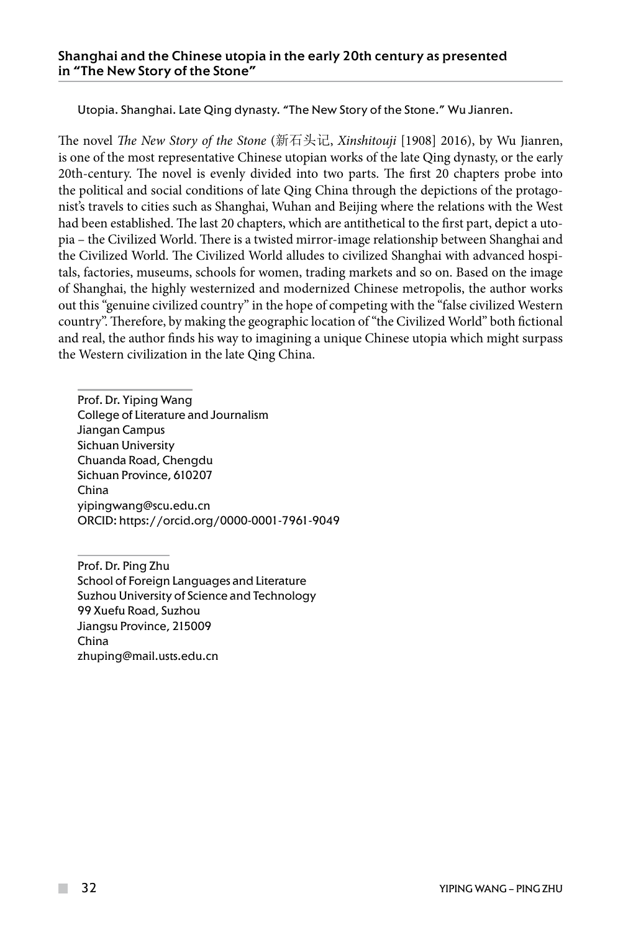Utopia. Shanghai. Late Qing dynasty. "The New Story of the Stone." Wu Jianren.

The novel *The New Story of the Stone* (新石头记, *Xinshitouji* [1908] 2016), by Wu Jianren, is one of the most representative Chinese utopian works of the late Qing dynasty, or the early 20th-century. The novel is evenly divided into two parts. The first 20 chapters probe into the political and social conditions of late Qing China through the depictions of the protagonist's travels to cities such as Shanghai, Wuhan and Beijing where the relations with the West had been established. The last 20 chapters, which are antithetical to the first part, depict a utopia – the Civilized World. There is a twisted mirror-image relationship between Shanghai and the Civilized World. The Civilized World alludes to civilized Shanghai with advanced hospitals, factories, museums, schools for women, trading markets and so on. Based on the image of Shanghai, the highly westernized and modernized Chinese metropolis, the author works out this "genuine civilized country" in the hope of competing with the "false civilized Western country". Therefore, by making the geographic location of "the Civilized World" both fictional and real, the author finds his way to imagining a unique Chinese utopia which might surpass the Western civilization in the late Qing China.

Prof. Dr. Yiping Wang College of Literature and Journalism Jiangan Campus Sichuan University Chuanda Road, Chengdu Sichuan Province, 610207 China yipingwang@scu.edu.cn ORCID: https://orcid.org/0000-0001-7961-9049

Prof. Dr. Ping Zhu School of Foreign Languages and Literature Suzhou University of Science and Technology 99 Xuefu Road, Suzhou Jiangsu Province, 215009 China zhuping@mail.usts.edu.cn

**The Co**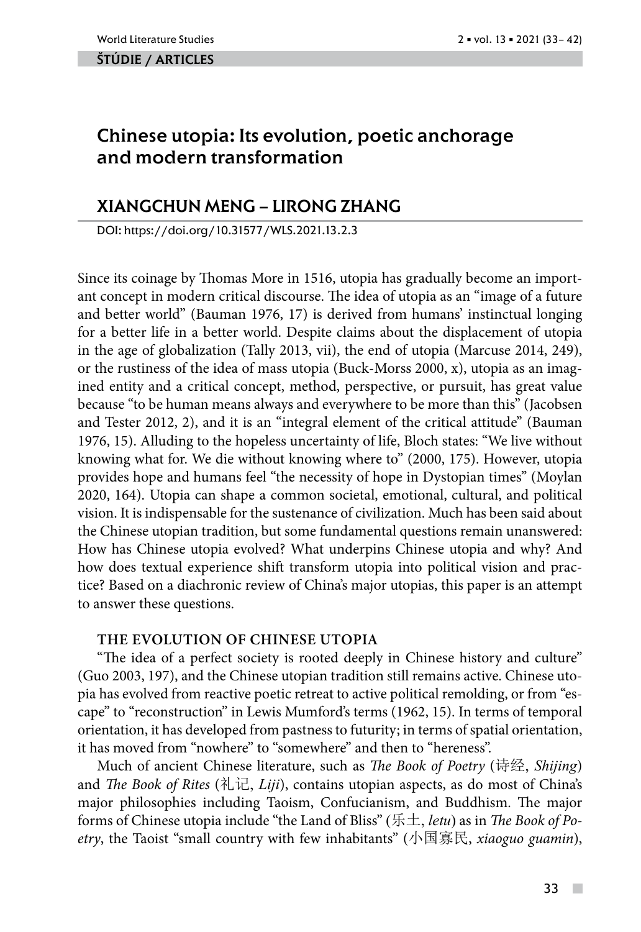#### ŠTÚDIE / ARTicles

# Chinese utopia: Its evolution, poetic anchorage and modern transformation

# XIANGCHUN MENG – LIRONG ZHANG

DOI: https://doi.org/10.31577/WLS.2021.13.2.3

Since its coinage by Thomas More in 1516, utopia has gradually become an important concept in modern critical discourse. The idea of utopia as an "image of a future and better world" (Bauman 1976, 17) is derived from humans' instinctual longing for a better life in a better world. Despite claims about the displacement of utopia in the age of globalization (Tally 2013, vii), the end of utopia (Marcuse 2014, 249), or the rustiness of the idea of mass utopia (Buck-Morss 2000, x), utopia as an imagined entity and a critical concept, method, perspective, or pursuit, has great value because "to be human means always and everywhere to be more than this" (Jacobsen and Tester 2012, 2), and it is an "integral element of the critical attitude" (Bauman 1976, 15). Alluding to the hopeless uncertainty of life, Bloch states: "We live without knowing what for. We die without knowing where to" (2000, 175). However, utopia provides hope and humans feel "the necessity of hope in Dystopian times" (Moylan 2020, 164). Utopia can shape a common societal, emotional, cultural, and political vision. It is indispensable for the sustenance of civilization. Much has been said about the Chinese utopian tradition, but some fundamental questions remain unanswered: How has Chinese utopia evolved? What underpins Chinese utopia and why? And how does textual experience shift transform utopia into political vision and practice? Based on a diachronic review of China's major utopias, this paper is an attempt to answer these questions.

## **THE EVOLUTION OF CHINESE UTOPIA**

"The idea of a perfect society is rooted deeply in Chinese history and culture" (Guo 2003, 197), and the Chinese utopian tradition still remains active. Chinese utopia has evolved from reactive poetic retreat to active political remolding, or from "escape" to "reconstruction" in Lewis Mumford's terms (1962, 15). In terms of temporal orientation, it has developed from pastness to futurity; in terms of spatial orientation, it has moved from "nowhere" to "somewhere" and then to "hereness".

Much of ancient Chinese literature, such as *The Book of Poetry* (诗经, *Shijing*) and *The Book of Rites* (礼记, *Liji*), contains utopian aspects, as do most of China's major philosophies including Taoism, Confucianism, and Buddhism. The major forms of Chinese utopia include "the Land of Bliss" (乐土, *letu*) as in *The Book of Poetry*, the Taoist "small country with few inhabitants" (小国寡民, *xiaoguo guamin*),

 $\sim$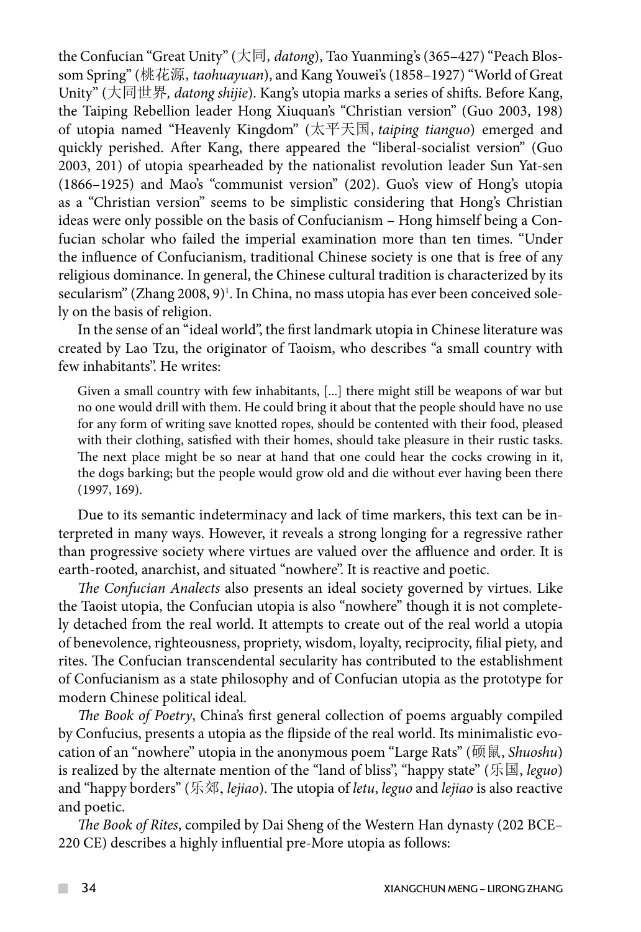the Confucian "Great Unity" (大同,*datong*), Tao Yuanming's (365–427) "Peach Blossom Spring" (桃花源,*taohuayuan*), and Kang Youwei's (1858–1927) "World of Great Unity" (大同世界*, datong shijie*). Kang's utopia marks a series of shifts. Before Kang, the Taiping Rebellion leader Hong Xiuquan's "Christian version" (Guo 2003, 198) of utopia named "Heavenly Kingdom" (太平天国,*taiping tianguo*) emerged and quickly perished. After Kang, there appeared the "liberal-socialist version" (Guo 2003, 201) of utopia spearheaded by the nationalist revolution leader Sun Yat-sen (1866–1925) and Mao's "communist version" (202). Guo's view of Hong's utopia as a "Christian version" seems to be simplistic considering that Hong's Christian ideas were only possible on the basis of Confucianism – Hong himself being a Confucian scholar who failed the imperial examination more than ten times. "Under the influence of Confucianism, traditional Chinese society is one that is free of any religious dominance. In general, the Chinese cultural tradition is characterized by its secularism" (Zhang 2008, 9)<sup>1</sup>. In China, no mass utopia has ever been conceived solely on the basis of religion.

In the sense of an "ideal world", the first landmark utopia in Chinese literature was created by Lao Tzu, the originator of Taoism, who describes "a small country with few inhabitants". He writes:

Given a small country with few inhabitants, [...] there might still be weapons of war but no one would drill with them. He could bring it about that the people should have no use for any form of writing save knotted ropes, should be contented with their food, pleased with their clothing, satisfied with their homes, should take pleasure in their rustic tasks. The next place might be so near at hand that one could hear the cocks crowing in it, the dogs barking; but the people would grow old and die without ever having been there (1997, 169).

Due to its semantic indeterminacy and lack of time markers, this text can be interpreted in many ways. However, it reveals a strong longing for a regressive rather than progressive society where virtues are valued over the affluence and order. It is earth-rooted, anarchist, and situated "nowhere". It is reactive and poetic.

*The Confucian Analects* also presents an ideal society governed by virtues. Like the Taoist utopia, the Confucian utopia is also "nowhere" though it is not completely detached from the real world. It attempts to create out of the real world a utopia of benevolence, righteousness, propriety, wisdom, loyalty, reciprocity, filial piety, and rites. The Confucian transcendental secularity has contributed to the establishment of Confucianism as a state philosophy and of Confucian utopia as the prototype for modern Chinese political ideal.

*The Book of Poetry*, China's first general collection of poems arguably compiled by Confucius, presents a utopia as the flipside of the real world. Its minimalistic evocation of an "nowhere" utopia in the anonymous poem "Large Rats" (硕鼠, *Shuoshu*) is realized by the alternate mention of the "land of bliss", "happy state" (乐国, *leguo*) and "happy borders" (乐郊, *lejiao*). The utopia of *letu*, *leguo* and *lejiao* is also reactive and poetic.

*The Book of Rites*, compiled by Dai Sheng of the Western Han dynasty (202 BCE– 220 CE) describes a highly influential pre-More utopia as follows:

 $\mathcal{L}^{\mathcal{L}}$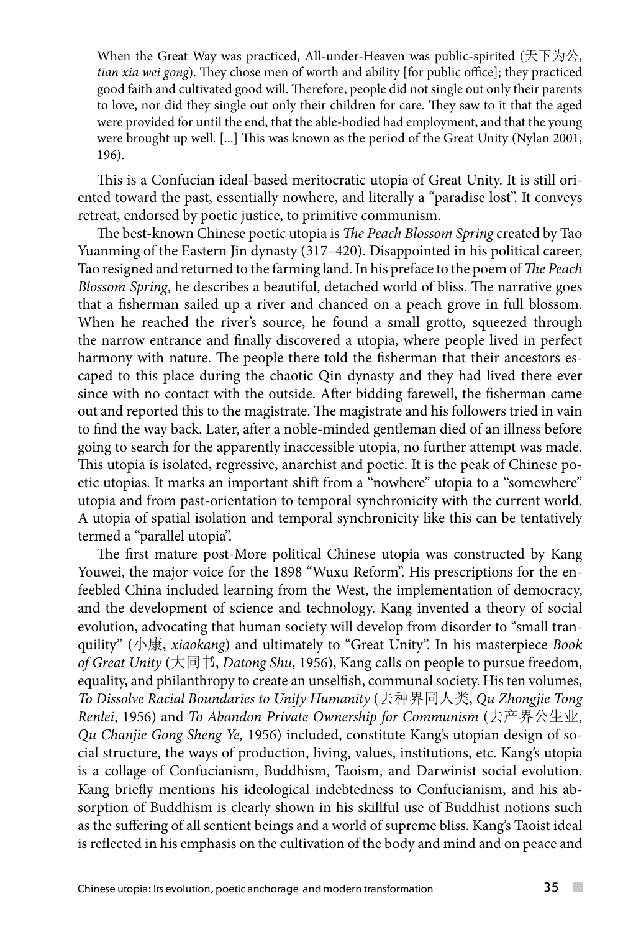When the Great Way was practiced, All-under-Heaven was public-spirited (天下为公, *tian xia wei gong*). They chose men of worth and ability [for public office]; they practiced good faith and cultivated good will. Therefore, people did not single out only their parents to love, nor did they single out only their children for care. They saw to it that the aged were provided for until the end, that the able-bodied had employment, and that the young were brought up well. [...] This was known as the period of the Great Unity (Nylan 2001, 196).

This is a Confucian ideal-based meritocratic utopia of Great Unity. It is still oriented toward the past, essentially nowhere, and literally a "paradise lost". It conveys retreat, endorsed by poetic justice, to primitive communism.

The best-known Chinese poetic utopia is *The Peach Blossom Spring* created by Tao Yuanming of the Eastern Jin dynasty (317–420). Disappointed in his political career, Tao resigned and returned to the farming land. In his preface to the poem of *The Peach Blossom Spring*, he describes a beautiful, detached world of bliss. The narrative goes that a fisherman sailed up a river and chanced on a peach grove in full blossom. When he reached the river's source, he found a small grotto, squeezed through the narrow entrance and finally discovered a utopia, where people lived in perfect harmony with nature. The people there told the fisherman that their ancestors escaped to this place during the chaotic Qin dynasty and they had lived there ever since with no contact with the outside. After bidding farewell, the fisherman came out and reported this to the magistrate. The magistrate and his followers tried in vain to find the way back. Later, after a noble-minded gentleman died of an illness before going to search for the apparently inaccessible utopia, no further attempt was made. This utopia is isolated, regressive, anarchist and poetic. It is the peak of Chinese poetic utopias. It marks an important shift from a "nowhere" utopia to a "somewhere" utopia and from past-orientation to temporal synchronicity with the current world. A utopia of spatial isolation and temporal synchronicity like this can be tentatively termed a "parallel utopia".

The first mature post-More political Chinese utopia was constructed by Kang Youwei, the major voice for the 1898 "Wuxu Reform". His prescriptions for the enfeebled China included learning from the West, the implementation of democracy, and the development of science and technology. Kang invented a theory of social evolution, advocating that human society will develop from disorder to "small tranquility" (小康, *xiaokang*) and ultimately to "Great Unity". In his masterpiece *Book of Great Unity* (大同书, *Datong Shu*, 1956), Kang calls on people to pursue freedom, equality, and philanthropy to create an unselfish, communal society. His ten volumes, *To Dissolve Racial Boundaries to Unify Humanity* (去种界同人类, *Qu Zhongjie Tong Renlei*, 1956) and *To Abandon Private Ownership for Communism* (去产界公生业, *Qu Chanjie Gong Sheng Ye,* 1956) included, constitute Kang's utopian design of social structure, the ways of production, living, values, institutions, etc. Kang's utopia is a collage of Confucianism, Buddhism, Taoism, and Darwinist social evolution. Kang briefly mentions his ideological indebtedness to Confucianism, and his absorption of Buddhism is clearly shown in his skillful use of Buddhist notions such as the suffering of all sentient beings and a world of supreme bliss. Kang's Taoist ideal is reflected in his emphasis on the cultivation of the body and mind and on peace and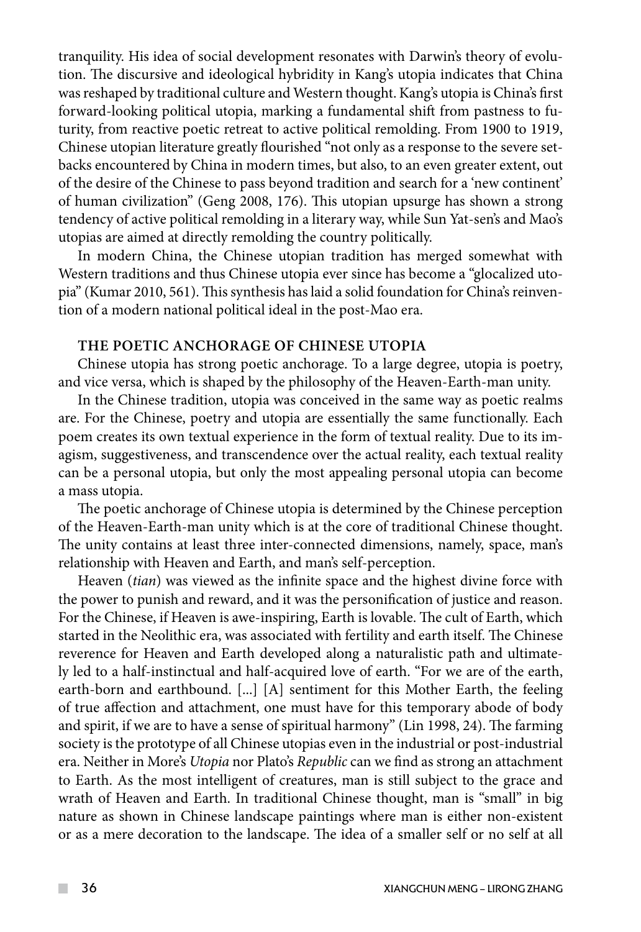tranquility. His idea of social development resonates with Darwin's theory of evolution. The discursive and ideological hybridity in Kang's utopia indicates that China was reshaped by traditional culture and Western thought. Kang's utopia is China's first forward-looking political utopia, marking a fundamental shift from pastness to futurity, from reactive poetic retreat to active political remolding. From 1900 to 1919, Chinese utopian literature greatly flourished "not only as a response to the severe setbacks encountered by China in modern times, but also, to an even greater extent, out of the desire of the Chinese to pass beyond tradition and search for a 'new continent' of human civilization" (Geng 2008, 176). This utopian upsurge has shown a strong tendency of active political remolding in a literary way, while Sun Yat-sen's and Mao's utopias are aimed at directly remolding the country politically.

In modern China, the Chinese utopian tradition has merged somewhat with Western traditions and thus Chinese utopia ever since has become a "glocalized utopia" (Kumar 2010, 561). This synthesis has laid a solid foundation for China's reinvention of a modern national political ideal in the post-Mao era.

## **THE POETIC ANCHORAGE OF CHINESE UTOPIA**

Chinese utopia has strong poetic anchorage. To a large degree, utopia is poetry, and vice versa, which is shaped by the philosophy of the Heaven-Earth-man unity.

In the Chinese tradition, utopia was conceived in the same way as poetic realms are. For the Chinese, poetry and utopia are essentially the same functionally. Each poem creates its own textual experience in the form of textual reality. Due to its imagism, suggestiveness, and transcendence over the actual reality, each textual reality can be a personal utopia, but only the most appealing personal utopia can become a mass utopia.

The poetic anchorage of Chinese utopia is determined by the Chinese perception of the Heaven-Earth-man unity which is at the core of traditional Chinese thought. The unity contains at least three inter-connected dimensions, namely, space, man's relationship with Heaven and Earth, and man's self-perception.

Heaven (*tian*) was viewed as the infinite space and the highest divine force with the power to punish and reward, and it was the personification of justice and reason. For the Chinese, if Heaven is awe-inspiring, Earth is lovable. The cult of Earth, which started in the Neolithic era, was associated with fertility and earth itself. The Chinese reverence for Heaven and Earth developed along a naturalistic path and ultimately led to a half-instinctual and half-acquired love of earth. "For we are of the earth, earth-born and earthbound. [...] [A] sentiment for this Mother Earth, the feeling of true affection and attachment, one must have for this temporary abode of body and spirit, if we are to have a sense of spiritual harmony" (Lin 1998, 24). The farming society is the prototype of all Chinese utopias even in the industrial or post-industrial era. Neither in More's *Utopia* nor Plato's *Republic* can we find as strong an attachment to Earth. As the most intelligent of creatures, man is still subject to the grace and wrath of Heaven and Earth. In traditional Chinese thought, man is "small" in big nature as shown in Chinese landscape paintings where man is either non-existent or as a mere decoration to the landscape. The idea of a smaller self or no self at all

 $\mathcal{L}^{\mathcal{L}}$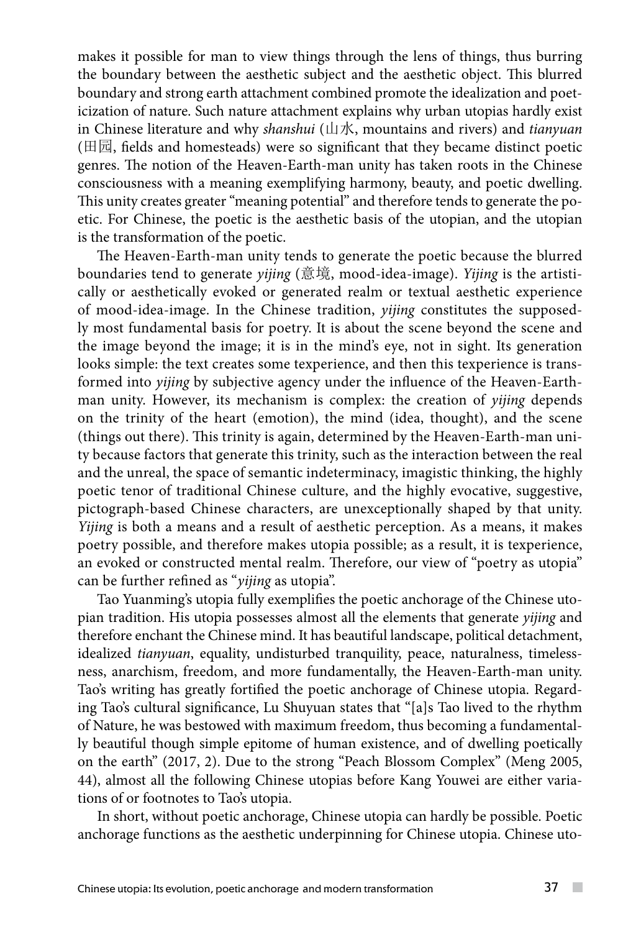makes it possible for man to view things through the lens of things, thus burring the boundary between the aesthetic subject and the aesthetic object. This blurred boundary and strong earth attachment combined promote the idealization and poeticization of nature. Such nature attachment explains why urban utopias hardly exist in Chinese literature and why *shanshui* (山水, mountains and rivers) and *tianyuan* (田园, fields and homesteads) were so significant that they became distinct poetic genres. The notion of the Heaven-Earth-man unity has taken roots in the Chinese consciousness with a meaning exemplifying harmony, beauty, and poetic dwelling. This unity creates greater "meaning potential" and therefore tends to generate the poetic. For Chinese, the poetic is the aesthetic basis of the utopian, and the utopian is the transformation of the poetic.

The Heaven-Earth-man unity tends to generate the poetic because the blurred boundaries tend to generate *yijing* (意境, mood-idea-image). *Yijing* is the artistically or aesthetically evoked or generated realm or textual aesthetic experience of mood-idea-image. In the Chinese tradition, *yijing* constitutes the supposedly most fundamental basis for poetry. It is about the scene beyond the scene and the image beyond the image; it is in the mind's eye, not in sight. Its generation looks simple: the text creates some texperience, and then this texperience is transformed into *yijing* by subjective agency under the influence of the Heaven-Earthman unity. However, its mechanism is complex: the creation of *yijing* depends on the trinity of the heart (emotion), the mind (idea, thought), and the scene (things out there). This trinity is again, determined by the Heaven-Earth-man unity because factors that generate this trinity, such as the interaction between the real and the unreal, the space of semantic indeterminacy, imagistic thinking, the highly poetic tenor of traditional Chinese culture, and the highly evocative, suggestive, pictograph-based Chinese characters, are unexceptionally shaped by that unity. *Yijing* is both a means and a result of aesthetic perception. As a means, it makes poetry possible, and therefore makes utopia possible; as a result, it is texperience, an evoked or constructed mental realm. Therefore, our view of "poetry as utopia" can be further refined as "*yijing* as utopia".

Tao Yuanming's utopia fully exemplifies the poetic anchorage of the Chinese utopian tradition. His utopia possesses almost all the elements that generate *yijing* and therefore enchant the Chinese mind. It has beautiful landscape, political detachment, idealized *tianyuan*, equality, undisturbed tranquility, peace, naturalness, timelessness, anarchism, freedom, and more fundamentally, the Heaven-Earth-man unity. Tao's writing has greatly fortified the poetic anchorage of Chinese utopia. Regarding Tao's cultural significance, Lu Shuyuan states that "[a]s Tao lived to the rhythm of Nature, he was bestowed with maximum freedom, thus becoming a fundamentally beautiful though simple epitome of human existence, and of dwelling poetically on the earth" (2017, 2). Due to the strong "Peach Blossom Complex" (Meng 2005, 44), almost all the following Chinese utopias before Kang Youwei are either variations of or footnotes to Tao's utopia.

In short, without poetic anchorage, Chinese utopia can hardly be possible. Poetic anchorage functions as the aesthetic underpinning for Chinese utopia. Chinese uto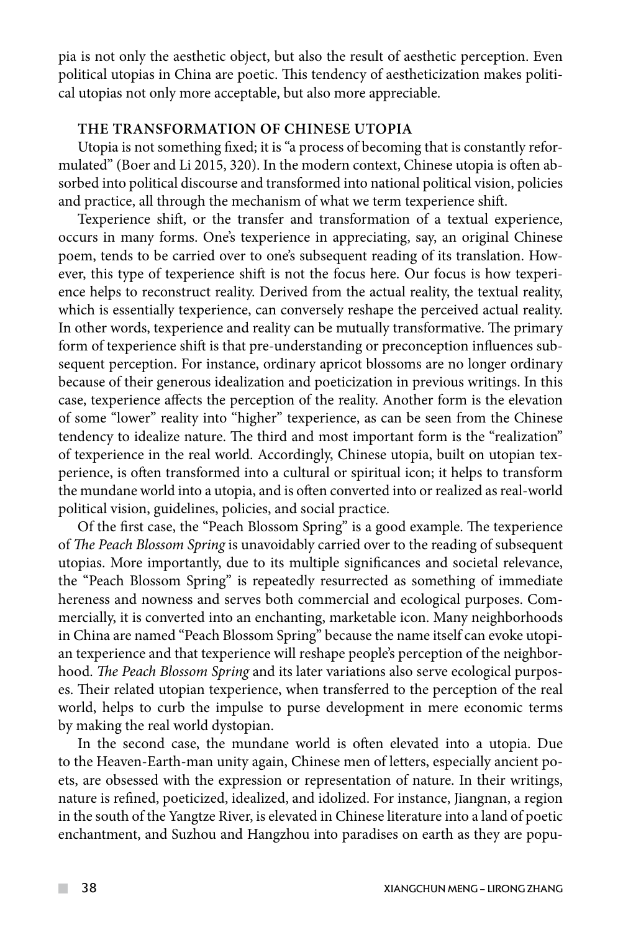pia is not only the aesthetic object, but also the result of aesthetic perception. Even political utopias in China are poetic. This tendency of aestheticization makes political utopias not only more acceptable, but also more appreciable.

## **THE TRANSFORMATION OF CHINESE UTOPIA**

Utopia is not something fixed; it is "a process of becoming that is constantly reformulated" (Boer and Li 2015, 320). In the modern context, Chinese utopia is often absorbed into political discourse and transformed into national political vision, policies and practice, all through the mechanism of what we term texperience shift.

Texperience shift, or the transfer and transformation of a textual experience, occurs in many forms. One's texperience in appreciating, say, an original Chinese poem, tends to be carried over to one's subsequent reading of its translation. However, this type of texperience shift is not the focus here. Our focus is how texperience helps to reconstruct reality. Derived from the actual reality, the textual reality, which is essentially texperience, can conversely reshape the perceived actual reality. In other words, texperience and reality can be mutually transformative. The primary form of texperience shift is that pre-understanding or preconception influences subsequent perception. For instance, ordinary apricot blossoms are no longer ordinary because of their generous idealization and poeticization in previous writings. In this case, texperience affects the perception of the reality. Another form is the elevation of some "lower" reality into "higher" texperience, as can be seen from the Chinese tendency to idealize nature. The third and most important form is the "realization" of texperience in the real world. Accordingly, Chinese utopia, built on utopian texperience, is often transformed into a cultural or spiritual icon; it helps to transform the mundane world into a utopia, and is often converted into or realized as real-world political vision, guidelines, policies, and social practice.

Of the first case, the "Peach Blossom Spring" is a good example. The texperience of *The Peach Blossom Spring* is unavoidably carried over to the reading of subsequent utopias. More importantly, due to its multiple significances and societal relevance, the "Peach Blossom Spring" is repeatedly resurrected as something of immediate hereness and nowness and serves both commercial and ecological purposes. Commercially, it is converted into an enchanting, marketable icon. Many neighborhoods in China are named "Peach Blossom Spring" because the name itself can evoke utopian texperience and that texperience will reshape people's perception of the neighborhood. *The Peach Blossom Spring* and its later variations also serve ecological purposes. Their related utopian texperience, when transferred to the perception of the real world, helps to curb the impulse to purse development in mere economic terms by making the real world dystopian.

In the second case, the mundane world is often elevated into a utopia. Due to the Heaven-Earth-man unity again, Chinese men of letters, especially ancient poets, are obsessed with the expression or representation of nature. In their writings, nature is refined, poeticized, idealized, and idolized. For instance, Jiangnan, a region in the south of the Yangtze River, is elevated in Chinese literature into a land of poetic enchantment, and Suzhou and Hangzhou into paradises on earth as they are popu-

 $\mathcal{L}^{\mathcal{L}}$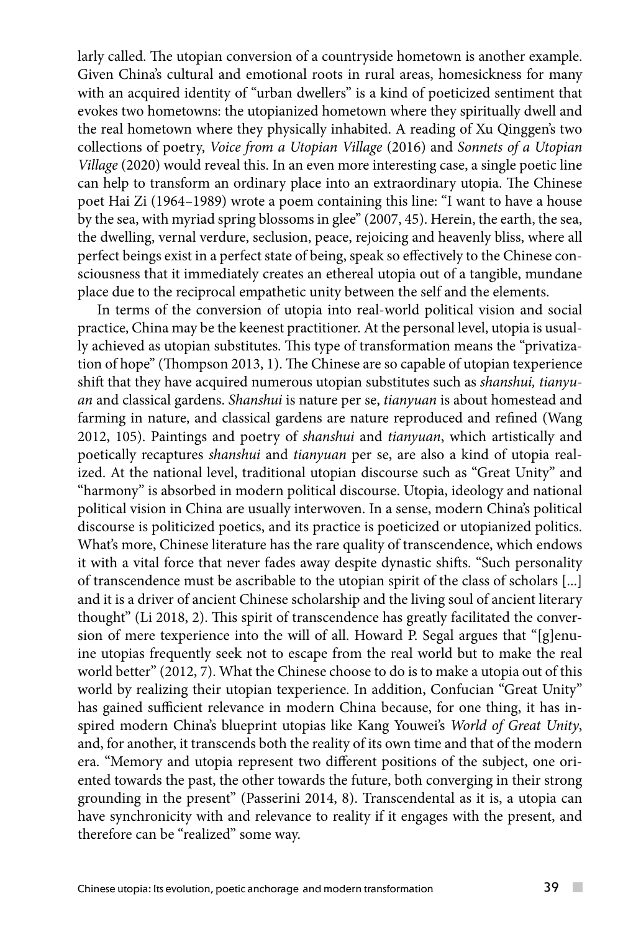larly called. The utopian conversion of a countryside hometown is another example. Given China's cultural and emotional roots in rural areas, homesickness for many with an acquired identity of "urban dwellers" is a kind of poeticized sentiment that evokes two hometowns: the utopianized hometown where they spiritually dwell and the real hometown where they physically inhabited. A reading of Xu Qinggen's two collections of poetry, *Voice from a Utopian Village* (2016) and *Sonnets of a Utopian Village* (2020) would reveal this. In an even more interesting case, a single poetic line can help to transform an ordinary place into an extraordinary utopia. The Chinese poet Hai Zi (1964–1989) wrote a poem containing this line: "I want to have a house by the sea, with myriad spring blossoms in glee" (2007, 45). Herein, the earth, the sea, the dwelling, vernal verdure, seclusion, peace, rejoicing and heavenly bliss, where all perfect beings exist in a perfect state of being, speak so effectively to the Chinese consciousness that it immediately creates an ethereal utopia out of a tangible, mundane place due to the reciprocal empathetic unity between the self and the elements.

In terms of the conversion of utopia into real-world political vision and social practice, China may be the keenest practitioner. At the personal level, utopia is usually achieved as utopian substitutes. This type of transformation means the "privatization of hope" (Thompson 2013, 1). The Chinese are so capable of utopian texperience shift that they have acquired numerous utopian substitutes such as *shanshui, tianyuan* and classical gardens. *Shanshui* is nature per se, *tianyuan* is about homestead and farming in nature, and classical gardens are nature reproduced and refined (Wang 2012, 105). Paintings and poetry of *shanshui* and *tianyuan*, which artistically and poetically recaptures *shanshui* and *tianyuan* per se, are also a kind of utopia realized. At the national level, traditional utopian discourse such as "Great Unity" and "harmony" is absorbed in modern political discourse. Utopia, ideology and national political vision in China are usually interwoven. In a sense, modern China's political discourse is politicized poetics, and its practice is poeticized or utopianized politics. What's more, Chinese literature has the rare quality of transcendence, which endows it with a vital force that never fades away despite dynastic shifts. "Such personality of transcendence must be ascribable to the utopian spirit of the class of scholars [...] and it is a driver of ancient Chinese scholarship and the living soul of ancient literary thought" (Li 2018, 2). This spirit of transcendence has greatly facilitated the conversion of mere texperience into the will of all. Howard P. Segal argues that "[g]enuine utopias frequently seek not to escape from the real world but to make the real world better" (2012, 7). What the Chinese choose to do is to make a utopia out of this world by realizing their utopian texperience. In addition, Confucian "Great Unity" has gained sufficient relevance in modern China because, for one thing, it has inspired modern China's blueprint utopias like Kang Youwei's *World of Great Unity*, and, for another, it transcends both the reality of its own time and that of the modern era. "Memory and utopia represent two different positions of the subject, one oriented towards the past, the other towards the future, both converging in their strong grounding in the present" (Passerini 2014, 8). Transcendental as it is, a utopia can have synchronicity with and relevance to reality if it engages with the present, and therefore can be "realized" some way.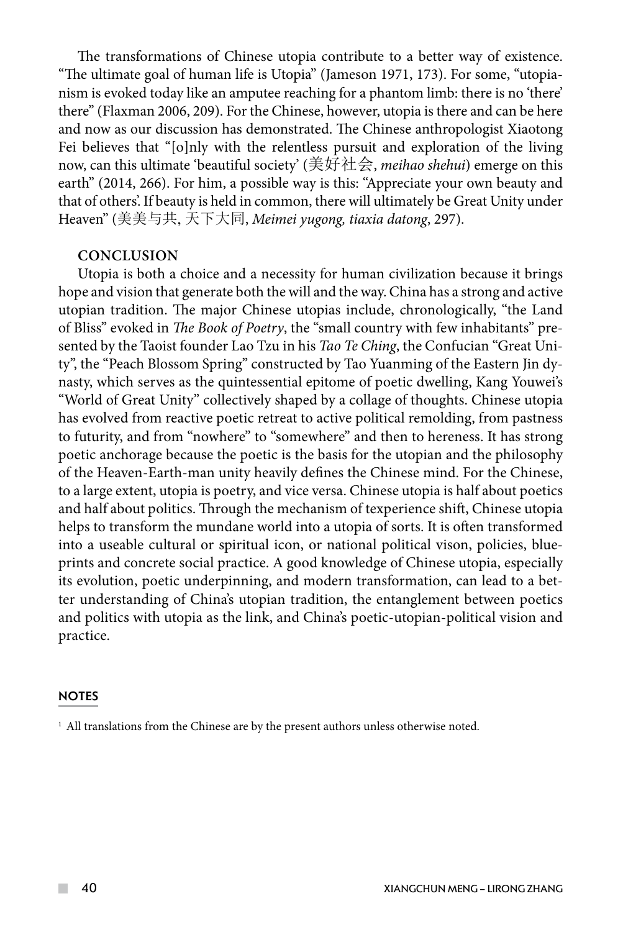The transformations of Chinese utopia contribute to a better way of existence. "The ultimate goal of human life is Utopia" (Jameson 1971, 173). For some, "utopianism is evoked today like an amputee reaching for a phantom limb: there is no 'there' there" (Flaxman 2006, 209). For the Chinese, however, utopia is there and can be here and now as our discussion has demonstrated. The Chinese anthropologist Xiaotong Fei believes that "[o]nly with the relentless pursuit and exploration of the living now, can this ultimate 'beautiful society' (美好社会, *meihao shehui*) emerge on this earth" (2014, 266). For him, a possible way is this: "Appreciate your own beauty and that of others'. If beauty is held in common, there will ultimately be Great Unity under Heaven" (美美与共, 天下大同, *Meimei yugong, tiaxia datong*, 297).

## **Conclusion**

Utopia is both a choice and a necessity for human civilization because it brings hope and vision that generate both the will and the way. China has a strong and active utopian tradition. The major Chinese utopias include, chronologically, "the Land of Bliss" evoked in *The Book of Poetry*, the "small country with few inhabitants" presented by the Taoist founder Lao Tzu in his *Tao Te Ching*, the Confucian "Great Unity", the "Peach Blossom Spring" constructed by Tao Yuanming of the Eastern Jin dynasty, which serves as the quintessential epitome of poetic dwelling, Kang Youwei's "World of Great Unity" collectively shaped by a collage of thoughts. Chinese utopia has evolved from reactive poetic retreat to active political remolding, from pastness to futurity, and from "nowhere" to "somewhere" and then to hereness. It has strong poetic anchorage because the poetic is the basis for the utopian and the philosophy of the Heaven-Earth-man unity heavily defines the Chinese mind. For the Chinese, to a large extent, utopia is poetry, and vice versa. Chinese utopia is half about poetics and half about politics. Through the mechanism of texperience shift, Chinese utopia helps to transform the mundane world into a utopia of sorts. It is often transformed into a useable cultural or spiritual icon, or national political vison, policies, blueprints and concrete social practice. A good knowledge of Chinese utopia, especially its evolution, poetic underpinning, and modern transformation, can lead to a better understanding of China's utopian tradition, the entanglement between poetics and politics with utopia as the link, and China's poetic-utopian-political vision and practice.

#### **NOTES**

<sup>1</sup> All translations from the Chinese are by the present authors unless otherwise noted.

 $\sim$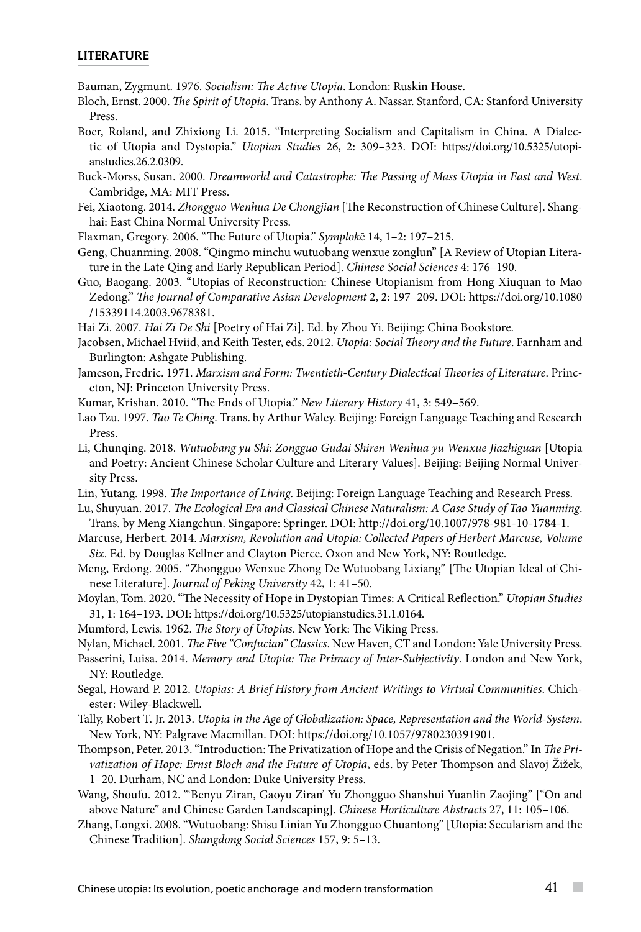#### LITERATURE

Bauman, Zygmunt. 1976. *Socialism: The Active Utopia*. London: Ruskin House.

- Bloch, Ernst. 2000. *The Spirit of Utopia*. Trans. by Anthony A. Nassar. Stanford, CA: Stanford University Press.
- Boer, Roland, and Zhixiong Li. 2015. "Interpreting Socialism and Capitalism in China. A Dialectic of Utopia and Dystopia." *Utopian Studies* 26, 2: 309–323. DOI: https://doi.org/10.5325/utopianstudies.26.2.0309.
- Buck-Morss, Susan. 2000. *Dreamworld and Catastrophe: The Passing of Mass Utopia in East and West*. Cambridge, MA: MIT Press.
- Fei, Xiaotong. 2014. *Zhongguo Wenhua De Chongjian* [The Reconstruction of Chinese Culture]. Shanghai: East China Normal University Press.
- Flaxman, Gregory. 2006. "The Future of Utopia." *Symplok*ē 14, 1–2: 197–215.
- Geng, Chuanming. 2008. "Qingmo minchu wutuobang wenxue zonglun" [A Review of Utopian Literature in the Late Qing and Early Republican Period]. *Chinese Social Sciences* 4: 176–190.
- Guo, Baogang. 2003. "Utopias of Reconstruction: Chinese Utopianism from Hong Xiuquan to Mao Zedong." *The Journal of Comparative Asian Development* 2, 2: 197–209. DOI: https://doi.org/10.1080 /15339114.2003.9678381.

Hai Zi. 2007. *Hai Zi De Shi* [Poetry of Hai Zi]. Ed. by Zhou Yi. Beijing: China Bookstore.

- Jacobsen, Michael Hviid, and Keith Tester, eds. 2012. *Utopia: Social Theory and the Future*. Farnham and Burlington: Ashgate Publishing.
- Jameson, Fredric. 1971. *Marxism and Form: Twentieth-Century Dialectical Theories of Literature*. Princeton, NJ: Princeton University Press.
- Kumar, Krishan. 2010. "The Ends of Utopia." *New Literary History* 41, 3: 549–569.
- Lao Tzu. 1997. *Tao Te Ching*. Trans. by Arthur Waley. Beijing: Foreign Language Teaching and Research Press.
- Li, Chunqing. 2018. *Wutuobang yu Shi: Zongguo Gudai Shiren Wenhua yu Wenxue Jiazhiguan* [Utopia and Poetry: Ancient Chinese Scholar Culture and Literary Values]. Beijing: Beijing Normal University Press.
- Lin, Yutang. 1998. *The Importance of Living*. Beijing: Foreign Language Teaching and Research Press.
- Lu, Shuyuan. 2017. *The Ecological Era and Classical Chinese Naturalism: A Case Study of Tao Yuanming*. Trans. by Meng Xiangchun. Singapore: Springer. DOI: http://doi.org/10.1007/978-981-10-1784-1.
- Marcuse, Herbert. 2014. *Marxism, Revolution and Utopia: Collected Papers of Herbert Marcuse, Volume Six*. Ed. by Douglas Kellner and Clayton Pierce. Oxon and New York, NY: Routledge.
- Meng, Erdong. 2005. "Zhongguo Wenxue Zhong De Wutuobang Lixiang" [The Utopian Ideal of Chinese Literature]. *Journal of Peking University* 42, 1: 41–50.
- Moylan, Tom. 2020. "The Necessity of Hope in Dystopian Times: A Critical Reflection." *Utopian Studies* 31, 1: 164–193. DOI: [https://doi.org/10.5325/utopianstudies.31.1.0164.](https://doi.org/10.5325/utopianstudies.31.1.0164)
- Mumford, Lewis. 1962. *The Story of Utopias*. New York: The Viking Press.
- Nylan, Michael. 2001. *The Five "Confucian" Classics*. New Haven, CT and London: Yale University Press.
- Passerini, Luisa. 2014. *Memory and Utopia: The Primacy of Inter-Subjectivity*. London and New York, NY: Routledge.
- Segal, Howard P. 2012. *Utopias: A Brief History from Ancient Writings to Virtual Communities*. Chichester: Wiley-Blackwell.
- Tally, Robert T. Jr. 2013. *Utopia in the Age of Globalization: Space, Representation and the World-System*. New York, NY: Palgrave Macmillan. DOI: https://doi.org/10.1057/9780230391901.
- Thompson, Peter. 2013. "Introduction: The Privatization of Hope and the Crisis of Negation." In *The Privatization of Hope: Ernst Bloch and the Future of Utopia*, eds. by Peter Thompson and Slavoj Žižek, 1–20. Durham, NC and London: Duke University Press.
- Wang, Shoufu. 2012. "'Benyu Ziran, Gaoyu Ziran' Yu Zhongguo Shanshui Yuanlin Zaojing" ["On and above Nature" and Chinese Garden Landscaping]. *Chinese Horticulture Abstracts* 27, 11: 105–106.
- Zhang, Longxi. 2008. "Wutuobang: Shisu Linian Yu Zhongguo Chuantong" [Utopia: Secularism and the Chinese Tradition]. *Shangdong Social Sciences* 157, 9: 5–13.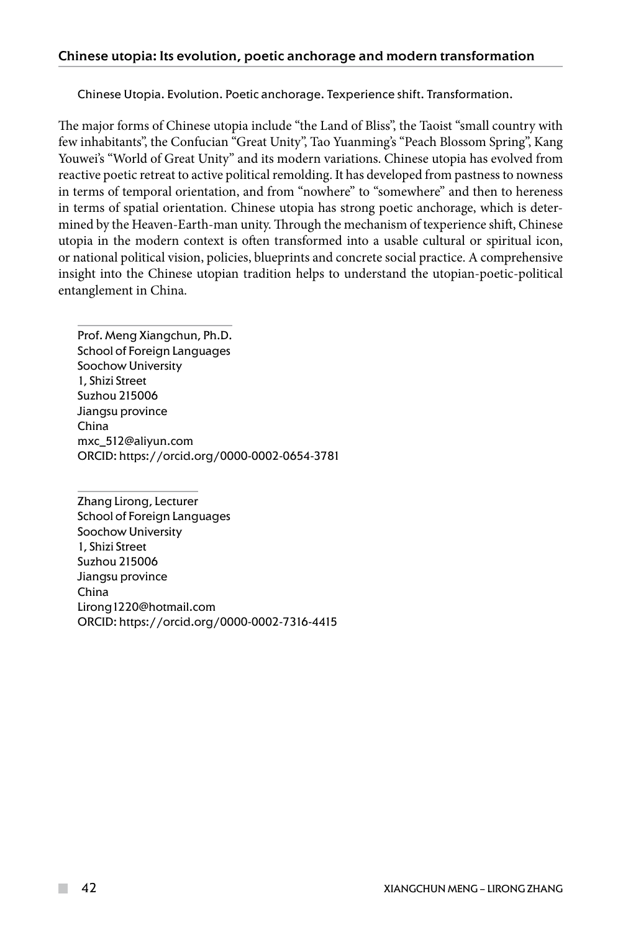Chinese Utopia. Evolution. Poetic anchorage. Texperience shift. Transformation.

The major forms of Chinese utopia include "the Land of Bliss", the Taoist "small country with few inhabitants", the Confucian "Great Unity", Tao Yuanming's "Peach Blossom Spring", Kang Youwei's "World of Great Unity" and its modern variations. Chinese utopia has evolved from reactive poetic retreat to active political remolding. It has developed from pastness to nowness in terms of temporal orientation, and from "nowhere" to "somewhere" and then to hereness in terms of spatial orientation. Chinese utopia has strong poetic anchorage, which is determined by the Heaven-Earth-man unity. Through the mechanism of texperience shift, Chinese utopia in the modern context is often transformed into a usable cultural or spiritual icon, or national political vision, policies, blueprints and concrete social practice. A comprehensive insight into the Chinese utopian tradition helps to understand the utopian-poetic-political entanglement in China.

Prof. Meng Xiangchun, Ph.D. School of Foreign Languages Soochow University 1, Shizi Street Suzhou 215006 Jiangsu province China mxc\_512@aliyun.com ORCID: https://orcid.org/0000-0002-0654-3781

Zhang Lirong, Lecturer School of Foreign Languages Soochow University 1, Shizi Street Suzhou 215006 Jiangsu province China Lirong1220@hotmail.com ORCID: https://orcid.org/0000-0002-7316-4415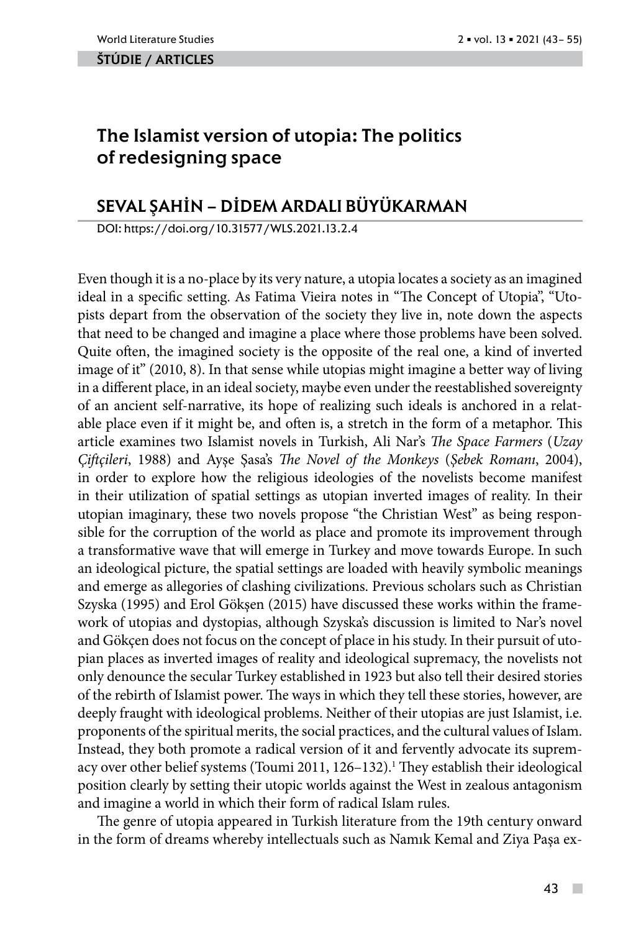#### ŠTÚDIE / ARTicles

# The Islamist version of utopia: The politics of redesigning space

## SEVAL ŞAH**İ**N – D**İ**DEM ARDALI BÜYÜKARMAN

DOI: https://doi.org/10.31577/WLS.2021.13.2.4

Even though it is a no-place by its very nature, a utopia locates a society as an imagined ideal in a specific setting. As Fatima Vieira notes in "The Concept of Utopia", "Utopists depart from the observation of the society they live in, note down the aspects that need to be changed and imagine a place where those problems have been solved. Quite often, the imagined society is the opposite of the real one, a kind of inverted image of it" (2010, 8). In that sense while utopias might imagine a better way of living in a different place, in an ideal society, maybe even under the reestablished sovereignty of an ancient self-narrative, its hope of realizing such ideals is anchored in a relatable place even if it might be, and often is, a stretch in the form of a metaphor. This article examines two Islamist novels in Turkish, Ali Nar's *The Space Farmers* (*Uzay Çiftçileri*, 1988) and Ayşe Şasa's *The Novel of the Monkeys* (*Şebek Romanı*, 2004), in order to explore how the religious ideologies of the novelists become manifest in their utilization of spatial settings as utopian inverted images of reality. In their utopian imaginary, these two novels propose "the Christian West" as being responsible for the corruption of the world as place and promote its improvement through a transformative wave that will emerge in Turkey and move towards Europe. In such an ideological picture, the spatial settings are loaded with heavily symbolic meanings and emerge as allegories of clashing civilizations. Previous scholars such as Christian Szyska (1995) and Erol Gökşen (2015) have discussed these works within the framework of utopias and dystopias, although Szyska's discussion is limited to Nar's novel and Gökçen does not focus on the concept of place in his study. In their pursuit of utopian places as inverted images of reality and ideological supremacy, the novelists not only denounce the secular Turkey established in 1923 but also tell their desired stories of the rebirth of Islamist power. The ways in which they tell these stories, however, are deeply fraught with ideological problems. Neither of their utopias are just Islamist, i.e. proponents of the spiritual merits, the social practices, and the cultural values of Islam. Instead, they both promote a radical version of it and fervently advocate its supremacy over other belief systems (Toumi 2011, 126–132).<sup>1</sup> They establish their ideological position clearly by setting their utopic worlds against the West in zealous antagonism and imagine a world in which their form of radical Islam rules.

The genre of utopia appeared in Turkish literature from the 19th century onward in the form of dreams whereby intellectuals such as Namık Kemal and Ziya Paşa ex-

 $\mathcal{L}_{\mathcal{A}}$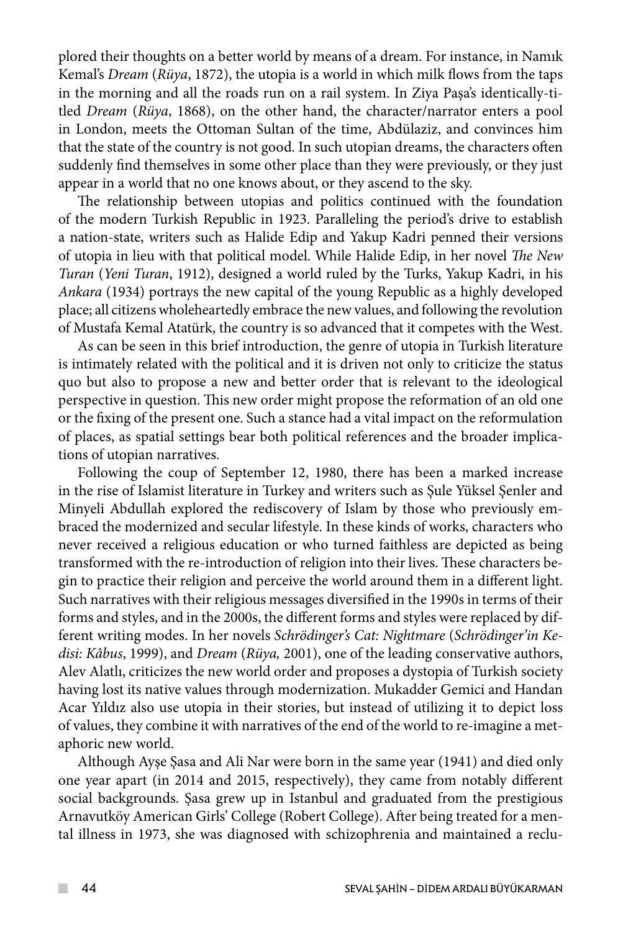plored their thoughts on a better world by means of a dream. For instance, in Namık Kemal's *Dream* (*Rüya*, 1872), the utopia is a world in which milk flows from the taps in the morning and all the roads run on a rail system. In Ziya Paşa's identically-titled *Dream* (*Rüya*, 1868), on the other hand, the character/narrator enters a pool in London, meets the Ottoman Sultan of the time, Abdülaziz, and convinces him that the state of the country is not good. In such utopian dreams, the characters often suddenly find themselves in some other place than they were previously, or they just appear in a world that no one knows about, or they ascend to the sky.

The relationship between utopias and politics continued with the foundation of the modern Turkish Republic in 1923. Paralleling the period's drive to establish a nation-state, writers such as Halide Edip and Yakup Kadri penned their versions of utopia in lieu with that political model. While Halide Edip, in her novel *The New Turan* (*Yeni Turan*, 1912), designed a world ruled by the Turks, Yakup Kadri, in his *Ankara* (1934) portrays the new capital of the young Republic as a highly developed place; all citizens wholeheartedly embrace the new values, and following the revolution of Mustafa Kemal Atatürk, the country is so advanced that it competes with the West.

As can be seen in this brief introduction, the genre of utopia in Turkish literature is intimately related with the political and it is driven not only to criticize the status quo but also to propose a new and better order that is relevant to the ideological perspective in question. This new order might propose the reformation of an old one or the fixing of the present one. Such a stance had a vital impact on the reformulation of places, as spatial settings bear both political references and the broader implications of utopian narratives.

Following the coup of September 12, 1980, there has been a marked increase in the rise of Islamist literature in Turkey and writers such as Şule Yüksel Şenler and Minyeli Abdullah explored the rediscovery of Islam by those who previously embraced the modernized and secular lifestyle. In these kinds of works, characters who never received a religious education or who turned faithless are depicted as being transformed with the re-introduction of religion into their lives. These characters begin to practice their religion and perceive the world around them in a different light. Such narratives with their religious messages diversified in the 1990s in terms of their forms and styles, and in the 2000s, the different forms and styles were replaced by different writing modes. In her novels *Schrödinger's Cat: Nightmare* (*Schrödinger'in Kedisi: Kâbus*, 1999), and *Dream* (*Rüya,* 2001), one of the leading conservative authors, Alev Alatlı, criticizes the new world order and proposes a dystopia of Turkish society having lost its native values through modernization. Mukadder Gemici and Handan Acar Yıldız also use utopia in their stories, but instead of utilizing it to depict loss of values, they combine it with narratives of the end of the world to re-imagine a metaphoric new world.

Although Ayşe Şasa and Ali Nar were born in the same year (1941) and died only one year apart (in 2014 and 2015, respectively), they came from notably different social backgrounds. Şasa grew up in Istanbul and graduated from the prestigious Arnavutköy American Girls' College (Robert College). After being treated for a mental illness in 1973, she was diagnosed with schizophrenia and maintained a reclu-

 $\sim$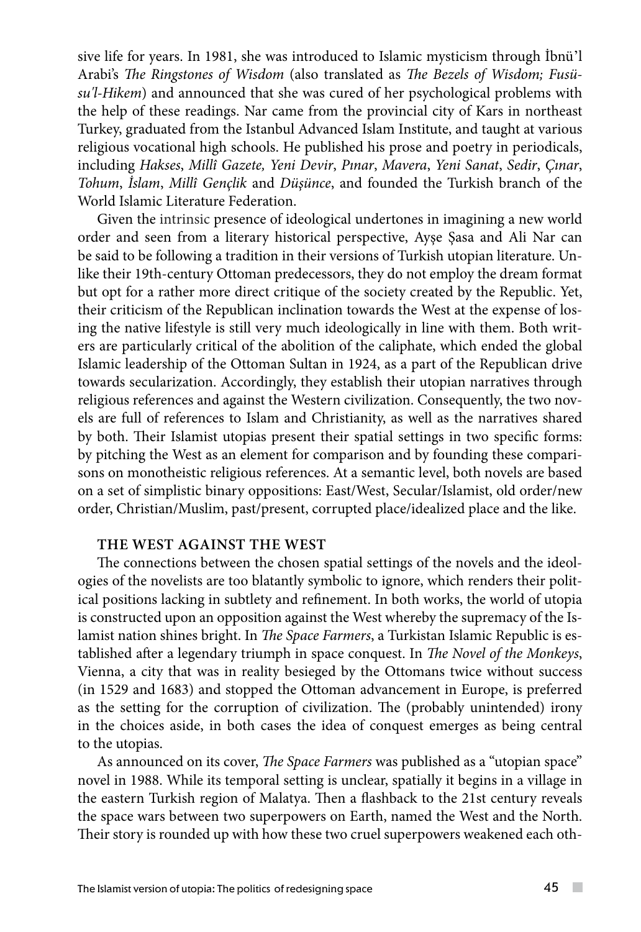sive life for years. In 1981, she was introduced to Islamic mysticism through İbnü'l Arabi's *The Ringstones of Wisdom* (also translated as *The Bezels of Wisdom; Fusüsu'l-Hikem*) and announced that she was cured of her psychological problems with the help of these readings. Nar came from the provincial city of Kars in northeast Turkey, graduated from the Istanbul Advanced Islam Institute, and taught at various religious vocational high schools. He published his prose and poetry in periodicals, including *Hakses*, *Millî Gazete, Yeni Devir*, *Pınar*, *Mavera*, *Yeni Sanat*, *Sedir*, *Çınar*, *Tohum*, *İslam*, *Millî Gençlik* and *Düşünce*, and founded the Turkish branch of the World Islamic Literature Federation.

Given the intrinsic presence of ideological undertones in imagining a new world order and seen from a literary historical perspective, Ayşe Şasa and Ali Nar can be said to be following a tradition in their versions of Turkish utopian literature. Unlike their 19th-century Ottoman predecessors, they do not employ the dream format but opt for a rather more direct critique of the society created by the Republic. Yet, their criticism of the Republican inclination towards the West at the expense of losing the native lifestyle is still very much ideologically in line with them. Both writers are particularly critical of the abolition of the caliphate, which ended the global Islamic leadership of the Ottoman Sultan in 1924, as a part of the Republican drive towards secularization. Accordingly, they establish their utopian narratives through religious references and against the Western civilization. Consequently, the two novels are full of references to Islam and Christianity, as well as the narratives shared by both. Their Islamist utopias present their spatial settings in two specific forms: by pitching the West as an element for comparison and by founding these comparisons on monotheistic religious references. At a semantic level, both novels are based on a set of simplistic binary oppositions: East/West, Secular/Islamist, old order/new order, Christian/Muslim, past/present, corrupted place/idealized place and the like.

#### **THE WEST AGAINST THE WEST**

The connections between the chosen spatial settings of the novels and the ideologies of the novelists are too blatantly symbolic to ignore, which renders their political positions lacking in subtlety and refinement. In both works, the world of utopia is constructed upon an opposition against the West whereby the supremacy of the Islamist nation shines bright. In *The Space Farmers*, a Turkistan Islamic Republic is established after a legendary triumph in space conquest. In *The Novel of the Monkeys*, Vienna, a city that was in reality besieged by the Ottomans twice without success (in 1529 and 1683) and stopped the Ottoman advancement in Europe, is preferred as the setting for the corruption of civilization. The (probably unintended) irony in the choices aside, in both cases the idea of conquest emerges as being central to the utopias.

As announced on its cover, *The Space Farmers* was published as a "utopian space" novel in 1988. While its temporal setting is unclear, spatially it begins in a village in the eastern Turkish region of Malatya. Then a flashback to the 21st century reveals the space wars between two superpowers on Earth, named the West and the North. Their story is rounded up with how these two cruel superpowers weakened each oth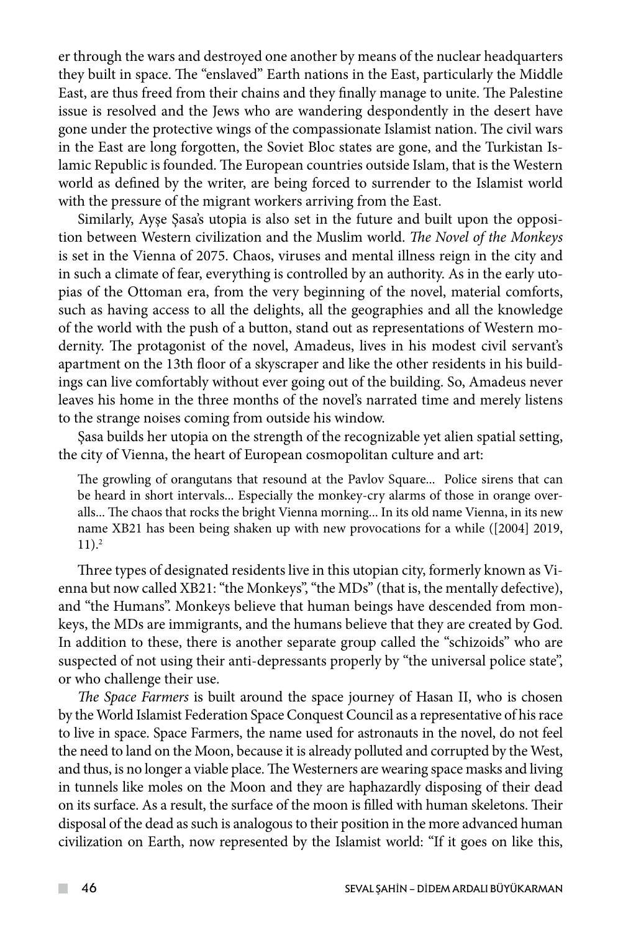er through the wars and destroyed one another by means of the nuclear headquarters they built in space. The "enslaved" Earth nations in the East, particularly the Middle East, are thus freed from their chains and they finally manage to unite. The Palestine issue is resolved and the Jews who are wandering despondently in the desert have gone under the protective wings of the compassionate Islamist nation. The civil wars in the East are long forgotten, the Soviet Bloc states are gone, and the Turkistan Islamic Republic is founded. The European countries outside Islam, that is the Western world as defined by the writer, are being forced to surrender to the Islamist world with the pressure of the migrant workers arriving from the East.

Similarly, Ayşe Şasa's utopia is also set in the future and built upon the opposition between Western civilization and the Muslim world. *The Novel of the Monkeys* is set in the Vienna of 2075. Chaos, viruses and mental illness reign in the city and in such a climate of fear, everything is controlled by an authority. As in the early utopias of the Ottoman era, from the very beginning of the novel, material comforts, such as having access to all the delights, all the geographies and all the knowledge of the world with the push of a button, stand out as representations of Western modernity. The protagonist of the novel, Amadeus, lives in his modest civil servant's apartment on the 13th floor of a skyscraper and like the other residents in his buildings can live comfortably without ever going out of the building. So, Amadeus never leaves his home in the three months of the novel's narrated time and merely listens to the strange noises coming from outside his window.

Şasa builds her utopia on the strength of the recognizable yet alien spatial setting, the city of Vienna, the heart of European cosmopolitan culture and art:

The growling of orangutans that resound at the Pavlov Square... Police sirens that can be heard in short intervals... Especially the monkey-cry alarms of those in orange overalls... The chaos that rocks the bright Vienna morning... In its old name Vienna, in its new name XB21 has been being shaken up with new provocations for a while ([2004] 2019,  $11$ ).<sup>2</sup>

Three types of designated residents live in this utopian city, formerly known as Vienna but now called XB21: "the Monkeys", "the MDs" (that is, the mentally defective), and "the Humans". Monkeys believe that human beings have descended from monkeys, the MDs are immigrants, and the humans believe that they are created by God. In addition to these, there is another separate group called the "schizoids" who are suspected of not using their anti-depressants properly by "the universal police state", or who challenge their use.

*The Space Farmers* is built around the space journey of Hasan II, who is chosen by the World Islamist Federation Space Conquest Council as a representative of his race to live in space. Space Farmers, the name used for astronauts in the novel, do not feel the need to land on the Moon, because it is already polluted and corrupted by the West, and thus, is no longer a viable place. The Westerners are wearing space masks and living in tunnels like moles on the Moon and they are haphazardly disposing of their dead on its surface. As a result, the surface of the moon is filled with human skeletons. Their disposal of the dead as such is analogous to their position in the more advanced human civilization on Earth, now represented by the Islamist world: "If it goes on like this,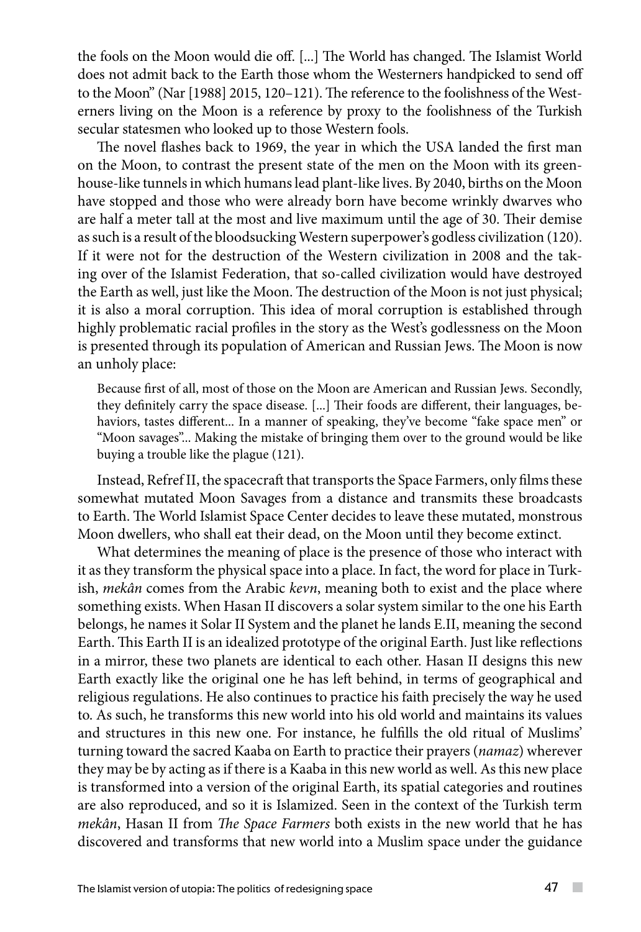the fools on the Moon would die off. [...] The World has changed. The Islamist World does not admit back to the Earth those whom the Westerners handpicked to send off to the Moon" (Nar [1988] 2015, 120–121). The reference to the foolishness of the Westerners living on the Moon is a reference by proxy to the foolishness of the Turkish secular statesmen who looked up to those Western fools.

The novel flashes back to 1969, the year in which the USA landed the first man on the Moon, to contrast the present state of the men on the Moon with its greenhouse-like tunnels in which humans lead plant-like lives. By 2040, births on the Moon have stopped and those who were already born have become wrinkly dwarves who are half a meter tall at the most and live maximum until the age of 30. Their demise as such is a result of the bloodsucking Western superpower's godless civilization (120). If it were not for the destruction of the Western civilization in 2008 and the taking over of the Islamist Federation, that so-called civilization would have destroyed the Earth as well, just like the Moon. The destruction of the Moon is not just physical; it is also a moral corruption. This idea of moral corruption is established through highly problematic racial profiles in the story as the West's godlessness on the Moon is presented through its population of American and Russian Jews. The Moon is now an unholy place:

Because first of all, most of those on the Moon are American and Russian Jews. Secondly, they definitely carry the space disease. [...] Their foods are different, their languages, behaviors, tastes different... In a manner of speaking, they've become "fake space men" or "Moon savages"... Making the mistake of bringing them over to the ground would be like buying a trouble like the plague (121).

Instead, Refref II, the spacecraft that transports the Space Farmers, only films these somewhat mutated Moon Savages from a distance and transmits these broadcasts to Earth. The World Islamist Space Center decides to leave these mutated, monstrous Moon dwellers, who shall eat their dead, on the Moon until they become extinct.

What determines the meaning of place is the presence of those who interact with it as they transform the physical space into a place. In fact, the word for place in Turkish, *mekân* comes from the Arabic *kevn*, meaning both to exist and the place where something exists. When Hasan II discovers a solar system similar to the one his Earth belongs, he names it Solar II System and the planet he lands E.II, meaning the second Earth. This Earth II is an idealized prototype of the original Earth. Just like reflections in a mirror, these two planets are identical to each other. Hasan II designs this new Earth exactly like the original one he has left behind, in terms of geographical and religious regulations. He also continues to practice his faith precisely the way he used to. As such, he transforms this new world into his old world and maintains its values and structures in this new one. For instance, he fulfills the old ritual of Muslims' turning toward the sacred Kaaba on Earth to practice their prayers (*namaz*) wherever they may be by acting as if there is a Kaaba in this new world as well. As this new place is transformed into a version of the original Earth, its spatial categories and routines are also reproduced, and so it is Islamized. Seen in the context of the Turkish term *mekân*, Hasan II from *The Space Farmers* both exists in the new world that he has discovered and transforms that new world into a Muslim space under the guidance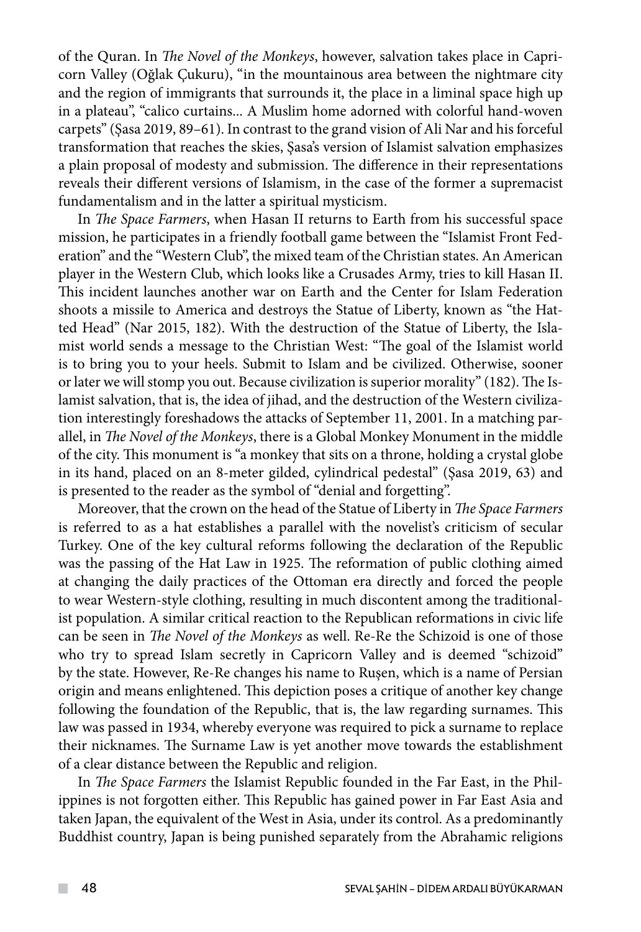of the Quran. In *The Novel of the Monkeys*, however, salvation takes place in Capricorn Valley (Oğlak Çukuru), "in the mountainous area between the nightmare city and the region of immigrants that surrounds it, the place in a liminal space high up in a plateau", "calico curtains... A Muslim home adorned with colorful hand-woven carpets" (Şasa 2019, 89–61). In contrast to the grand vision of Ali Nar and his forceful transformation that reaches the skies, Şasa's version of Islamist salvation emphasizes a plain proposal of modesty and submission. The difference in their representations reveals their different versions of Islamism, in the case of the former a supremacist fundamentalism and in the latter a spiritual mysticism.

In *The Space Farmers*, when Hasan II returns to Earth from his successful space mission, he participates in a friendly football game between the "Islamist Front Federation" and the "Western Club", the mixed team of the Christian states. An American player in the Western Club, which looks like a Crusades Army, tries to kill Hasan II. This incident launches another war on Earth and the Center for Islam Federation shoots a missile to America and destroys the Statue of Liberty, known as "the Hatted Head" (Nar 2015, 182). With the destruction of the Statue of Liberty, the Islamist world sends a message to the Christian West: "The goal of the Islamist world is to bring you to your heels. Submit to Islam and be civilized. Otherwise, sooner or later we will stomp you out. Because civilization is superior morality" (182). The Islamist salvation, that is, the idea of jihad, and the destruction of the Western civilization interestingly foreshadows the attacks of September 11, 2001. In a matching parallel, in *The Novel of the Monkeys*, there is a Global Monkey Monument in the middle of the city. This monument is "a monkey that sits on a throne, holding a crystal globe in its hand, placed on an 8-meter gilded, cylindrical pedestal" (Şasa 2019, 63) and is presented to the reader as the symbol of "denial and forgetting".

Moreover, that the crown on the head of the Statue of Liberty in *The Space Farmers* is referred to as a hat establishes a parallel with the novelist's criticism of secular Turkey. One of the key cultural reforms following the declaration of the Republic was the passing of the Hat Law in 1925. The reformation of public clothing aimed at changing the daily practices of the Ottoman era directly and forced the people to wear Western-style clothing, resulting in much discontent among the traditionalist population. A similar critical reaction to the Republican reformations in civic life can be seen in *The Novel of the Monkeys* as well. Re-Re the Schizoid is one of those who try to spread Islam secretly in Capricorn Valley and is deemed "schizoid" by the state. However, Re-Re changes his name to Ruşen, which is a name of Persian origin and means enlightened. This depiction poses a critique of another key change following the foundation of the Republic, that is, the law regarding surnames. This law was passed in 1934, whereby everyone was required to pick a surname to replace their nicknames. The Surname Law is yet another move towards the establishment of a clear distance between the Republic and religion.

In *The Space Farmers* the Islamist Republic founded in the Far East, in the Philippines is not forgotten either. This Republic has gained power in Far East Asia and taken Japan, the equivalent of the West in Asia, under its control. As a predominantly Buddhist country, Japan is being punished separately from the Abrahamic religions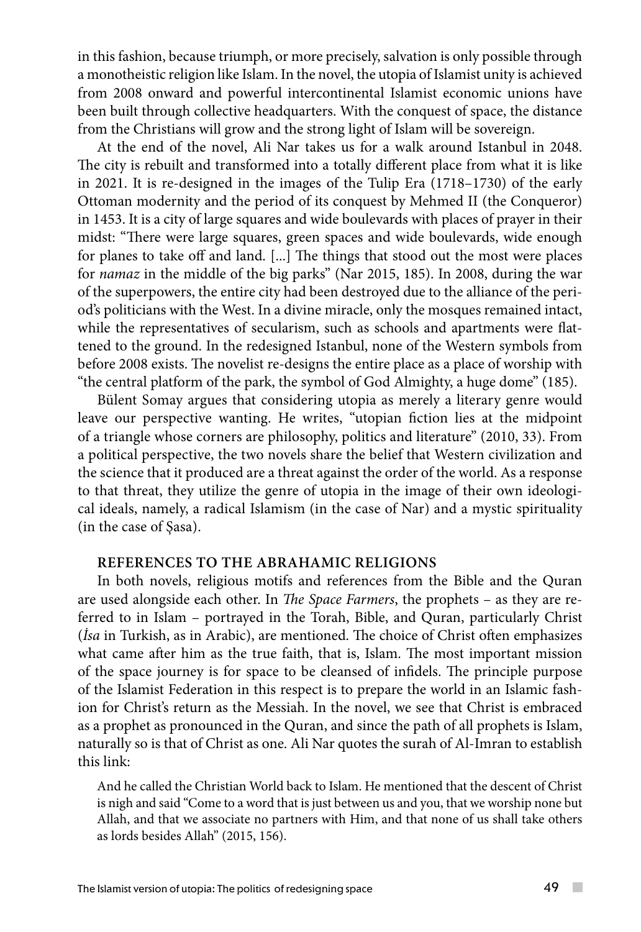in this fashion, because triumph, or more precisely, salvation is only possible through a monotheistic religion like Islam. In the novel, the utopia of Islamist unity is achieved from 2008 onward and powerful intercontinental Islamist economic unions have been built through collective headquarters. With the conquest of space, the distance from the Christians will grow and the strong light of Islam will be sovereign.

At the end of the novel, Ali Nar takes us for a walk around Istanbul in 2048. The city is rebuilt and transformed into a totally different place from what it is like in 2021. It is re-designed in the images of the Tulip Era (1718–1730) of the early Ottoman modernity and the period of its conquest by Mehmed II (the Conqueror) in 1453. It is a city of large squares and wide boulevards with places of prayer in their midst: "There were large squares, green spaces and wide boulevards, wide enough for planes to take off and land. [...] The things that stood out the most were places for *namaz* in the middle of the big parks" (Nar 2015, 185). In 2008, during the war of the superpowers, the entire city had been destroyed due to the alliance of the period's politicians with the West. In a divine miracle, only the mosques remained intact, while the representatives of secularism, such as schools and apartments were flattened to the ground. In the redesigned Istanbul, none of the Western symbols from before 2008 exists. The novelist re-designs the entire place as a place of worship with "the central platform of the park, the symbol of God Almighty, a huge dome" (185).

Bülent Somay argues that considering utopia as merely a literary genre would leave our perspective wanting. He writes, "utopian fiction lies at the midpoint of a triangle whose corners are philosophy, politics and literature" (2010, 33). From a political perspective, the two novels share the belief that Western civilization and the science that it produced are a threat against the order of the world. As a response to that threat, they utilize the genre of utopia in the image of their own ideological ideals, namely, a radical Islamism (in the case of Nar) and a mystic spirituality (in the case of Şasa).

### **REFERENCES TO THE ABRAHAMIC RELIGIONS**

In both novels, religious motifs and references from the Bible and the Quran are used alongside each other. In *The Space Farmers*, the prophets – as they are referred to in Islam – portrayed in the Torah, Bible, and Quran, particularly Christ (*İsa* in Turkish, as in Arabic), are mentioned. The choice of Christ often emphasizes what came after him as the true faith, that is, Islam. The most important mission of the space journey is for space to be cleansed of infidels. The principle purpose of the Islamist Federation in this respect is to prepare the world in an Islamic fashion for Christ's return as the Messiah. In the novel, we see that Christ is embraced as a prophet as pronounced in the Quran, and since the path of all prophets is Islam, naturally so is that of Christ as one. Ali Nar quotes the surah of Al-Imran to establish this link:

And he called the Christian World back to Islam. He mentioned that the descent of Christ is nigh and said "Come to a word that is just between us and you, that we worship none but Allah, and that we associate no partners with Him, and that none of us shall take others as lords besides Allah" (2015, 156).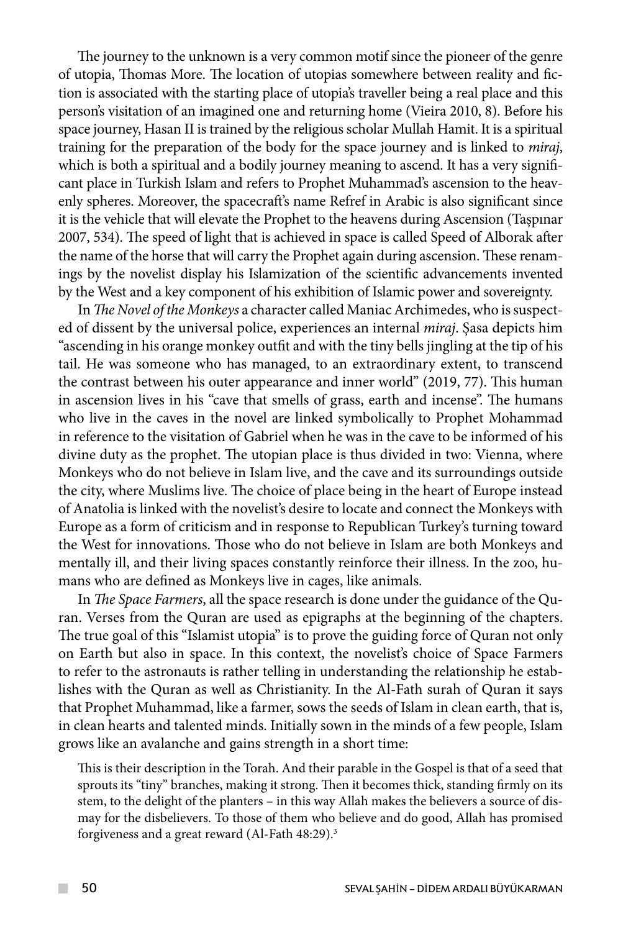The journey to the unknown is a very common motif since the pioneer of the genre of utopia, Thomas More. The location of utopias somewhere between reality and fiction is associated with the starting place of utopia's traveller being a real place and this person's visitation of an imagined one and returning home (Vieira 2010, 8). Before his space journey, Hasan II is trained by the religious scholar Mullah Hamit. It is a spiritual training for the preparation of the body for the space journey and is linked to *miraj*, which is both a spiritual and a bodily journey meaning to ascend. It has a very significant place in Turkish Islam and refers to Prophet Muhammad's ascension to the heavenly spheres. Moreover, the spacecraft's name Refref in Arabic is also significant since it is the vehicle that will elevate the Prophet to the heavens during Ascension (Taşpınar 2007, 534). The speed of light that is achieved in space is called Speed of Alborak after the name of the horse that will carry the Prophet again during ascension. These renamings by the novelist display his Islamization of the scientific advancements invented by the West and a key component of his exhibition of Islamic power and sovereignty.

In *The Novel of the Monkeys* a character called Maniac Archimedes, who is suspected of dissent by the universal police, experiences an internal *miraj*. Şasa depicts him "ascending in his orange monkey outfit and with the tiny bells jingling at the tip of his tail. He was someone who has managed, to an extraordinary extent, to transcend the contrast between his outer appearance and inner world" (2019, 77). This human in ascension lives in his "cave that smells of grass, earth and incense". The humans who live in the caves in the novel are linked symbolically to Prophet Mohammad in reference to the visitation of Gabriel when he was in the cave to be informed of his divine duty as the prophet. The utopian place is thus divided in two: Vienna, where Monkeys who do not believe in Islam live, and the cave and its surroundings outside the city, where Muslims live. The choice of place being in the heart of Europe instead of Anatolia is linked with the novelist's desire to locate and connect the Monkeys with Europe as a form of criticism and in response to Republican Turkey's turning toward the West for innovations. Those who do not believe in Islam are both Monkeys and mentally ill, and their living spaces constantly reinforce their illness. In the zoo, humans who are defined as Monkeys live in cages, like animals.

In *The Space Farmers*, all the space research is done under the guidance of the Quran. Verses from the Quran are used as epigraphs at the beginning of the chapters. The true goal of this "Islamist utopia" is to prove the guiding force of Quran not only on Earth but also in space. In this context, the novelist's choice of Space Farmers to refer to the astronauts is rather telling in understanding the relationship he establishes with the Quran as well as Christianity. In the Al-Fath surah of Quran it says that Prophet Muhammad, like a farmer, sows the seeds of Islam in clean earth, that is, in clean hearts and talented minds. Initially sown in the minds of a few people, Islam grows like an avalanche and gains strength in a short time:

This is their description in the Torah. And their parable in the Gospel is that of a seed that sprouts its "tiny" branches, making it strong. Then it becomes thick, standing firmly on its stem, to the delight of the planters – in this way Allah makes the believers a source of dismay for the disbelievers. To those of them who believe and do good, Allah has promised forgiveness and a great reward (Al-Fath 48:29).3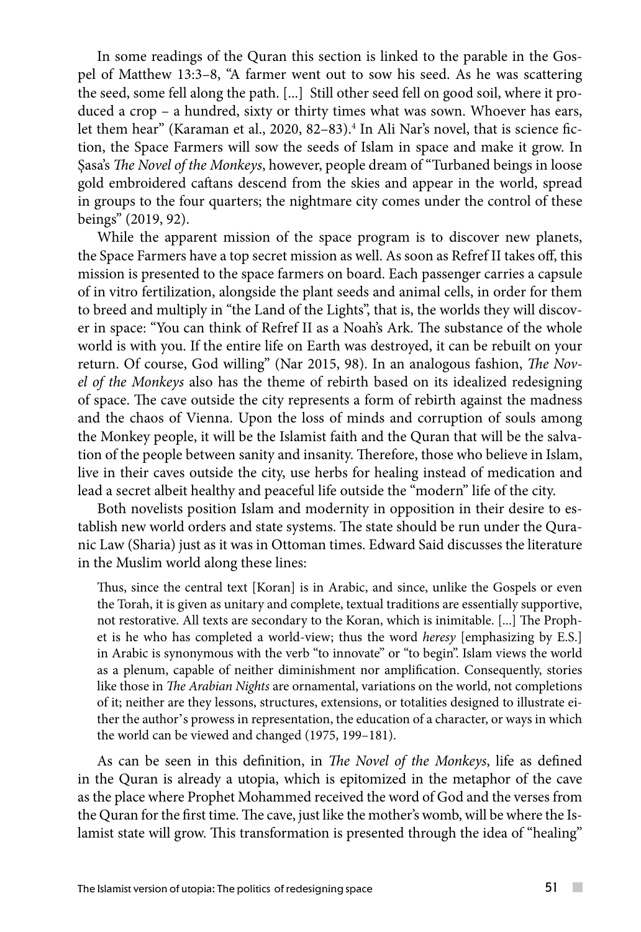In some readings of the Quran this section is linked to the parable in the Gospel of Matthew 13:3–8, "A farmer went out to sow his seed. As he was scattering the seed, some fell along the path. [...] Still other seed fell on good soil, where it produced a crop – a hundred, sixty or thirty times what was sown. Whoever has ears, let them hear" (Karaman et al., 2020, 82–83).<sup>4</sup> In Ali Nar's novel, that is science fiction, the Space Farmers will sow the seeds of Islam in space and make it grow. In Şasa's *The Novel of the Monkeys*, however, people dream of "Turbaned beings in loose gold embroidered caftans descend from the skies and appear in the world, spread in groups to the four quarters; the nightmare city comes under the control of these beings" (2019, 92).

While the apparent mission of the space program is to discover new planets, the Space Farmers have a top secret mission as well. As soon as Refref II takes off, this mission is presented to the space farmers on board. Each passenger carries a capsule of in vitro fertilization, alongside the plant seeds and animal cells, in order for them to breed and multiply in "the Land of the Lights", that is, the worlds they will discover in space: "You can think of Refref II as a Noah's Ark. The substance of the whole world is with you. If the entire life on Earth was destroyed, it can be rebuilt on your return. Of course, God willing" (Nar 2015, 98). In an analogous fashion, *The Novel of the Monkeys* also has the theme of rebirth based on its idealized redesigning of space. The cave outside the city represents a form of rebirth against the madness and the chaos of Vienna. Upon the loss of minds and corruption of souls among the Monkey people, it will be the Islamist faith and the Quran that will be the salvation of the people between sanity and insanity. Therefore, those who believe in Islam, live in their caves outside the city, use herbs for healing instead of medication and lead a secret albeit healthy and peaceful life outside the "modern" life of the city.

Both novelists position Islam and modernity in opposition in their desire to establish new world orders and state systems. The state should be run under the Quranic Law (Sharia) just as it was in Ottoman times. Edward Said discusses the literature in the Muslim world along these lines:

Thus, since the central text [Koran] is in Arabic, and since, unlike the Gospels or even the Torah, it is given as unitary and complete, textual traditions are essentially supportive, not restorative. All texts are secondary to the Koran, which is inimitable. [...] The Prophet is he who has completed a world-view; thus the word *heresy* [emphasizing by E.S.] in Arabic is synonymous with the verb "to innovate" or "to begin". Islam views the world as a plenum, capable of neither diminishment nor amplification. Consequently, stories like those in *The Arabian Nights* are ornamental, variations on the world, not completions of it; neither are they lessons, structures, extensions, or totalities designed to illustrate either the author's prowess in representation, the education of a character, or ways in which the world can be viewed and changed (1975, 199–181).

As can be seen in this definition, in *The Novel of the Monkeys*, life as defined in the Quran is already a utopia, which is epitomized in the metaphor of the cave as the place where Prophet Mohammed received the word of God and the verses from the Quran for the first time. The cave, just like the mother's womb, will be where the Islamist state will grow. This transformation is presented through the idea of "healing"

 $\sim$  10  $\pm$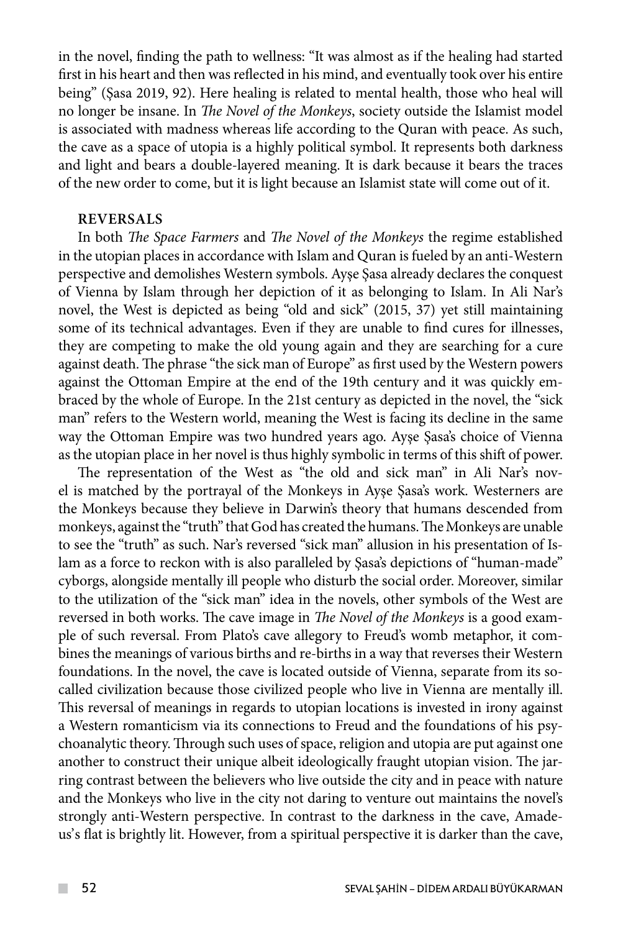in the novel, finding the path to wellness: "It was almost as if the healing had started first in his heart and then was reflected in his mind, and eventually took over his entire being" (Şasa 2019, 92). Here healing is related to mental health, those who heal will no longer be insane. In *The Novel of the Monkeys*, society outside the Islamist model is associated with madness whereas life according to the Quran with peace. As such, the cave as a space of utopia is a highly political symbol. It represents both darkness and light and bears a double-layered meaning. It is dark because it bears the traces of the new order to come, but it is light because an Islamist state will come out of it.

### **REVERSALS**

In both *The Space Farmers* and *The Novel of the Monkeys* the regime established in the utopian places in accordance with Islam and Quran is fueled by an anti-Western perspective and demolishes Western symbols. Ayşe Şasa already declares the conquest of Vienna by Islam through her depiction of it as belonging to Islam. In Ali Nar's novel, the West is depicted as being "old and sick" (2015, 37) yet still maintaining some of its technical advantages. Even if they are unable to find cures for illnesses, they are competing to make the old young again and they are searching for a cure against death. The phrase "the sick man of Europe" as first used by the Western powers against the Ottoman Empire at the end of the 19th century and it was quickly embraced by the whole of Europe. In the 21st century as depicted in the novel, the "sick man" refers to the Western world, meaning the West is facing its decline in the same way the Ottoman Empire was two hundred years ago. Ayşe Şasa's choice of Vienna as the utopian place in her novel is thus highly symbolic in terms of this shift of power.

The representation of the West as "the old and sick man" in Ali Nar's novel is matched by the portrayal of the Monkeys in Ayşe Şasa's work. Westerners are the Monkeys because they believe in Darwin's theory that humans descended from monkeys, against the "truth" that God has created the humans. The Monkeys are unable to see the "truth" as such. Nar's reversed "sick man" allusion in his presentation of Islam as a force to reckon with is also paralleled by Şasa's depictions of "human-made" cyborgs, alongside mentally ill people who disturb the social order. Moreover, similar to the utilization of the "sick man" idea in the novels, other symbols of the West are reversed in both works. The cave image in *The Novel of the Monkeys* is a good example of such reversal. From Plato's cave allegory to Freud's womb metaphor, it combines the meanings of various births and re-births in a way that reverses their Western foundations. In the novel, the cave is located outside of Vienna, separate from its socalled civilization because those civilized people who live in Vienna are mentally ill. This reversal of meanings in regards to utopian locations is invested in irony against a Western romanticism via its connections to Freud and the foundations of his psychoanalytic theory. Through such uses of space, religion and utopia are put against one another to construct their unique albeit ideologically fraught utopian vision. The jarring contrast between the believers who live outside the city and in peace with nature and the Monkeys who live in the city not daring to venture out maintains the novel's strongly anti-Western perspective. In contrast to the darkness in the cave, Amadeus's flat is brightly lit. However, from a spiritual perspective it is darker than the cave,

 $\mathcal{L}^{\mathcal{L}}$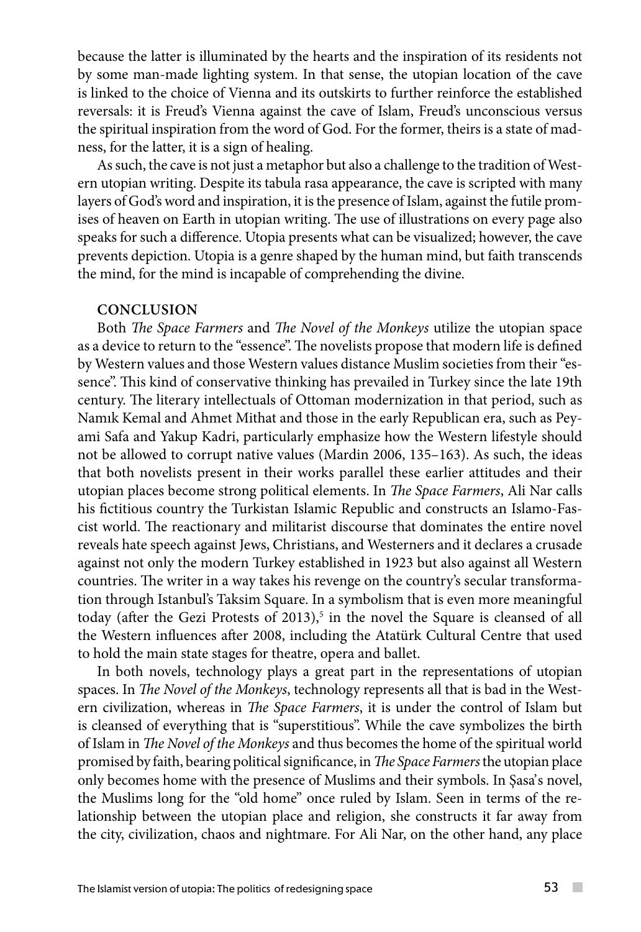because the latter is illuminated by the hearts and the inspiration of its residents not by some man-made lighting system. In that sense, the utopian location of the cave is linked to the choice of Vienna and its outskirts to further reinforce the established reversals: it is Freud's Vienna against the cave of Islam, Freud's unconscious versus the spiritual inspiration from the word of God. For the former, theirs is a state of madness, for the latter, it is a sign of healing.

As such, the cave is not just a metaphor but also a challenge to the tradition of Western utopian writing. Despite its tabula rasa appearance, the cave is scripted with many layers of God's word and inspiration, it is the presence of Islam, against the futile promises of heaven on Earth in utopian writing. The use of illustrations on every page also speaks for such a difference. Utopia presents what can be visualized; however, the cave prevents depiction. Utopia is a genre shaped by the human mind, but faith transcends the mind, for the mind is incapable of comprehending the divine.

#### **CONCLUSION**

Both *The Space Farmers* and *The Novel of the Monkeys* utilize the utopian space as a device to return to the "essence". The novelists propose that modern life is defined by Western values and those Western values distance Muslim societies from their "essence". This kind of conservative thinking has prevailed in Turkey since the late 19th century. The literary intellectuals of Ottoman modernization in that period, such as Namık Kemal and Ahmet Mithat and those in the early Republican era, such as Peyami Safa and Yakup Kadri, particularly emphasize how the Western lifestyle should not be allowed to corrupt native values (Mardin 2006, 135–163). As such, the ideas that both novelists present in their works parallel these earlier attitudes and their utopian places become strong political elements. In *The Space Farmers*, Ali Nar calls his fictitious country the Turkistan Islamic Republic and constructs an Islamo-Fascist world. The reactionary and militarist discourse that dominates the entire novel reveals hate speech against Jews, Christians, and Westerners and it declares a crusade against not only the modern Turkey established in 1923 but also against all Western countries. The writer in a way takes his revenge on the country's secular transformation through Istanbul's Taksim Square. In a symbolism that is even more meaningful today (after the Gezi Protests of 2013),<sup>5</sup> in the novel the Square is cleansed of all the Western influences after 2008, including the Atatürk Cultural Centre that used to hold the main state stages for theatre, opera and ballet.

In both novels, technology plays a great part in the representations of utopian spaces. In *The Novel of the Monkeys*, technology represents all that is bad in the Western civilization, whereas in *The Space Farmers*, it is under the control of Islam but is cleansed of everything that is "superstitious". While the cave symbolizes the birth of Islam in *The Novel of the Monkeys* and thus becomes the home of the spiritual world promised by faith, bearing political significance, in *The Space Farmers* the utopian place only becomes home with the presence of Muslims and their symbols. In Şasa's novel, the Muslims long for the "old home" once ruled by Islam. Seen in terms of the relationship between the utopian place and religion, she constructs it far away from the city, civilization, chaos and nightmare. For Ali Nar, on the other hand, any place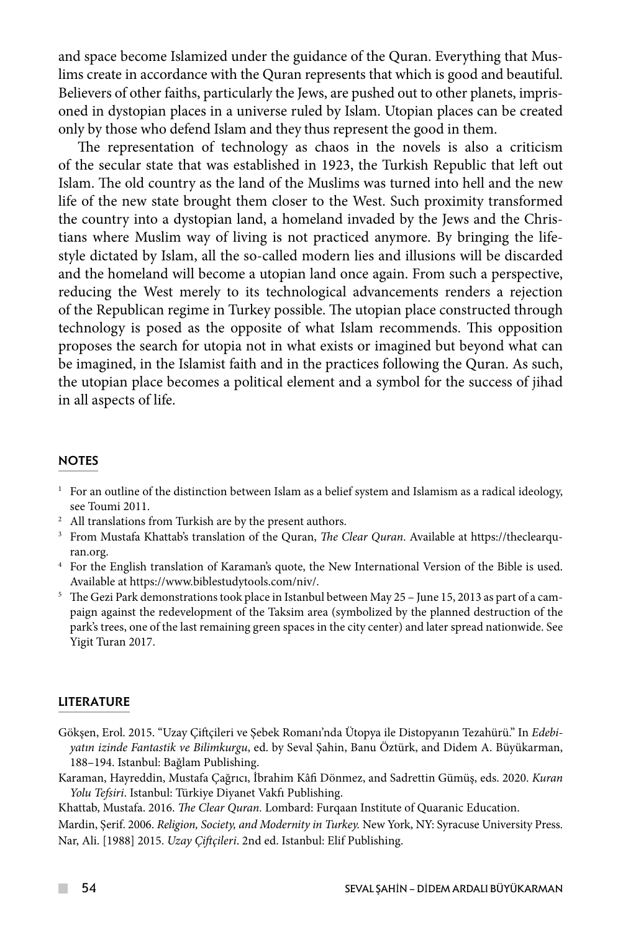and space become Islamized under the guidance of the Quran. Everything that Muslims create in accordance with the Quran represents that which is good and beautiful. Believers of other faiths, particularly the Jews, are pushed out to other planets, imprisoned in dystopian places in a universe ruled by Islam. Utopian places can be created only by those who defend Islam and they thus represent the good in them.

The representation of technology as chaos in the novels is also a criticism of the secular state that was established in 1923, the Turkish Republic that left out Islam. The old country as the land of the Muslims was turned into hell and the new life of the new state brought them closer to the West. Such proximity transformed the country into a dystopian land, a homeland invaded by the Jews and the Christians where Muslim way of living is not practiced anymore. By bringing the lifestyle dictated by Islam, all the so-called modern lies and illusions will be discarded and the homeland will become a utopian land once again. From such a perspective, reducing the West merely to its technological advancements renders a rejection of the Republican regime in Turkey possible. The utopian place constructed through technology is posed as the opposite of what Islam recommends. This opposition proposes the search for utopia not in what exists or imagined but beyond what can be imagined, in the Islamist faith and in the practices following the Quran. As such, the utopian place becomes a political element and a symbol for the success of jihad in all aspects of life.

#### **NOTES**

- $1$  For an outline of the distinction between Islam as a belief system and Islamism as a radical ideology, see Toumi 2011.
- 
- <sup>2</sup> All translations from Turkish are by the present authors.<br><sup>3</sup> From Mustafa Khattab's translation of the Quran, *The Clear Quran*. Available at https://theclearquran.org.
- 4 For the English translation of Karaman's quote, the New International Version of the Bible is used.
- Available at https://www.biblestudytools.com/niv/. 5 The Gezi Park demonstrations took place in Istanbul between May 25 June 15, 2013 as part of a campaign against the redevelopment of the Taksim area (symbolized by the planned destruction of the park's trees, one of the last remaining green spaces in the city center) and later spread nationwide. See Yigit Turan 2017.

#### LITERATURE

- Gökşen, Erol. 2015. "Uzay Çiftçileri ve Şebek Romanı'nda Ütopya ile Distopyanın Tezahürü." In *Edebiyatın izinde Fantastik ve Bilimkurgu*, ed. by Seval Şahin, Banu Öztürk, and Didem A. Büyükarman, 188–194. Istanbul: Bağlam Publishing.
- Karaman, Hayreddin, Mustafa Çağrıcı, İbrahim Kâfi Dönmez, and Sadrettin Gümüş, eds. 2020. *Kuran Yolu Tefsiri*. Istanbul: Türkiye Diyanet Vakfı Publishing.

Khattab, Mustafa. 2016. *The Clear Quran.* Lombard: Furqaan Institute of Quaranic Education.

Mardin, Şerif. 2006. *Religion, Society, and Modernity in Turkey.* New York, NY: Syracuse University Press. Nar, Ali. [1988] 2015. *Uzay Çiftçileri*. 2nd ed. Istanbul: Elif Publishing.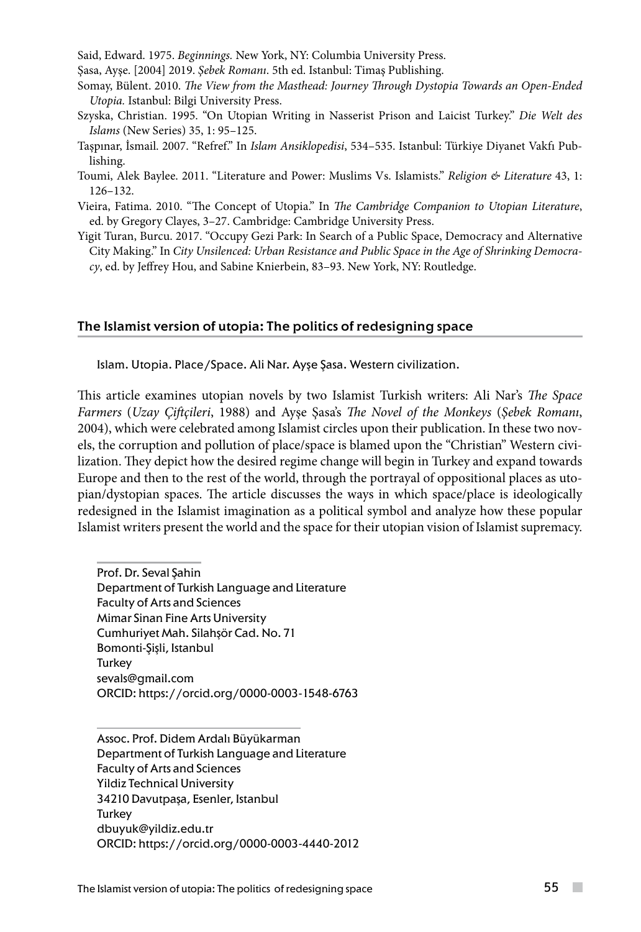Said, Edward. 1975. *Beginnings.* New York, NY: Columbia University Press.

Şasa, Ayşe. [2004] 2019. *Şebek Romanı*. 5th ed. Istanbul: Timaş Publishing.

Somay, Bülent. 2010. *The View from the Masthead: Journey Through Dystopia Towards an Open-Ended Utopia.* Istanbul: Bilgi University Press.

- Szyska, Christian. 1995. "On Utopian Writing in Nasserist Prison and Laicist Turkey." *Die Welt des Islams* (New Series) 35, 1: 95–125.
- Taşpınar, İsmail. 2007. "Refref." In *Islam Ansiklopedisi*, 534–535. Istanbul: Türkiye Diyanet Vakfı Publishing.
- Toumi, Alek Baylee. 2011. "Literature and Power: Muslims Vs. Islamists." *Religion & Literature* 43, 1: 126–132.
- Vieira, Fatima. 2010. "The Concept of Utopia." In *The Cambridge Companion to Utopian Literature*, ed. by Gregory Clayes, 3–27. Cambridge: Cambridge University Press.
- Yigit Turan, Burcu. 2017. "Occupy Gezi Park: In Search of a Public Space, Democracy and Alternative City Making." In *City Unsilenced: Urban Resistance and Public Space in the Age of Shrinking Democracy*, ed. by Jeffrey Hou, and Sabine Knierbein, 83–93. New York, NY: Routledge.

### The Islamist version of utopia: The politics of redesigning space

Islam. Utopia. Place/Space. Ali Nar. Ayşe Şasa. Western civilization.

This article examines utopian novels by two Islamist Turkish writers: Ali Nar's *The Space Farmers* (*Uzay Çiftçileri*, 1988) and Ayşe Şasa's *The Novel of the Monkeys* (*Şebek Romanı*, 2004), which were celebrated among Islamist circles upon their publication. In these two novels, the corruption and pollution of place/space is blamed upon the "Christian" Western civilization. They depict how the desired regime change will begin in Turkey and expand towards Europe and then to the rest of the world, through the portrayal of oppositional places as utopian/dystopian spaces. The article discusses the ways in which space/place is ideologically redesigned in the Islamist imagination as a political symbol and analyze how these popular Islamist writers present the world and the space for their utopian vision of Islamist supremacy.

Prof. Dr. Seval Şahin Department of Turkish Language and Literature Faculty of Arts and Sciences Mimar Sinan Fine Arts University Cumhuriyet Mah. Silahşör Cad. No. 71 Bomonti-Şişli, Istanbul Turkey [sevals@gmail.com](mailto:sevals@gmail.com) ORCID: https://orcid.org/0000-0003-1548-6763

Assoc. Prof. Didem Ardalı Büyükarman Department of Turkish Language and Literature Faculty of Arts and Sciences Yildiz Technical University 34210 Davutpaşa, Esenler, Istanbul Turkey [dbuyuk@yildiz.edu.tr](mailto:dbuyuk@yildiz.edu.tr) ORCID: https://orcid.org/0000-0003-4440-2012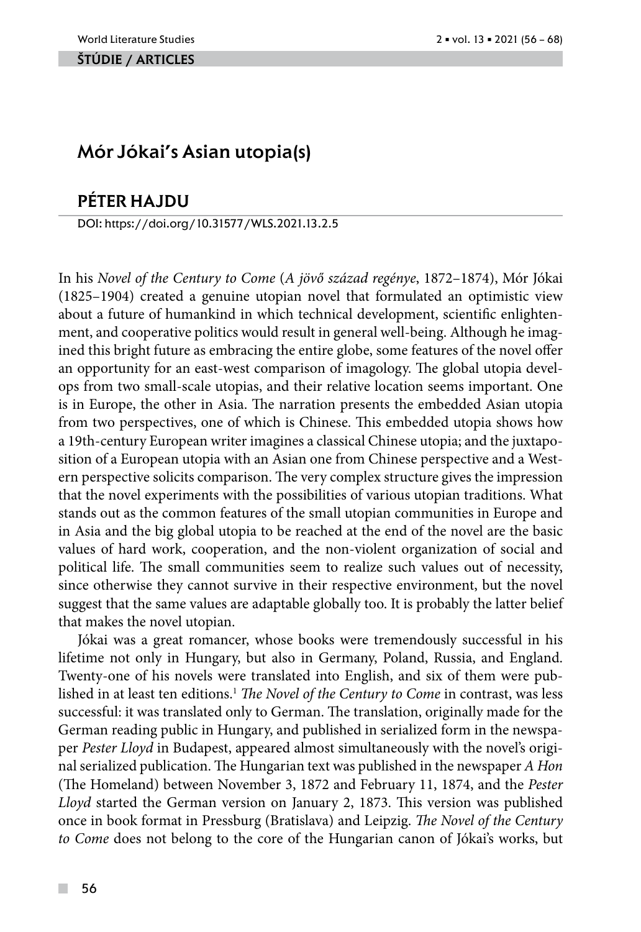#### ŠTÚDIE / ARTicles

## Mór Jókai's Asian utopia(s)

## péter hajdu

DOI: https://doi.org/10.31577/WLS.2021.13.2.5

In his *Novel of the Century to Come* (*A jövő század regénye*, 1872–1874), Mór Jókai (1825–1904) created a genuine utopian novel that formulated an optimistic view about a future of humankind in which technical development, scientific enlightenment, and cooperative politics would result in general well-being. Although he imagined this bright future as embracing the entire globe, some features of the novel offer an opportunity for an east-west comparison of imagology. The global utopia develops from two small-scale utopias, and their relative location seems important. One is in Europe, the other in Asia. The narration presents the embedded Asian utopia from two perspectives, one of which is Chinese. This embedded utopia shows how a 19th-century European writer imagines a classical Chinese utopia; and the juxtaposition of a European utopia with an Asian one from Chinese perspective and a Western perspective solicits comparison. The very complex structure gives the impression that the novel experiments with the possibilities of various utopian traditions. What stands out as the common features of the small utopian communities in Europe and in Asia and the big global utopia to be reached at the end of the novel are the basic values of hard work, cooperation, and the non-violent organization of social and political life. The small communities seem to realize such values out of necessity, since otherwise they cannot survive in their respective environment, but the novel suggest that the same values are adaptable globally too. It is probably the latter belief that makes the novel utopian.

Jókai was a great romancer, whose books were tremendously successful in his lifetime not only in Hungary, but also in Germany, Poland, Russia, and England. Twenty-one of his novels were translated into English, and six of them were published in at least ten editions.<sup>1</sup> *The Novel of the Century to Come* in contrast, was less successful: it was translated only to German. The translation, originally made for the German reading public in Hungary, and published in serialized form in the newspaper *Pester Lloyd* in Budapest, appeared almost simultaneously with the novel's original serialized publication. The Hungarian text was published in the newspaper *A Hon* (The Homeland) between November 3, 1872 and February 11, 1874, and the *Pester Lloyd* started the German version on January 2, 1873. This version was published once in book format in Pressburg (Bratislava) and Leipzig. *The Novel of the Century to Come* does not belong to the core of the Hungarian canon of Jókai's works, but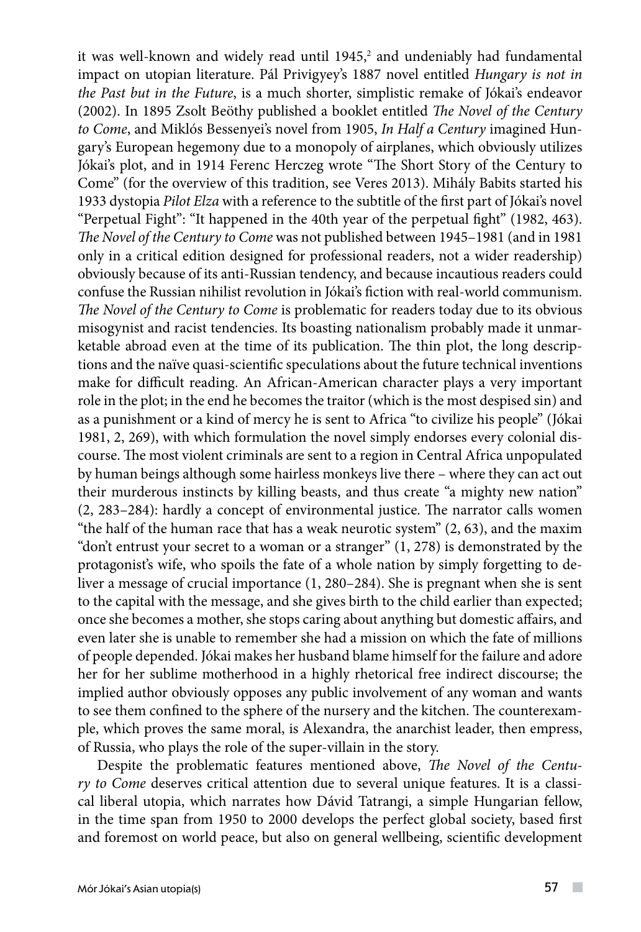it was well-known and widely read until 1945,<sup>2</sup> and undeniably had fundamental impact on utopian literature. Pál Privigyey's 1887 novel entitled *Hungary is not in the Past but in the Future*, is a much shorter, simplistic remake of Jókai's endeavor (2002). In 1895 Zsolt Beöthy published a booklet entitled *The Novel of the Century to Come*, and Miklós Bessenyei's novel from 1905, *In Half a Century* imagined Hungary's European hegemony due to a monopoly of airplanes, which obviously utilizes Jókai's plot, and in 1914 Ferenc Herczeg wrote "The Short Story of the Century to Come" (for the overview of this tradition, see Veres 2013). Mihály Babits started his 1933 dystopia *Pilot Elza* with a reference to the subtitle of the first part of Jókai's novel "Perpetual Fight": "It happened in the 40th year of the perpetual fight" (1982, 463). *The Novel of the Century to Come* was not published between 1945–1981 (and in 1981 only in a critical edition designed for professional readers, not a wider readership) obviously because of its anti-Russian tendency, and because incautious readers could confuse the Russian nihilist revolution in Jókai's fiction with real-world communism. *The Novel of the Century to Come* is problematic for readers today due to its obvious misogynist and racist tendencies. Its boasting nationalism probably made it unmarketable abroad even at the time of its publication. The thin plot, the long descriptions and the naïve quasi-scientific speculations about the future technical inventions make for difficult reading. An African-American character plays a very important role in the plot; in the end he becomes the traitor (which is the most despised sin) and as a punishment or a kind of mercy he is sent to Africa "to civilize his people" (Jókai 1981, 2, 269), with which formulation the novel simply endorses every colonial discourse. The most violent criminals are sent to a region in Central Africa unpopulated by human beings although some hairless monkeys live there – where they can act out their murderous instincts by killing beasts, and thus create "a mighty new nation" (2, 283–284): hardly a concept of environmental justice. The narrator calls women "the half of the human race that has a weak neurotic system" (2, 63), and the maxim "don't entrust your secret to a woman or a stranger"  $(1, 278)$  is demonstrated by the protagonist's wife, who spoils the fate of a whole nation by simply forgetting to deliver a message of crucial importance (1, 280–284). She is pregnant when she is sent to the capital with the message, and she gives birth to the child earlier than expected; once she becomes a mother, she stops caring about anything but domestic affairs, and even later she is unable to remember she had a mission on which the fate of millions of people depended. Jókai makes her husband blame himself for the failure and adore her for her sublime motherhood in a highly rhetorical free indirect discourse; the implied author obviously opposes any public involvement of any woman and wants to see them confined to the sphere of the nursery and the kitchen. The counterexample, which proves the same moral, is Alexandra, the anarchist leader, then empress, of Russia, who plays the role of the super-villain in the story.

Despite the problematic features mentioned above, *The Novel of the Century to Come* deserves critical attention due to several unique features. It is a classical liberal utopia, which narrates how Dávid Tatrangi, a simple Hungarian fellow, in the time span from 1950 to 2000 develops the perfect global society, based first and foremost on world peace, but also on general wellbeing, scientific development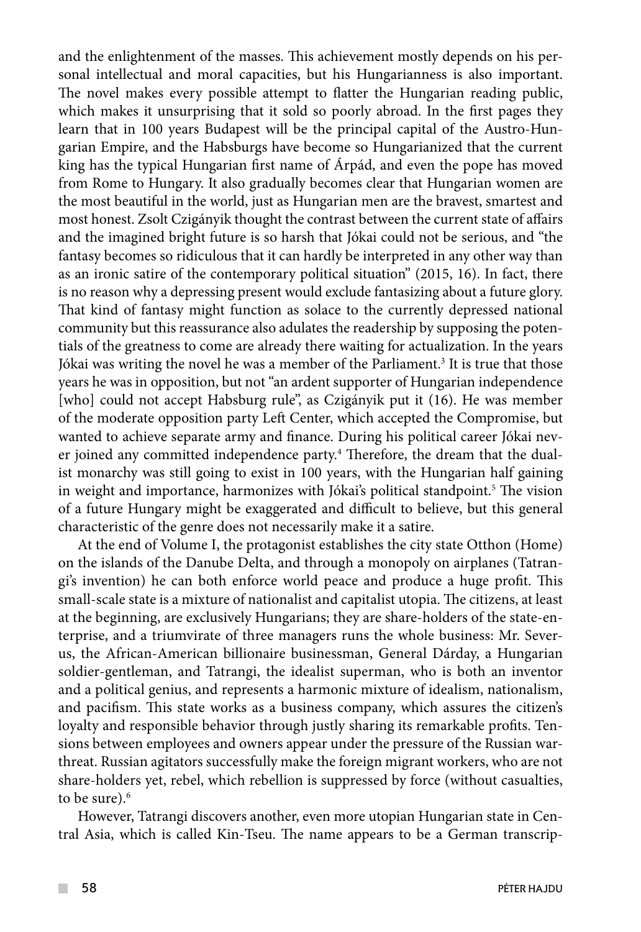and the enlightenment of the masses. This achievement mostly depends on his personal intellectual and moral capacities, but his Hungarianness is also important. The novel makes every possible attempt to flatter the Hungarian reading public, which makes it unsurprising that it sold so poorly abroad. In the first pages they learn that in 100 years Budapest will be the principal capital of the Austro-Hungarian Empire, and the Habsburgs have become so Hungarianized that the current king has the typical Hungarian first name of Árpád, and even the pope has moved from Rome to Hungary. It also gradually becomes clear that Hungarian women are the most beautiful in the world, just as Hungarian men are the bravest, smartest and most honest. Zsolt Czigányik thought the contrast between the current state of affairs and the imagined bright future is so harsh that Jókai could not be serious, and "the fantasy becomes so ridiculous that it can hardly be interpreted in any other way than as an ironic satire of the contemporary political situation" (2015, 16). In fact, there is no reason why a depressing present would exclude fantasizing about a future glory. That kind of fantasy might function as solace to the currently depressed national community but this reassurance also adulates the readership by supposing the potentials of the greatness to come are already there waiting for actualization. In the years Jókai was writing the novel he was a member of the Parliament.<sup>3</sup> It is true that those years he was in opposition, but not "an ardent supporter of Hungarian independence [who] could not accept Habsburg rule", as Czigányik put it (16). He was member of the moderate opposition party Left Center, which accepted the Compromise, but wanted to achieve separate army and finance. During his political career Jókai never joined any committed independence party.4 Therefore, the dream that the dualist monarchy was still going to exist in 100 years, with the Hungarian half gaining in weight and importance, harmonizes with Jókai's political standpoint.5 The vision of a future Hungary might be exaggerated and difficult to believe, but this general characteristic of the genre does not necessarily make it a satire.

At the end of Volume I, the protagonist establishes the city state Otthon (Home) on the islands of the Danube Delta, and through a monopoly on airplanes (Tatrangi's invention) he can both enforce world peace and produce a huge profit. This small-scale state is a mixture of nationalist and capitalist utopia. The citizens, at least at the beginning, are exclusively Hungarians; they are share-holders of the state-enterprise, and a triumvirate of three managers runs the whole business: Mr. Severus, the African-American billionaire businessman, General Dárday, a Hungarian soldier-gentleman, and Tatrangi, the idealist superman, who is both an inventor and a political genius, and represents a harmonic mixture of idealism, nationalism, and pacifism. This state works as a business company, which assures the citizen's loyalty and responsible behavior through justly sharing its remarkable profits. Tensions between employees and owners appear under the pressure of the Russian warthreat. Russian agitators successfully make the foreign migrant workers, who are not share-holders yet, rebel, which rebellion is suppressed by force (without casualties, to be sure).<sup>6</sup>

However, Tatrangi discovers another, even more utopian Hungarian state in Central Asia, which is called Kin-Tseu. The name appears to be a German transcrip-

 $\mathcal{L}^{\mathcal{L}}$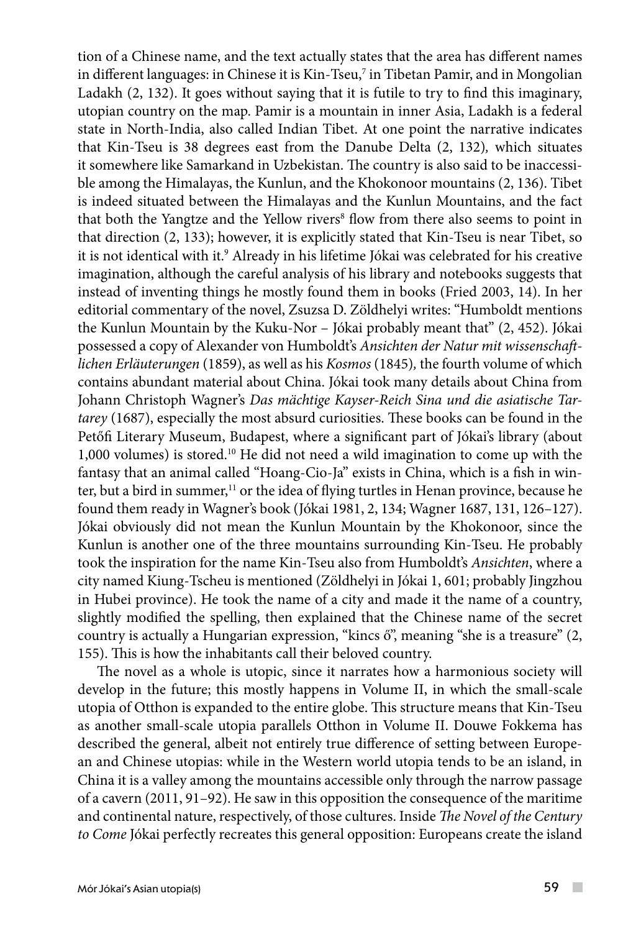tion of a Chinese name, and the text actually states that the area has different names in different languages: in Chinese it is Kin-Tseu, $^7$  in Tibetan Pamir, and in Mongolian Ladakh (2, 132). It goes without saying that it is futile to try to find this imaginary, utopian country on the map. Pamir is a mountain in inner Asia, Ladakh is a federal state in North-India, also called Indian Tibet. At one point the narrative indicates that Kin-Tseu is 38 degrees east from the Danube Delta (2, 132)*,* which situates it somewhere like Samarkand in Uzbekistan. The country is also said to be inaccessible among the Himalayas, the Kunlun, and the Khokonoor mountains (2, 136). Tibet is indeed situated between the Himalayas and the Kunlun Mountains, and the fact that both the Yangtze and the Yellow rivers<sup>8</sup> flow from there also seems to point in that direction (2, 133); however, it is explicitly stated that Kin-Tseu is near Tibet, so it is not identical with it.<sup>9</sup> Already in his lifetime Jókai was celebrated for his creative imagination, although the careful analysis of his library and notebooks suggests that instead of inventing things he mostly found them in books (Fried 2003, 14). In her editorial commentary of the novel, Zsuzsa D. Zöldhelyi writes: "Humboldt mentions the Kunlun Mountain by the Kuku-Nor – Jókai probably meant that" (2, 452). Jókai possessed a copy of Alexander von Humboldt's *Ansichten der Natur mit wissenschaftlichen Erläuterungen* (1859), as well as his *Kosmos* (1845)*,* the fourth volume of which contains abundant material about China. Jókai took many details about China from Johann Christoph Wagner's *Das mächtige Kayser-Reich Sina und die asiatische Tartarey* (1687), especially the most absurd curiosities. These books can be found in the Petőfi Literary Museum, Budapest, where a significant part of Jókai's library (about 1,000 volumes) is stored.10 He did not need a wild imagination to come up with the fantasy that an animal called "Hoang-Cio-Ja" exists in China, which is a fish in winter, but a bird in summer, $<sup>11</sup>$  or the idea of flying turtles in Henan province, because he</sup> found them ready in Wagner's book (Jókai 1981, 2, 134; Wagner 1687, 131, 126–127). Jókai obviously did not mean the Kunlun Mountain by the Khokonoor, since the Kunlun is another one of the three mountains surrounding Kin-Tseu. He probably took the inspiration for the name Kin-Tseu also from Humboldt's *Ansichten*, where a city named Kiung-Tscheu is mentioned (Zöldhelyi in Jókai 1, 601; probably Jingzhou in Hubei province). He took the name of a city and made it the name of a country, slightly modified the spelling, then explained that the Chinese name of the secret country is actually a Hungarian expression, "kincs ő", meaning "she is a treasure" (2, 155). This is how the inhabitants call their beloved country.

The novel as a whole is utopic, since it narrates how a harmonious society will develop in the future; this mostly happens in Volume II, in which the small-scale utopia of Otthon is expanded to the entire globe. This structure means that Kin-Tseu as another small-scale utopia parallels Otthon in Volume II. Douwe Fokkema has described the general, albeit not entirely true difference of setting between European and Chinese utopias: while in the Western world utopia tends to be an island, in China it is a valley among the mountains accessible only through the narrow passage of a cavern (2011, 91–92). He saw in this opposition the consequence of the maritime and continental nature, respectively, of those cultures. Inside *The Novel of the Century to Come* Jókai perfectly recreates this general opposition: Europeans create the island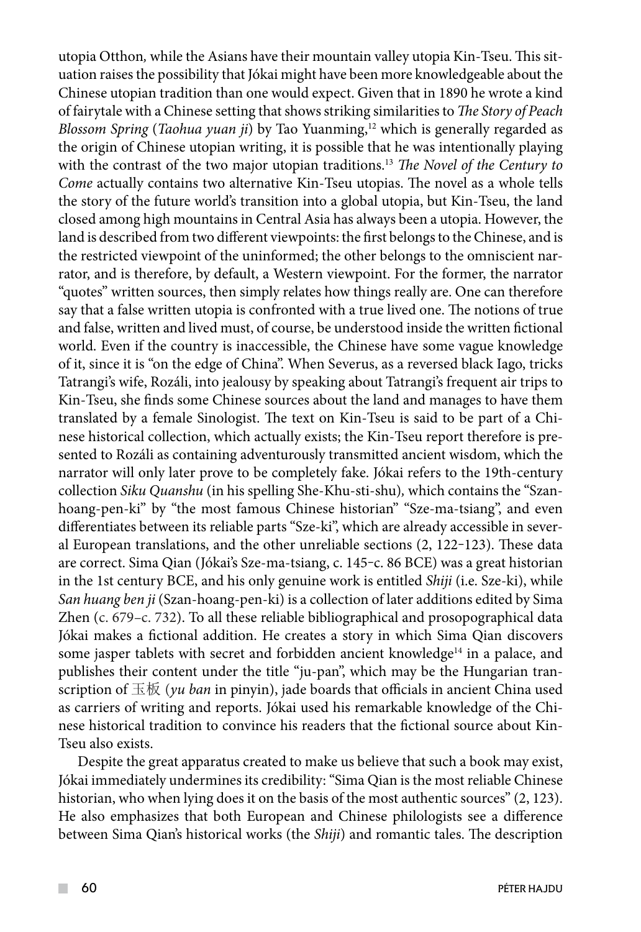utopia Otthon*,* while the Asians have their mountain valley utopia Kin-Tseu. This situation raises the possibility that Jókai might have been more knowledgeable about the Chinese utopian tradition than one would expect. Given that in 1890 he wrote a kind of fairytale with a Chinese setting that shows striking similarities to *The Story of Peach Blossom Spring* (*Taohua yuan ji*) by Tao Yuanming,<sup>12</sup> which is generally regarded as the origin of Chinese utopian writing, it is possible that he was intentionally playing with the contrast of the two major utopian traditions.13 *The Novel of the Century to Come* actually contains two alternative Kin-Tseu utopias. The novel as a whole tells the story of the future world's transition into a global utopia, but Kin-Tseu, the land closed among high mountains in Central Asia has always been a utopia. However, the land is described from two different viewpoints: the first belongs to the Chinese, and is the restricted viewpoint of the uninformed; the other belongs to the omniscient narrator, and is therefore, by default, a Western viewpoint. For the former, the narrator "quotes" written sources, then simply relates how things really are. One can therefore say that a false written utopia is confronted with a true lived one. The notions of true and false, written and lived must, of course, be understood inside the written fictional world. Even if the country is inaccessible, the Chinese have some vague knowledge of it, since it is "on the edge of China". When Severus, as a reversed black Iago, tricks Tatrangi's wife, Rozáli, into jealousy by speaking about Tatrangi's frequent air trips to Kin-Tseu, she finds some Chinese sources about the land and manages to have them translated by a female Sinologist. The text on Kin-Tseu is said to be part of a Chinese historical collection, which actually exists; the Kin-Tseu report therefore is presented to Rozáli as containing adventurously transmitted ancient wisdom, which the narrator will only later prove to be completely fake. Jókai refers to the 19th-century collection *Siku Quanshu* (in his spelling She-Khu-sti-shu)*,* which contains the "Szanhoang-pen-ki" by "the most famous Chinese historian" "Sze-ma-tsiang", and even differentiates between its reliable parts "Sze-ki", which are already accessible in several European translations, and the other unreliable sections  $(2, 122-123)$ . These data are correct. Sima Qian (Jókai's Sze-ma-tsiang, c. 145‒c. 86 BCE) was a great historian in the 1st century BCE, and his only genuine work is entitled *Shiji* (i.e. Sze-ki), while *San huang ben ji* (Szan-hoang-pen-ki) is a collection of later additions edited by Sima Zhen (c. 679*–*c. 732). To all these reliable bibliographical and prosopographical data Jókai makes a fictional addition. He creates a story in which Sima Qian discovers some jasper tablets with secret and forbidden ancient knowledge $14$  in a palace, and publishes their content under the title "ju-pan", which may be the Hungarian transcription of 玉板 (*yu ban* in pinyin), jade boards that officials in ancient China used as carriers of writing and reports. Jókai used his remarkable knowledge of the Chinese historical tradition to convince his readers that the fictional source about Kin-Tseu also exists.

Despite the great apparatus created to make us believe that such a book may exist, Jókai immediately undermines its credibility: "Sima Qian is the most reliable Chinese historian, who when lying does it on the basis of the most authentic sources" (2, 123). He also emphasizes that both European and Chinese philologists see a difference between Sima Qian's historical works (the *Shiji*) and romantic tales. The description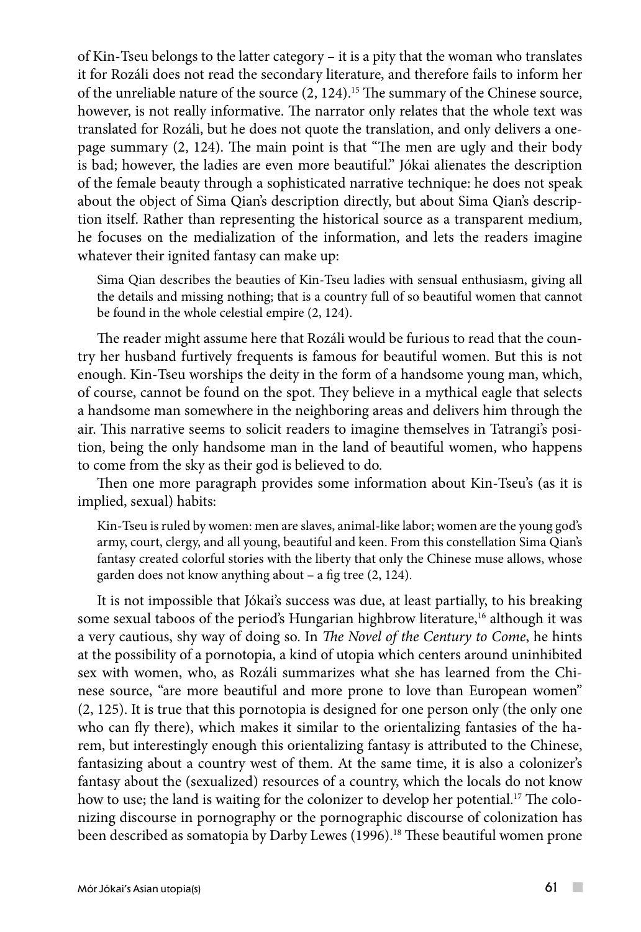of Kin-Tseu belongs to the latter category – it is a pity that the woman who translates it for Rozáli does not read the secondary literature, and therefore fails to inform her of the unreliable nature of the source (2, 124).15 The summary of the Chinese source, however, is not really informative. The narrator only relates that the whole text was translated for Rozáli, but he does not quote the translation, and only delivers a onepage summary (2, 124). The main point is that "The men are ugly and their body is bad; however, the ladies are even more beautiful." Jókai alienates the description of the female beauty through a sophisticated narrative technique: he does not speak about the object of Sima Qian's description directly, but about Sima Qian's description itself. Rather than representing the historical source as a transparent medium, he focuses on the medialization of the information, and lets the readers imagine whatever their ignited fantasy can make up:

Sima Qian describes the beauties of Kin-Tseu ladies with sensual enthusiasm, giving all the details and missing nothing; that is a country full of so beautiful women that cannot be found in the whole celestial empire (2, 124).

The reader might assume here that Rozáli would be furious to read that the country her husband furtively frequents is famous for beautiful women. But this is not enough. Kin-Tseu worships the deity in the form of a handsome young man, which, of course, cannot be found on the spot. They believe in a mythical eagle that selects a handsome man somewhere in the neighboring areas and delivers him through the air. This narrative seems to solicit readers to imagine themselves in Tatrangi's position, being the only handsome man in the land of beautiful women, who happens to come from the sky as their god is believed to do.

Then one more paragraph provides some information about Kin-Tseu's (as it is implied, sexual) habits:

Kin-Tseu is ruled by women: men are slaves, animal-like labor; women are the young god's army, court, clergy, and all young, beautiful and keen. From this constellation Sima Qian's fantasy created colorful stories with the liberty that only the Chinese muse allows, whose garden does not know anything about – a fig tree (2, 124).

It is not impossible that Jókai's success was due, at least partially, to his breaking some sexual taboos of the period's Hungarian highbrow literature,<sup>16</sup> although it was a very cautious, shy way of doing so. In *The Novel of the Century to Come*, he hints at the possibility of a pornotopia, a kind of utopia which centers around uninhibited sex with women, who, as Rozáli summarizes what she has learned from the Chinese source, "are more beautiful and more prone to love than European women" (2, 125). It is true that this pornotopia is designed for one person only (the only one who can fly there), which makes it similar to the orientalizing fantasies of the harem, but interestingly enough this orientalizing fantasy is attributed to the Chinese, fantasizing about a country west of them. At the same time, it is also a colonizer's fantasy about the (sexualized) resources of a country, which the locals do not know how to use; the land is waiting for the colonizer to develop her potential.<sup>17</sup> The colonizing discourse in pornography or the pornographic discourse of colonization has been described as somatopia by Darby Lewes (1996).18 These beautiful women prone

 $\sim$  10  $\pm$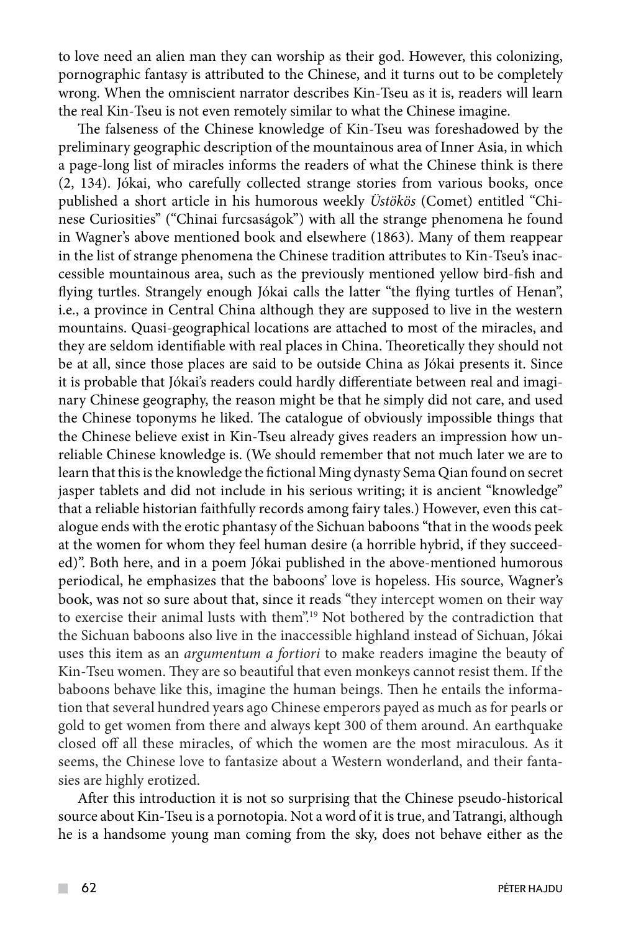to love need an alien man they can worship as their god. However, this colonizing, pornographic fantasy is attributed to the Chinese, and it turns out to be completely wrong. When the omniscient narrator describes Kin-Tseu as it is, readers will learn the real Kin-Tseu is not even remotely similar to what the Chinese imagine.

The falseness of the Chinese knowledge of Kin-Tseu was foreshadowed by the preliminary geographic description of the mountainous area of Inner Asia, in which a page-long list of miracles informs the readers of what the Chinese think is there (2, 134). Jókai, who carefully collected strange stories from various books, once published a short article in his humorous weekly *Üstökös* (Comet) entitled "Chinese Curiosities" ("Chinai furcsaságok") with all the strange phenomena he found in Wagner's above mentioned book and elsewhere (1863). Many of them reappear in the list of strange phenomena the Chinese tradition attributes to Kin-Tseu's inaccessible mountainous area, such as the previously mentioned yellow bird-fish and flying turtles. Strangely enough Jókai calls the latter "the flying turtles of Henan", i.e., a province in Central China although they are supposed to live in the western mountains. Quasi-geographical locations are attached to most of the miracles, and they are seldom identifiable with real places in China. Theoretically they should not be at all, since those places are said to be outside China as Jókai presents it. Since it is probable that Jókai's readers could hardly differentiate between real and imaginary Chinese geography, the reason might be that he simply did not care, and used the Chinese toponyms he liked. The catalogue of obviously impossible things that the Chinese believe exist in Kin-Tseu already gives readers an impression how unreliable Chinese knowledge is. (We should remember that not much later we are to learn that this is the knowledge the fictional Ming dynasty Sema Qian found on secret jasper tablets and did not include in his serious writing; it is ancient "knowledge" that a reliable historian faithfully records among fairy tales.) However, even this catalogue ends with the erotic phantasy of the Sichuan baboons "that in the woods peek at the women for whom they feel human desire (a horrible hybrid, if they succeeded)". Both here, and in a poem Jókai published in the above-mentioned humorous periodical, he emphasizes that the baboons' love is hopeless. His source, Wagner's book, was not so sure about that, since it reads "they intercept women on their way to exercise their animal lusts with them".19 Not bothered by the contradiction that the Sichuan baboons also live in the inaccessible highland instead of Sichuan, Jókai uses this item as an *argumentum a fortiori* to make readers imagine the beauty of Kin-Tseu women. They are so beautiful that even monkeys cannot resist them. If the baboons behave like this, imagine the human beings. Then he entails the information that several hundred years ago Chinese emperors payed as much as for pearls or gold to get women from there and always kept 300 of them around. An earthquake closed off all these miracles, of which the women are the most miraculous. As it seems, the Chinese love to fantasize about a Western wonderland, and their fantasies are highly erotized.

After this introduction it is not so surprising that the Chinese pseudo-historical source about Kin-Tseu is a pornotopia. Not a word of it is true, and Tatrangi, although he is a handsome young man coming from the sky, does not behave either as the

 $\mathcal{L}^{\mathcal{L}}$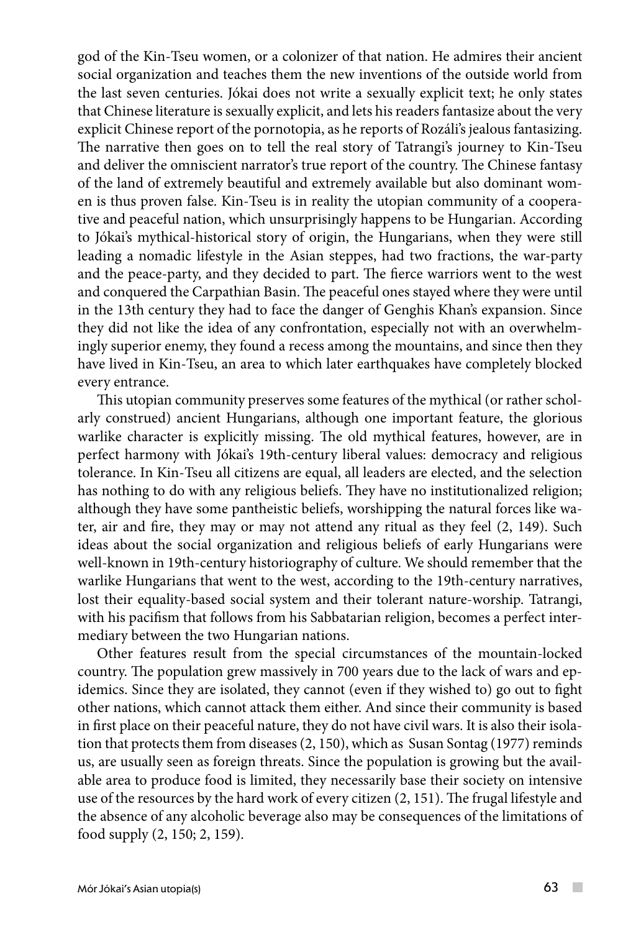god of the Kin-Tseu women, or a colonizer of that nation. He admires their ancient social organization and teaches them the new inventions of the outside world from the last seven centuries. Jókai does not write a sexually explicit text; he only states that Chinese literature is sexually explicit, and lets his readers fantasize about the very explicit Chinese report of the pornotopia, as he reports of Rozáli's jealous fantasizing. The narrative then goes on to tell the real story of Tatrangi's journey to Kin-Tseu and deliver the omniscient narrator's true report of the country. The Chinese fantasy of the land of extremely beautiful and extremely available but also dominant women is thus proven false. Kin-Tseu is in reality the utopian community of a cooperative and peaceful nation, which unsurprisingly happens to be Hungarian. According to Jókai's mythical-historical story of origin, the Hungarians, when they were still leading a nomadic lifestyle in the Asian steppes, had two fractions, the war-party and the peace-party, and they decided to part. The fierce warriors went to the west and conquered the Carpathian Basin. The peaceful ones stayed where they were until in the 13th century they had to face the danger of Genghis Khan's expansion. Since they did not like the idea of any confrontation, especially not with an overwhelmingly superior enemy, they found a recess among the mountains, and since then they have lived in Kin-Tseu, an area to which later earthquakes have completely blocked every entrance.

This utopian community preserves some features of the mythical (or rather scholarly construed) ancient Hungarians, although one important feature, the glorious warlike character is explicitly missing. The old mythical features, however, are in perfect harmony with Jókai's 19th-century liberal values: democracy and religious tolerance. In Kin-Tseu all citizens are equal, all leaders are elected, and the selection has nothing to do with any religious beliefs. They have no institutionalized religion; although they have some pantheistic beliefs, worshipping the natural forces like water, air and fire, they may or may not attend any ritual as they feel (2, 149). Such ideas about the social organization and religious beliefs of early Hungarians were well-known in 19th-century historiography of culture. We should remember that the warlike Hungarians that went to the west, according to the 19th-century narratives, lost their equality-based social system and their tolerant nature-worship. Tatrangi, with his pacifism that follows from his Sabbatarian religion, becomes a perfect intermediary between the two Hungarian nations.

Other features result from the special circumstances of the mountain-locked country. The population grew massively in 700 years due to the lack of wars and epidemics. Since they are isolated, they cannot (even if they wished to) go out to fight other nations, which cannot attack them either. And since their community is based in first place on their peaceful nature, they do not have civil wars. It is also their isolation that protects them from diseases (2, 150), which as Susan Sontag (1977) reminds us, are usually seen as foreign threats. Since the population is growing but the available area to produce food is limited, they necessarily base their society on intensive use of the resources by the hard work of every citizen (2, 151). The frugal lifestyle and the absence of any alcoholic beverage also may be consequences of the limitations of food supply (2, 150; 2, 159).

 $\sim$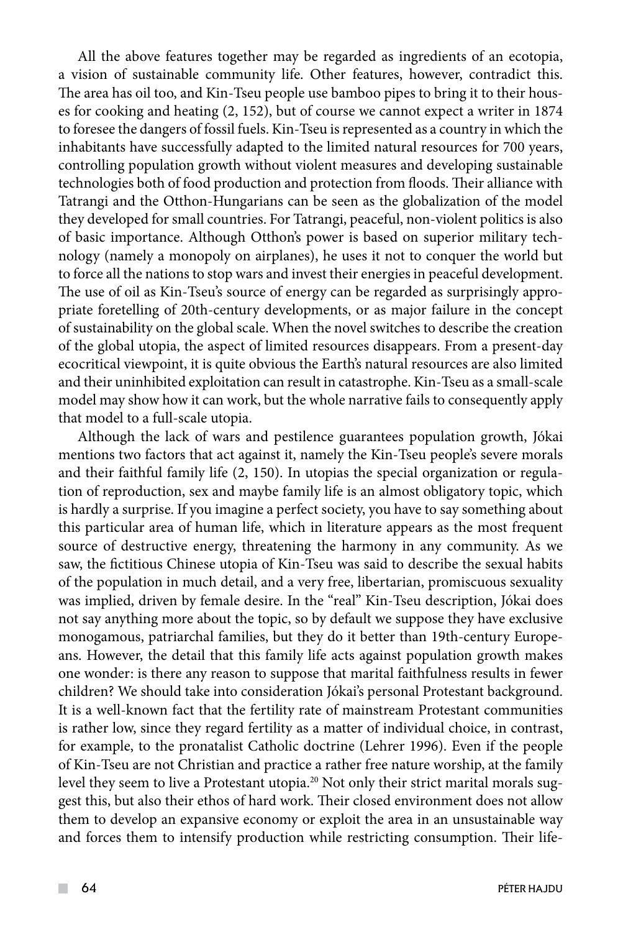All the above features together may be regarded as ingredients of an ecotopia, a vision of sustainable community life. Other features, however, contradict this. The area has oil too, and Kin-Tseu people use bamboo pipes to bring it to their houses for cooking and heating (2, 152), but of course we cannot expect a writer in 1874 to foresee the dangers of fossil fuels. Kin-Tseu is represented as a country in which the inhabitants have successfully adapted to the limited natural resources for 700 years, controlling population growth without violent measures and developing sustainable technologies both of food production and protection from floods. Their alliance with Tatrangi and the Otthon-Hungarians can be seen as the globalization of the model they developed for small countries. For Tatrangi, peaceful, non-violent politics is also of basic importance. Although Otthon's power is based on superior military technology (namely a monopoly on airplanes), he uses it not to conquer the world but to force all the nations to stop wars and invest their energies in peaceful development. The use of oil as Kin-Tseu's source of energy can be regarded as surprisingly appropriate foretelling of 20th-century developments, or as major failure in the concept of sustainability on the global scale. When the novel switches to describe the creation of the global utopia, the aspect of limited resources disappears. From a present-day ecocritical viewpoint, it is quite obvious the Earth's natural resources are also limited and their uninhibited exploitation can result in catastrophe. Kin-Tseu as a small-scale model may show how it can work, but the whole narrative fails to consequently apply that model to a full-scale utopia.

Although the lack of wars and pestilence guarantees population growth, Jókai mentions two factors that act against it, namely the Kin-Tseu people's severe morals and their faithful family life (2, 150). In utopias the special organization or regulation of reproduction, sex and maybe family life is an almost obligatory topic, which is hardly a surprise. If you imagine a perfect society, you have to say something about this particular area of human life, which in literature appears as the most frequent source of destructive energy, threatening the harmony in any community. As we saw, the fictitious Chinese utopia of Kin-Tseu was said to describe the sexual habits of the population in much detail, and a very free, libertarian, promiscuous sexuality was implied, driven by female desire. In the "real" Kin-Tseu description, Jókai does not say anything more about the topic, so by default we suppose they have exclusive monogamous, patriarchal families, but they do it better than 19th-century Europeans. However, the detail that this family life acts against population growth makes one wonder: is there any reason to suppose that marital faithfulness results in fewer children? We should take into consideration Jókai's personal Protestant background. It is a well-known fact that the fertility rate of mainstream Protestant communities is rather low, since they regard fertility as a matter of individual choice, in contrast, for example, to the pronatalist Catholic doctrine (Lehrer 1996). Even if the people of Kin-Tseu are not Christian and practice a rather free nature worship, at the family level they seem to live a Protestant utopia.<sup>20</sup> Not only their strict marital morals suggest this, but also their ethos of hard work. Their closed environment does not allow them to develop an expansive economy or exploit the area in an unsustainable way and forces them to intensify production while restricting consumption. Their life-

 $\mathcal{L}^{\mathcal{L}}$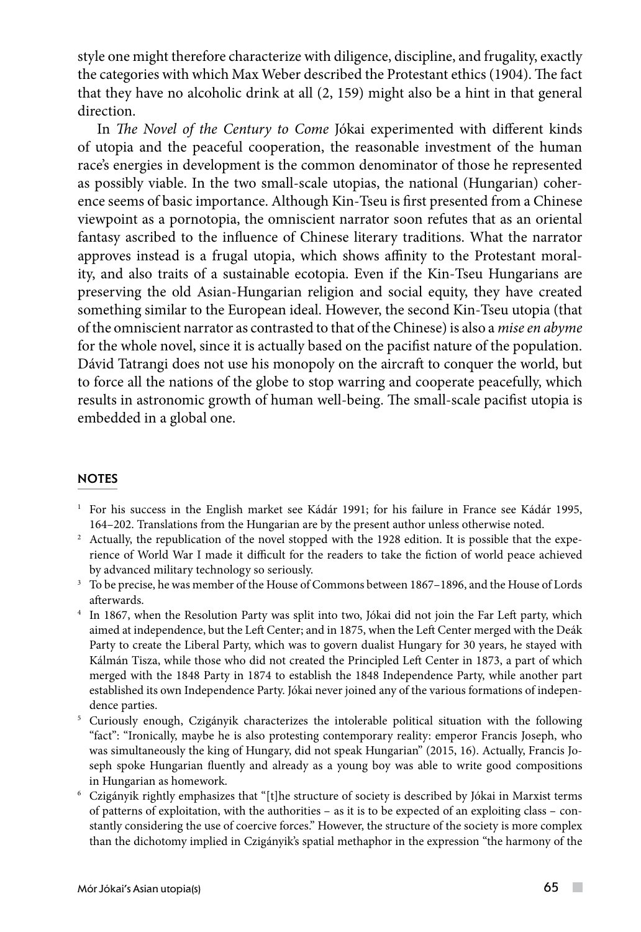style one might therefore characterize with diligence, discipline, and frugality, exactly the categories with which Max Weber described the Protestant ethics (1904). The fact that they have no alcoholic drink at all (2, 159) might also be a hint in that general direction.

In *The Novel of the Century to Come* Jókai experimented with different kinds of utopia and the peaceful cooperation, the reasonable investment of the human race's energies in development is the common denominator of those he represented as possibly viable. In the two small-scale utopias, the national (Hungarian) coherence seems of basic importance. Although Kin-Tseu is first presented from a Chinese viewpoint as a pornotopia, the omniscient narrator soon refutes that as an oriental fantasy ascribed to the influence of Chinese literary traditions. What the narrator approves instead is a frugal utopia, which shows affinity to the Protestant morality, and also traits of a sustainable ecotopia. Even if the Kin-Tseu Hungarians are preserving the old Asian-Hungarian religion and social equity, they have created something similar to the European ideal. However, the second Kin-Tseu utopia (that of the omniscient narrator as contrasted to that of the Chinese) is also a *mise en abyme* for the whole novel, since it is actually based on the pacifist nature of the population. Dávid Tatrangi does not use his monopoly on the aircraft to conquer the world, but to force all the nations of the globe to stop warring and cooperate peacefully, which results in astronomic growth of human well-being. The small-scale pacifist utopia is embedded in a global one.

### **NOTES**

- 1 For his success in the English market see Kádár 1991; for his failure in France see Kádár 1995, 164–202. Translations from the Hungarian are by the present author unless otherwise noted.
- 2 Actually, the republication of the novel stopped with the 1928 edition. It is possible that the experience of World War I made it difficult for the readers to take the fiction of world peace achieved by advanced military technology so seriously.
- <sup>3</sup> To be precise, he was member of the House of Commons between 1867–1896, and the House of Lords afterwards.
- 4 In 1867, when the Resolution Party was split into two, Jókai did not join the Far Left party, which aimed at independence, but the Left Center; and in 1875, when the Left Center merged with the Deák Party to create the Liberal Party, which was to govern dualist Hungary for 30 years, he stayed with Kálmán Tisza, while those who did not created the Principled Left Center in 1873, a part of which merged with the 1848 Party in 1874 to establish the 1848 Independence Party, while another part established its own Independence Party. Jókai never joined any of the various formations of independence parties.
- <sup>5</sup> Curiously enough, Czigányik characterizes the intolerable political situation with the following "fact": "Ironically, maybe he is also protesting contemporary reality: emperor Francis Joseph, who was simultaneously the king of Hungary, did not speak Hungarian" (2015, 16). Actually, Francis Joseph spoke Hungarian fluently and already as a young boy was able to write good compositions
- in Hungarian as homework. 6 Czigányik rightly emphasizes that "[t]he structure of society is described by Jókai in Marxist terms of patterns of exploitation, with the authorities – as it is to be expected of an exploiting class – constantly considering the use of coercive forces." However, the structure of the society is more complex than the dichotomy implied in Czigányik's spatial methaphor in the expression "the harmony of the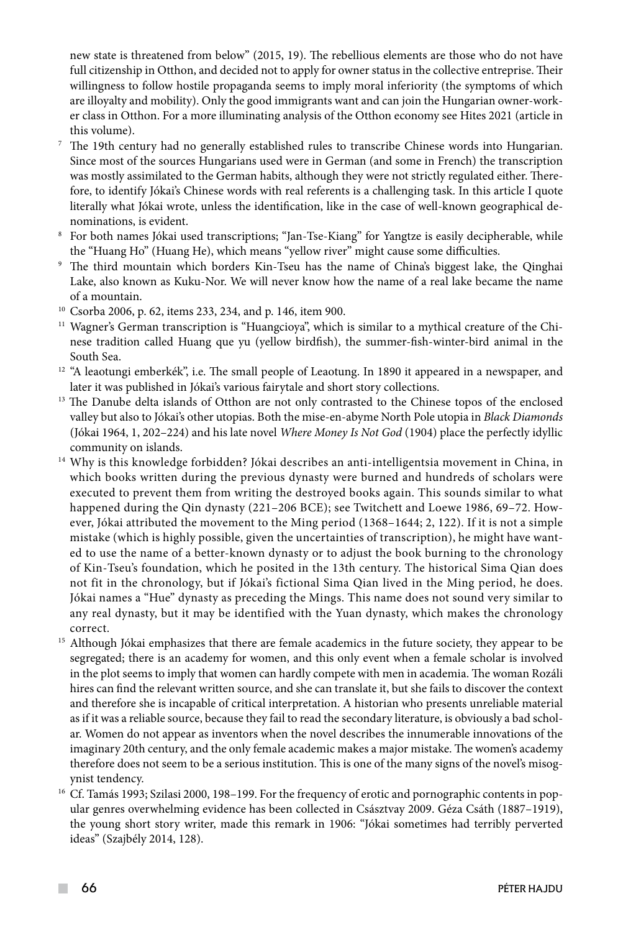new state is threatened from below" (2015, 19). The rebellious elements are those who do not have full citizenship in Otthon, and decided not to apply for owner status in the collective entreprise. Their willingness to follow hostile propaganda seems to imply moral inferiority (the symptoms of which are illoyalty and mobility). Only the good immigrants want and can join the Hungarian owner-worker class in Otthon. For a more illuminating analysis of the Otthon economy see Hites 2021 (article in this volume).

- <sup>7</sup> The 19th century had no generally established rules to transcribe Chinese words into Hungarian. Since most of the sources Hungarians used were in German (and some in French) the transcription was mostly assimilated to the German habits, although they were not strictly regulated either. Therefore, to identify Jókai's Chinese words with real referents is a challenging task. In this article I quote literally what Jókai wrote, unless the identification, like in the case of well-known geographical denominations, is evident.
- 8 For both names Jókai used transcriptions; "Jan-Tse-Kiang" for Yangtze is easily decipherable, while
- the "Huang Ho" (Huang He), which means "yellow river" might cause some difficulties.<br><sup>9</sup> The third mountain which borders Kin-Tseu has the name of China's biggest lake, the Qinghai Lake, also known as Kuku-Nor. We will never know how the name of a real lake became the name of a mountain.
- <sup>10</sup> Csorba 2006, p. 62, items 233, 234, and p. 146, item 900.
- <sup>11</sup> Wagner's German transcription is "Huangcioya", which is similar to a mythical creature of the Chinese tradition called Huang que yu (yellow birdfish), the summer-fish-winter-bird animal in the South Sea.
- $12$  "A leaotungi emberkék", i.e. The small people of Leaotung. In 1890 it appeared in a newspaper, and later it was published in Jókai's various fairytale and short story collections. 13 The Danube delta islands of Otthon are not only contrasted to the Chinese topos of the enclosed
- valley but also to Jókai's other utopias. Both the mise-en-abyme North Pole utopia in *Black Diamonds*  (Jókai 1964, 1, 202–224) and his late novel *Where Money Is Not God* (1904) place the perfectly idyllic
- community on islands. 14 Why is this knowledge forbidden? Jókai describes an anti-intelligentsia movement in China, in which books written during the previous dynasty were burned and hundreds of scholars were executed to prevent them from writing the destroyed books again. This sounds similar to what happened during the Qin dynasty (221–206 BCE); see Twitchett and Loewe 1986, 69–72. However, Jókai attributed the movement to the Ming period (1368–1644; 2, 122). If it is not a simple mistake (which is highly possible, given the uncertainties of transcription), he might have wanted to use the name of a better-known dynasty or to adjust the book burning to the chronology of Kin-Tseu's foundation, which he posited in the 13th century. The historical Sima Qian does not fit in the chronology, but if Jókai's fictional Sima Qian lived in the Ming period, he does. Jókai names a "Hue" dynasty as preceding the Mings. This name does not sound very similar to any real dynasty, but it may be identified with the Yuan dynasty, which makes the chronology
- correct. 15 Although Jókai emphasizes that there are female academics in the future society, they appear to be segregated; there is an academy for women, and this only event when a female scholar is involved in the plot seems to imply that women can hardly compete with men in academia. The woman Rozáli hires can find the relevant written source, and she can translate it, but she fails to discover the context and therefore she is incapable of critical interpretation. A historian who presents unreliable material as if it was a reliable source, because they fail to read the secondary literature, is obviously a bad scholar. Women do not appear as inventors when the novel describes the innumerable innovations of the imaginary 20th century, and the only female academic makes a major mistake. The women's academy therefore does not seem to be a serious institution. This is one of the many signs of the novel's misog-
- ynist tendency.<br><sup>16</sup> Cf. Tamás 1993; Szilasi 2000, 198–199. For the frequency of erotic and pornographic contents in popular genres overwhelming evidence has been collected in Császtvay 2009. Géza Csáth (1887–1919), the young short story writer, made this remark in 1906: "Jókai sometimes had terribly perverted ideas" (Szajbély 2014, 128).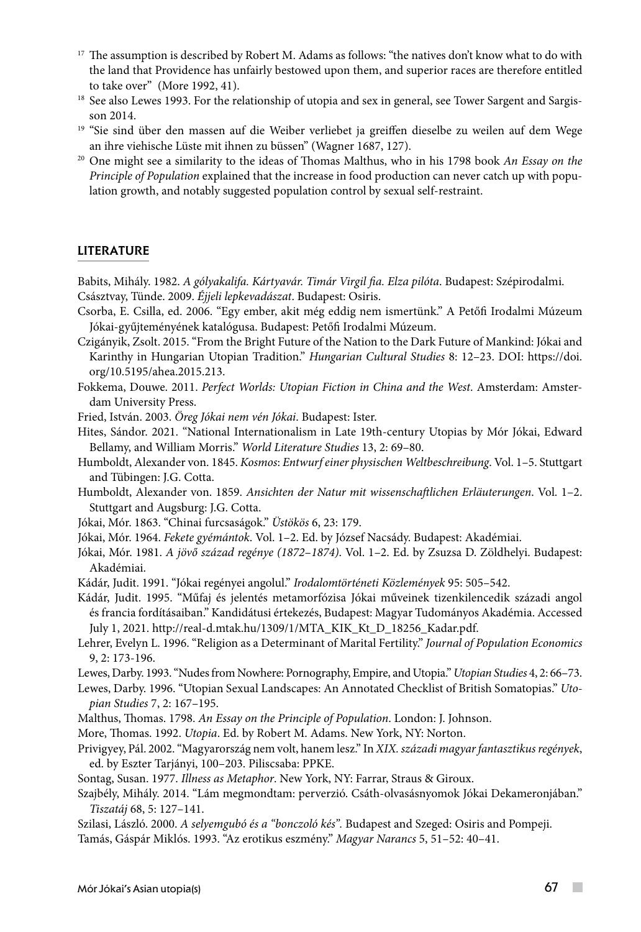- <sup>17</sup> The assumption is described by Robert M. Adams as follows: "the natives don't know what to do with the land that Providence has unfairly bestowed upon them, and superior races are therefore entitled to take over" (More 1992, 41).
- <sup>18</sup> See also Lewes 1993. For the relationship of utopia and sex in general, see Tower Sargent and Sargisson 2014.
- <sup>19</sup> "Sie sind über den massen auf die Weiber verliebet ja greiffen dieselbe zu weilen auf dem Wege an ihre viehische Lüste mit ihnen zu büssen" (Wagner 1687, 127).
- <sup>20</sup> One might see a similarity to the ideas of Thomas Malthus, who in his 1798 book *An Essay on the Principle of Population* explained that the increase in food production can never catch up with population growth, and notably suggested population control by sexual self-restraint.

#### **LITERATURE**

Babits, Mihály. 1982. *A gólyakalifa. Kártyavár. Timár Virgil fia. Elza pilóta*. Budapest: Szépirodalmi. Császtvay, Tünde. 2009. *Éjjeli lepkevadászat*. Budapest: Osiris.

- Csorba, E. Csilla, ed. 2006. "Egy ember, akit még eddig nem ismertünk." A Petőfi Irodalmi Múzeum Jókai-gyűjteményének katalógusa. Budapest: Petőfi Irodalmi Múzeum.
- Czigányik, Zsolt. 2015. "From the Bright Future of the Nation to the Dark Future of Mankind: Jókai and Karinthy in Hungarian Utopian Tradition." *Hungarian Cultural Studies* 8: 12–23. DOI: https://doi. org/10.5195/ahea.2015.213.
- Fokkema, Douwe. 2011. *Perfect Worlds: Utopian Fiction in China and the West*. Amsterdam: Amsterdam University Press.
- Fried, István. 2003. *Öreg Jókai nem vén Jókai*. Budapest: Ister.
- Hites, Sándor. 2021. "National Internationalism in Late 19th-century Utopias by Mór Jókai, Edward Bellamy, and William Morris." *World Literature Studies* 13, 2: 69–80.
- Humboldt, Alexander von. 1845. *Kosmos*: *Entwurf einer physischen Weltbeschreibung*. Vol. 1–5. Stuttgart and Tübingen: J.G. Cotta.
- Humboldt, Alexander von. 1859. *Ansichten der Natur mit wissenschaftlichen Erläuterungen*. Vol. 1–2. Stuttgart and Augsburg: J.G. Cotta.
- Jókai, Mór. 1863. "Chinai furcsaságok." *Üstökös* 6, 23: 179.
- Jókai, Mór. 1964. *Fekete gyémántok*. Vol. 1–2. Ed. by József Nacsády. Budapest: Akadémiai.
- Jókai, Mór. 1981. *A jövő század regénye (1872*–*1874)*. Vol. 1–2. Ed. by Zsuzsa D. Zöldhelyi. Budapest: Akadémiai.
- Kádár, Judit. 1991. "Jókai regényei angolul." *Irodalomtörténeti Közlemények* 95: 505–542.
- Kádár, Judit. 1995. "Műfaj és jelentés metamorfózisa Jókai műveinek tizenkilencedik századi angol és francia fordításaiban." Kandidátusi értekezés, Budapest: Magyar Tudományos Akadémia. Accessed July 1, 2021. http://real-d.mtak.hu/1309/1/MTA\_KIK\_Kt\_D\_18256\_Kadar.pdf.
- Lehrer, Evelyn L. 1996. "Religion as a Determinant of Marital Fertility." *Journal of Population Economics* 9, 2: 173-196.
- Lewes, Darby. 1993. "Nudes from Nowhere: Pornography, Empire, and Utopia." *Utopian Studies* 4, 2: 66–73.
- Lewes, Darby. 1996. "Utopian Sexual Landscapes: An Annotated Checklist of British Somatopias." *Utopian Studies* 7, 2: 167–195.
- Malthus, Thomas. 1798. *An Essay on the Principle of Population*. London: J. Johnson.
- More, Thomas. 1992. *Utopia*. Ed. by Robert M. Adams. New York, NY: Norton.
- Privigyey, Pál. 2002. "Magyarország nem volt, hanem lesz." In *XIX. századi magyar fantasztikus regények*, ed. by Eszter Tarjányi, 100–203. Piliscsaba: PPKE.
- Sontag, Susan. 1977. *Illness as Metaphor*. New York, NY: Farrar, Straus & Giroux.
- Szajbély, Mihály. 2014. "Lám megmondtam: perverzió. Csáth-olvasásnyomok Jókai Dekameronjában." *Tiszatáj* 68, 5: 127–141.
- Szilasi, László. 2000. *A selyemgubó és a "bonczoló kés".* Budapest and Szeged: Osiris and Pompeji.

Tamás, Gáspár Miklós. 1993. "Az erotikus eszmény." *Magyar Narancs* 5, 51–52: 40–41.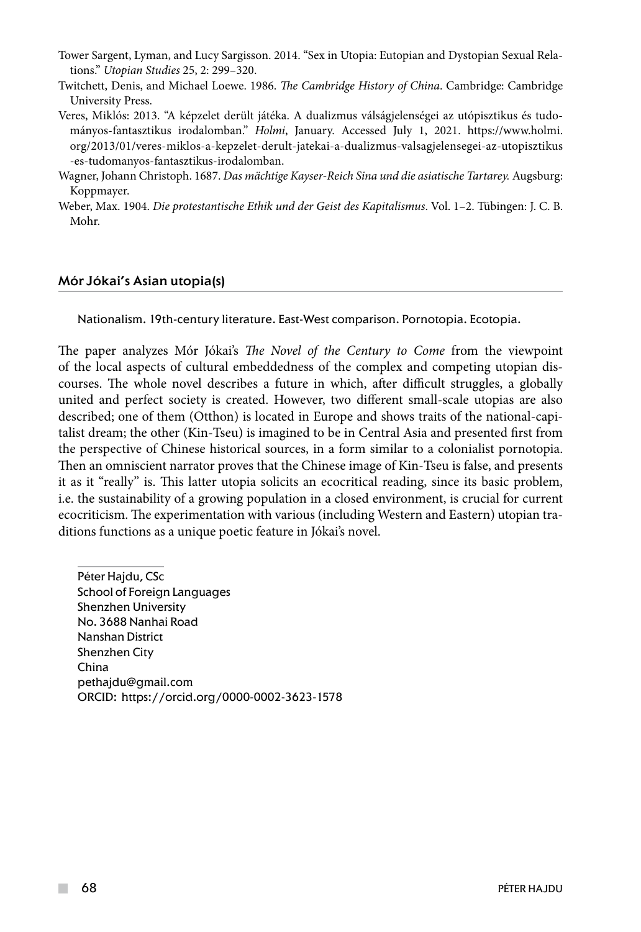- Tower Sargent, Lyman, and Lucy Sargisson. 2014. "Sex in Utopia: Eutopian and Dystopian Sexual Relations." *Utopian Studies* 25, 2: 299–320.
- Twitchett, Denis, and Michael Loewe. 1986. *The Cambridge History of China*. Cambridge: Cambridge University Press.
- Veres, Miklós: 2013. "A képzelet derült játéka. A dualizmus válságjelenségei az utópisztikus és tudományos-fantasztikus irodalomban." *Holmi*, January. Accessed July 1, 2021. https://www.holmi. org/2013/01/veres-miklos-a-kepzelet-derult-jatekai-a-dualizmus-valsagjelensegei-az-utopisztikus -es-tudomanyos-fantasztikus-irodalomban.
- Wagner, Johann Christoph. 1687. *Das mächtige Kayser-Reich Sina und die asiatische Tartarey.* Augsburg: Koppmayer.
- Weber, Max. 1904. *Die protestantische Ethik und der Geist des Kapitalismus*. Vol. 1–2. Tübingen: J. C. B. Mohr.

#### Mór Jókai's Asian utopia(s)

Nationalism. 19th-century literature. East-West comparison. Pornotopia. Ecotopia.

The paper analyzes Mór Jókai's *The Novel of the Century to Come* from the viewpoint of the local aspects of cultural embeddedness of the complex and competing utopian discourses. The whole novel describes a future in which, after difficult struggles, a globally united and perfect society is created. However, two different small-scale utopias are also described; one of them (Otthon) is located in Europe and shows traits of the national-capitalist dream; the other (Kin-Tseu) is imagined to be in Central Asia and presented first from the perspective of Chinese historical sources, in a form similar to a colonialist pornotopia. Then an omniscient narrator proves that the Chinese image of Kin-Tseu is false, and presents it as it "really" is. This latter utopia solicits an ecocritical reading, since its basic problem, i.e. the sustainability of a growing population in a closed environment, is crucial for current ecocriticism. The experimentation with various (including Western and Eastern) utopian traditions functions as a unique poetic feature in Jókai's novel.

Péter Hajdu, CSc School of Foreign Languages Shenzhen University No. 3688 Nanhai Road Nanshan District Shenzhen City China pethajdu@gmail.com ORCID: https://orcid.org/0000-0002-3623-1578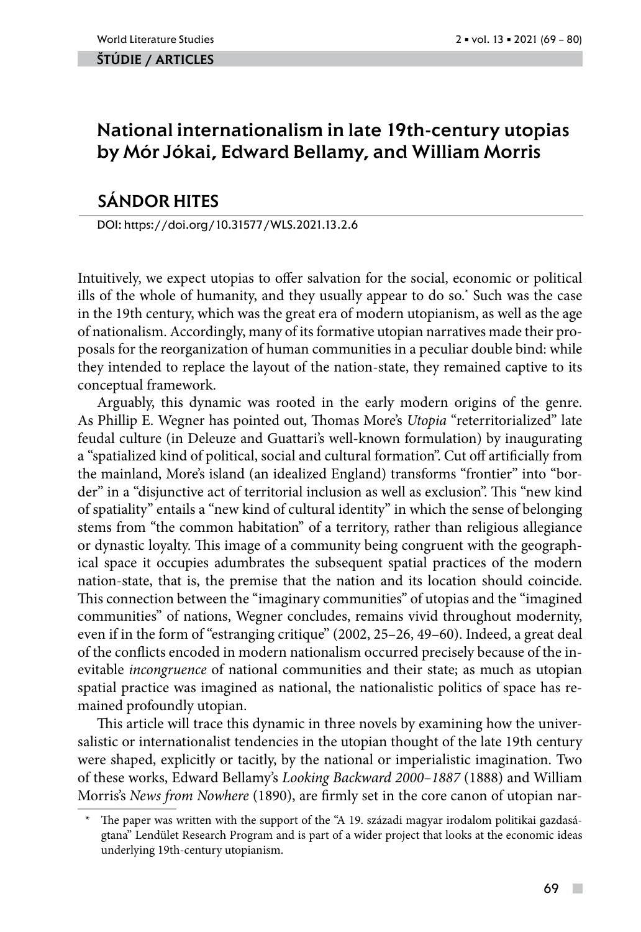#### ŠTÚDIE / ARTicles

# National internationalism in late 19th-century utopias by Mór Jókai, Edward Bellamy, and William Morris

## SÁNDOR HITES

DOI: https://doi.org/10.31577/WLS.2021.13.2.6

Intuitively, we expect utopias to offer salvation for the social, economic or political ills of the whole of humanity, and they usually appear to do so.**\*** Such was the case in the 19th century, which was the great era of modern utopianism, as well as the age of nationalism. Accordingly, many of its formative utopian narratives made their proposals for the reorganization of human communities in a peculiar double bind: while they intended to replace the layout of the nation-state, they remained captive to its conceptual framework.

Arguably, this dynamic was rooted in the early modern origins of the genre. As Phillip E. Wegner has pointed out, Thomas More's *Utopia* "reterritorialized" late feudal culture (in Deleuze and Guattari's well-known formulation) by inaugurating a "spatialized kind of political, social and cultural formation". Cut off artificially from the mainland, More's island (an idealized England) transforms "frontier" into "border" in a "disjunctive act of territorial inclusion as well as exclusion". This "new kind of spatiality" entails a "new kind of cultural identity" in which the sense of belonging stems from "the common habitation" of a territory, rather than religious allegiance or dynastic loyalty. This image of a community being congruent with the geographical space it occupies adumbrates the subsequent spatial practices of the modern nation-state, that is, the premise that the nation and its location should coincide. This connection between the "imaginary communities" of utopias and the "imagined communities" of nations, Wegner concludes, remains vivid throughout modernity, even if in the form of "estranging critique" (2002, 25–26, 49–60). Indeed, a great deal of the conflicts encoded in modern nationalism occurred precisely because of the inevitable *incongruence* of national communities and their state; as much as utopian spatial practice was imagined as national, the nationalistic politics of space has remained profoundly utopian.

This article will trace this dynamic in three novels by examining how the universalistic or internationalist tendencies in the utopian thought of the late 19th century were shaped, explicitly or tacitly, by the national or imperialistic imagination. Two of these works, Edward Bellamy's *Looking Backward 2000–1887* (1888) and William Morris's *News from Nowhere* (1890), are firmly set in the core canon of utopian nar-

The paper was written with the support of the "A 19. századi magyar irodalom politikai gazdaságtana" Lendület Research Program and is part of a wider project that looks at the economic ideas underlying 19th-century utopianism.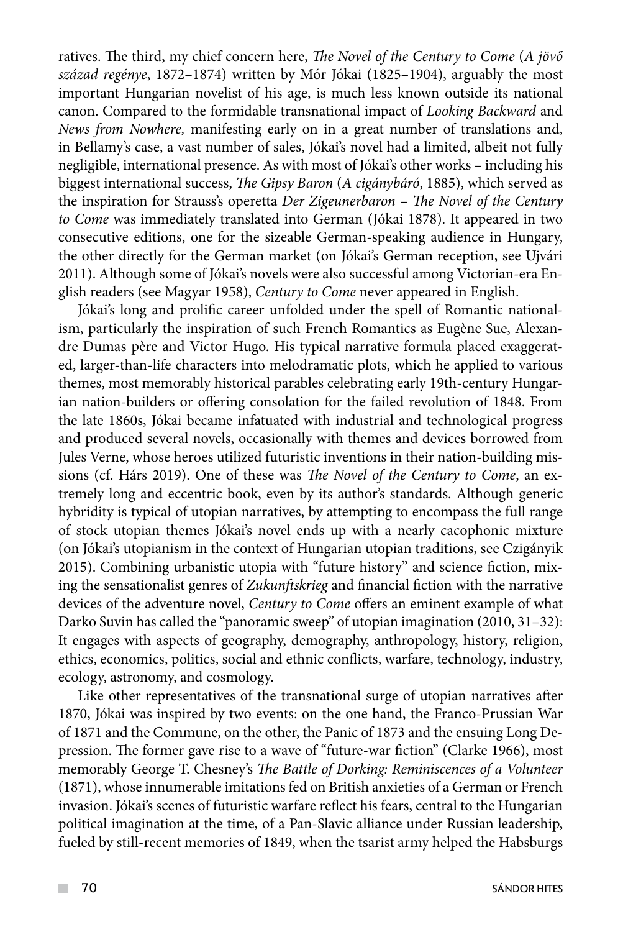ratives. The third, my chief concern here, *The Novel of the Century to Come* (*A jövő század regénye*, 1872–1874) written by Mór Jókai (1825–1904), arguably the most important Hungarian novelist of his age, is much less known outside its national canon. Compared to the formidable transnational impact of *Looking Backward* and *News from Nowhere,* manifesting early on in a great number of translations and, in Bellamy's case, a vast number of sales, Jókai's novel had a limited, albeit not fully negligible, international presence. As with most of Jókai's other works – including his biggest international success, *The Gipsy Baron* (*A cigánybáró*, 1885), which served as the inspiration for Strauss's operetta *Der Zigeunerbaron* – *The Novel of the Century to Come* was immediately translated into German (Jókai 1878). It appeared in two consecutive editions, one for the sizeable German-speaking audience in Hungary, the other directly for the German market (on Jókai's German reception, see Ujvári 2011). Although some of Jókai's novels were also successful among Victorian-era English readers (see Magyar 1958), *Century to Come* never appeared in English.

Jókai's long and prolific career unfolded under the spell of Romantic nationalism, particularly the inspiration of such French Romantics as Eugène Sue, Alexandre Dumas père and Victor Hugo. His typical narrative formula placed exaggerated, larger-than-life characters into melodramatic plots, which he applied to various themes, most memorably historical parables celebrating early 19th-century Hungarian nation-builders or offering consolation for the failed revolution of 1848. From the late 1860s, Jókai became infatuated with industrial and technological progress and produced several novels, occasionally with themes and devices borrowed from Jules Verne, whose heroes utilized futuristic inventions in their nation-building missions (cf. Hárs 2019). One of these was *The Novel of the Century to Come*, an extremely long and eccentric book, even by its author's standards. Although generic hybridity is typical of utopian narratives, by attempting to encompass the full range of stock utopian themes Jókai's novel ends up with a nearly cacophonic mixture (on Jókai's utopianism in the context of Hungarian utopian traditions, see Czigányik 2015). Combining urbanistic utopia with "future history" and science fiction, mixing the sensationalist genres of *Zukunftskrieg* and financial fiction with the narrative devices of the adventure novel, *Century to Come* offers an eminent example of what Darko Suvin has called the "panoramic sweep" of utopian imagination (2010, 31–32): It engages with aspects of geography, demography, anthropology, history, religion, ethics, economics, politics, social and ethnic conflicts, warfare, technology, industry, ecology, astronomy, and cosmology.

Like other representatives of the transnational surge of utopian narratives after 1870, Jókai was inspired by two events: on the one hand, the Franco-Prussian War of 1871 and the Commune, on the other, the Panic of 1873 and the ensuing Long Depression. The former gave rise to a wave of "future-war fiction" (Clarke 1966), most memorably George T. Chesney's *The Battle of Dorking: Reminiscences of a Volunteer*  (1871), whose innumerable imitations fed on British anxieties of a German or French invasion. Jókai's scenes of futuristic warfare reflect his fears, central to the Hungarian political imagination at the time, of a Pan-Slavic alliance under Russian leadership, fueled by still-recent memories of 1849, when the tsarist army helped the Habsburgs

 $\mathcal{L}^{\mathcal{L}}$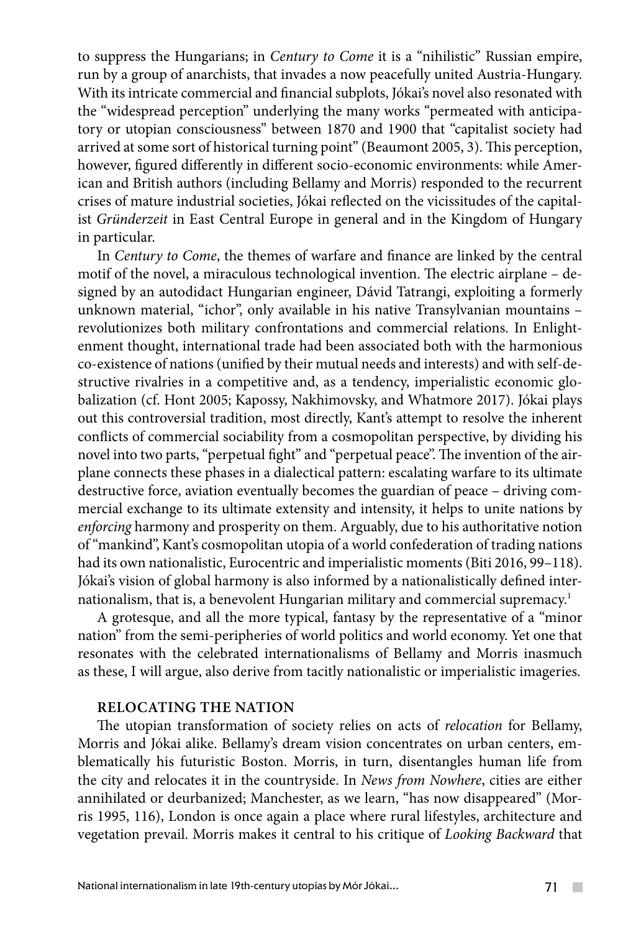to suppress the Hungarians; in *Century to Come* it is a "nihilistic" Russian empire, run by a group of anarchists, that invades a now peacefully united Austria-Hungary. With its intricate commercial and financial subplots, Jókai's novel also resonated with the "widespread perception" underlying the many works "permeated with anticipatory or utopian consciousness" between 1870 and 1900 that "capitalist society had arrived at some sort of historical turning point" (Beaumont 2005, 3). This perception, however, figured differently in different socio-economic environments: while American and British authors (including Bellamy and Morris) responded to the recurrent crises of mature industrial societies, Jókai reflected on the vicissitudes of the capitalist *Gründerzeit* in East Central Europe in general and in the Kingdom of Hungary in particular.

In *Century to Come*, the themes of warfare and finance are linked by the central motif of the novel, a miraculous technological invention. The electric airplane – designed by an autodidact Hungarian engineer, Dávid Tatrangi, exploiting a formerly unknown material, "ichor", only available in his native Transylvanian mountains – revolutionizes both military confrontations and commercial relations. In Enlightenment thought, international trade had been associated both with the harmonious co-existence of nations (unified by their mutual needs and interests) and with self-destructive rivalries in a competitive and, as a tendency, imperialistic economic globalization (cf. Hont 2005; Kapossy, Nakhimovsky, and Whatmore 2017). Jókai plays out this controversial tradition, most directly, Kant's attempt to resolve the inherent conflicts of commercial sociability from a cosmopolitan perspective, by dividing his novel into two parts, "perpetual fight" and "perpetual peace". The invention of the airplane connects these phases in a dialectical pattern: escalating warfare to its ultimate destructive force, aviation eventually becomes the guardian of peace – driving commercial exchange to its ultimate extensity and intensity, it helps to unite nations by *enforcing* harmony and prosperity on them. Arguably, due to his authoritative notion of "mankind", Kant's cosmopolitan utopia of a world confederation of trading nations had its own nationalistic, Eurocentric and imperialistic moments (Biti 2016, 99–118). Jókai's vision of global harmony is also informed by a nationalistically defined internationalism, that is, a benevolent Hungarian military and commercial supremacy.<sup>1</sup>

A grotesque, and all the more typical, fantasy by the representative of a "minor nation" from the semi-peripheries of world politics and world economy. Yet one that resonates with the celebrated internationalisms of Bellamy and Morris inasmuch as these, I will argue, also derive from tacitly nationalistic or imperialistic imageries.

## **Relocating The Nation**

The utopian transformation of society relies on acts of *relocation* for Bellamy, Morris and Jókai alike. Bellamy's dream vision concentrates on urban centers, emblematically his futuristic Boston. Morris, in turn, disentangles human life from the city and relocates it in the countryside. In *News from Nowhere*, cities are either annihilated or deurbanized; Manchester, as we learn, "has now disappeared" (Morris 1995, 116), London is once again a place where rural lifestyles, architecture and vegetation prevail. Morris makes it central to his critique of *Looking Backward* that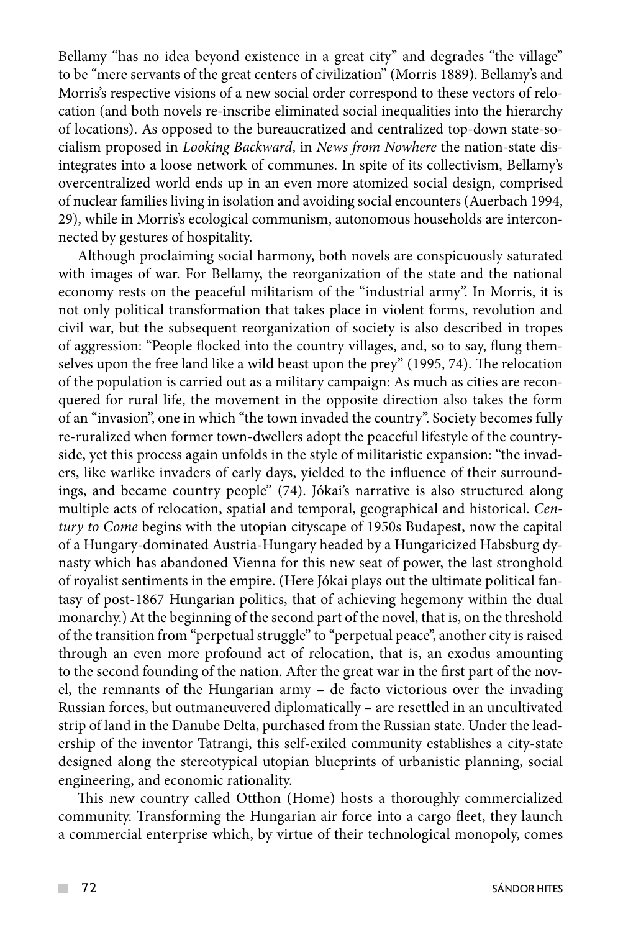Bellamy "has no idea beyond existence in a great city" and degrades "the village" to be "mere servants of the great centers of civilization" (Morris 1889). Bellamy's and Morris's respective visions of a new social order correspond to these vectors of relocation (and both novels re-inscribe eliminated social inequalities into the hierarchy of locations). As opposed to the bureaucratized and centralized top-down state-socialism proposed in *Looking Backward*, in *News from Nowhere* the nation-state disintegrates into a loose network of communes. In spite of its collectivism, Bellamy's overcentralized world ends up in an even more atomized social design, comprised of nuclear families living in isolation and avoiding social encounters (Auerbach 1994, 29), while in Morris's ecological communism, autonomous households are interconnected by gestures of hospitality.

Although proclaiming social harmony, both novels are conspicuously saturated with images of war. For Bellamy, the reorganization of the state and the national economy rests on the peaceful militarism of the "industrial army". In Morris, it is not only political transformation that takes place in violent forms, revolution and civil war, but the subsequent reorganization of society is also described in tropes of aggression: "People flocked into the country villages, and, so to say, flung themselves upon the free land like a wild beast upon the prey" (1995, 74). The relocation of the population is carried out as a military campaign: As much as cities are reconquered for rural life, the movement in the opposite direction also takes the form of an "invasion", one in which "the town invaded the country". Society becomes fully re-ruralized when former town-dwellers adopt the peaceful lifestyle of the countryside, yet this process again unfolds in the style of militaristic expansion: "the invaders, like warlike invaders of early days, yielded to the influence of their surroundings, and became country people" (74). Jókai's narrative is also structured along multiple acts of relocation, spatial and temporal, geographical and historical. *Century to Come* begins with the utopian cityscape of 1950s Budapest, now the capital of a Hungary-dominated Austria-Hungary headed by a Hungaricized Habsburg dynasty which has abandoned Vienna for this new seat of power, the last stronghold of royalist sentiments in the empire. (Here Jókai plays out the ultimate political fantasy of post-1867 Hungarian politics, that of achieving hegemony within the dual monarchy.) At the beginning of the second part of the novel, that is, on the threshold of the transition from "perpetual struggle" to "perpetual peace", another city is raised through an even more profound act of relocation, that is, an exodus amounting to the second founding of the nation. After the great war in the first part of the novel, the remnants of the Hungarian army – de facto victorious over the invading Russian forces, but outmaneuvered diplomatically – are resettled in an uncultivated strip of land in the Danube Delta, purchased from the Russian state. Under the leadership of the inventor Tatrangi, this self-exiled community establishes a city-state designed along the stereotypical utopian blueprints of urbanistic planning, social engineering, and economic rationality.

This new country called Otthon (Home) hosts a thoroughly commercialized community. Transforming the Hungarian air force into a cargo fleet, they launch a commercial enterprise which, by virtue of their technological monopoly, comes

 $\mathcal{L}^{\mathcal{L}}$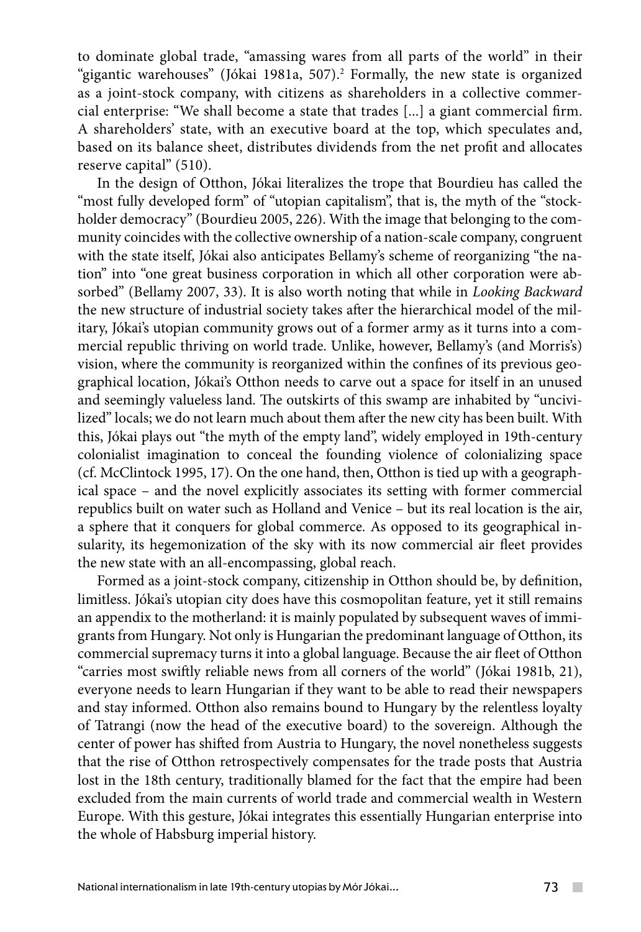to dominate global trade, "amassing wares from all parts of the world" in their "gigantic warehouses" (Jókai 1981a, 507).<sup>2</sup> Formally, the new state is organized as a joint-stock company, with citizens as shareholders in a collective commercial enterprise: "We shall become a state that trades [...] a giant commercial firm. A shareholders' state, with an executive board at the top, which speculates and, based on its balance sheet, distributes dividends from the net profit and allocates reserve capital" (510).

In the design of Otthon, Jókai literalizes the trope that Bourdieu has called the "most fully developed form" of "utopian capitalism", that is, the myth of the "stockholder democracy" (Bourdieu 2005, 226). With the image that belonging to the community coincides with the collective ownership of a nation-scale company, congruent with the state itself, Jókai also anticipates Bellamy's scheme of reorganizing "the nation" into "one great business corporation in which all other corporation were absorbed" (Bellamy 2007, 33). It is also worth noting that while in *Looking Backward* the new structure of industrial society takes after the hierarchical model of the military, Jókai's utopian community grows out of a former army as it turns into a commercial republic thriving on world trade. Unlike, however, Bellamy's (and Morris's) vision, where the community is reorganized within the confines of its previous geographical location, Jókai's Otthon needs to carve out a space for itself in an unused and seemingly valueless land. The outskirts of this swamp are inhabited by "uncivilized" locals; we do not learn much about them after the new city has been built. With this, Jókai plays out "the myth of the empty land", widely employed in 19th-century colonialist imagination to conceal the founding violence of colonializing space (cf. McClintock 1995, 17). On the one hand, then, Otthon is tied up with a geographical space – and the novel explicitly associates its setting with former commercial republics built on water such as Holland and Venice – but its real location is the air, a sphere that it conquers for global commerce. As opposed to its geographical insularity, its hegemonization of the sky with its now commercial air fleet provides the new state with an all-encompassing, global reach.

Formed as a joint-stock company, citizenship in Otthon should be, by definition, limitless. Jókai's utopian city does have this cosmopolitan feature, yet it still remains an appendix to the motherland: it is mainly populated by subsequent waves of immigrants from Hungary. Not only is Hungarian the predominant language of Otthon, its commercial supremacy turns it into a global language. Because the air fleet of Otthon "carries most swiftly reliable news from all corners of the world" (Jókai 1981b, 21), everyone needs to learn Hungarian if they want to be able to read their newspapers and stay informed. Otthon also remains bound to Hungary by the relentless loyalty of Tatrangi (now the head of the executive board) to the sovereign. Although the center of power has shifted from Austria to Hungary, the novel nonetheless suggests that the rise of Otthon retrospectively compensates for the trade posts that Austria lost in the 18th century, traditionally blamed for the fact that the empire had been excluded from the main currents of world trade and commercial wealth in Western Europe. With this gesture, Jókai integrates this essentially Hungarian enterprise into the whole of Habsburg imperial history.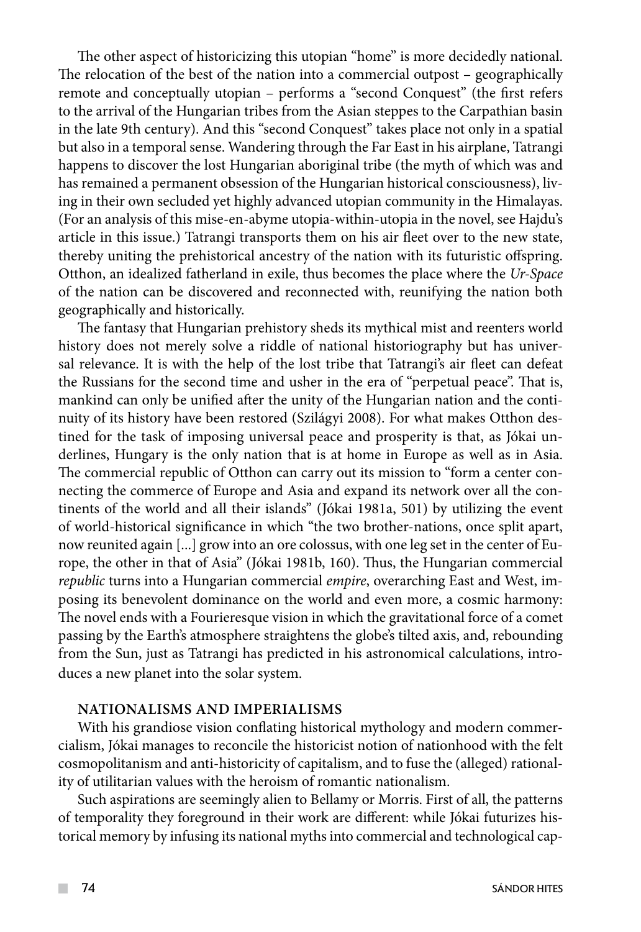The other aspect of historicizing this utopian "home" is more decidedly national. The relocation of the best of the nation into a commercial outpost – geographically remote and conceptually utopian – performs a "second Conquest" (the first refers to the arrival of the Hungarian tribes from the Asian steppes to the Carpathian basin in the late 9th century). And this "second Conquest" takes place not only in a spatial but also in a temporal sense. Wandering through the Far East in his airplane, Tatrangi happens to discover the lost Hungarian aboriginal tribe (the myth of which was and has remained a permanent obsession of the Hungarian historical consciousness), living in their own secluded yet highly advanced utopian community in the Himalayas. (For an analysis of this mise-en-abyme utopia-within-utopia in the novel, see Hajdu's article in this issue.) Tatrangi transports them on his air fleet over to the new state, thereby uniting the prehistorical ancestry of the nation with its futuristic offspring. Otthon, an idealized fatherland in exile, thus becomes the place where the *Ur-Space* of the nation can be discovered and reconnected with, reunifying the nation both geographically and historically.

The fantasy that Hungarian prehistory sheds its mythical mist and reenters world history does not merely solve a riddle of national historiography but has universal relevance. It is with the help of the lost tribe that Tatrangi's air fleet can defeat the Russians for the second time and usher in the era of "perpetual peace". That is, mankind can only be unified after the unity of the Hungarian nation and the continuity of its history have been restored (Szilágyi 2008). For what makes Otthon destined for the task of imposing universal peace and prosperity is that, as Jókai underlines, Hungary is the only nation that is at home in Europe as well as in Asia. The commercial republic of Otthon can carry out its mission to "form a center connecting the commerce of Europe and Asia and expand its network over all the continents of the world and all their islands" (Jókai 1981a, 501) by utilizing the event of world-historical significance in which "the two brother-nations, once split apart, now reunited again [...] grow into an ore colossus, with one leg set in the center of Europe, the other in that of Asia" (Jókai 1981b, 160). Thus, the Hungarian commercial *republic* turns into a Hungarian commercial *empire*, overarching East and West, imposing its benevolent dominance on the world and even more, a cosmic harmony: The novel ends with a Fourieresque vision in which the gravitational force of a comet passing by the Earth's atmosphere straightens the globe's tilted axis, and, rebounding from the Sun, just as Tatrangi has predicted in his astronomical calculations, introduces a new planet into the solar system.

## **Nationalisms and Imperialisms**

With his grandiose vision conflating historical mythology and modern commercialism, Jókai manages to reconcile the historicist notion of nationhood with the felt cosmopolitanism and anti-historicity of capitalism, and to fuse the (alleged) rationality of utilitarian values with the heroism of romantic nationalism.

Such aspirations are seemingly alien to Bellamy or Morris. First of all, the patterns of temporality they foreground in their work are different: while Jókai futurizes historical memory by infusing its national myths into commercial and technological cap-

 $\mathcal{L}^{\mathcal{L}}$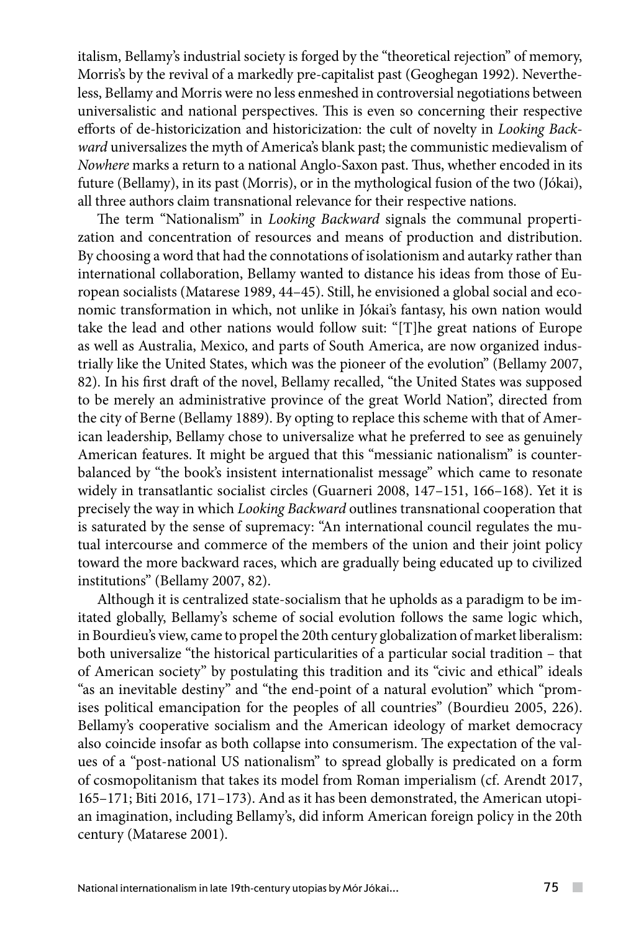italism, Bellamy's industrial society is forged by the "theoretical rejection" of memory, Morris's by the revival of a markedly pre-capitalist past (Geoghegan 1992). Nevertheless, Bellamy and Morris were no less enmeshed in controversial negotiations between universalistic and national perspectives. This is even so concerning their respective efforts of de-historicization and historicization: the cult of novelty in *Looking Backward* universalizes the myth of America's blank past; the communistic medievalism of *Nowhere* marks a return to a national Anglo-Saxon past. Thus, whether encoded in its future (Bellamy), in its past (Morris), or in the mythological fusion of the two (Jókai), all three authors claim transnational relevance for their respective nations.

The term "Nationalism" in *Looking Backward* signals the communal propertization and concentration of resources and means of production and distribution. By choosing a word that had the connotations of isolationism and autarky rather than international collaboration, Bellamy wanted to distance his ideas from those of European socialists (Matarese 1989, 44–45). Still, he envisioned a global social and economic transformation in which, not unlike in Jókai's fantasy, his own nation would take the lead and other nations would follow suit: "[T]he great nations of Europe as well as Australia, Mexico, and parts of South America, are now organized industrially like the United States, which was the pioneer of the evolution" (Bellamy 2007, 82). In his first draft of the novel, Bellamy recalled, "the United States was supposed to be merely an administrative province of the great World Nation", directed from the city of Berne (Bellamy 1889). By opting to replace this scheme with that of American leadership, Bellamy chose to universalize what he preferred to see as genuinely American features. It might be argued that this "messianic nationalism" is counterbalanced by "the book's insistent internationalist message" which came to resonate widely in transatlantic socialist circles (Guarneri 2008, 147–151, 166–168). Yet it is precisely the way in which *Looking Backward* outlines transnational cooperation that is saturated by the sense of supremacy: "An international council regulates the mutual intercourse and commerce of the members of the union and their joint policy toward the more backward races, which are gradually being educated up to civilized institutions" (Bellamy 2007, 82).

Although it is centralized state-socialism that he upholds as a paradigm to be imitated globally, Bellamy's scheme of social evolution follows the same logic which, in Bourdieu's view, came to propel the 20th century globalization of market liberalism: both universalize "the historical particularities of a particular social tradition – that of American society" by postulating this tradition and its "civic and ethical" ideals "as an inevitable destiny" and "the end-point of a natural evolution" which "promises political emancipation for the peoples of all countries" (Bourdieu 2005, 226). Bellamy's cooperative socialism and the American ideology of market democracy also coincide insofar as both collapse into consumerism. The expectation of the values of a "post-national US nationalism" to spread globally is predicated on a form of cosmopolitanism that takes its model from Roman imperialism (cf. Arendt 2017, 165–171; Biti 2016, 171–173). And as it has been demonstrated, the American utopian imagination, including Bellamy's, did inform American foreign policy in the 20th century (Matarese 2001).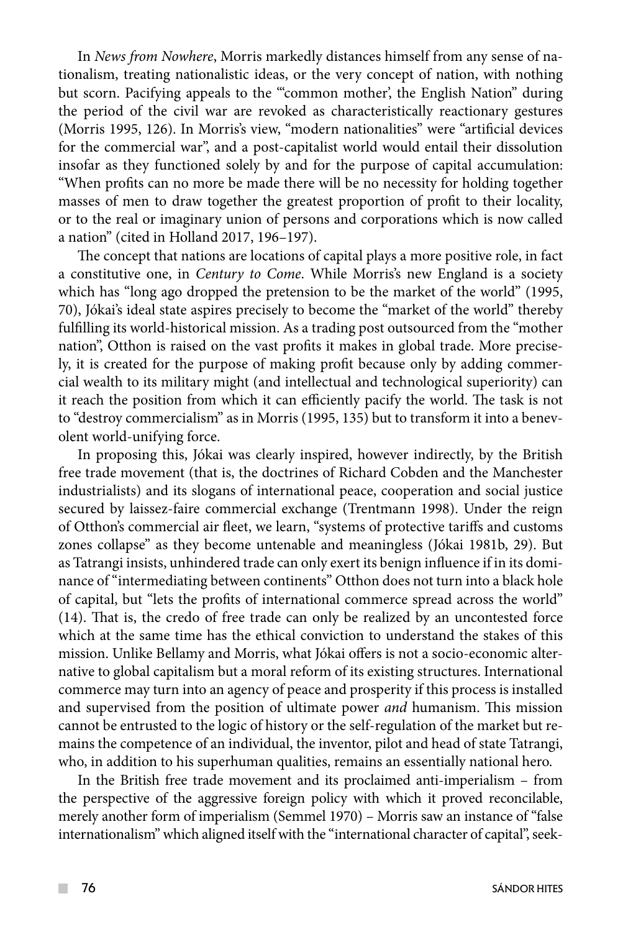In *News from Nowhere*, Morris markedly distances himself from any sense of nationalism, treating nationalistic ideas, or the very concept of nation, with nothing but scorn. Pacifying appeals to the "'common mother', the English Nation" during the period of the civil war are revoked as characteristically reactionary gestures (Morris 1995, 126). In Morris's view, "modern nationalities" were "artificial devices for the commercial war", and a post-capitalist world would entail their dissolution insofar as they functioned solely by and for the purpose of capital accumulation: "When profits can no more be made there will be no necessity for holding together masses of men to draw together the greatest proportion of profit to their locality, or to the real or imaginary union of persons and corporations which is now called a nation" (cited in Holland 2017, 196–197).

The concept that nations are locations of capital plays a more positive role, in fact a constitutive one, in *Century to Come*. While Morris's new England is a society which has "long ago dropped the pretension to be the market of the world" (1995, 70), Jókai's ideal state aspires precisely to become the "market of the world" thereby fulfilling its world-historical mission. As a trading post outsourced from the "mother nation", Otthon is raised on the vast profits it makes in global trade. More precisely, it is created for the purpose of making profit because only by adding commercial wealth to its military might (and intellectual and technological superiority) can it reach the position from which it can efficiently pacify the world. The task is not to "destroy commercialism" as in Morris (1995, 135) but to transform it into a benevolent world-unifying force.

In proposing this, Jókai was clearly inspired, however indirectly, by the British free trade movement (that is, the doctrines of Richard Cobden and the Manchester industrialists) and its slogans of international peace, cooperation and social justice secured by laissez-faire commercial exchange (Trentmann 1998). Under the reign of Otthon's commercial air fleet, we learn, "systems of protective tariffs and customs zones collapse" as they become untenable and meaningless (Jókai 1981b, 29). But as Tatrangi insists, unhindered trade can only exert its benign influence if in its dominance of "intermediating between continents" Otthon does not turn into a black hole of capital, but "lets the profits of international commerce spread across the world" (14). That is, the credo of free trade can only be realized by an uncontested force which at the same time has the ethical conviction to understand the stakes of this mission. Unlike Bellamy and Morris, what Jókai offers is not a socio-economic alternative to global capitalism but a moral reform of its existing structures. International commerce may turn into an agency of peace and prosperity if this process is installed and supervised from the position of ultimate power *and* humanism. This mission cannot be entrusted to the logic of history or the self-regulation of the market but remains the competence of an individual, the inventor, pilot and head of state Tatrangi, who, in addition to his superhuman qualities, remains an essentially national hero.

In the British free trade movement and its proclaimed anti-imperialism – from the perspective of the aggressive foreign policy with which it proved reconcilable, merely another form of imperialism (Semmel 1970) – Morris saw an instance of "false internationalism" which aligned itself with the "international character of capital", seek-

 $\mathcal{L}^{\mathcal{L}}$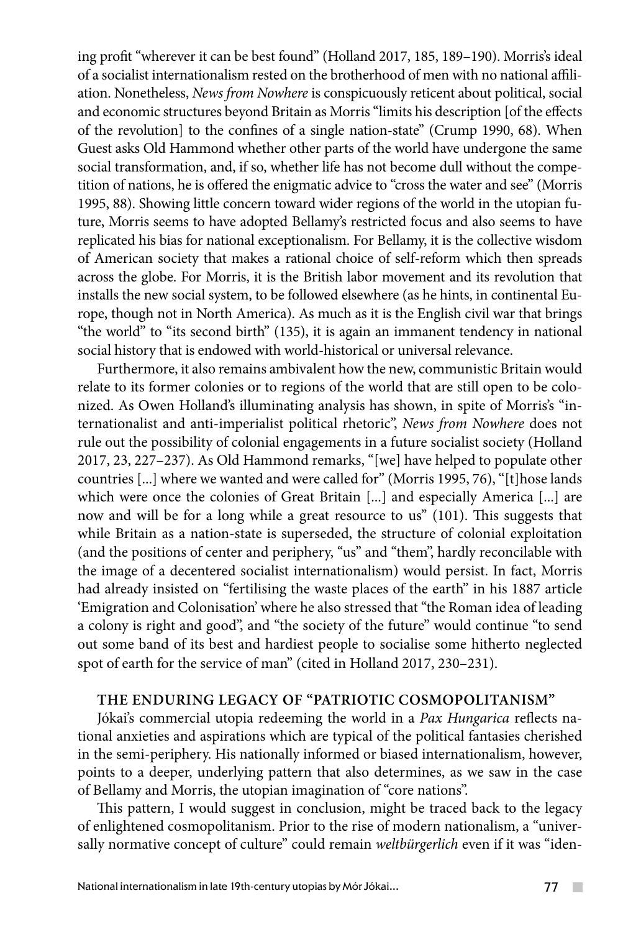ing profit "wherever it can be best found" (Holland 2017, 185, 189–190). Morris's ideal of a socialist internationalism rested on the brotherhood of men with no national affiliation. Nonetheless, *News from Nowhere* is conspicuously reticent about political, social and economic structures beyond Britain as Morris "limits his description [of the effects of the revolution] to the confines of a single nation-state" (Crump 1990, 68). When Guest asks Old Hammond whether other parts of the world have undergone the same social transformation, and, if so, whether life has not become dull without the competition of nations, he is offered the enigmatic advice to "cross the water and see" (Morris 1995, 88). Showing little concern toward wider regions of the world in the utopian future, Morris seems to have adopted Bellamy's restricted focus and also seems to have replicated his bias for national exceptionalism. For Bellamy, it is the collective wisdom of American society that makes a rational choice of self-reform which then spreads across the globe. For Morris, it is the British labor movement and its revolution that installs the new social system, to be followed elsewhere (as he hints, in continental Europe, though not in North America). As much as it is the English civil war that brings "the world" to "its second birth" (135), it is again an immanent tendency in national social history that is endowed with world-historical or universal relevance.

Furthermore, it also remains ambivalent how the new, communistic Britain would relate to its former colonies or to regions of the world that are still open to be colonized. As Owen Holland's illuminating analysis has shown, in spite of Morris's "internationalist and anti-imperialist political rhetoric", *News from Nowhere* does not rule out the possibility of colonial engagements in a future socialist society (Holland 2017, 23, 227–237). As Old Hammond remarks, "[we] have helped to populate other countries [...] where we wanted and were called for" (Morris 1995, 76), "[t]hose lands which were once the colonies of Great Britain [...] and especially America [...] are now and will be for a long while a great resource to us" (101). This suggests that while Britain as a nation-state is superseded, the structure of colonial exploitation (and the positions of center and periphery, "us" and "them", hardly reconcilable with the image of a decentered socialist internationalism) would persist. In fact, Morris had already insisted on "fertilising the waste places of the earth" in his 1887 article 'Emigration and Colonisation' where he also stressed that "the Roman idea of leading a colony is right and good", and "the society of the future" would continue "to send out some band of its best and hardiest people to socialise some hitherto neglected spot of earth for the service of man" (cited in Holland 2017, 230–231).

### **The Enduring Legacy of "Patriotic Cosmopolitanism"**

Jókai's commercial utopia redeeming the world in a *Pax Hungarica* reflects national anxieties and aspirations which are typical of the political fantasies cherished in the semi-periphery. His nationally informed or biased internationalism, however, points to a deeper, underlying pattern that also determines, as we saw in the case of Bellamy and Morris, the utopian imagination of "core nations".

This pattern, I would suggest in conclusion, might be traced back to the legacy of enlightened cosmopolitanism. Prior to the rise of modern nationalism, a "universally normative concept of culture" could remain *weltbürgerlich* even if it was "iden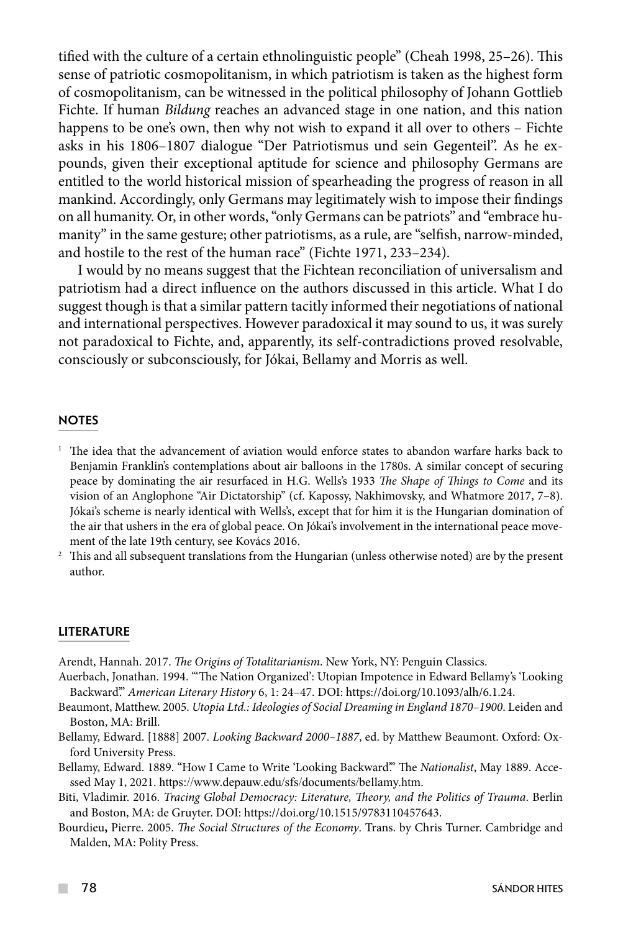tified with the culture of a certain ethnolinguistic people" (Cheah 1998, 25–26). This sense of patriotic cosmopolitanism, in which patriotism is taken as the highest form of cosmopolitanism, can be witnessed in the political philosophy of Johann Gottlieb Fichte. If human *Bildung* reaches an advanced stage in one nation, and this nation happens to be one's own, then why not wish to expand it all over to others – Fichte asks in his 1806–1807 dialogue "Der Patriotismus und sein Gegenteil". As he expounds, given their exceptional aptitude for science and philosophy Germans are entitled to the world historical mission of spearheading the progress of reason in all mankind. Accordingly, only Germans may legitimately wish to impose their findings on all humanity. Or, in other words, "only Germans can be patriots" and "embrace humanity" in the same gesture; other patriotisms, as a rule, are "selfish, narrow-minded, and hostile to the rest of the human race" (Fichte 1971, 233–234).

I would by no means suggest that the Fichtean reconciliation of universalism and patriotism had a direct influence on the authors discussed in this article. What I do suggest though is that a similar pattern tacitly informed their negotiations of national and international perspectives. However paradoxical it may sound to us, it was surely not paradoxical to Fichte, and, apparently, its self-contradictions proved resolvable, consciously or subconsciously, for Jókai, Bellamy and Morris as well.

### **NOTES**

- $1$  The idea that the advancement of aviation would enforce states to abandon warfare harks back to Benjamin Franklin's contemplations about air balloons in the 1780s. A similar concept of securing peace by dominating the air resurfaced in H.G. Wells's 1933 *The Shape of Things to Come* and its vision of an Anglophone "Air Dictatorship" (cf. Kapossy, Nakhimovsky, and Whatmore 2017, 7–8). Jókai's scheme is nearly identical with Wells's, except that for him it is the Hungarian domination of the air that ushers in the era of global peace. On Jókai's involvement in the international peace movement of the late 19th century, see Kovács 2016.
- <sup>2</sup> This and all subsequent translations from the Hungarian (unless otherwise noted) are by the present author.

### **LITERATURE**

Arendt, Hannah. 2017. *The Origins of Totalitarianism*. New York, NY: Penguin Classics.

- Auerbach, Jonathan. 1994. "'The Nation Organized': Utopian Impotence in Edward Bellamy's 'Looking Backward'." *American Literary History* 6, 1: 24–47. DOI: https://doi.org/10.1093/alh/6.1.24.
- Beaumont, Matthew. 2005. *Utopia Ltd.: Ideologies of Social Dreaming in England 1870–1900*. Leiden and Boston, MA: Brill.
- Bellamy, Edward. [1888] 2007. *Looking Backward 2000–1887*, ed. by Matthew Beaumont. Oxford: Oxford University Press.
- Bellamy, Edward. 1889. "How I Came to Write 'Looking Backward'." The *Nationalist*, May 1889. Accessed May 1, 2021. https://www.depauw.edu/sfs/documents/bellamy.htm.
- Biti, Vladimir. 2016. *Tracing Global Democracy: Literature, Theory, and the Politics of Trauma*. Berlin and Boston, MA: de Gruyter. DOI: https://doi.org/10.1515/9783110457643.
- Bourdieu**,** Pierre. 2005. *The Social Structures of the Economy*. Trans. by Chris Turner. Cambridge and Malden, MA: Polity Press.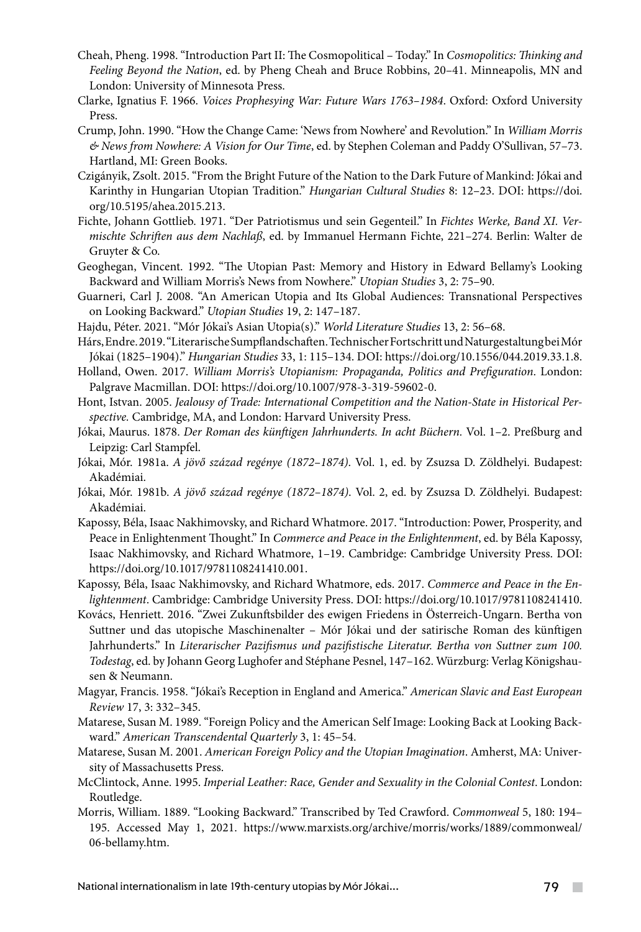- Cheah, Pheng. 1998. "Introduction Part II: The Cosmopolitical Today." In *Cosmopolitics: Thinking and Feeling Beyond the Nation*, ed. by Pheng Cheah and Bruce Robbins, 20–41. Minneapolis, MN and London: University of Minnesota Press.
- Clarke, Ignatius F. 1966. *Voices Prophesying War: Future Wars 1763–1984*. Oxford: Oxford University Press.
- Crump, John. 1990. "How the Change Came: 'News from Nowhere' and Revolution." In *William Morris & News from Nowhere: A Vision for Our Time*, ed. by Stephen Coleman and Paddy O'Sullivan, 57–73. Hartland, MI: Green Books.
- Czigányik, Zsolt. 2015. "From the Bright Future of the Nation to the Dark Future of Mankind: Jókai and Karinthy in Hungarian Utopian Tradition." *Hungarian Cultural Studies* 8: 12–23. DOI: https://doi. org/10.5195/ahea.2015.213.
- Fichte, Johann Gottlieb. 1971. "Der Patriotismus und sein Gegenteil." In *Fichtes Werke, Band XI. Vermischte Schriften aus dem Nachlaß*, ed. by Immanuel Hermann Fichte, 221–274. Berlin: Walter de Gruyter & Co.
- Geoghegan, Vincent. 1992. "The Utopian Past: Memory and History in Edward Bellamy's Looking Backward and William Morris's News from Nowhere." *Utopian Studies* 3, 2: 75–90.
- Guarneri, Carl J. 2008. "An American Utopia and Its Global Audiences: Transnational Perspectives on Looking Backward." *Utopian Studies* 19, 2: 147–187.
- Hajdu, Péter. 2021. "Mór Jókai's Asian Utopia(s)." *World Literature Studies* 13, 2: 56–68.
- Hárs, Endre. 2019. "Literarische Sumpflandschaften. Technischer Fortschritt und Naturgestaltung bei Mór Jókai (1825–1904)." *Hungarian Studies* 33, 1: 115–134. DOI: https://doi.org/10.1556/044.2019.33.1.8.
- Holland, Owen. 2017. *William Morris's Utopianism: Propaganda, Politics and Prefiguration*. London: Palgrave Macmillan. DOI: https://doi.org/10.1007/978-3-319-59602-0.
- Hont, Istvan. 2005. *Jealousy of Trade: International Competition and the Nation-State in Historical Perspective.* Cambridge, MA, and London: Harvard University Press.
- Jókai, Maurus. 1878. *Der Roman des künftigen Jahrhunderts. In acht Büchern.* Vol. 1–2. Preßburg and Leipzig: Carl Stampfel.
- Jókai, Mór. 1981a. *A jövő század regénye (1872–1874)*. Vol. 1, ed. by Zsuzsa D. Zöldhelyi. Budapest: Akadémiai.
- Jókai, Mór. 1981b. *A jövő század regénye (1872–1874)*. Vol. 2, ed. by Zsuzsa D. Zöldhelyi. Budapest: Akadémiai.
- Kapossy, Béla, Isaac Nakhimovsky, and Richard Whatmore. 2017. "Introduction: Power, Prosperity, and Peace in Enlightenment Thought." In *Commerce and Peace in the Enlightenment*, ed. by Béla Kapossy, Isaac Nakhimovsky, and Richard Whatmore, 1–19. Cambridge: Cambridge University Press. DOI: https://doi.org/10.1017/9781108241410.001.
- Kapossy, Béla, Isaac Nakhimovsky, and Richard Whatmore, eds. 2017. *Commerce and Peace in the Enlightenment*. Cambridge: Cambridge University Press. DOI: https://doi.org/10.1017/9781108241410.
- Kovács, Henriett. 2016. "Zwei Zukunftsbilder des ewigen Friedens in Österreich-Ungarn. Bertha von Suttner und das utopische Maschinenalter – Mór Jókai und der satirische Roman des künftigen Jahrhunderts." In *Literarischer Pazifismus und pazifistische Literatur. Bertha von Suttner zum 100. Todestag*, ed. by Johann Georg Lughofer and Stéphane Pesnel, 147–162. Würzburg: Verlag Königshausen & Neumann.
- Magyar, Francis. 1958. "Jókai's Reception in England and America." *American Slavic and East European Review* 17, 3: 332–345.
- Matarese, Susan M. 1989. "Foreign Policy and the American Self Image: Looking Back at Looking Backward." *American Transcendental Quarterly* 3, 1: 45–54.
- Matarese, Susan M. 2001. *American Foreign Policy and the Utopian Imagination*. Amherst, MA: University of Massachusetts Press.
- McClintock, Anne. 1995. *Imperial Leather: Race, Gender and Sexuality in the Colonial Contest*. London: Routledge.
- Morris, William. 1889. "Looking Backward." Transcribed by Ted Crawford. *Commonweal* 5, 180: 194– 195. Accessed May 1, 2021. https://www.marxists.org/archive/morris/works/1889/commonweal/ 06-bellamy.htm.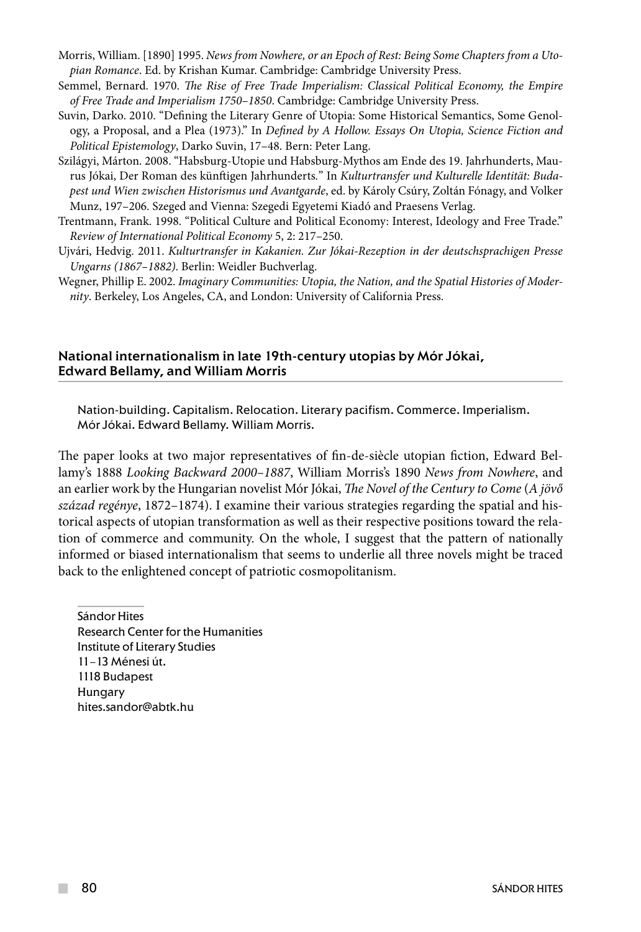- Morris, William. [1890] 1995. *News from Nowhere, or an Epoch of Rest: Being Some Chapters from a Utopian Romance*. Ed. by Krishan Kumar. Cambridge: Cambridge University Press.
- Semmel, Bernard. 1970. *The Rise of Free Trade Imperialism: Classical Political Economy, the Empire of Free Trade and Imperialism 1750–1850*. Cambridge: Cambridge University Press.
- Suvin, Darko. 2010. "Defining the Literary Genre of Utopia: Some Historical Semantics, Some Genology, a Proposal, and a Plea (1973)." In *Defined by A Hollow. Essays On Utopia, Science Fiction and Political Epistemology*, Darko Suvin, 17–48. Bern: Peter Lang.
- Szilágyi, Márton. 2008. "Habsburg-Utopie und Habsburg-Mythos am Ende des 19. Jahrhunderts, Maurus Jókai, Der Roman des künftigen Jahrhunderts*.*" In *Kulturtransfer und Kulturelle Identität: Budapest und Wien zwischen Historismus und Avantgarde*, ed. by Károly Csúry, Zoltán Fónagy, and Volker Munz, 197–206. Szeged and Vienna: Szegedi Egyetemi Kiadó and Praesens Verlag.
- Trentmann, Frank. 1998. "Political Culture and Political Economy: Interest, Ideology and Free Trade." *Review of International Political Economy* 5, 2: 217–250.
- Ujvári, Hedvig. 2011. *Kulturtransfer in Kakanien. Zur Jókai-Rezeption in der deutschsprachigen Presse Ungarns (1867–1882)*. Berlin: Weidler Buchverlag.
- Wegner, Phillip E. 2002. *Imaginary Communities: Utopia, the Nation, and the Spatial Histories of Modernity*. Berkeley, Los Angeles, CA, and London: University of California Press.

### National internationalism in late 19th-century utopias by Mór Jókai, Edward Bellamy, and William Morris

Nation-building. Capitalism. Relocation. Literary pacifism. Commerce. Imperialism. Mór Jókai. Edward Bellamy. William Morris.

The paper looks at two major representatives of fin-de-siècle utopian fiction, Edward Bellamy's 1888 *Looking Backward 2000–1887*, William Morris's 1890 *News from Nowhere*, and an earlier work by the Hungarian novelist Mór Jókai, *The Novel of the Century to Come* (*A jövő század regénye*, 1872–1874). I examine their various strategies regarding the spatial and historical aspects of utopian transformation as well as their respective positions toward the relation of commerce and community. On the whole, I suggest that the pattern of nationally informed or biased internationalism that seems to underlie all three novels might be traced back to the enlightened concept of patriotic cosmopolitanism.

Sándor Hites Research Center for the Humanities Institute of Literary Studies 11–13 Ménesi út. 1118 Budapest Hungary hites.sandor@abtk.hu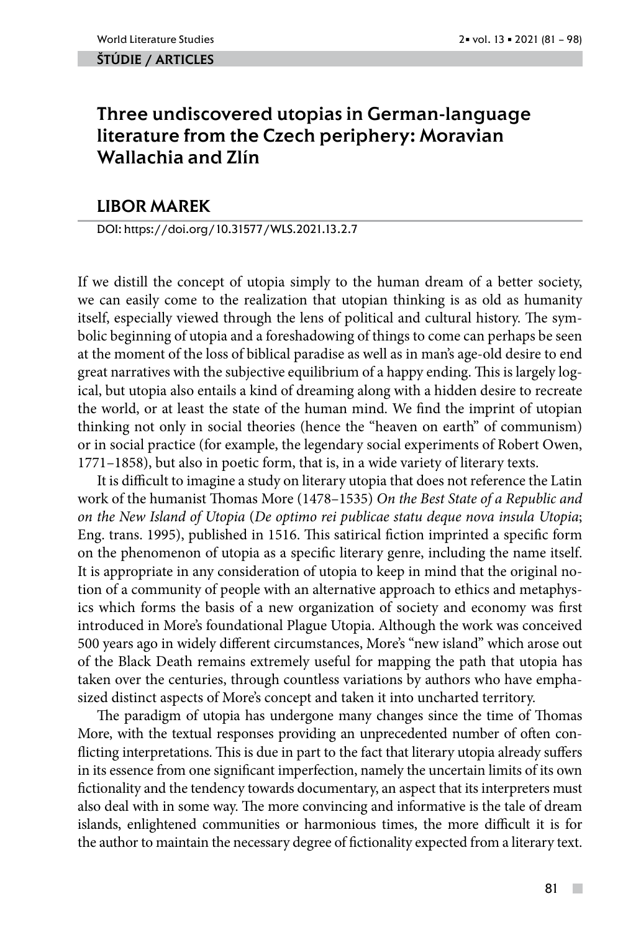#### ŠTÚDIE / ARTicles

# Three undiscovered utopias in German-language literature from the Czech periphery: Moravian Wallachia and Zlín

# LIBOR MAREK

DOI: https://doi.org/10.31577/WLS.2021.13.2.7

If we distill the concept of utopia simply to the human dream of a better society, we can easily come to the realization that utopian thinking is as old as humanity itself, especially viewed through the lens of political and cultural history. The symbolic beginning of utopia and a foreshadowing of things to come can perhaps be seen at the moment of the loss of biblical paradise as well as in man's age-old desire to end great narratives with the subjective equilibrium of a happy ending. This is largely logical, but utopia also entails a kind of dreaming along with a hidden desire to recreate the world, or at least the state of the human mind. We find the imprint of utopian thinking not only in social theories (hence the "heaven on earth" of communism) or in social practice (for example, the legendary social experiments of Robert Owen, 1771–1858), but also in poetic form, that is, in a wide variety of literary texts.

It is difficult to imagine a study on literary utopia that does not reference the Latin work of the humanist Thomas More (1478–1535) *On the Best State of a Republic and on the New Island of Utopia* (*De optimo rei publicae statu deque nova insula Utopia*; Eng. trans. 1995), published in 1516. This satirical fiction imprinted a specific form on the phenomenon of utopia as a specific literary genre, including the name itself. It is appropriate in any consideration of utopia to keep in mind that the original notion of a community of people with an alternative approach to ethics and metaphysics which forms the basis of a new organization of society and economy was first introduced in More's foundational Plague Utopia. Although the work was conceived 500 years ago in widely different circumstances, More's "new island" which arose out of the Black Death remains extremely useful for mapping the path that utopia has taken over the centuries, through countless variations by authors who have emphasized distinct aspects of More's concept and taken it into uncharted territory.

The paradigm of utopia has undergone many changes since the time of Thomas More, with the textual responses providing an unprecedented number of often conflicting interpretations. This is due in part to the fact that literary utopia already suffers in its essence from one significant imperfection, namely the uncertain limits of its own fictionality and the tendency towards documentary, an aspect that its interpreters must also deal with in some way. The more convincing and informative is the tale of dream islands, enlightened communities or harmonious times, the more difficult it is for the author to maintain the necessary degree of fictionality expected from a literary text.

 $\mathcal{C}^{\mathcal{A}}$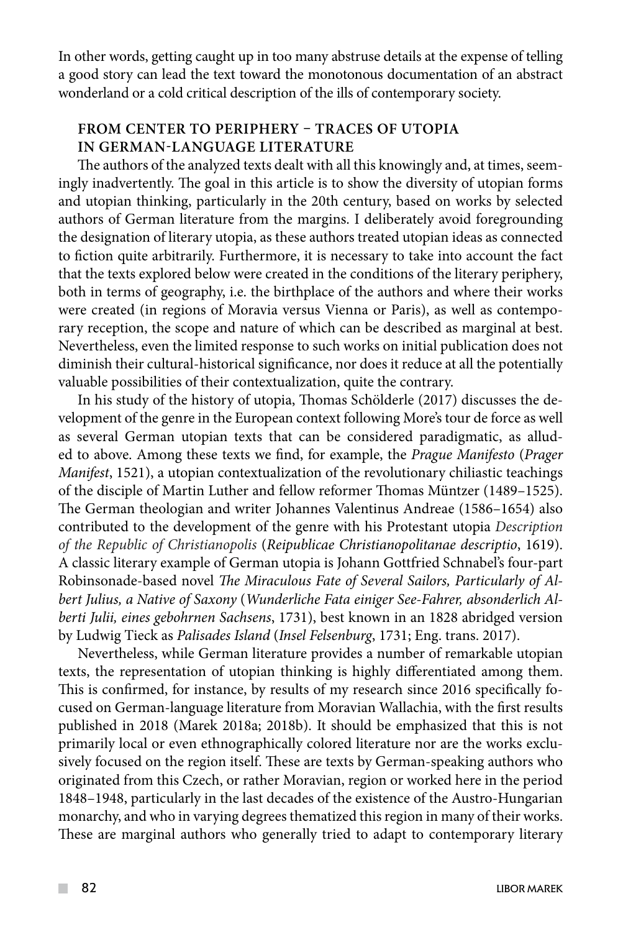In other words, getting caught up in too many abstruse details at the expense of telling a good story can lead the text toward the monotonous documentation of an abstract wonderland or a cold critical description of the ills of contemporary society.

# **FROM CENTER TO PERIPHERY – TRACES OF UTOPIA IN GERMAN-LANGUAGE LITERATURE**

The authors of the analyzed texts dealt with all this knowingly and, at times, seemingly inadvertently. The goal in this article is to show the diversity of utopian forms and utopian thinking, particularly in the 20th century, based on works by selected authors of German literature from the margins. I deliberately avoid foregrounding the designation of literary utopia, as these authors treated utopian ideas as connected to fiction quite arbitrarily. Furthermore, it is necessary to take into account the fact that the texts explored below were created in the conditions of the literary periphery, both in terms of geography, i.e. the birthplace of the authors and where their works were created (in regions of Moravia versus Vienna or Paris), as well as contemporary reception, the scope and nature of which can be described as marginal at best. Nevertheless, even the limited response to such works on initial publication does not diminish their cultural-historical significance, nor does it reduce at all the potentially valuable possibilities of their contextualization, quite the contrary.

In his study of the history of utopia, Thomas Schölderle (2017) discusses the development of the genre in the European context following More's tour de force as well as several German utopian texts that can be considered paradigmatic, as alluded to above. Among these texts we find, for example, the *Prague Manifesto* (*Prager Manifest*, 1521), a utopian contextualization of the revolutionary chiliastic teachings of the disciple of Martin Luther and fellow reformer Thomas Müntzer (1489–1525). The German theologian and writer Johannes Valentinus Andreae (1586–1654) also contributed to the development of the genre with his Protestant utopia *Description of the Republic of Christianopolis* (*Reipublicae Christianopolitanae descriptio*, 1619). A classic literary example of German utopia is Johann Gottfried Schnabel's four-part Robinsonade-based novel *The Miraculous Fate of Several Sailors, Particularly of Albert Julius, a Native of Saxony* (*Wunderliche Fata einiger See-Fahrer, absonderlich Alberti Julii, eines gebohrnen Sachsens*, 1731), best known in an 1828 abridged version by Ludwig Tieck as *Palisades Island* (*Insel Felsenburg*, 1731; Eng. trans. 2017).

Nevertheless, while German literature provides a number of remarkable utopian texts, the representation of utopian thinking is highly differentiated among them. This is confirmed, for instance, by results of my research since 2016 specifically focused on German-language literature from Moravian Wallachia, with the first results published in 2018 (Marek 2018a; 2018b). It should be emphasized that this is not primarily local or even ethnographically colored literature nor are the works exclusively focused on the region itself. These are texts by German-speaking authors who originated from this Czech, or rather Moravian, region or worked here in the period 1848–1948, particularly in the last decades of the existence of the Austro-Hungarian monarchy, and who in varying degrees thematized this region in many of their works. These are marginal authors who generally tried to adapt to contemporary literary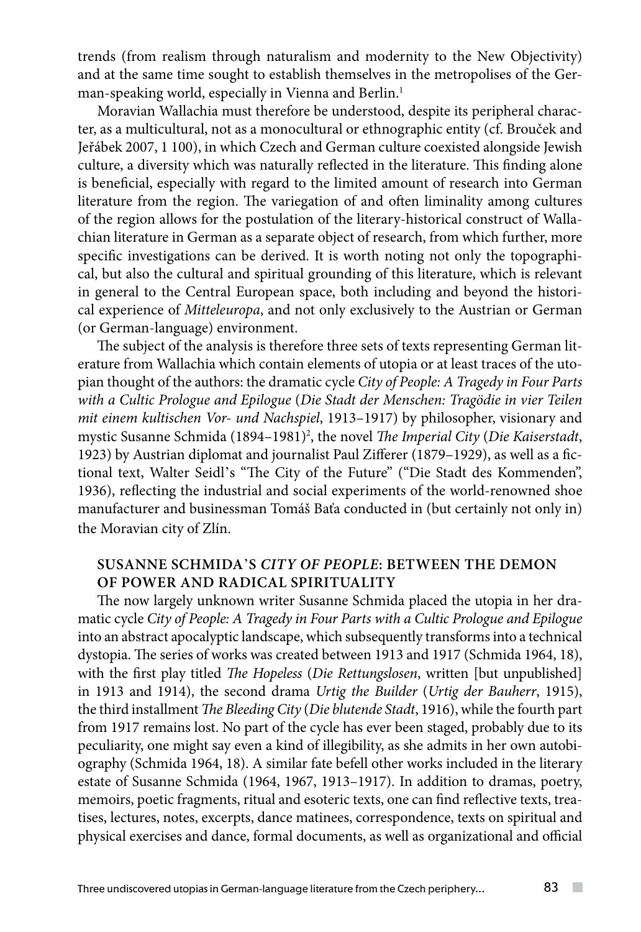trends (from realism through naturalism and modernity to the New Objectivity) and at the same time sought to establish themselves in the metropolises of the German-speaking world, especially in Vienna and Berlin.<sup>1</sup>

Moravian Wallachia must therefore be understood, despite its peripheral character, as a multicultural, not as a monocultural or ethnographic entity (cf. Brouček and Jeřábek 2007, 1 100), in which Czech and German culture coexisted alongside Jewish culture, a diversity which was naturally reflected in the literature. This finding alone is beneficial, especially with regard to the limited amount of research into German literature from the region. The variegation of and often liminality among cultures of the region allows for the postulation of the literary-historical construct of Wallachian literature in German as a separate object of research, from which further, more specific investigations can be derived. It is worth noting not only the topographical, but also the cultural and spiritual grounding of this literature, which is relevant in general to the Central European space, both including and beyond the historical experience of *Mitteleuropa*, and not only exclusively to the Austrian or German (or German-language) environment.

The subject of the analysis is therefore three sets of texts representing German literature from Wallachia which contain elements of utopia or at least traces of the utopian thought of the authors: the dramatic cycle *City of People: A Tragedy in Four Parts with a Cultic Prologue and Epilogue* (*Die Stadt der Menschen: Tragödie in vier Teilen mit einem kultischen Vor- und Nachspiel*, 1913–1917) by philosopher, visionary and mystic Susanne Schmida (1894–1981)<sup>2</sup>, the novel *The Imperial City (Die Kaiserstadt*, 1923) by Austrian diplomat and journalist Paul Zifferer (1879–1929), as well as a fictional text, Walter Seidl's "The City of the Future" ("Die Stadt des Kommenden", 1936), reflecting the industrial and social experiments of the world-renowned shoe manufacturer and businessman Tomáš Baťa conducted in (but certainly not only in) the Moravian city of Zlín.

# **SUSANNE SCHMIDA**'**S** *CITY OF PEOPLE***: BETWEEN THE DEMON OF POWER AND RADICAL SPIRITUALITY**

The now largely unknown writer Susanne Schmida placed the utopia in her dramatic cycle *City of People: A Tragedy in Four Parts with a Cultic Prologue and Epilogue* into an abstract apocalyptic landscape, which subsequently transforms into a technical dystopia. The series of works was created between 1913 and 1917 (Schmida 1964, 18), with the first play titled *The Hopeless* (*Die Rettungslosen*, written [but unpublished] in 1913 and 1914), the second drama *Urtig the Builder* (*Urtig der Bauherr*, 1915), the third installment *The Bleeding City* (*Die blutende Stadt*, 1916), while the fourth part from 1917 remains lost. No part of the cycle has ever been staged, probably due to its peculiarity, one might say even a kind of illegibility, as she admits in her own autobiography (Schmida 1964, 18). A similar fate befell other works included in the literary estate of Susanne Schmida (1964, 1967, 1913–1917). In addition to dramas, poetry, memoirs, poetic fragments, ritual and esoteric texts, one can find reflective texts, treatises, lectures, notes, excerpts, dance matinees, correspondence, texts on spiritual and physical exercises and dance, formal documents, as well as organizational and official

 $\sim$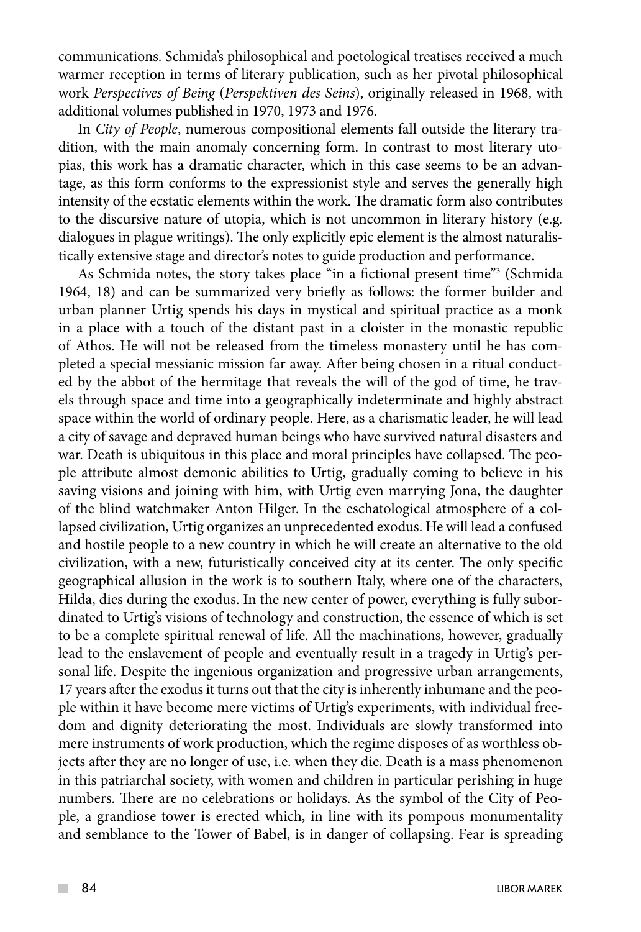communications. Schmida's philosophical and poetological treatises received a much warmer reception in terms of literary publication, such as her pivotal philosophical work *Perspectives of Being* (*Perspektiven des Seins*), originally released in 1968, with additional volumes published in 1970, 1973 and 1976.

In *City of People*, numerous compositional elements fall outside the literary tradition, with the main anomaly concerning form. In contrast to most literary utopias, this work has a dramatic character, which in this case seems to be an advantage, as this form conforms to the expressionist style and serves the generally high intensity of the ecstatic elements within the work. The dramatic form also contributes to the discursive nature of utopia, which is not uncommon in literary history (e.g. dialogues in plague writings). The only explicitly epic element is the almost naturalistically extensive stage and director's notes to guide production and performance.

As Schmida notes, the story takes place "in a fictional present time"3 (Schmida 1964, 18) and can be summarized very briefly as follows: the former builder and urban planner Urtig spends his days in mystical and spiritual practice as a monk in a place with a touch of the distant past in a cloister in the monastic republic of Athos. He will not be released from the timeless monastery until he has completed a special messianic mission far away. After being chosen in a ritual conducted by the abbot of the hermitage that reveals the will of the god of time, he travels through space and time into a geographically indeterminate and highly abstract space within the world of ordinary people. Here, as a charismatic leader, he will lead a city of savage and depraved human beings who have survived natural disasters and war. Death is ubiquitous in this place and moral principles have collapsed. The people attribute almost demonic abilities to Urtig, gradually coming to believe in his saving visions and joining with him, with Urtig even marrying Jona, the daughter of the blind watchmaker Anton Hilger. In the eschatological atmosphere of a collapsed civilization, Urtig organizes an unprecedented exodus. He will lead a confused and hostile people to a new country in which he will create an alternative to the old civilization, with a new, futuristically conceived city at its center. The only specific geographical allusion in the work is to southern Italy, where one of the characters, Hilda, dies during the exodus. In the new center of power, everything is fully subordinated to Urtig's visions of technology and construction, the essence of which is set to be a complete spiritual renewal of life. All the machinations, however, gradually lead to the enslavement of people and eventually result in a tragedy in Urtig's personal life. Despite the ingenious organization and progressive urban arrangements, 17 years after the exodus it turns out that the city is inherently inhumane and the people within it have become mere victims of Urtig's experiments, with individual freedom and dignity deteriorating the most. Individuals are slowly transformed into mere instruments of work production, which the regime disposes of as worthless objects after they are no longer of use, i.e. when they die. Death is a mass phenomenon in this patriarchal society, with women and children in particular perishing in huge numbers. There are no celebrations or holidays. As the symbol of the City of People, a grandiose tower is erected which, in line with its pompous monumentality and semblance to the Tower of Babel, is in danger of collapsing. Fear is spreading

 $\mathcal{L}^{\mathcal{L}}$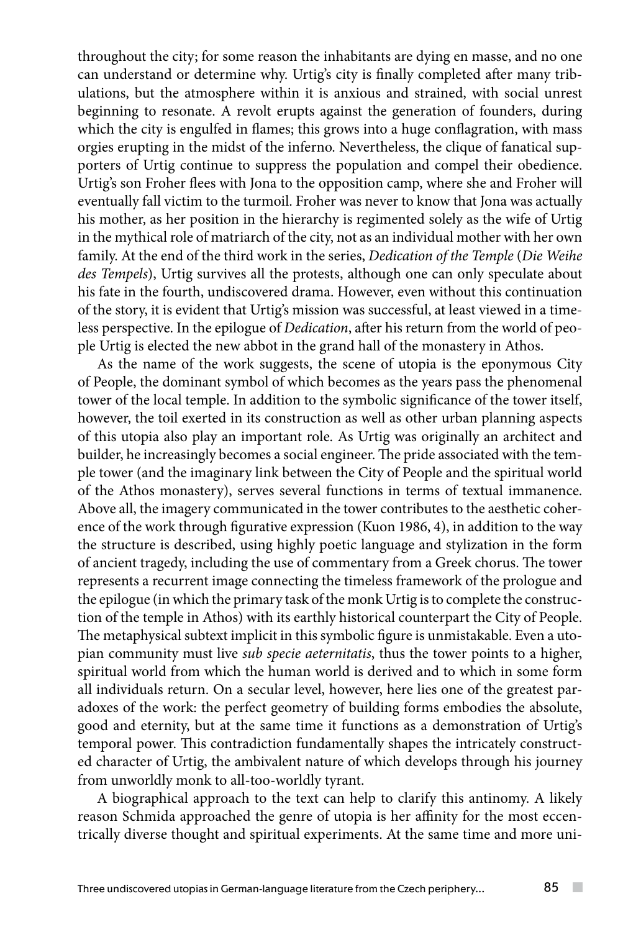throughout the city; for some reason the inhabitants are dying en masse, and no one can understand or determine why. Urtig's city is finally completed after many tribulations, but the atmosphere within it is anxious and strained, with social unrest beginning to resonate. A revolt erupts against the generation of founders, during which the city is engulfed in flames; this grows into a huge conflagration, with mass orgies erupting in the midst of the inferno. Nevertheless, the clique of fanatical supporters of Urtig continue to suppress the population and compel their obedience. Urtig's son Froher flees with Jona to the opposition camp, where she and Froher will eventually fall victim to the turmoil. Froher was never to know that Jona was actually his mother, as her position in the hierarchy is regimented solely as the wife of Urtig in the mythical role of matriarch of the city, not as an individual mother with her own family. At the end of the third work in the series, *Dedication of the Temple* (*Die Weihe des Tempels*), Urtig survives all the protests, although one can only speculate about his fate in the fourth, undiscovered drama. However, even without this continuation of the story, it is evident that Urtig's mission was successful, at least viewed in a timeless perspective. In the epilogue of *Dedication*, after his return from the world of people Urtig is elected the new abbot in the grand hall of the monastery in Athos.

As the name of the work suggests, the scene of utopia is the eponymous City of People, the dominant symbol of which becomes as the years pass the phenomenal tower of the local temple. In addition to the symbolic significance of the tower itself, however, the toil exerted in its construction as well as other urban planning aspects of this utopia also play an important role. As Urtig was originally an architect and builder, he increasingly becomes a social engineer. The pride associated with the temple tower (and the imaginary link between the City of People and the spiritual world of the Athos monastery), serves several functions in terms of textual immanence. Above all, the imagery communicated in the tower contributes to the aesthetic coherence of the work through figurative expression (Kuon 1986, 4), in addition to the way the structure is described, using highly poetic language and stylization in the form of ancient tragedy, including the use of commentary from a Greek chorus. The tower represents a recurrent image connecting the timeless framework of the prologue and the epilogue (in which the primary task of the monk Urtig is to complete the construction of the temple in Athos) with its earthly historical counterpart the City of People. The metaphysical subtext implicit in this symbolic figure is unmistakable. Even a utopian community must live *sub specie aeternitatis*, thus the tower points to a higher, spiritual world from which the human world is derived and to which in some form all individuals return. On a secular level, however, here lies one of the greatest paradoxes of the work: the perfect geometry of building forms embodies the absolute, good and eternity, but at the same time it functions as a demonstration of Urtig's temporal power. This contradiction fundamentally shapes the intricately constructed character of Urtig, the ambivalent nature of which develops through his journey from unworldly monk to all-too-worldly tyrant.

A biographical approach to the text can help to clarify this antinomy. A likely reason Schmida approached the genre of utopia is her affinity for the most eccentrically diverse thought and spiritual experiments. At the same time and more uni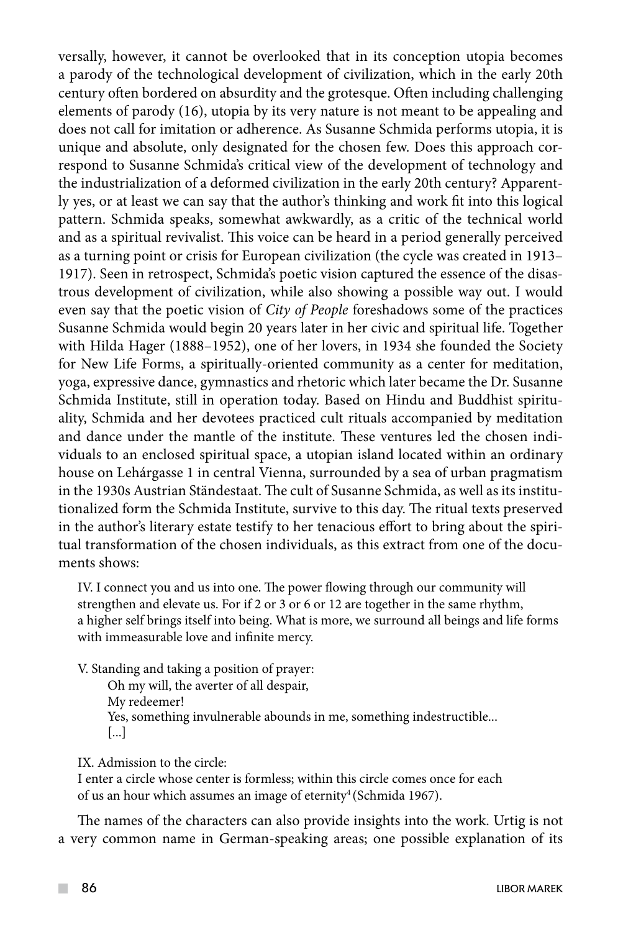versally, however, it cannot be overlooked that in its conception utopia becomes a parody of the technological development of civilization, which in the early 20th century often bordered on absurdity and the grotesque. Often including challenging elements of parody (16), utopia by its very nature is not meant to be appealing and does not call for imitation or adherence. As Susanne Schmida performs utopia, it is unique and absolute, only designated for the chosen few. Does this approach correspond to Susanne Schmida's critical view of the development of technology and the industrialization of a deformed civilization in the early 20th century? Apparently yes, or at least we can say that the author's thinking and work fit into this logical pattern. Schmida speaks, somewhat awkwardly, as a critic of the technical world and as a spiritual revivalist. This voice can be heard in a period generally perceived as a turning point or crisis for European civilization (the cycle was created in 1913– 1917). Seen in retrospect, Schmida's poetic vision captured the essence of the disastrous development of civilization, while also showing a possible way out. I would even say that the poetic vision of *City of People* foreshadows some of the practices Susanne Schmida would begin 20 years later in her civic and spiritual life. Together with Hilda Hager (1888–1952), one of her lovers, in 1934 she founded the Society for New Life Forms, a spiritually-oriented community as a center for meditation, yoga, expressive dance, gymnastics and rhetoric which later became the Dr. Susanne Schmida Institute, still in operation today. Based on Hindu and Buddhist spirituality, Schmida and her devotees practiced cult rituals accompanied by meditation and dance under the mantle of the institute. These ventures led the chosen individuals to an enclosed spiritual space, a utopian island located within an ordinary house on Lehárgasse 1 in central Vienna, surrounded by a sea of urban pragmatism in the 1930s Austrian Ständestaat. The cult of Susanne Schmida, as well as its institutionalized form the Schmida Institute, survive to this day. The ritual texts preserved in the author's literary estate testify to her tenacious effort to bring about the spiritual transformation of the chosen individuals, as this extract from one of the documents shows:

IV. I connect you and us into one. The power flowing through our community will strengthen and elevate us. For if 2 or 3 or 6 or 12 are together in the same rhythm, a higher self brings itself into being. What is more, we surround all beings and life forms with immeasurable love and infinite mercy.

V. Standing and taking a position of prayer:

Oh my will, the averter of all despair, My redeemer! Yes, something invulnerable abounds in me, something indestructible... [...]

IX. Admission to the circle:

I enter a circle whose center is formless; within this circle comes once for each of us an hour which assumes an image of eternity<sup>4</sup> (Schmida 1967).

The names of the characters can also provide insights into the work. Urtig is not a very common name in German-speaking areas; one possible explanation of its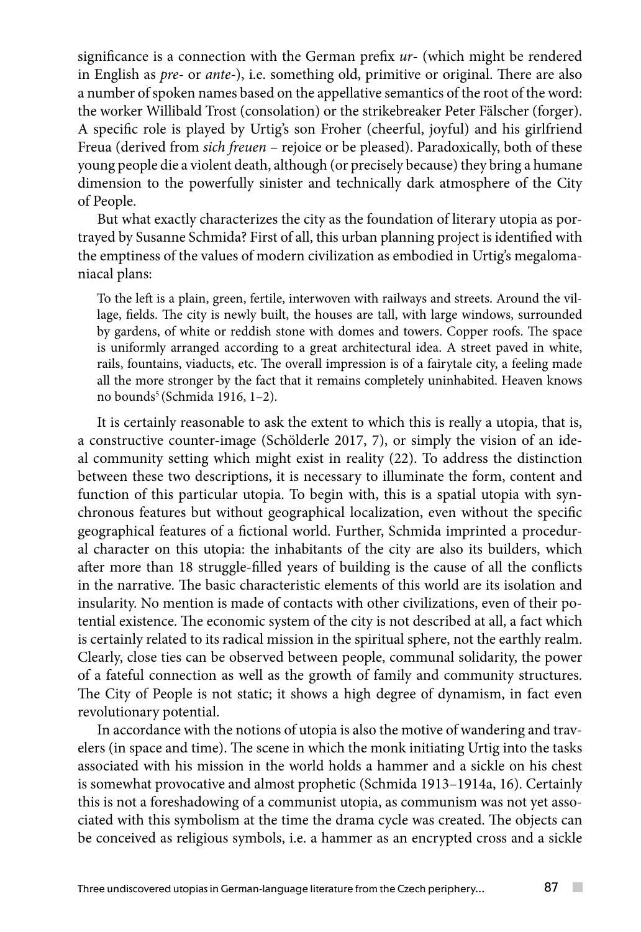significance is a connection with the German prefix *ur*- (which might be rendered in English as *pre-* or *ante-*), i.e. something old, primitive or original. There are also a number of spoken names based on the appellative semantics of the root of the word: the worker Willibald Trost (consolation) or the strikebreaker Peter Fälscher (forger). A specific role is played by Urtig's son Froher (cheerful, joyful) and his girlfriend Freua (derived from *sich freuen* – rejoice or be pleased). Paradoxically, both of these young people die a violent death, although (or precisely because) they bring a humane dimension to the powerfully sinister and technically dark atmosphere of the City of People.

But what exactly characterizes the city as the foundation of literary utopia as portrayed by Susanne Schmida? First of all, this urban planning project is identified with the emptiness of the values of modern civilization as embodied in Urtig's megalomaniacal plans:

To the left is a plain, green, fertile, interwoven with railways and streets. Around the village, fields. The city is newly built, the houses are tall, with large windows, surrounded by gardens, of white or reddish stone with domes and towers. Copper roofs. The space is uniformly arranged according to a great architectural idea. A street paved in white, rails, fountains, viaducts, etc. The overall impression is of a fairytale city, a feeling made all the more stronger by the fact that it remains completely uninhabited. Heaven knows no bounds<sup>5</sup> (Schmida 1916, 1-2).

It is certainly reasonable to ask the extent to which this is really a utopia, that is, a constructive counter-image (Schölderle 2017, 7), or simply the vision of an ideal community setting which might exist in reality (22). To address the distinction between these two descriptions, it is necessary to illuminate the form, content and function of this particular utopia. To begin with, this is a spatial utopia with synchronous features but without geographical localization, even without the specific geographical features of a fictional world. Further, Schmida imprinted a procedural character on this utopia: the inhabitants of the city are also its builders, which after more than 18 struggle-filled years of building is the cause of all the conflicts in the narrative. The basic characteristic elements of this world are its isolation and insularity. No mention is made of contacts with other civilizations, even of their potential existence. The economic system of the city is not described at all, a fact which is certainly related to its radical mission in the spiritual sphere, not the earthly realm. Clearly, close ties can be observed between people, communal solidarity, the power of a fateful connection as well as the growth of family and community structures. The City of People is not static; it shows a high degree of dynamism, in fact even revolutionary potential.

In accordance with the notions of utopia is also the motive of wandering and travelers (in space and time). The scene in which the monk initiating Urtig into the tasks associated with his mission in the world holds a hammer and a sickle on his chest is somewhat provocative and almost prophetic (Schmida 1913–1914a, 16). Certainly this is not a foreshadowing of a communist utopia, as communism was not yet associated with this symbolism at the time the drama cycle was created. The objects can be conceived as religious symbols, i.e. a hammer as an encrypted cross and a sickle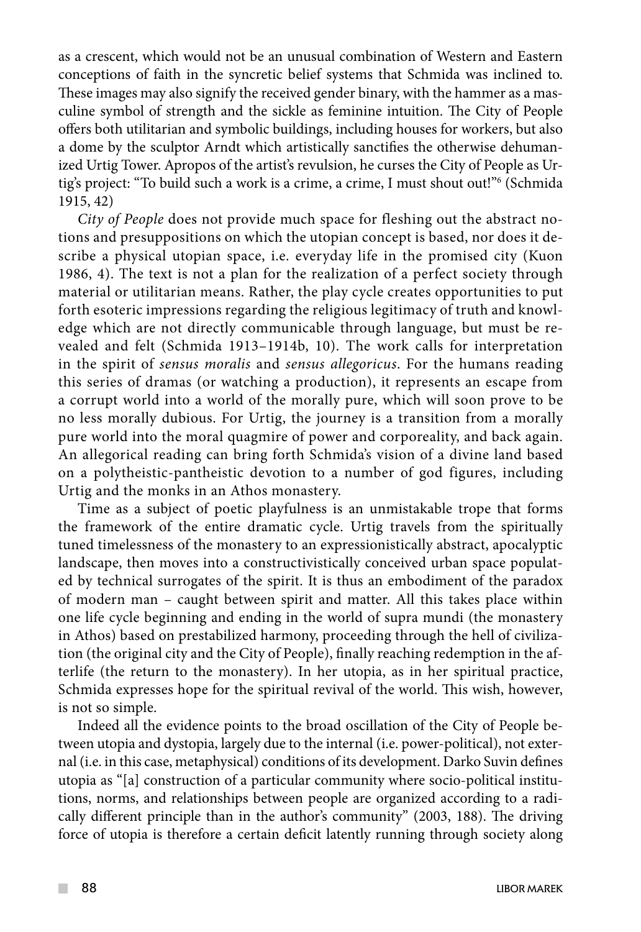as a crescent, which would not be an unusual combination of Western and Eastern conceptions of faith in the syncretic belief systems that Schmida was inclined to. These images may also signify the received gender binary, with the hammer as a masculine symbol of strength and the sickle as feminine intuition. The City of People offers both utilitarian and symbolic buildings, including houses for workers, but also a dome by the sculptor Arndt which artistically sanctifies the otherwise dehumanized Urtig Tower. Apropos of the artist's revulsion, he curses the City of People as Urtig's project: "To build such a work is a crime, a crime, I must shout out!"6 (Schmida 1915, 42)

*City of People* does not provide much space for fleshing out the abstract notions and presuppositions on which the utopian concept is based, nor does it describe a physical utopian space, i.e. everyday life in the promised city (Kuon 1986, 4). The text is not a plan for the realization of a perfect society through material or utilitarian means. Rather, the play cycle creates opportunities to put forth esoteric impressions regarding the religious legitimacy of truth and knowledge which are not directly communicable through language, but must be revealed and felt (Schmida 1913–1914b, 10). The work calls for interpretation in the spirit of *sensus moralis* and *sensus allegoricus*. For the humans reading this series of dramas (or watching a production), it represents an escape from a corrupt world into a world of the morally pure, which will soon prove to be no less morally dubious. For Urtig, the journey is a transition from a morally pure world into the moral quagmire of power and corporeality, and back again. An allegorical reading can bring forth Schmida's vision of a divine land based on a polytheistic-pantheistic devotion to a number of god figures, including Urtig and the monks in an Athos monastery.

Time as a subject of poetic playfulness is an unmistakable trope that forms the framework of the entire dramatic cycle. Urtig travels from the spiritually tuned timelessness of the monastery to an expressionistically abstract, apocalyptic landscape, then moves into a constructivistically conceived urban space populated by technical surrogates of the spirit. It is thus an embodiment of the paradox of modern man – caught between spirit and matter. All this takes place within one life cycle beginning and ending in the world of supra mundi (the monastery in Athos) based on prestabilized harmony, proceeding through the hell of civilization (the original city and the City of People), finally reaching redemption in the afterlife (the return to the monastery). In her utopia, as in her spiritual practice, Schmida expresses hope for the spiritual revival of the world. This wish, however, is not so simple.

Indeed all the evidence points to the broad oscillation of the City of People between utopia and dystopia, largely due to the internal (i.e. power-political), not external (i.e. in this case, metaphysical) conditions of its development. Darko Suvin defines utopia as "[a] construction of a particular community where socio-political institutions, norms, and relationships between people are organized according to a radically different principle than in the author's community" (2003, 188). The driving force of utopia is therefore a certain deficit latently running through society along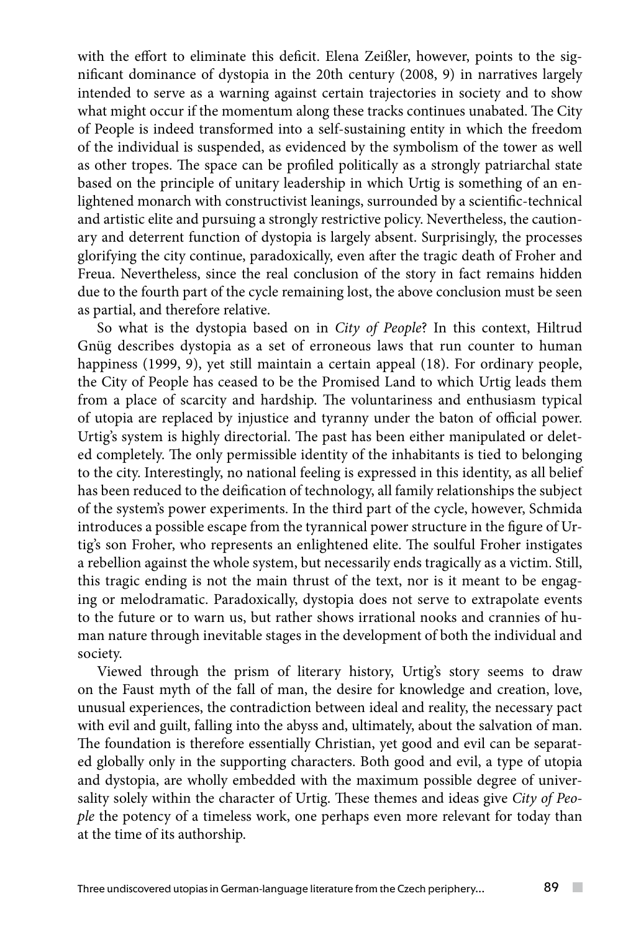with the effort to eliminate this deficit. Elena Zeißler, however, points to the significant dominance of dystopia in the 20th century (2008, 9) in narratives largely intended to serve as a warning against certain trajectories in society and to show what might occur if the momentum along these tracks continues unabated. The City of People is indeed transformed into a self-sustaining entity in which the freedom of the individual is suspended, as evidenced by the symbolism of the tower as well as other tropes. The space can be profiled politically as a strongly patriarchal state based on the principle of unitary leadership in which Urtig is something of an enlightened monarch with constructivist leanings, surrounded by a scientific-technical and artistic elite and pursuing a strongly restrictive policy. Nevertheless, the cautionary and deterrent function of dystopia is largely absent. Surprisingly, the processes glorifying the city continue, paradoxically, even after the tragic death of Froher and Freua. Nevertheless, since the real conclusion of the story in fact remains hidden due to the fourth part of the cycle remaining lost, the above conclusion must be seen as partial, and therefore relative.

So what is the dystopia based on in *City of People*? In this context, Hiltrud Gnüg describes dystopia as a set of erroneous laws that run counter to human happiness (1999, 9), yet still maintain a certain appeal (18). For ordinary people, the City of People has ceased to be the Promised Land to which Urtig leads them from a place of scarcity and hardship. The voluntariness and enthusiasm typical of utopia are replaced by injustice and tyranny under the baton of official power. Urtig's system is highly directorial. The past has been either manipulated or deleted completely. The only permissible identity of the inhabitants is tied to belonging to the city. Interestingly, no national feeling is expressed in this identity, as all belief has been reduced to the deification of technology, all family relationships the subject of the system's power experiments. In the third part of the cycle, however, Schmida introduces a possible escape from the tyrannical power structure in the figure of Urtig's son Froher, who represents an enlightened elite. The soulful Froher instigates a rebellion against the whole system, but necessarily ends tragically as a victim. Still, this tragic ending is not the main thrust of the text, nor is it meant to be engaging or melodramatic. Paradoxically, dystopia does not serve to extrapolate events to the future or to warn us, but rather shows irrational nooks and crannies of human nature through inevitable stages in the development of both the individual and society.

Viewed through the prism of literary history, Urtig's story seems to draw on the Faust myth of the fall of man, the desire for knowledge and creation, love, unusual experiences, the contradiction between ideal and reality, the necessary pact with evil and guilt, falling into the abyss and, ultimately, about the salvation of man. The foundation is therefore essentially Christian, yet good and evil can be separated globally only in the supporting characters. Both good and evil, a type of utopia and dystopia, are wholly embedded with the maximum possible degree of universality solely within the character of Urtig. These themes and ideas give *City of People* the potency of a timeless work, one perhaps even more relevant for today than at the time of its authorship.

 $\sim$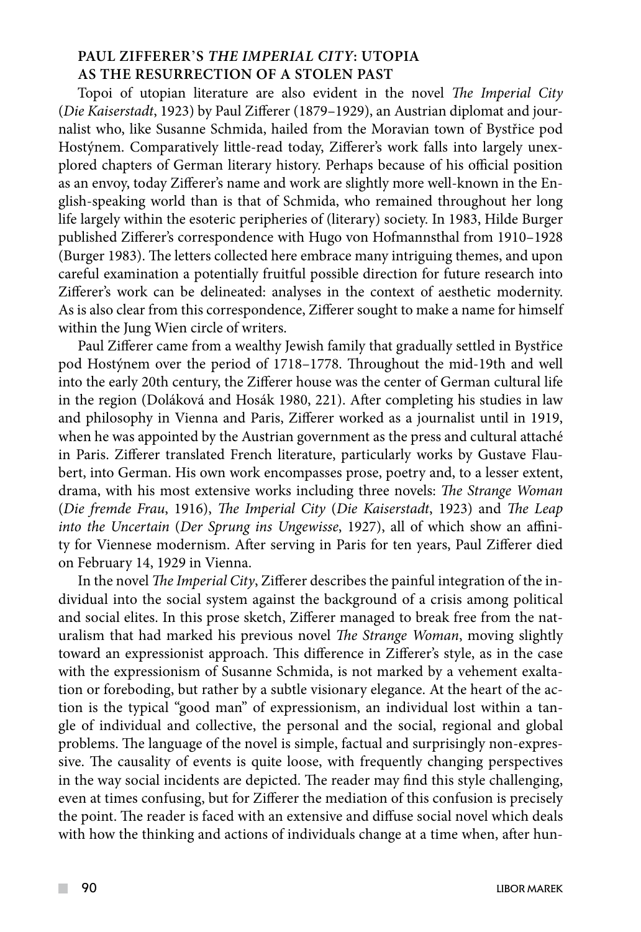# **PAUL ZIFFERER**'**S** *THE IMPERIAL CITY***: UTOPIA AS THE RESURRECTION OF A STOLEN PAST**

Topoi of utopian literature are also evident in the novel *The Imperial City* (*Die Kaiserstadt*, 1923) by Paul Zifferer (1879–1929), an Austrian diplomat and journalist who, like Susanne Schmida, hailed from the Moravian town of Bystřice pod Hostýnem. Comparatively little-read today, Zifferer's work falls into largely unexplored chapters of German literary history. Perhaps because of his official position as an envoy, today Zifferer's name and work are slightly more well-known in the English-speaking world than is that of Schmida, who remained throughout her long life largely within the esoteric peripheries of (literary) society. In 1983, Hilde Burger published Zifferer's correspondence with Hugo von Hofmannsthal from 1910–1928 (Burger 1983). The letters collected here embrace many intriguing themes, and upon careful examination a potentially fruitful possible direction for future research into Zifferer's work can be delineated: analyses in the context of aesthetic modernity. As is also clear from this correspondence, Zifferer sought to make a name for himself within the Jung Wien circle of writers.

Paul Zifferer came from a wealthy Jewish family that gradually settled in Bystřice pod Hostýnem over the period of 1718–1778. Throughout the mid-19th and well into the early 20th century, the Zifferer house was the center of German cultural life in the region (Doláková and Hosák 1980, 221). After completing his studies in law and philosophy in Vienna and Paris, Zifferer worked as a journalist until in 1919, when he was appointed by the Austrian government as the press and cultural attaché in Paris. Zifferer translated French literature, particularly works by Gustave Flaubert, into German. His own work encompasses prose, poetry and, to a lesser extent, drama, with his most extensive works including three novels: *The Strange Woman*  (*Die fremde Frau*, 1916), *The Imperial City* (*Die Kaiserstadt*, 1923) and *The Leap into the Uncertain* (*Der Sprung ins Ungewisse*, 1927), all of which show an affinity for Viennese modernism. After serving in Paris for ten years, Paul Zifferer died on February 14, 1929 in Vienna.

In the novel *The Imperial City*, Zifferer describes the painful integration of the individual into the social system against the background of a crisis among political and social elites. In this prose sketch, Zifferer managed to break free from the naturalism that had marked his previous novel *The Strange Woman*, moving slightly toward an expressionist approach. This difference in Zifferer's style, as in the case with the expressionism of Susanne Schmida, is not marked by a vehement exaltation or foreboding, but rather by a subtle visionary elegance. At the heart of the action is the typical "good man" of expressionism, an individual lost within a tangle of individual and collective, the personal and the social, regional and global problems. The language of the novel is simple, factual and surprisingly non-expressive. The causality of events is quite loose, with frequently changing perspectives in the way social incidents are depicted. The reader may find this style challenging, even at times confusing, but for Zifferer the mediation of this confusion is precisely the point. The reader is faced with an extensive and diffuse social novel which deals with how the thinking and actions of individuals change at a time when, after hun-

 $\mathcal{L}^{\mathcal{L}}$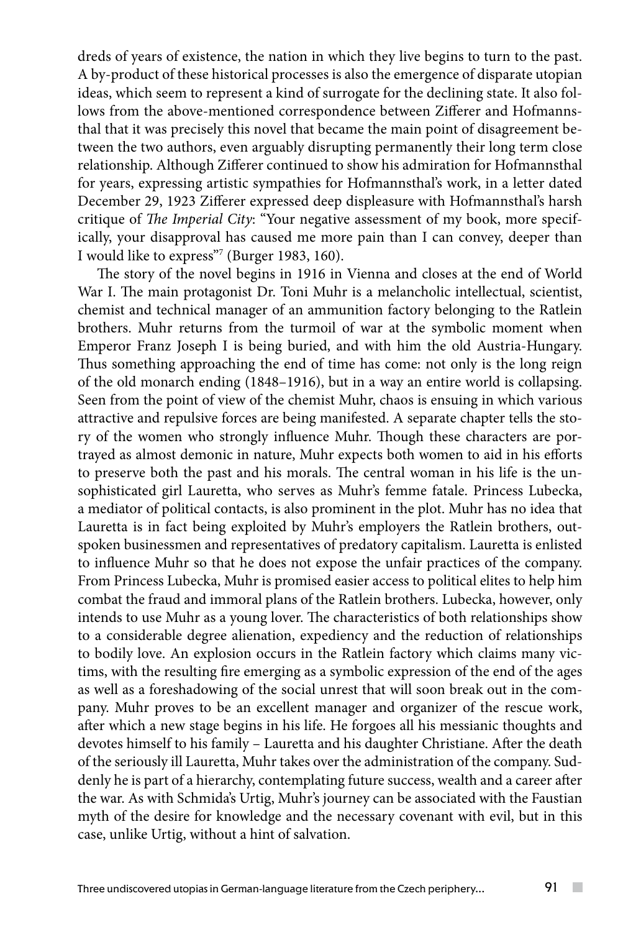dreds of years of existence, the nation in which they live begins to turn to the past. A by-product of these historical processes is also the emergence of disparate utopian ideas, which seem to represent a kind of surrogate for the declining state. It also follows from the above-mentioned correspondence between Zifferer and Hofmannsthal that it was precisely this novel that became the main point of disagreement between the two authors, even arguably disrupting permanently their long term close relationship. Although Zifferer continued to show his admiration for Hofmannsthal for years, expressing artistic sympathies for Hofmannsthal's work, in a letter dated December 29, 1923 Zifferer expressed deep displeasure with Hofmannsthal's harsh critique of *The Imperial City*: "Your negative assessment of my book, more specifically, your disapproval has caused me more pain than I can convey, deeper than I would like to express"7 (Burger 1983, 160).

The story of the novel begins in 1916 in Vienna and closes at the end of World War I. The main protagonist Dr. Toni Muhr is a melancholic intellectual, scientist, chemist and technical manager of an ammunition factory belonging to the Ratlein brothers. Muhr returns from the turmoil of war at the symbolic moment when Emperor Franz Joseph I is being buried, and with him the old Austria-Hungary. Thus something approaching the end of time has come: not only is the long reign of the old monarch ending (1848–1916), but in a way an entire world is collapsing. Seen from the point of view of the chemist Muhr, chaos is ensuing in which various attractive and repulsive forces are being manifested. A separate chapter tells the story of the women who strongly influence Muhr. Though these characters are portrayed as almost demonic in nature, Muhr expects both women to aid in his efforts to preserve both the past and his morals. The central woman in his life is the unsophisticated girl Lauretta, who serves as Muhr's femme fatale. Princess Lubecka, a mediator of political contacts, is also prominent in the plot. Muhr has no idea that Lauretta is in fact being exploited by Muhr's employers the Ratlein brothers, outspoken businessmen and representatives of predatory capitalism. Lauretta is enlisted to influence Muhr so that he does not expose the unfair practices of the company. From Princess Lubecka, Muhr is promised easier access to political elites to help him combat the fraud and immoral plans of the Ratlein brothers. Lubecka, however, only intends to use Muhr as a young lover. The characteristics of both relationships show to a considerable degree alienation, expediency and the reduction of relationships to bodily love. An explosion occurs in the Ratlein factory which claims many victims, with the resulting fire emerging as a symbolic expression of the end of the ages as well as a foreshadowing of the social unrest that will soon break out in the company. Muhr proves to be an excellent manager and organizer of the rescue work, after which a new stage begins in his life. He forgoes all his messianic thoughts and devotes himself to his family – Lauretta and his daughter Christiane. After the death of the seriously ill Lauretta, Muhr takes over the administration of the company. Suddenly he is part of a hierarchy, contemplating future success, wealth and a career after the war. As with Schmida's Urtig, Muhr's journey can be associated with the Faustian myth of the desire for knowledge and the necessary covenant with evil, but in this case, unlike Urtig, without a hint of salvation.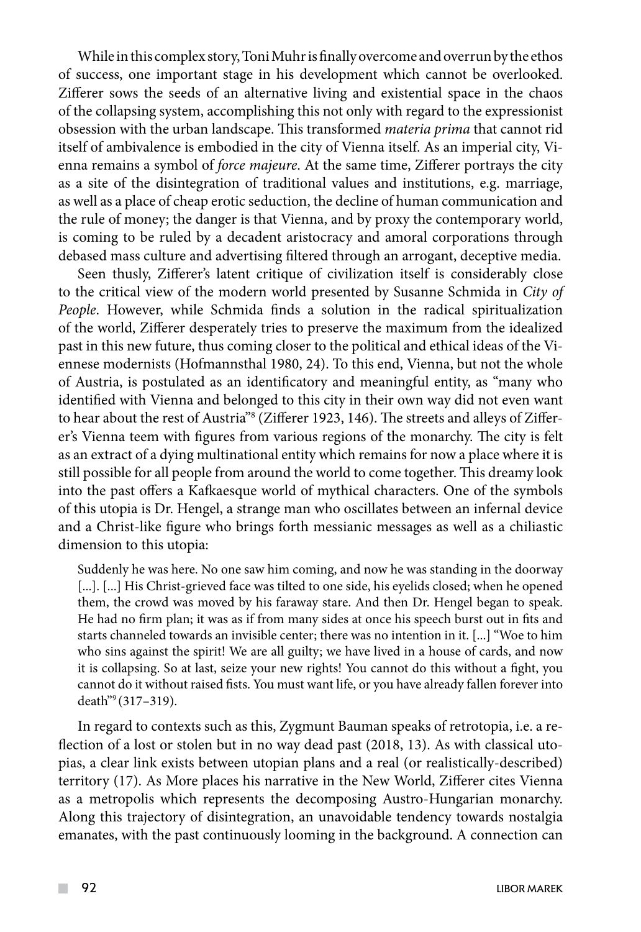While in this complex story, Toni Muhr is finally overcome and overrun by the ethos of success, one important stage in his development which cannot be overlooked. Zifferer sows the seeds of an alternative living and existential space in the chaos of the collapsing system, accomplishing this not only with regard to the expressionist obsession with the urban landscape. This transformed *materia prima* that cannot rid itself of ambivalence is embodied in the city of Vienna itself. As an imperial city, Vienna remains a symbol of *force majeure*. At the same time, Zifferer portrays the city as a site of the disintegration of traditional values and institutions, e.g. marriage, as well as a place of cheap erotic seduction, the decline of human communication and the rule of money; the danger is that Vienna, and by proxy the contemporary world, is coming to be ruled by a decadent aristocracy and amoral corporations through debased mass culture and advertising filtered through an arrogant, deceptive media.

Seen thusly, Zifferer's latent critique of civilization itself is considerably close to the critical view of the modern world presented by Susanne Schmida in *City of People*. However, while Schmida finds a solution in the radical spiritualization of the world, Zifferer desperately tries to preserve the maximum from the idealized past in this new future, thus coming closer to the political and ethical ideas of the Viennese modernists (Hofmannsthal 1980, 24). To this end, Vienna, but not the whole of Austria, is postulated as an identificatory and meaningful entity, as "many who identified with Vienna and belonged to this city in their own way did not even want to hear about the rest of Austria"8 (Zifferer 1923, 146). The streets and alleys of Zifferer's Vienna teem with figures from various regions of the monarchy. The city is felt as an extract of a dying multinational entity which remains for now a place where it is still possible for all people from around the world to come together. This dreamy look into the past offers a Kafkaesque world of mythical characters. One of the symbols of this utopia is Dr. Hengel, a strange man who oscillates between an infernal device and a Christ-like figure who brings forth messianic messages as well as a chiliastic dimension to this utopia:

Suddenly he was here. No one saw him coming, and now he was standing in the doorway [...]. [...] His Christ-grieved face was tilted to one side, his eyelids closed; when he opened them, the crowd was moved by his faraway stare. And then Dr. Hengel began to speak. He had no firm plan; it was as if from many sides at once his speech burst out in fits and starts channeled towards an invisible center; there was no intention in it. [...] "Woe to him who sins against the spirit! We are all guilty; we have lived in a house of cards, and now it is collapsing. So at last, seize your new rights! You cannot do this without a fight, you cannot do it without raised fists. You must want life, or you have already fallen forever into death"9 (317–319).

In regard to contexts such as this, Zygmunt Bauman speaks of retrotopia, i.e. a reflection of a lost or stolen but in no way dead past (2018, 13). As with classical utopias, a clear link exists between utopian plans and a real (or realistically-described) territory (17). As More places his narrative in the New World, Zifferer cites Vienna as a metropolis which represents the decomposing Austro-Hungarian monarchy. Along this trajectory of disintegration, an unavoidable tendency towards nostalgia emanates, with the past continuously looming in the background. A connection can

 $\mathcal{L}^{\mathcal{L}}$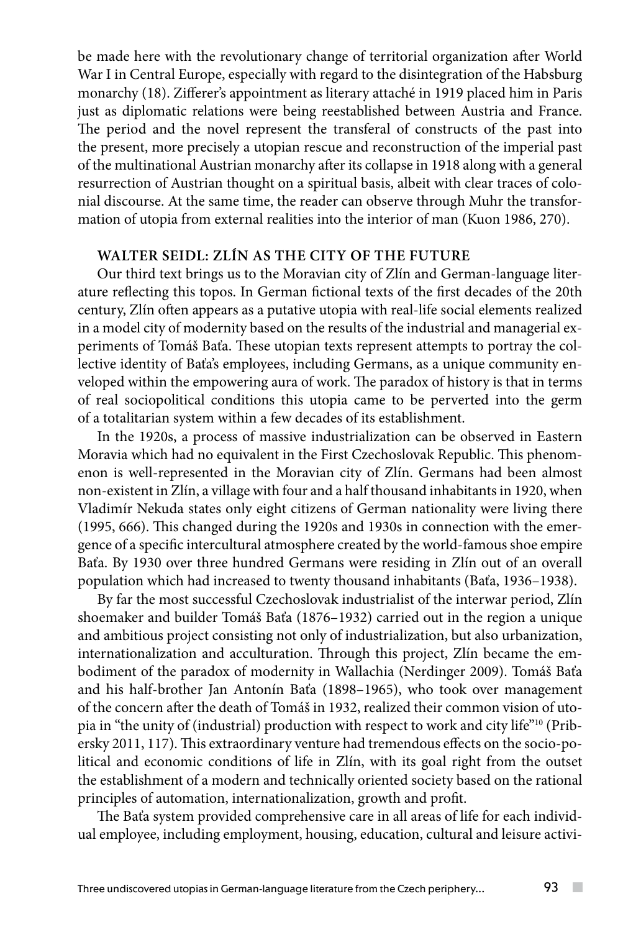be made here with the revolutionary change of territorial organization after World War I in Central Europe, especially with regard to the disintegration of the Habsburg monarchy (18). Zifferer's appointment as literary attaché in 1919 placed him in Paris just as diplomatic relations were being reestablished between Austria and France. The period and the novel represent the transferal of constructs of the past into the present, more precisely a utopian rescue and reconstruction of the imperial past of the multinational Austrian monarchy after its collapse in 1918 along with a general resurrection of Austrian thought on a spiritual basis, albeit with clear traces of colonial discourse. At the same time, the reader can observe through Muhr the transformation of utopia from external realities into the interior of man (Kuon 1986, 270).

# **WALTER SEIDL: ZLÍN AS THE CITY OF THE FUTURE**

Our third text brings us to the Moravian city of Zlín and German-language literature reflecting this topos. In German fictional texts of the first decades of the 20th century, Zlín often appears as a putative utopia with real-life social elements realized in a model city of modernity based on the results of the industrial and managerial experiments of Tomáš Baťa. These utopian texts represent attempts to portray the collective identity of Baťa's employees, including Germans, as a unique community enveloped within the empowering aura of work. The paradox of history is that in terms of real sociopolitical conditions this utopia came to be perverted into the germ of a totalitarian system within a few decades of its establishment.

In the 1920s, a process of massive industrialization can be observed in Eastern Moravia which had no equivalent in the First Czechoslovak Republic. This phenomenon is well-represented in the Moravian city of Zlín. Germans had been almost non-existent in Zlín, a village with four and a half thousand inhabitants in 1920, when Vladimír Nekuda states only eight citizens of German nationality were living there (1995, 666). This changed during the 1920s and 1930s in connection with the emergence of a specific intercultural atmosphere created by the world-famous shoe empire Baťa. By 1930 over three hundred Germans were residing in Zlín out of an overall population which had increased to twenty thousand inhabitants (Baťa, 1936–1938).

By far the most successful Czechoslovak industrialist of the interwar period, Zlín shoemaker and builder Tomáš Baťa (1876–1932) carried out in the region a unique and ambitious project consisting not only of industrialization, but also urbanization, internationalization and acculturation. Through this project, Zlín became the embodiment of the paradox of modernity in Wallachia (Nerdinger 2009). Tomáš Baťa and his half-brother Jan Antonín Baťa (1898–1965), who took over management of the concern after the death of Tomáš in 1932, realized their common vision of utopia in "the unity of (industrial) production with respect to work and city life"10 (Pribersky 2011, 117). This extraordinary venture had tremendous effects on the socio-political and economic conditions of life in Zlín, with its goal right from the outset the establishment of a modern and technically oriented society based on the rational principles of automation, internationalization, growth and profit.

The Baťa system provided comprehensive care in all areas of life for each individual employee, including employment, housing, education, cultural and leisure activi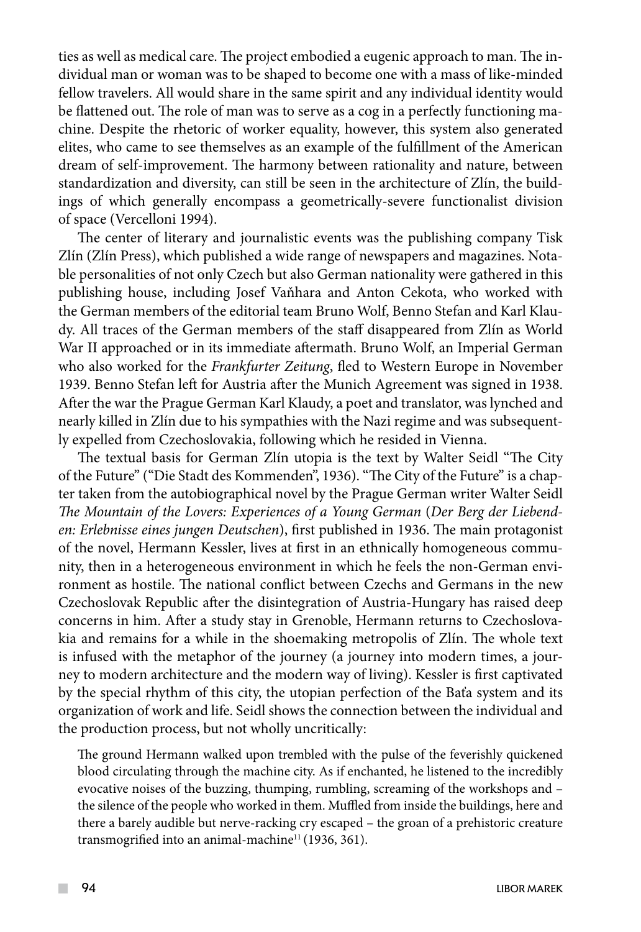ties as well as medical care. The project embodied a eugenic approach to man. The individual man or woman was to be shaped to become one with a mass of like-minded fellow travelers. All would share in the same spirit and any individual identity would be flattened out. The role of man was to serve as a cog in a perfectly functioning machine. Despite the rhetoric of worker equality, however, this system also generated elites, who came to see themselves as an example of the fulfillment of the American dream of self-improvement. The harmony between rationality and nature, between standardization and diversity, can still be seen in the architecture of Zlín, the buildings of which generally encompass a geometrically-severe functionalist division of space (Vercelloni 1994).

The center of literary and journalistic events was the publishing company Tisk Zlín (Zlín Press), which published a wide range of newspapers and magazines. Notable personalities of not only Czech but also German nationality were gathered in this publishing house, including Josef Vaňhara and Anton Cekota, who worked with the German members of the editorial team Bruno Wolf, Benno Stefan and Karl Klaudy. All traces of the German members of the staff disappeared from Zlín as World War II approached or in its immediate aftermath. Bruno Wolf, an Imperial German who also worked for the *Frankfurter Zeitung*, fled to Western Europe in November 1939. Benno Stefan left for Austria after the Munich Agreement was signed in 1938. After the war the Prague German Karl Klaudy, a poet and translator, was lynched and nearly killed in Zlín due to his sympathies with the Nazi regime and was subsequently expelled from Czechoslovakia, following which he resided in Vienna.

The textual basis for German Zlín utopia is the text by Walter Seidl "The City of the Future" ("Die Stadt des Kommenden", 1936). "The City of the Future" is a chapter taken from the autobiographical novel by the Prague German writer Walter Seidl *The Mountain of the Lovers: Experiences of a Young German* (*Der Berg der Liebenden: Erlebnisse eines jungen Deutschen*), first published in 1936. The main protagonist of the novel, Hermann Kessler, lives at first in an ethnically homogeneous community, then in a heterogeneous environment in which he feels the non-German environment as hostile. The national conflict between Czechs and Germans in the new Czechoslovak Republic after the disintegration of Austria-Hungary has raised deep concerns in him. After a study stay in Grenoble, Hermann returns to Czechoslovakia and remains for a while in the shoemaking metropolis of Zlín. The whole text is infused with the metaphor of the journey (a journey into modern times, a journey to modern architecture and the modern way of living). Kessler is first captivated by the special rhythm of this city, the utopian perfection of the Baťa system and its organization of work and life. Seidl shows the connection between the individual and the production process, but not wholly uncritically:

The ground Hermann walked upon trembled with the pulse of the feverishly quickened blood circulating through the machine city. As if enchanted, he listened to the incredibly evocative noises of the buzzing, thumping, rumbling, screaming of the workshops and – the silence of the people who worked in them. Muffled from inside the buildings, here and there a barely audible but nerve-racking cry escaped – the groan of a prehistoric creature transmogrified into an animal-machine<sup>11</sup> (1936, 361).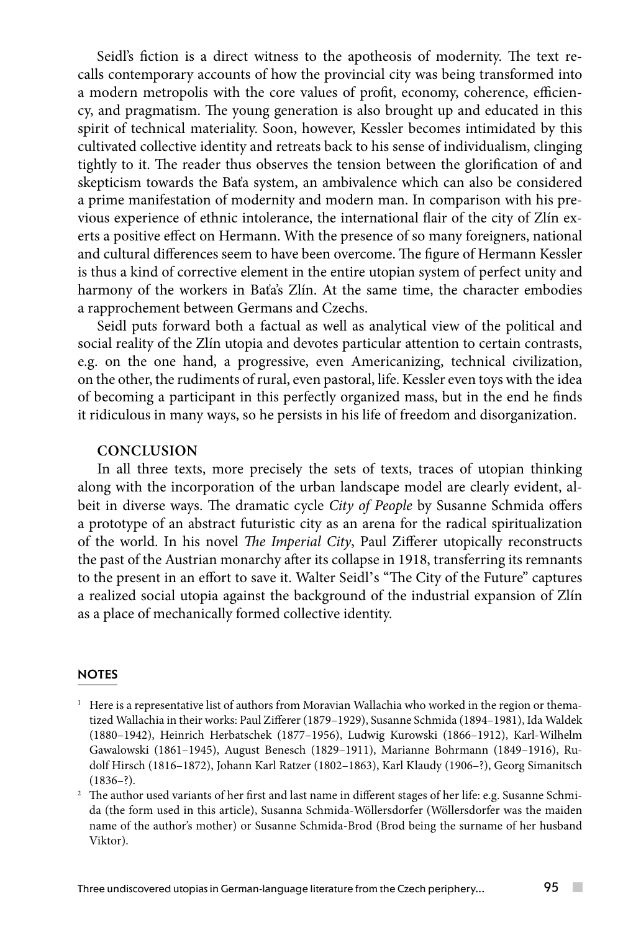Seidl's fiction is a direct witness to the apotheosis of modernity. The text recalls contemporary accounts of how the provincial city was being transformed into a modern metropolis with the core values of profit, economy, coherence, efficiency, and pragmatism. The young generation is also brought up and educated in this spirit of technical materiality. Soon, however, Kessler becomes intimidated by this cultivated collective identity and retreats back to his sense of individualism, clinging tightly to it. The reader thus observes the tension between the glorification of and skepticism towards the Baťa system, an ambivalence which can also be considered a prime manifestation of modernity and modern man. In comparison with his previous experience of ethnic intolerance, the international flair of the city of Zlín exerts a positive effect on Hermann. With the presence of so many foreigners, national and cultural differences seem to have been overcome. The figure of Hermann Kessler is thus a kind of corrective element in the entire utopian system of perfect unity and harmony of the workers in Baťa's Zlín. At the same time, the character embodies a rapprochement between Germans and Czechs.

Seidl puts forward both a factual as well as analytical view of the political and social reality of the Zlín utopia and devotes particular attention to certain contrasts, e.g. on the one hand, a progressive, even Americanizing, technical civilization, on the other, the rudiments of rural, even pastoral, life. Kessler even toys with the idea of becoming a participant in this perfectly organized mass, but in the end he finds it ridiculous in many ways, so he persists in his life of freedom and disorganization.

# **CONCLUSION**

In all three texts, more precisely the sets of texts, traces of utopian thinking along with the incorporation of the urban landscape model are clearly evident, albeit in diverse ways. The dramatic cycle *City of People* by Susanne Schmida offers a prototype of an abstract futuristic city as an arena for the radical spiritualization of the world. In his novel *The Imperial City*, Paul Zifferer utopically reconstructs the past of the Austrian monarchy after its collapse in 1918, transferring its remnants to the present in an effort to save it. Walter Seidl's "The City of the Future" captures a realized social utopia against the background of the industrial expansion of Zlín as a place of mechanically formed collective identity.

#### **NOTES**

- $1$  Here is a representative list of authors from Moravian Wallachia who worked in the region or thematized Wallachia in their works: Paul Zifferer (1879–1929), Susanne Schmida (1894–1981), Ida Waldek (1880–1942), Heinrich Herbatschek (1877–1956), Ludwig Kurowski (1866–1912), Karl-Wilhelm Gawalowski (1861–1945), August Benesch (1829–1911), Marianne Bohrmann (1849–1916), Rudolf Hirsch (1816–1872), Johann Karl Ratzer (1802–1863), Karl Klaudy (1906–?), Georg Simanitsch  $(1836 - ?)$ .
- <sup>2</sup> The author used variants of her first and last name in different stages of her life: e.g. Susanne Schmida (the form used in this article), Susanna Schmida-Wöllersdorfer (Wöllersdorfer was the maiden name of the author's mother) or Susanne Schmida-Brod (Brod being the surname of her husband Viktor).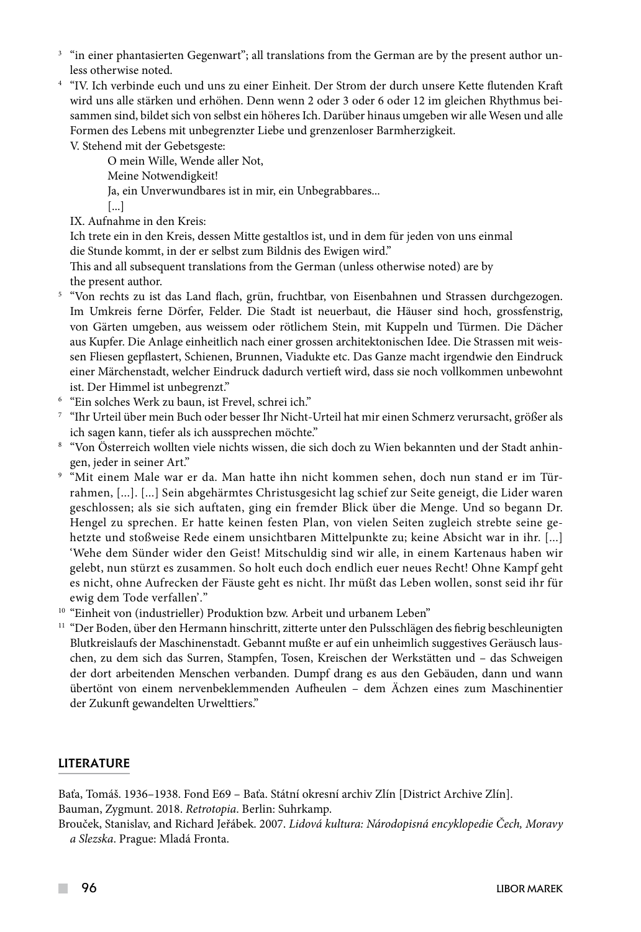- $3$  "in einer phantasierten Gegenwart"; all translations from the German are by the present author unless otherwise noted.
- <sup>4</sup> "IV. Ich verbinde euch und uns zu einer Einheit. Der Strom der durch unsere Kette flutenden Kraft wird uns alle stärken und erhöhen. Denn wenn 2 oder 3 oder 6 oder 12 im gleichen Rhythmus beisammen sind, bildet sich von selbst ein höheres Ich. Darüber hinaus umgeben wir alle Wesen und alle Formen des Lebens mit unbegrenzter Liebe und grenzenloser Barmherzigkeit.

V. Stehend mit der Gebetsgeste:

 O mein Wille, Wende aller Not, Meine Notwendigkeit! Ja, ein Unverwundbares ist in mir, ein Unbegrabbares... [...]

IX. Aufnahme in den Kreis:

 Ich trete ein in den Kreis, dessen Mitte gestaltlos ist, und in dem für jeden von uns einmal die Stunde kommt, in der er selbst zum Bildnis des Ewigen wird."

This and all subsequent translations from the German (unless otherwise noted) are by the present author.

- <sup>5</sup> "Von rechts zu ist das Land flach, grün, fruchtbar, von Eisenbahnen und Strassen durchgezogen. Im Umkreis ferne Dörfer, Felder. Die Stadt ist neuerbaut, die Häuser sind hoch, grossfenstrig, von Gärten umgeben, aus weissem oder rötlichem Stein, mit Kuppeln und Türmen. Die Dächer aus Kupfer. Die Anlage einheitlich nach einer grossen architektonischen Idee. Die Strassen mit weissen Fliesen gepflastert, Schienen, Brunnen, Viadukte etc. Das Ganze macht irgendwie den Eindruck einer Märchenstadt, welcher Eindruck dadurch vertieft wird, dass sie noch vollkommen unbewohnt ist. Der Himmel ist unbegrenzt."
- <sup>6</sup> "Ein solches Werk zu baun, ist Frevel, schrei ich."
- <sup>7</sup> "Ihr Urteil über mein Buch oder besser Ihr Nicht-Urteil hat mir einen Schmerz verursacht, größer als ich sagen kann, tiefer als ich aussprechen möchte."
- <sup>8</sup> "Von Österreich wollten viele nichts wissen, die sich doch zu Wien bekannten und der Stadt anhingen, jeder in seiner Art."
- <sup>9</sup> "Mit einem Male war er da. Man hatte ihn nicht kommen sehen, doch nun stand er im Türrahmen, [...]. [...] Sein abgehärmtes Christusgesicht lag schief zur Seite geneigt, die Lider waren geschlossen; als sie sich auftaten, ging ein fremder Blick über die Menge. Und so begann Dr. Hengel zu sprechen. Er hatte keinen festen Plan, von vielen Seiten zugleich strebte seine gehetzte und stoßweise Rede einem unsichtbaren Mittelpunkte zu; keine Absicht war in ihr. [...] 'Wehe dem Sünder wider den Geist! Mitschuldig sind wir alle, in einem Kartenaus haben wir gelebt, nun stürzt es zusammen. So holt euch doch endlich euer neues Recht! Ohne Kampf geht es nicht, ohne Aufrecken der Fäuste geht es nicht. Ihr müßt das Leben wollen, sonst seid ihr für ewig dem Tode verfallen'."
- <sup>10</sup> "Einheit von (industrieller) Produktion bzw. Arbeit und urbanem Leben"
- $11$  "Der Boden, über den Hermann hinschritt, zitterte unter den Pulsschlägen des fiebrig beschleunigten Blutkreislaufs der Maschinenstadt. Gebannt mußte er auf ein unheimlich suggestives Geräusch lauschen, zu dem sich das Surren, Stampfen, Tosen, Kreischen der Werkstätten und – das Schweigen der dort arbeitenden Menschen verbanden. Dumpf drang es aus den Gebäuden, dann und wann übertönt von einem nervenbeklemmenden Aufheulen – dem Ächzen eines zum Maschinentier der Zukunft gewandelten Urwelttiers."

#### LITERATURE

Baťa, Tomáš. 1936–1938. Fond E69 – Baťa. Státní okresní archiv Zlín [District Archive Zlín]. Bauman, Zygmunt. 2018. *Retrotopia*. Berlin: Suhrkamp.

Brouček, Stanislav, and Richard Jeřábek. 2007. *Lidová kultura: Národopisná encyklopedie Čech, Moravy a Slezska*. Prague: Mladá Fronta.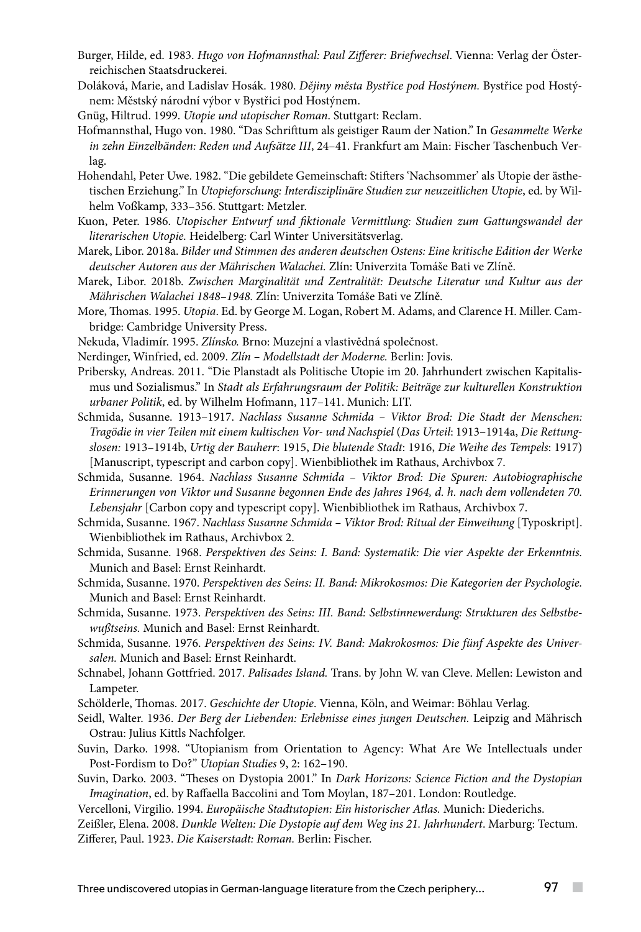- Burger, Hilde, ed. 1983. *Hugo von Hofmannsthal: Paul Zifferer: Briefwechsel*. Vienna: Verlag der Österreichischen Staatsdruckerei.
- Doláková, Marie, and Ladislav Hosák. 1980. *Dějiny města Bystřice pod Hostýnem.* Bystřice pod Hostýnem: Městský národní výbor v Bystřici pod Hostýnem.
- Gnüg, Hiltrud. 1999. *Utopie und utopischer Roman*. Stuttgart: Reclam.
- Hofmannsthal, Hugo von. 1980. "Das Schrifttum als geistiger Raum der Nation." In *Gesammelte Werke in zehn Einzelbänden: Reden und Aufsätze III*, 24–41. Frankfurt am Main: Fischer Taschenbuch Verlag.
- Hohendahl, Peter Uwe. 1982. "Die gebildete Gemeinschaft: Stifters 'Nachsommer' als Utopie der ästhetischen Erziehung." In *Utopieforschung: Interdisziplinäre Studien zur neuzeitlichen Utopie*, ed. by Wilhelm Voßkamp, 333–356. Stuttgart: Metzler.
- Kuon, Peter. 1986. *Utopischer Entwurf und fiktionale Vermittlung: Studien zum Gattungswandel der literarischen Utopie.* Heidelberg: Carl Winter Universitätsverlag.
- Marek, Libor. 2018a. *Bilder und Stimmen des anderen deutschen Ostens: Eine kritische Edition der Werke deutscher Autoren aus der Mährischen Walachei.* Zlín: Univerzita Tomáše Bati ve Zlíně.
- Marek, Libor. 2018b. *Zwischen Marginalität und Zentralität: Deutsche Literatur und Kultur aus der Mährischen Walachei 1848–1948.* Zlín: Univerzita Tomáše Bati ve Zlíně.
- More, Thomas. 1995. *Utopia*. Ed. by George M. Logan, Robert M. Adams, and Clarence H. Miller. Cambridge: Cambridge University Press.
- Nekuda, Vladimír. 1995. *Zlínsko.* Brno: Muzejní a vlastivědná společnost.
- Nerdinger, Winfried, ed. 2009. *Zlín Modellstadt der Moderne.* Berlin: Jovis.
- Pribersky, Andreas. 2011. "Die Planstadt als Politische Utopie im 20. Jahrhundert zwischen Kapitalismus und Sozialismus." In *Stadt als Erfahrungsraum der Politik: Beiträge zur kulturellen Konstruktion urbaner Politik*, ed. by Wilhelm Hofmann, 117–141. Munich: LIT.
- Schmida, Susanne. 1913–1917. *Nachlass Susanne Schmida Viktor Brod: Die Stadt der Menschen: Tragödie in vier Teilen mit einem kultischen Vor- und Nachspiel* (*Das Urteil*: 1913–1914a, *Die Rettungslosen:* 1913–1914b, *Urtig der Bauherr*: 1915, *Die blutende Stadt*: 1916, *Die Weihe des Tempels*: 1917) [Manuscript, typescript and carbon copy]. Wienbibliothek im Rathaus, Archivbox 7.
- Schmida, Susanne. 1964. *Nachlass Susanne Schmida Viktor Brod: Die Spuren: Autobiographische Erinnerungen von Viktor und Susanne begonnen Ende des Jahres 1964, d. h. nach dem vollendeten 70. Lebensjahr* [Carbon copy and typescript copy]. Wienbibliothek im Rathaus, Archivbox 7.
- Schmida, Susanne. 1967. *Nachlass Susanne Schmida Viktor Brod: Ritual der Einweihung* [Typoskript]. Wienbibliothek im Rathaus, Archivbox 2.
- Schmida, Susanne. 1968. *Perspektiven des Seins: I. Band: Systematik: Die vier Aspekte der Erkenntnis.* Munich and Basel: Ernst Reinhardt.
- Schmida, Susanne. 1970. *Perspektiven des Seins: II. Band: Mikrokosmos: Die Kategorien der Psychologie.* Munich and Basel: Ernst Reinhardt.
- Schmida, Susanne. 1973. *Perspektiven des Seins: III. Band: Selbstinnewerdung: Strukturen des Selbstbewußtseins.* Munich and Basel: Ernst Reinhardt.
- Schmida, Susanne. 1976. *Perspektiven des Seins: IV. Band: Makrokosmos: Die fünf Aspekte des Universalen.* Munich and Basel: Ernst Reinhardt.
- Schnabel, Johann Gottfried. 2017. *Palisades Island.* Trans. by John W. van Cleve. Mellen: Lewiston and Lampeter.
- Schölderle, Thomas. 2017. *Geschichte der Utopie*. Vienna, Köln, and Weimar: Böhlau Verlag.
- Seidl, Walter. 1936. *Der Berg der Liebenden: Erlebnisse eines jungen Deutschen.* Leipzig and Mährisch Ostrau: Julius Kittls Nachfolger.
- Suvin, Darko. 1998. "Utopianism from Orientation to Agency: What Are We Intellectuals under Post-Fordism to Do?" *Utopian Studies* 9, 2: 162–190.
- Suvin, Darko. 2003. "Theses on Dystopia 2001." In *Dark Horizons: Science Fiction and the Dystopian Imagination*, ed. by Raffaella Baccolini and Tom Moylan, 187–201. London: Routledge.
- Vercelloni, Virgilio. 1994. *Europäische Stadtutopien: Ein historischer Atlas.* Munich: Diederichs.

Zeißler, Elena. 2008. *Dunkle Welten: Die Dystopie auf dem Weg ins 21. Jahrhundert*. Marburg: Tectum. Zifferer, Paul. 1923. *Die Kaiserstadt: Roman.* Berlin: Fischer.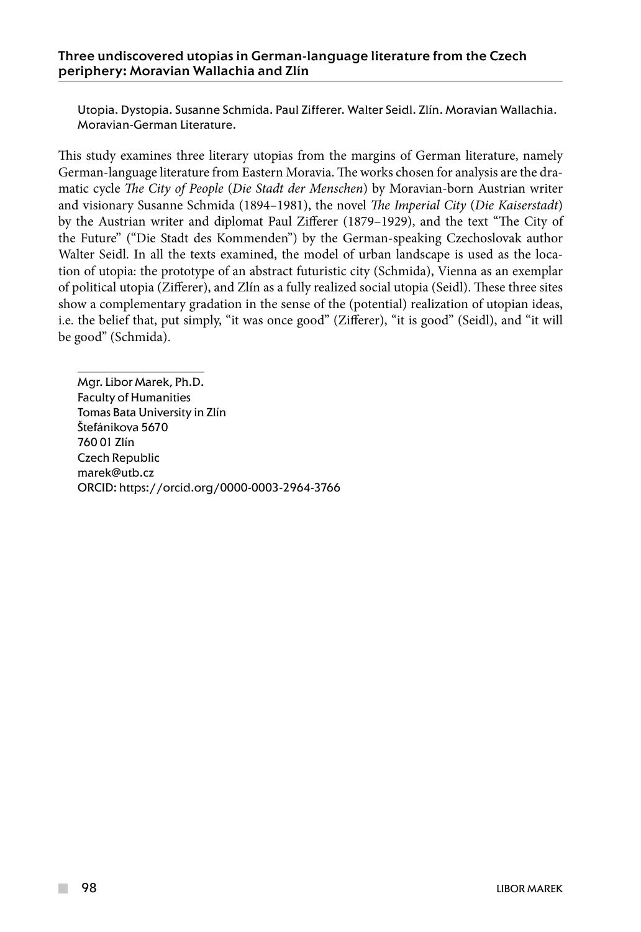Utopia. Dystopia. Susanne Schmida. Paul Zifferer. Walter Seidl. Zlín. Moravian Wallachia. Moravian-German Literature.

This study examines three literary utopias from the margins of German literature, namely German-language literature from Eastern Moravia. The works chosen for analysis are the dramatic cycle *The City of People* (*Die Stadt der Menschen*) by Moravian-born Austrian writer and visionary Susanne Schmida (1894–1981), the novel *The Imperial City* (*Die Kaiserstadt*) by the Austrian writer and diplomat Paul Zifferer (1879–1929), and the text "The City of the Future" ("Die Stadt des Kommenden") by the German-speaking Czechoslovak author Walter Seidl. In all the texts examined, the model of urban landscape is used as the location of utopia: the prototype of an abstract futuristic city (Schmida), Vienna as an exemplar of political utopia (Zifferer), and Zlín as a fully realized social utopia (Seidl). These three sites show a complementary gradation in the sense of the (potential) realization of utopian ideas, i.e. the belief that, put simply, "it was once good" (Zifferer), "it is good" (Seidl), and "it will be good" (Schmida).

Mgr. Libor Marek, Ph.D. Faculty of Humanities Tomas Bata University in Zlín Štefánikova 5670 760 01 Zlín Czech Republic marek@utb.cz ORCID: https://orcid.org/0000-0003-2964-3766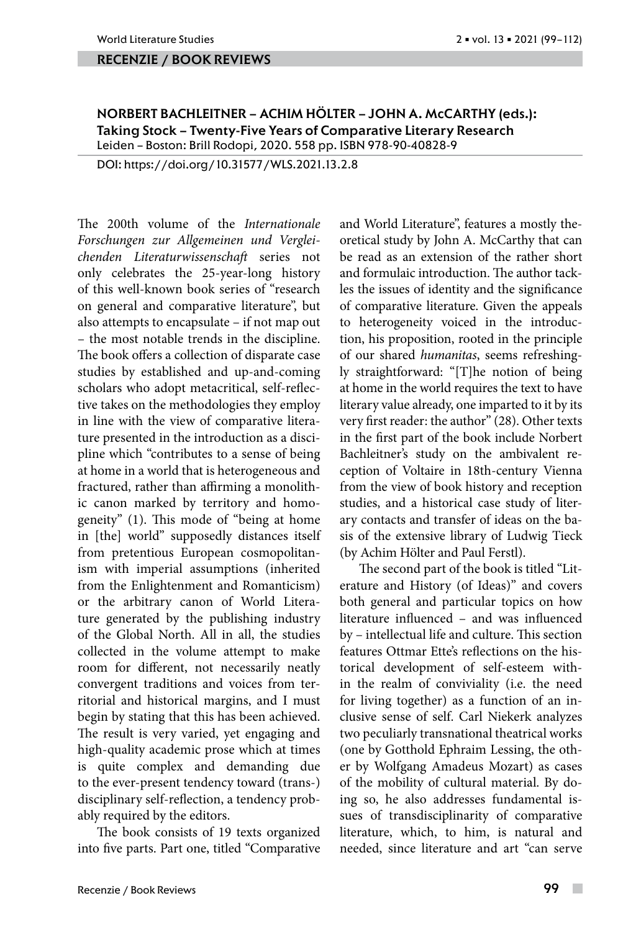#### recenzie / book reviews

NORBERT BACHLEITNER – ACHIM HÖLTER – JOHN A. McCARTHY (eds.): Taking Stock – Twenty-Five Years of Comparative Literary Research Leiden – Boston: Brill Rodopi, 2020. 558 pp. ISBN 978-90-40828-9

DOI: https://doi.org/10.31577/WLS.2021.13.2.8

The 200th volume of the *Internationale Forschungen zur Allgemeinen und Vergleichenden Literaturwissenschaft* series not only celebrates the 25-year-long history of this well-known book series of "research on general and comparative literature", but also attempts to encapsulate – if not map out – the most notable trends in the discipline. The book offers a collection of disparate case studies by established and up-and-coming scholars who adopt metacritical, self-reflective takes on the methodologies they employ in line with the view of comparative literature presented in the introduction as a discipline which "contributes to a sense of being at home in a world that is heterogeneous and fractured, rather than affirming a monolithic canon marked by territory and homogeneity" (1). This mode of "being at home in [the] world" supposedly distances itself from pretentious European cosmopolitanism with imperial assumptions (inherited from the Enlightenment and Romanticism) or the arbitrary canon of World Literature generated by the publishing industry of the Global North. All in all, the studies collected in the volume attempt to make room for different, not necessarily neatly convergent traditions and voices from territorial and historical margins, and I must begin by stating that this has been achieved. The result is very varied, yet engaging and high-quality academic prose which at times is quite complex and demanding due to the ever-present tendency toward (trans-) disciplinary self-reflection, a tendency probably required by the editors.

The book consists of 19 texts organized into five parts. Part one, titled "Comparative and World Literature", features a mostly theoretical study by John A. McCarthy that can be read as an extension of the rather short and formulaic introduction. The author tackles the issues of identity and the significance of comparative literature. Given the appeals to heterogeneity voiced in the introduction, his proposition, rooted in the principle of our shared *humanitas*, seems refreshingly straightforward: "[T]he notion of being at home in the world requires the text to have literary value already, one imparted to it by its very first reader: the author" (28). Other texts in the first part of the book include Norbert Bachleitner's study on the ambivalent reception of Voltaire in 18th-century Vienna from the view of book history and reception studies, and a historical case study of literary contacts and transfer of ideas on the basis of the extensive library of Ludwig Tieck (by Achim Hölter and Paul Ferstl).

The second part of the book is titled "Literature and History (of Ideas)" and covers both general and particular topics on how literature influenced – and was influenced by – intellectual life and culture. This section features Ottmar Ette's reflections on the historical development of self-esteem within the realm of conviviality (i.e. the need for living together) as a function of an inclusive sense of self. Carl Niekerk analyzes two peculiarly transnational theatrical works (one by Gotthold Ephraim Lessing, the other by Wolfgang Amadeus Mozart) as cases of the mobility of cultural material. By doing so, he also addresses fundamental issues of transdisciplinarity of comparative literature, which, to him, is natural and needed, since literature and art "can serve

 $\overline{\phantom{a}}$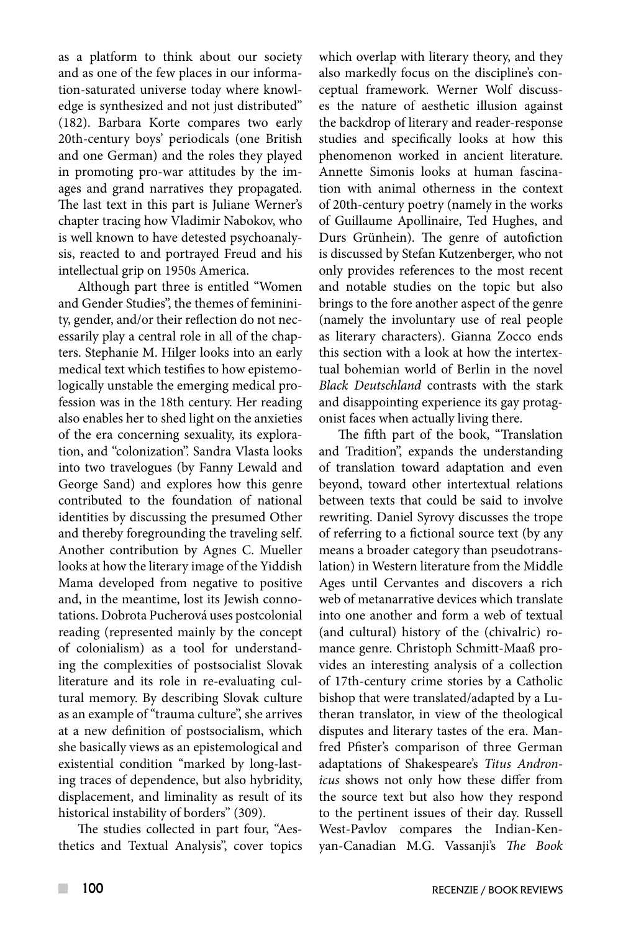as a platform to think about our society and as one of the few places in our information-saturated universe today where knowledge is synthesized and not just distributed" (182). Barbara Korte compares two early 20th-century boys' periodicals (one British and one German) and the roles they played in promoting pro-war attitudes by the images and grand narratives they propagated. The last text in this part is Juliane Werner's chapter tracing how Vladimir Nabokov, who is well known to have detested psychoanalysis, reacted to and portrayed Freud and his intellectual grip on 1950s America.

Although part three is entitled "Women and Gender Studies", the themes of femininity, gender, and/or their reflection do not necessarily play a central role in all of the chapters. Stephanie M. Hilger looks into an early medical text which testifies to how epistemologically unstable the emerging medical profession was in the 18th century. Her reading also enables her to shed light on the anxieties of the era concerning sexuality, its exploration, and "colonization". Sandra Vlasta looks into two travelogues (by Fanny Lewald and George Sand) and explores how this genre contributed to the foundation of national identities by discussing the presumed Other and thereby foregrounding the traveling self. Another contribution by Agnes C. Mueller looks at how the literary image of the Yiddish Mama developed from negative to positive and, in the meantime, lost its Jewish connotations. Dobrota Pucherová uses postcolonial reading (represented mainly by the concept of colonialism) as a tool for understanding the complexities of postsocialist Slovak literature and its role in re-evaluating cultural memory. By describing Slovak culture as an example of "trauma culture", she arrives at a new definition of postsocialism, which she basically views as an epistemological and existential condition "marked by long-lasting traces of dependence, but also hybridity, displacement, and liminality as result of its historical instability of borders" (309).

The studies collected in part four, "Aesthetics and Textual Analysis", cover topics which overlap with literary theory, and they also markedly focus on the discipline's conceptual framework. Werner Wolf discusses the nature of aesthetic illusion against the backdrop of literary and reader-response studies and specifically looks at how this phenomenon worked in ancient literature. Annette Simonis looks at human fascination with animal otherness in the context of 20th-century poetry (namely in the works of Guillaume Apollinaire, Ted Hughes, and Durs Grünhein). The genre of autofiction is discussed by Stefan Kutzenberger, who not only provides references to the most recent and notable studies on the topic but also brings to the fore another aspect of the genre (namely the involuntary use of real people as literary characters). Gianna Zocco ends this section with a look at how the intertextual bohemian world of Berlin in the novel *Black Deutschland* contrasts with the stark and disappointing experience its gay protagonist faces when actually living there.

The fifth part of the book, "Translation and Tradition", expands the understanding of translation toward adaptation and even beyond, toward other intertextual relations between texts that could be said to involve rewriting. Daniel Syrovy discusses the trope of referring to a fictional source text (by any means a broader category than pseudotranslation) in Western literature from the Middle Ages until Cervantes and discovers a rich web of metanarrative devices which translate into one another and form a web of textual (and cultural) history of the (chivalric) romance genre. Christoph Schmitt-Maaß provides an interesting analysis of a collection of 17th-century crime stories by a Catholic bishop that were translated/adapted by a Lutheran translator, in view of the theological disputes and literary tastes of the era. Manfred Pfister's comparison of three German adaptations of Shakespeare's *Titus Andronicus* shows not only how these differ from the source text but also how they respond to the pertinent issues of their day. Russell West-Pavlov compares the Indian-Kenyan-Canadian M.G. Vassanji's *The Book*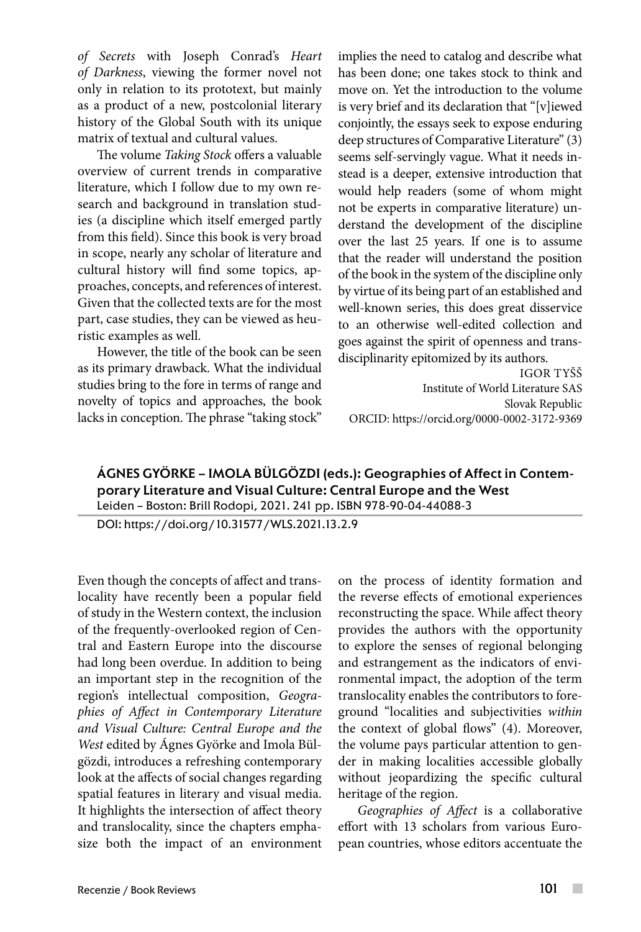*of Secrets* with Joseph Conrad's *Heart of Darkness*, viewing the former novel not only in relation to its prototext, but mainly as a product of a new, postcolonial literary history of the Global South with its unique matrix of textual and cultural values.

The volume *Taking Stock* offers a valuable overview of current trends in comparative literature, which I follow due to my own research and background in translation studies (a discipline which itself emerged partly from this field). Since this book is very broad in scope, nearly any scholar of literature and cultural history will find some topics, approaches, concepts, and references of interest. Given that the collected texts are for the most part, case studies, they can be viewed as heuristic examples as well.

However, the title of the book can be seen as its primary drawback. What the individual studies bring to the fore in terms of range and novelty of topics and approaches, the book lacks in conception. The phrase "taking stock" implies the need to catalog and describe what has been done; one takes stock to think and move on. Yet the introduction to the volume is very brief and its declaration that "[v]iewed conjointly, the essays seek to expose enduring deep structures of Comparative Literature" (3) seems self-servingly vague. What it needs instead is a deeper, extensive introduction that would help readers (some of whom might not be experts in comparative literature) understand the development of the discipline over the last 25 years. If one is to assume that the reader will understand the position of the book in the system of the discipline only by virtue of its being part of an established and well-known series, this does great disservice to an otherwise well-edited collection and goes against the spirit of openness and transdisciplinarity epitomized by its authors.

IGOR TYŠŠ Institute of World Literature SAS Slovak Republic ORCID: https://orcid.org/0000-0002-3172-9369

## ÁGNES GYÖRKE – IMOLA BÜLGÖZDI (eds.): Geographies of Affect in Contemporary Literature and Visual Culture: Central Europe and the West Leiden – Boston: Brill Rodopi, 2021. 241 pp. ISBN 978-90-04-44088-3

DOI: https://doi.org/10.31577/WLS.2021.13.2.9

Even though the concepts of affect and translocality have recently been a popular field of study in the Western context, the inclusion of the frequently-overlooked region of Central and Eastern Europe into the discourse had long been overdue. In addition to being an important step in the recognition of the region's intellectual composition, *Geographies of Affect in Contemporary Literature and Visual Culture: Central Europe and the West* edited by Ágnes Györke and Imola Bülgözdi, introduces a refreshing contemporary look at the affects of social changes regarding spatial features in literary and visual media. It highlights the intersection of affect theory and translocality, since the chapters emphasize both the impact of an environment on the process of identity formation and the reverse effects of emotional experiences reconstructing the space. While affect theory provides the authors with the opportunity to explore the senses of regional belonging and estrangement as the indicators of environmental impact, the adoption of the term translocality enables the contributors to foreground "localities and subjectivities *within* the context of global flows" (4). Moreover, the volume pays particular attention to gender in making localities accessible globally without jeopardizing the specific cultural heritage of the region.

*Geographies of Affect* is a collaborative effort with 13 scholars from various European countries, whose editors accentuate the

 $\mathcal{C}^{\mathcal{A}}$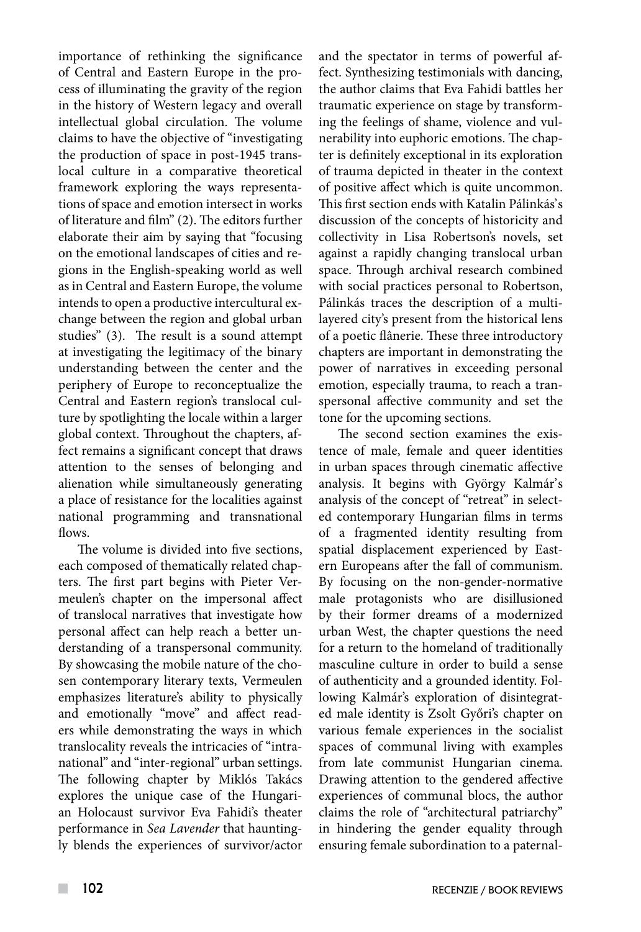importance of rethinking the significance of Central and Eastern Europe in the process of illuminating the gravity of the region in the history of Western legacy and overall intellectual global circulation. The volume claims to have the objective of "investigating the production of space in post-1945 translocal culture in a comparative theoretical framework exploring the ways representations of space and emotion intersect in works of literature and film" (2). The editors further elaborate their aim by saying that "focusing on the emotional landscapes of cities and regions in the English-speaking world as well as in Central and Eastern Europe, the volume intends to open a productive intercultural exchange between the region and global urban studies" (3). The result is a sound attempt at investigating the legitimacy of the binary understanding between the center and the periphery of Europe to reconceptualize the Central and Eastern region's translocal culture by spotlighting the locale within a larger global context. Throughout the chapters, affect remains a significant concept that draws attention to the senses of belonging and alienation while simultaneously generating a place of resistance for the localities against national programming and transnational flows.

The volume is divided into five sections, each composed of thematically related chapters. The first part begins with Pieter Vermeulen's chapter on the impersonal affect of translocal narratives that investigate how personal affect can help reach a better understanding of a transpersonal community. By showcasing the mobile nature of the chosen contemporary literary texts, Vermeulen emphasizes literature's ability to physically and emotionally "move" and affect readers while demonstrating the ways in which translocality reveals the intricacies of "intranational" and "inter-regional" urban settings. The following chapter by Miklós Takács explores the unique case of the Hungarian Holocaust survivor Eva Fahidi's theater performance in *Sea Lavender* that hauntingly blends the experiences of survivor/actor and the spectator in terms of powerful affect. Synthesizing testimonials with dancing, the author claims that Eva Fahidi battles her traumatic experience on stage by transforming the feelings of shame, violence and vulnerability into euphoric emotions. The chapter is definitely exceptional in its exploration of trauma depicted in theater in the context of positive affect which is quite uncommon. This first section ends with Katalin Pálinkás's discussion of the concepts of historicity and collectivity in Lisa Robertson's novels, set against a rapidly changing translocal urban space. Through archival research combined with social practices personal to Robertson, Pálinkás traces the description of a multilayered city's present from the historical lens of a poetic flânerie. These three introductory chapters are important in demonstrating the power of narratives in exceeding personal emotion, especially trauma, to reach a transpersonal affective community and set the tone for the upcoming sections.

The second section examines the existence of male, female and queer identities in urban spaces through cinematic affective analysis. It begins with György Kalmár's analysis of the concept of "retreat" in selected contemporary Hungarian films in terms of a fragmented identity resulting from spatial displacement experienced by Eastern Europeans after the fall of communism. By focusing on the non-gender-normative male protagonists who are disillusioned by their former dreams of a modernized urban West, the chapter questions the need for a return to the homeland of traditionally masculine culture in order to build a sense of authenticity and a grounded identity. Following Kalmár's exploration of disintegrated male identity is Zsolt Győri's chapter on various female experiences in the socialist spaces of communal living with examples from late communist Hungarian cinema. Drawing attention to the gendered affective experiences of communal blocs, the author claims the role of "architectural patriarchy" in hindering the gender equality through ensuring female subordination to a paternal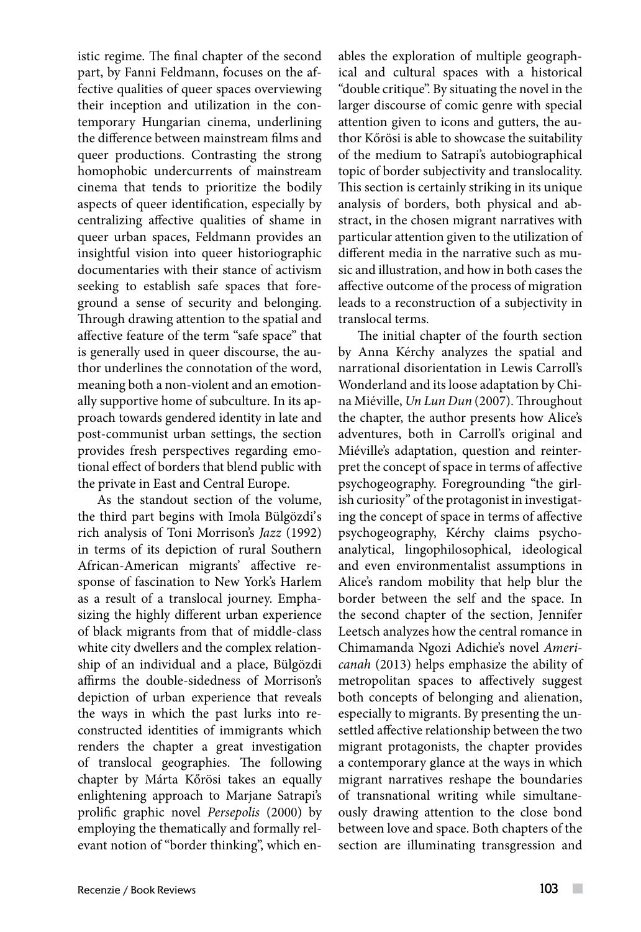istic regime. The final chapter of the second part, by Fanni Feldmann, focuses on the affective qualities of queer spaces overviewing their inception and utilization in the contemporary Hungarian cinema, underlining the difference between mainstream films and queer productions. Contrasting the strong homophobic undercurrents of mainstream cinema that tends to prioritize the bodily aspects of queer identification, especially by centralizing affective qualities of shame in queer urban spaces, Feldmann provides an insightful vision into queer historiographic documentaries with their stance of activism seeking to establish safe spaces that foreground a sense of security and belonging. Through drawing attention to the spatial and affective feature of the term "safe space" that is generally used in queer discourse, the author underlines the connotation of the word, meaning both a non-violent and an emotionally supportive home of subculture. In its approach towards gendered identity in late and post-communist urban settings, the section provides fresh perspectives regarding emotional effect of borders that blend public with the private in East and Central Europe.

As the standout section of the volume, the third part begins with Imola Bülgözdi's rich analysis of Toni Morrison's *Jazz* (1992) in terms of its depiction of rural Southern African-American migrants' affective response of fascination to New York's Harlem as a result of a translocal journey. Emphasizing the highly different urban experience of black migrants from that of middle-class white city dwellers and the complex relationship of an individual and a place, Bülgözdi affirms the double-sidedness of Morrison's depiction of urban experience that reveals the ways in which the past lurks into reconstructed identities of immigrants which renders the chapter a great investigation of translocal geographies. The following chapter by Márta Kőrösi takes an equally enlightening approach to Marjane Satrapi's prolific graphic novel *Persepolis* (2000) by employing the thematically and formally relevant notion of "border thinking", which enables the exploration of multiple geographical and cultural spaces with a historical "double critique". By situating the novel in the larger discourse of comic genre with special attention given to icons and gutters, the author Kőrösi is able to showcase the suitability of the medium to Satrapi's autobiographical topic of border subjectivity and translocality. This section is certainly striking in its unique analysis of borders, both physical and abstract, in the chosen migrant narratives with particular attention given to the utilization of different media in the narrative such as music and illustration, and how in both cases the affective outcome of the process of migration leads to a reconstruction of a subjectivity in translocal terms.

The initial chapter of the fourth section by Anna Kérchy analyzes the spatial and narrational disorientation in Lewis Carroll's Wonderland and its loose adaptation by China Miéville, *Un Lun Dun* (2007). Throughout the chapter, the author presents how Alice's adventures, both in Carroll's original and Miéville's adaptation, question and reinterpret the concept of space in terms of affective psychogeography. Foregrounding "the girlish curiosity" of the protagonist in investigating the concept of space in terms of affective psychogeography, Kérchy claims psychoanalytical, lingophilosophical, ideological and even environmentalist assumptions in Alice's random mobility that help blur the border between the self and the space. In the second chapter of the section, Jennifer Leetsch analyzes how the central romance in Chimamanda Ngozi Adichie's novel *Americanah* (2013) helps emphasize the ability of metropolitan spaces to affectively suggest both concepts of belonging and alienation, especially to migrants. By presenting the unsettled affective relationship between the two migrant protagonists, the chapter provides a contemporary glance at the ways in which migrant narratives reshape the boundaries of transnational writing while simultaneously drawing attention to the close bond between love and space. Both chapters of the section are illuminating transgression and

 $\overline{\phantom{a}}$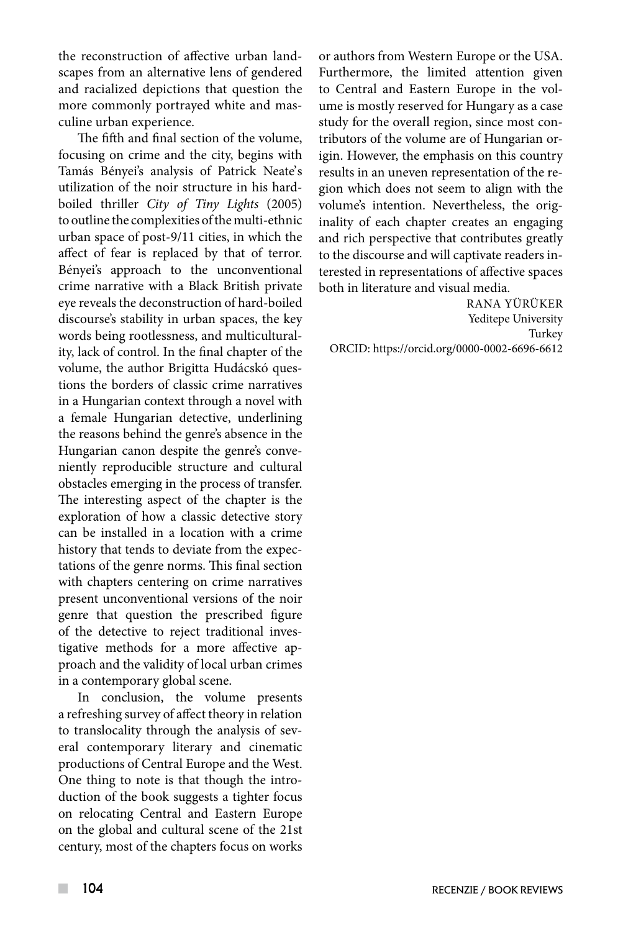the reconstruction of affective urban landscapes from an alternative lens of gendered and racialized depictions that question the more commonly portrayed white and masculine urban experience.

The fifth and final section of the volume, focusing on crime and the city, begins with Tamás Bényei's analysis of Patrick Neate's utilization of the noir structure in his hardboiled thriller *City of Tiny Lights* (2005) to outline the complexities of the multi-ethnic urban space of post-9/11 cities, in which the affect of fear is replaced by that of terror. Bényei's approach to the unconventional crime narrative with a Black British private eye reveals the deconstruction of hard-boiled discourse's stability in urban spaces, the key words being rootlessness, and multiculturality, lack of control. In the final chapter of the volume, the author Brigitta Hudácskó questions the borders of classic crime narratives in a Hungarian context through a novel with a female Hungarian detective, underlining the reasons behind the genre's absence in the Hungarian canon despite the genre's conveniently reproducible structure and cultural obstacles emerging in the process of transfer. The interesting aspect of the chapter is the exploration of how a classic detective story can be installed in a location with a crime history that tends to deviate from the expectations of the genre norms. This final section with chapters centering on crime narratives present unconventional versions of the noir genre that question the prescribed figure of the detective to reject traditional investigative methods for a more affective approach and the validity of local urban crimes in a contemporary global scene.

In conclusion, the volume presents a refreshing survey of affect theory in relation to translocality through the analysis of several contemporary literary and cinematic productions of Central Europe and the West. One thing to note is that though the introduction of the book suggests a tighter focus on relocating Central and Eastern Europe on the global and cultural scene of the 21st century, most of the chapters focus on works

or authors from Western Europe or the USA. Furthermore, the limited attention given to Central and Eastern Europe in the volume is mostly reserved for Hungary as a case study for the overall region, since most contributors of the volume are of Hungarian origin. However, the emphasis on this country results in an uneven representation of the region which does not seem to align with the volume's intention. Nevertheless, the originality of each chapter creates an engaging and rich perspective that contributes greatly to the discourse and will captivate readers interested in representations of affective spaces both in literature and visual media.

RANA YÜRÜKER Yeditepe University Turkey ORCID: https://orcid.org/0000-0002-6696-6612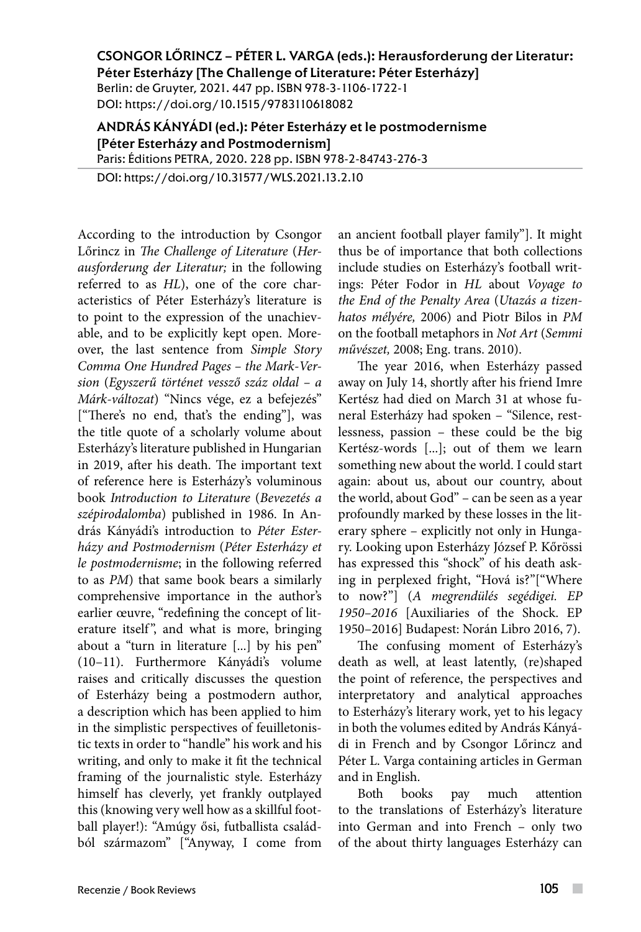CSONGOR LŐRINCZ – PÉTER L. VARGA (eds.): Herausforderung der Literatur: Péter Esterházy [The Challenge of Literature: Péter Esterházy] Berlin: de Gruyter, 2021. 447 pp. ISBN 978-3-1106-1722-1 DOI: https://doi.org/10.1515/9783110618082

ANDRÁS KÁNYÁDI (ed.): Péter Esterházy et le postmodernisme [Péter Esterházy and Postmodernism] Paris: Éditions PETRA, 2020. 228 pp. ISBN 978-2-84743-276-3

DOI: https://doi.org/10.31577/WLS.2021.13.2.10

According to the introduction by Csongor Lőrincz in *The Challenge of Literature* (*Herausforderung der Literatur;* in the following referred to as *HL*), one of the core characteristics of Péter Esterházy's literature is to point to the expression of the unachievable, and to be explicitly kept open. Moreover, the last sentence from *Simple Story Comma One Hundred Pages – the Mark-Version* (*Egyszerű történet vessző száz oldal – a Márk-változat*) "Nincs vége, ez a befejezés" ["There's no end, that's the ending"], was the title quote of a scholarly volume about Esterházy's literature published in Hungarian in 2019, after his death. The important text of reference here is Esterházy's voluminous book *Introduction to Literature* (*Bevezetés a szépirodalomba*) published in 1986. In András Kányádi's introduction to *Péter Esterházy and Postmodernism* (*Péter Esterházy et le postmodernisme*; in the following referred to as *PM*) that same book bears a similarly comprehensive importance in the author's earlier œuvre, "redefining the concept of literature itself", and what is more, bringing about a "turn in literature [...] by his pen" (10–11). Furthermore Kányádi's volume raises and critically discusses the question of Esterházy being a postmodern author, a description which has been applied to him in the simplistic perspectives of feuilletonistic texts in order to "handle" his work and his writing, and only to make it fit the technical framing of the journalistic style. Esterházy himself has cleverly, yet frankly outplayed this (knowing very well how as a skillful football player!): "Amúgy ősi, futballista családból származom" ["Anyway, I come from

an ancient football player family"]. It might thus be of importance that both collections include studies on Esterházy's football writings: Péter Fodor in *HL* about *Voyage to the End of the Penalty Area* (*Utazás a tizenhatos mélyére,* 2006) and Piotr Bilos in *PM* on the football metaphors in *Not Art* (*Semmi művészet,* 2008; Eng. trans. 2010).

The year 2016, when Esterházy passed away on July 14, shortly after his friend Imre Kertész had died on March 31 at whose funeral Esterházy had spoken – "Silence, restlessness, passion – these could be the big Kertész-words [...]; out of them we learn something new about the world. I could start again: about us, about our country, about the world, about God" – can be seen as a year profoundly marked by these losses in the literary sphere – explicitly not only in Hungary. Looking upon Esterházy József P. Kőrössi has expressed this "shock" of his death asking in perplexed fright, "Hová is?"["Where to now?"] (*A megrendülés segédigei. EP 1950–2016* [Auxiliaries of the Shock. EP 1950–2016] Budapest: Norán Libro 2016, 7).

The confusing moment of Esterházy's death as well, at least latently, (re)shaped the point of reference, the perspectives and interpretatory and analytical approaches to Esterházy's literary work, yet to his legacy in both the volumes edited by András Kányádi in French and by Csongor Lőrincz and Péter L. Varga containing articles in German and in English.

Both books pay much attention to the translations of Esterházy's literature into German and into French – only two of the about thirty languages Esterházy can

 $\sim$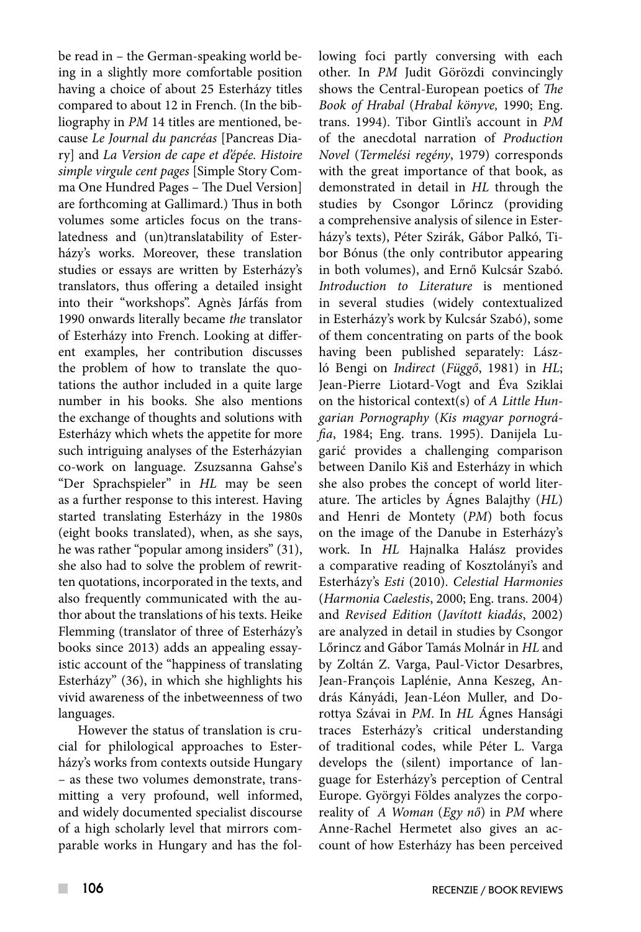be read in – the German-speaking world being in a slightly more comfortable position having a choice of about 25 Esterházy titles compared to about 12 in French. (In the bibliography in *PM* 14 titles are mentioned, because *Le Journal du pancréas* [Pancreas Diary] and *La Version de cape et d'épée. Histoire simple virgule cent pages* [Simple Story Comma One Hundred Pages – The Duel Version] are forthcoming at Gallimard.) Thus in both volumes some articles focus on the translatedness and (un)translatability of Esterházy's works. Moreover, these translation studies or essays are written by Esterházy's translators, thus offering a detailed insight into their "workshops". Agnès Járfás from 1990 onwards literally became *the* translator of Esterházy into French. Looking at different examples, her contribution discusses the problem of how to translate the quotations the author included in a quite large number in his books. She also mentions the exchange of thoughts and solutions with Esterházy which whets the appetite for more such intriguing analyses of the Esterházyian co-work on language. Zsuzsanna Gahse's "Der Sprachspieler" in *HL* may be seen as a further response to this interest. Having started translating Esterházy in the 1980s (eight books translated), when, as she says, he was rather "popular among insiders" (31), she also had to solve the problem of rewritten quotations, incorporated in the texts, and also frequently communicated with the author about the translations of his texts. Heike Flemming (translator of three of Esterházy's books since 2013) adds an appealing essayistic account of the "happiness of translating Esterházy" (36), in which she highlights his vivid awareness of the inbetweenness of two languages.

However the status of translation is crucial for philological approaches to Esterházy's works from contexts outside Hungary – as these two volumes demonstrate, transmitting a very profound, well informed, and widely documented specialist discourse of a high scholarly level that mirrors comparable works in Hungary and has the fol-

lowing foci partly conversing with each other. In *PM* Judit Görözdi convincingly shows the Central-European poetics of *The Book of Hrabal* (*Hrabal könyve,* 1990; Eng. trans. 1994). Tibor Gintli's account in *PM* of the anecdotal narration of *Production Novel* (*Termelési regény*, 1979) corresponds with the great importance of that book, as demonstrated in detail in *HL* through the studies by Csongor Lőrincz (providing a comprehensive analysis of silence in Esterházy's texts), Péter Szirák, Gábor Palkó, Tibor Bónus (the only contributor appearing in both volumes), and Ernő Kulcsár Szabó. *Introduction to Literature* is mentioned in several studies (widely contextualized in Esterházy's work by Kulcsár Szabó), some of them concentrating on parts of the book having been published separately: László Bengi on *Indirect* (*Függő*, 1981) in *HL*; Jean-Pierre Liotard-Vogt and Éva Sziklai on the historical context(s) of *A Little Hungarian Pornography* (*Kis magyar pornográfia*, 1984; Eng. trans. 1995). Danijela Lugarić provides a challenging comparison between Danilo Kiš and Esterházy in which she also probes the concept of world literature. The articles by Ágnes Balajthy (*HL*) and Henri de Montety (*PM*) both focus on the image of the Danube in Esterházy's work. In *HL* Hajnalka Halász provides a comparative reading of Kosztolányi's and Esterházy's *Esti* (2010). *Celestial Harmonies*  (*Harmonia Caelestis*, 2000; Eng. trans. 2004) and *Revised Edition* (*Javított kiadás*, 2002) are analyzed in detail in studies by Csongor Lőrincz and Gábor Tamás Molnár in *HL* and by Zoltán Z. Varga, Paul-Victor Desarbres, Jean-François Laplénie, Anna Keszeg, András Kányádi, Jean-Léon Muller, and Dorottya Szávai in *PM*. In *HL* Ágnes Hansági traces Esterházy's critical understanding of traditional codes, while Péter L. Varga develops the (silent) importance of language for Esterházy's perception of Central Europe. Györgyi Földes analyzes the corporeality of  *A Woman* (*Egy nő*) in *PM* where Anne-Rachel Hermetet also gives an account of how Esterházy has been perceived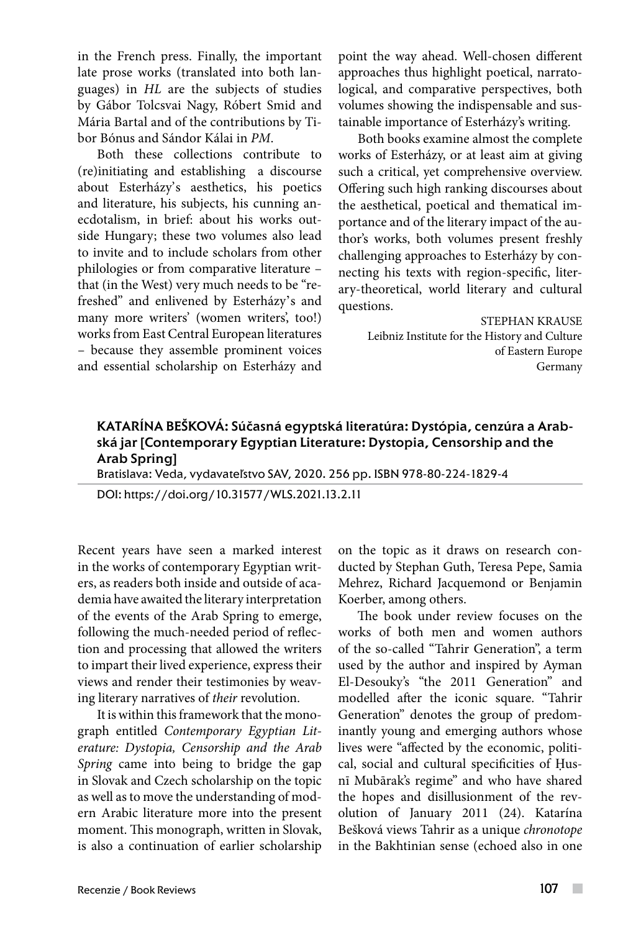in the French press. Finally, the important late prose works (translated into both languages) in *HL* are the subjects of studies by Gábor Tolcsvai Nagy, Róbert Smid and Mária Bartal and of the contributions by Tibor Bónus and Sándor Kálai in *PM*.

Both these collections contribute to (re)initiating and establishing a discourse about Esterházy's aesthetics, his poetics and literature, his subjects, his cunning anecdotalism, in brief: about his works outside Hungary; these two volumes also lead to invite and to include scholars from other philologies or from comparative literature – that (in the West) very much needs to be "refreshed" and enlivened by Esterházy's and many more writers' (women writers', too!) works from East Central European literatures – because they assemble prominent voices and essential scholarship on Esterházy and point the way ahead. Well-chosen different approaches thus highlight poetical, narratological, and comparative perspectives, both volumes showing the indispensable and sustainable importance of Esterházy's writing.

Both books examine almost the complete works of Esterházy, or at least aim at giving such a critical, yet comprehensive overview. Offering such high ranking discourses about the aesthetical, poetical and thematical importance and of the literary impact of the author's works, both volumes present freshly challenging approaches to Esterházy by connecting his texts with region-specific, literary-theoretical, world literary and cultural questions.

> STEPHAN KRAUSE Leibniz Institute for the History and Culture of Eastern Europe Germany

# KATARÍNA BEŠKOVÁ: Súčasná egyptská literatúra: Dystópia, cenzúra a Arabská jar [Contemporary Egyptian Literature: Dystopia, Censorship and the Arab Spring]

Bratislava: Veda, vydavateľstvo SAV, 2020. 256 pp. ISBN 978-80-224-1829-4

DOI: https://doi.org/10.31577/WLS.2021.13.2.11

Recent years have seen a marked interest in the works of contemporary Egyptian writers, as readers both inside and outside of academia have awaited the literary interpretation of the events of the Arab Spring to emerge, following the much-needed period of reflection and processing that allowed the writers to impart their lived experience, express their views and render their testimonies by weaving literary narratives of *their* revolution.

It is within this framework that the monograph entitled *Contemporary Egyptian Literature: Dystopia, Censorship and the Arab Spring* came into being to bridge the gap in Slovak and Czech scholarship on the topic as well as to move the understanding of modern Arabic literature more into the present moment. This monograph, written in Slovak, is also a continuation of earlier scholarship on the topic as it draws on research conducted by Stephan Guth, Teresa Pepe, Samia Mehrez, Richard Jacquemond or Benjamin Koerber, among others.

The book under review focuses on the works of both men and women authors of the so-called "Tahrir Generation", a term used by the author and inspired by Ayman El-Desouky's "the 2011 Generation" and modelled after the iconic square. "Tahrir Generation" denotes the group of predominantly young and emerging authors whose lives were "affected by the economic, political, social and cultural specificities of Ḥusnī Mubārak's regime" and who have shared the hopes and disillusionment of the revolution of January 2011 (24). Katarína Bešková views Tahrir as a unique *chronotope*  in the Bakhtinian sense (echoed also in one

 $\overline{\phantom{a}}$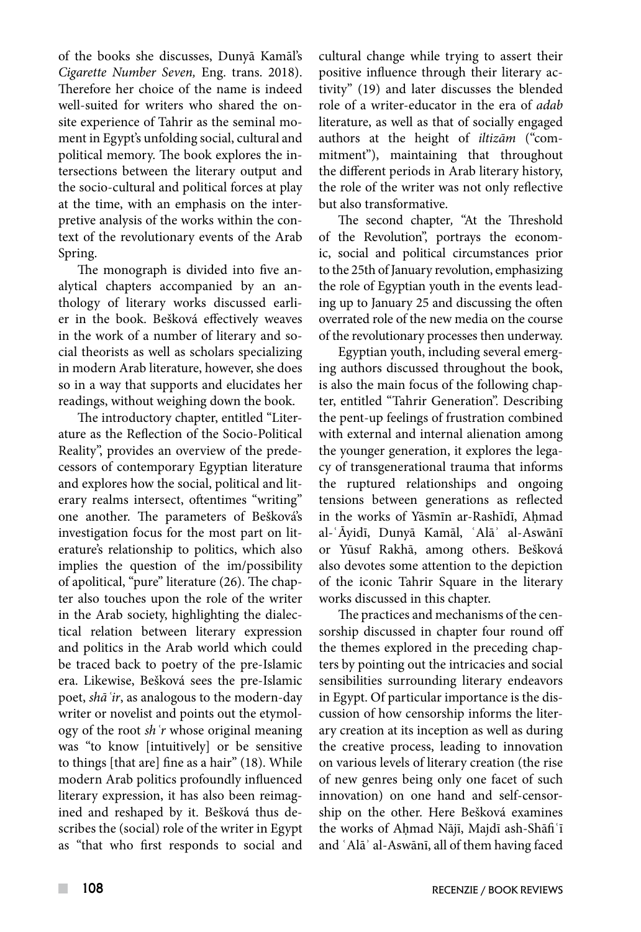of the books she discusses, Dunyā Kamāl's *Cigarette Number Seven,* Eng. trans. 2018). Therefore her choice of the name is indeed well-suited for writers who shared the onsite experience of Tahrir as the seminal moment in Egypt's unfolding social, cultural and political memory. The book explores the intersections between the literary output and the socio-cultural and political forces at play at the time, with an emphasis on the interpretive analysis of the works within the context of the revolutionary events of the Arab Spring.

The monograph is divided into five analytical chapters accompanied by an anthology of literary works discussed earlier in the book. Bešková effectively weaves in the work of a number of literary and social theorists as well as scholars specializing in modern Arab literature, however, she does so in a way that supports and elucidates her readings, without weighing down the book.

The introductory chapter, entitled "Literature as the Reflection of the Socio-Political Reality", provides an overview of the predecessors of contemporary Egyptian literature and explores how the social, political and literary realms intersect, oftentimes "writing" one another. The parameters of Bešková's investigation focus for the most part on literature's relationship to politics, which also implies the question of the im/possibility of apolitical, "pure" literature (26). The chapter also touches upon the role of the writer in the Arab society, highlighting the dialectical relation between literary expression and politics in the Arab world which could be traced back to poetry of the pre-Islamic era. Likewise, Bešková sees the pre-Islamic poet, *shāʿir*, as analogous to the modern-day writer or novelist and points out the etymology of the root *shʿr* whose original meaning was "to know [intuitively] or be sensitive to things [that are] fine as a hair" (18). While modern Arab politics profoundly influenced literary expression, it has also been reimagined and reshaped by it. Bešková thus describes the (social) role of the writer in Egypt as "that who first responds to social and cultural change while trying to assert their positive influence through their literary activity" (19) and later discusses the blended role of a writer-educator in the era of *adab* literature, as well as that of socially engaged authors at the height of *iltizām* ("commitment"), maintaining that throughout the different periods in Arab literary history, the role of the writer was not only reflective but also transformative.

The second chapter*,* "At the Threshold of the Revolution", portrays the economic, social and political circumstances prior to the 25th of January revolution, emphasizing the role of Egyptian youth in the events leading up to January 25 and discussing the often overrated role of the new media on the course of the revolutionary processes then underway.

Egyptian youth, including several emerging authors discussed throughout the book, is also the main focus of the following chapter, entitled "Tahrir Generation". Describing the pent-up feelings of frustration combined with external and internal alienation among the younger generation, it explores the legacy of transgenerational trauma that informs the ruptured relationships and ongoing tensions between generations as reflected in the works of Yāsmīn ar-Rashīdī, Ahmad al-ʿĀyidī, Dunyā Kamāl, ʿAlāʾ al-Aswānī or Yūsuf Rakhā, among others. Bešková also devotes some attention to the depiction of the iconic Tahrir Square in the literary works discussed in this chapter.

The practices and mechanisms of the censorship discussed in chapter four round off the themes explored in the preceding chapters by pointing out the intricacies and social sensibilities surrounding literary endeavors in Egypt. Of particular importance is the discussion of how censorship informs the literary creation at its inception as well as during the creative process, leading to innovation on various levels of literary creation (the rise of new genres being only one facet of such innovation) on one hand and self-censorship on the other. Here Bešková examines the works of Aḥmad Nājī, Majdī ash-Shāfiʿī and ʿAlāʾ al-Aswānī, all of them having faced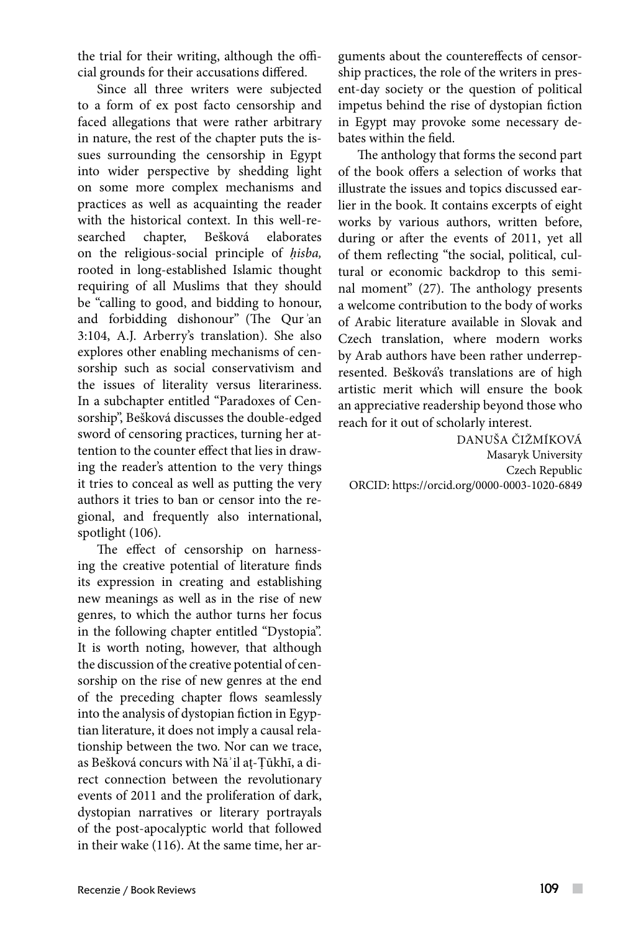the trial for their writing, although the official grounds for their accusations differed.

Since all three writers were subjected to a form of ex post facto censorship and faced allegations that were rather arbitrary in nature, the rest of the chapter puts the issues surrounding the censorship in Egypt into wider perspective by shedding light on some more complex mechanisms and practices as well as acquainting the reader with the historical context. In this well-re-<br>searched chapter. Bešková elaborates chapter, Bešková elaborates on the religious-social principle of *ḥisba,*  rooted in long-established Islamic thought requiring of all Muslims that they should be "calling to good, and bidding to honour, and forbidding dishonour" (The Qur*ʾ*an 3:104, A.J. Arberry's translation). She also explores other enabling mechanisms of censorship such as social conservativism and the issues of literality versus literariness. In a subchapter entitled "Paradoxes of Censorship", Bešková discusses the double-edged sword of censoring practices, turning her attention to the counter effect that lies in drawing the reader's attention to the very things it tries to conceal as well as putting the very authors it tries to ban or censor into the regional, and frequently also international, spotlight (106).

The effect of censorship on harnessing the creative potential of literature finds its expression in creating and establishing new meanings as well as in the rise of new genres, to which the author turns her focus in the following chapter entitled "Dystopia". It is worth noting, however, that although the discussion of the creative potential of censorship on the rise of new genres at the end of the preceding chapter flows seamlessly into the analysis of dystopian fiction in Egyptian literature, it does not imply a causal relationship between the two. Nor can we trace, as Bešková concurs with Nāʾil aṭ-Ṭūkhī, a direct connection between the revolutionary events of 2011 and the proliferation of dark, dystopian narratives or literary portrayals of the post-apocalyptic world that followed in their wake (116). At the same time, her arguments about the countereffects of censorship practices, the role of the writers in present-day society or the question of political impetus behind the rise of dystopian fiction in Egypt may provoke some necessary debates within the field.

The anthology that forms the second part of the book offers a selection of works that illustrate the issues and topics discussed earlier in the book. It contains excerpts of eight works by various authors, written before, during or after the events of 2011, yet all of them reflecting "the social, political, cultural or economic backdrop to this seminal moment" (27). The anthology presents a welcome contribution to the body of works of Arabic literature available in Slovak and Czech translation, where modern works by Arab authors have been rather underrepresented. Bešková's translations are of high artistic merit which will ensure the book an appreciative readership beyond those who reach for it out of scholarly interest.

DANUŠA ČIŽMÍKOVÁ Masaryk University Czech Republic ORCID: https://orcid.org/0000-0003-1020-6849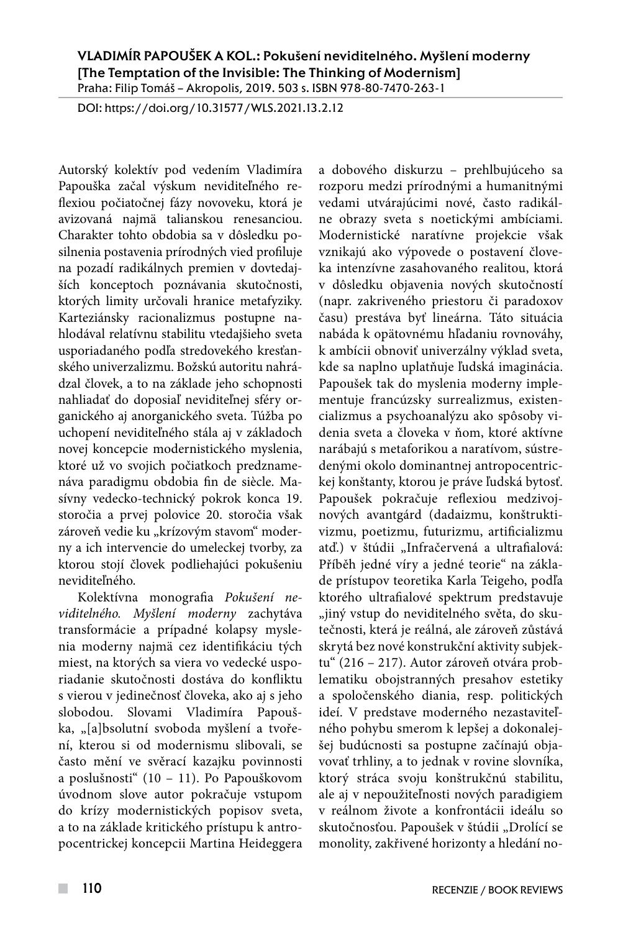## VLADIMÍR PAPOUŠEK A KOL.: Pokušení neviditelného. Myšlení moderny [The Temptation of the Invisible: The Thinking of Modernism] Praha: Filip Tomáš – Akropolis, 2019. 503 s. ISBN 978-80-7470-263-1

DOI: https://doi.org/10.31577/WLS.2021.13.2.12

Autorský kolektív pod vedením Vladimíra Papouška začal výskum neviditeľného reflexiou počiatočnej fázy novoveku, ktorá je avizovaná najmä talianskou renesanciou. Charakter tohto obdobia sa v dôsledku posilnenia postavenia prírodných vied profiluje na pozadí radikálnych premien v dovtedajších konceptoch poznávania skutočnosti, ktorých limity určovali hranice metafyziky. Karteziánsky racionalizmus postupne nahlodával relatívnu stabilitu vtedajšieho sveta usporiadaného podľa stredovekého kresťanského univerzalizmu. Božskú autoritu nahrádzal človek, a to na základe jeho schopnosti nahliadať do doposiaľ neviditeľnej sféry organického aj anorganického sveta. Túžba po uchopení neviditeľného stála aj v základoch novej koncepcie modernistického myslenia, ktoré už vo svojich počiatkoch predznamenáva paradigmu obdobia fin de siècle. Masívny vedecko-technický pokrok konca 19. storočia a prvej polovice 20. storočia však zároveň vedie ku "krízovým stavom" moderny a ich intervencie do umeleckej tvorby, za ktorou stojí človek podliehajúci pokušeniu neviditeľného.

Kolektívna monografia *Pokušení neviditelného. Myšlení moderny* zachytáva transformácie a prípadné kolapsy myslenia moderny najmä cez identifikáciu tých miest, na ktorých sa viera vo vedecké usporiadanie skutočnosti dostáva do konfliktu s vierou v jedinečnosť človeka, ako aj s jeho slobodou. Slovami Vladimíra Papouška, "[a]bsolutní svoboda myšlení a tvoření, kterou si od modernismu slibovali, se často mění ve svěrací kazajku povinnosti a poslušnosti" (10 – 11). Po Papouškovom úvodnom slove autor pokračuje vstupom do krízy modernistických popisov sveta, a to na základe kritického prístupu k antropocentrickej koncepcii Martina Heideggera a dobového diskurzu – prehlbujúceho sa rozporu medzi prírodnými a humanitnými vedami utvárajúcimi nové, často radikálne obrazy sveta s noetickými ambíciami. Modernistické naratívne projekcie však vznikajú ako výpovede o postavení človeka intenzívne zasahovaného realitou, ktorá v dôsledku objavenia nových skutočností (napr. zakriveného priestoru či paradoxov času) prestáva byť lineárna. Táto situácia nabáda k opätovnému hľadaniu rovnováhy, k ambícii obnoviť univerzálny výklad sveta, kde sa naplno uplatňuje ľudská imaginácia. Papoušek tak do myslenia moderny implementuje francúzsky surrealizmus, existencializmus a psychoanalýzu ako spôsoby videnia sveta a človeka v ňom, ktoré aktívne narábajú s metaforikou a naratívom, sústredenými okolo dominantnej antropocentrickej konštanty, ktorou je práve ľudská bytosť. Papoušek pokračuje reflexiou medzivojnových avantgárd (dadaizmu, konštruktivizmu, poetizmu, futurizmu, artificializmu atď.) v štúdii "Infračervená a ultrafialová: Příběh jedné víry a jedné teorie" na základe prístupov teoretika Karla Teigeho, podľa ktorého ultrafialové spektrum predstavuje "jiný vstup do neviditelného světa, do skutečnosti, která je reálná, ale zároveň zůstává skrytá bez nové konstrukční aktivity subjektu" (216 – 217). Autor zároveň otvára problematiku obojstranných presahov estetiky a spoločenského diania, resp. politických ideí. V predstave moderného nezastaviteľného pohybu smerom k lepšej a dokonalejšej budúcnosti sa postupne začínajú objavovať trhliny, a to jednak v rovine slovníka, ktorý stráca svoju konštrukčnú stabilitu, ale aj v nepoužiteľnosti nových paradigiem v reálnom živote a konfrontácii ideálu so skutočnosťou. Papoušek v štúdii "Drolící se monolity, zakřivené horizonty a hledání no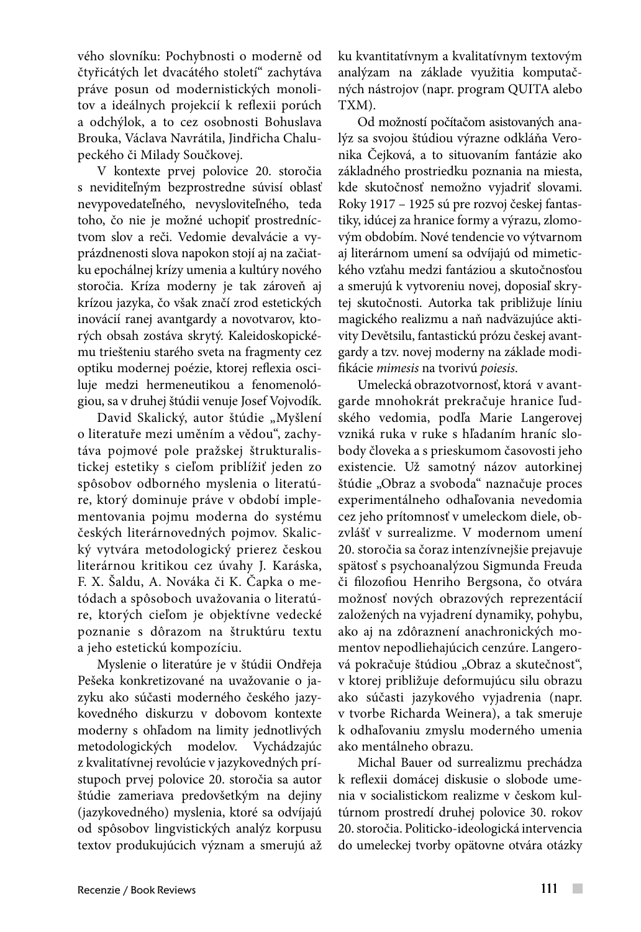vého slovníku: Pochybnosti o moderně od čtyřicátých let dvacátého století" zachytáva práve posun od modernistických monolitov a ideálnych projekcií k reflexii porúch a odchýlok, a to cez osobnosti Bohuslava Brouka, Václava Navrátila, Jindřicha Chalupeckého či Milady Součkovej.

V kontexte prvej polovice 20. storočia s neviditeľným bezprostredne súvisí oblasť nevypovedateľného, nevysloviteľného, teda toho, čo nie je možné uchopiť prostredníctvom slov a reči. Vedomie devalvácie a vyprázdnenosti slova napokon stojí aj na začiatku epochálnej krízy umenia a kultúry nového storočia. Kríza moderny je tak zároveň aj krízou jazyka, čo však značí zrod estetických inovácií ranej avantgardy a novotvarov, ktorých obsah zostáva skrytý. Kaleidoskopickému triešteniu starého sveta na fragmenty cez optiku modernej poézie, ktorej reflexia osciluje medzi hermeneutikou a fenomenológiou, sa v druhej štúdii venuje Josef Vojvodík.

David Skalický, autor štúdie "Myšlení o literatuře mezi uměním a vědou", zachytáva pojmové pole pražskej štrukturalistickej estetiky s cieľom priblížiť jeden zo spôsobov odborného myslenia o literatúre, ktorý dominuje práve v období implementovania pojmu moderna do systému českých literárnovedných pojmov. Skalický vytvára metodologický prierez českou literárnou kritikou cez úvahy J. Karáska, F. X. Šaldu, A. Nováka či K. Čapka o metódach a spôsoboch uvažovania o literatúre, ktorých cieľom je objektívne vedecké poznanie s dôrazom na štruktúru textu a jeho estetickú kompozíciu.

Myslenie o literatúre je v štúdii Ondřeja Pešeka konkretizované na uvažovanie o jazyku ako súčasti moderného českého jazykovedného diskurzu v dobovom kontexte moderny s ohľadom na limity jednotlivých metodologických modelov. Vychádzajúc z kvalitatívnej revolúcie v jazykovedných prístupoch prvej polovice 20. storočia sa autor štúdie zameriava predovšetkým na dejiny (jazykovedného) myslenia, ktoré sa odvíjajú od spôsobov lingvistických analýz korpusu textov produkujúcich význam a smerujú až

ku kvantitatívnym a kvalitatívnym textovým analýzam na základe využitia komputačných nástrojov (napr. program QUITA alebo TXM).

Od možností počítačom asistovaných analýz sa svojou štúdiou výrazne odkláňa Veronika Čejková, a to situovaním fantázie ako základného prostriedku poznania na miesta, kde skutočnosť nemožno vyjadriť slovami. Roky 1917 – 1925 sú pre rozvoj českej fantastiky, idúcej za hranice formy a výrazu, zlomovým obdobím. Nové tendencie vo výtvarnom aj literárnom umení sa odvíjajú od mimetického vzťahu medzi fantáziou a skutočnosťou a smerujú k vytvoreniu novej, doposiaľ skrytej skutočnosti. Autorka tak približuje líniu magického realizmu a naň nadväzujúce aktivity Devětsilu, fantastickú prózu českej avantgardy a tzv. novej moderny na základe modifikácie *mimesis* na tvorivú *poiesis*.

Umelecká obrazotvornosť, ktorá v avantgarde mnohokrát prekračuje hranice ľudského vedomia, podľa Marie Langerovej vzniká ruka v ruke s hľadaním hraníc slobody človeka a s prieskumom časovosti jeho existencie. Už samotný názov autorkinej štúdie "Obraz a svoboda" naznačuje proces experimentálneho odhaľovania nevedomia cez jeho prítomnosť v umeleckom diele, obzvlášť v surrealizme. V modernom umení 20. storočia sa čoraz intenzívnejšie prejavuje spätosť s psychoanalýzou Sigmunda Freuda či filozofiou Henriho Bergsona, čo otvára možnosť nových obrazových reprezentácií založených na vyjadrení dynamiky, pohybu, ako aj na zdôraznení anachronických momentov nepodliehajúcich cenzúre. Langerová pokračuje štúdiou "Obraz a skutečnost", v ktorej približuje deformujúcu silu obrazu ako súčasti jazykového vyjadrenia (napr. v tvorbe Richarda Weinera), a tak smeruje k odhaľovaniu zmyslu moderného umenia ako mentálneho obrazu.

Michal Bauer od surrealizmu prechádza k reflexii domácej diskusie o slobode umenia v socialistickom realizme v českom kultúrnom prostredí druhej polovice 30. rokov 20. storočia. Politicko-ideologická intervencia do umeleckej tvorby opätovne otvára otázky

 $\mathcal{C}^{\mathcal{A}}$